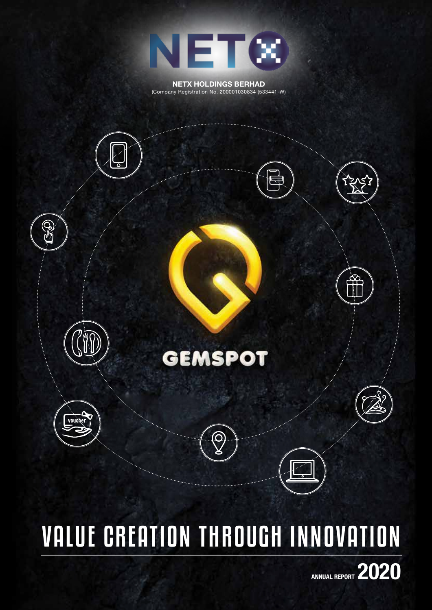

#### NETX HOLDINGS BERHAD (Company Registration No. 200001030834 (533441-W)



# Value Creation through Innovation

ANNUAL REPORT 2020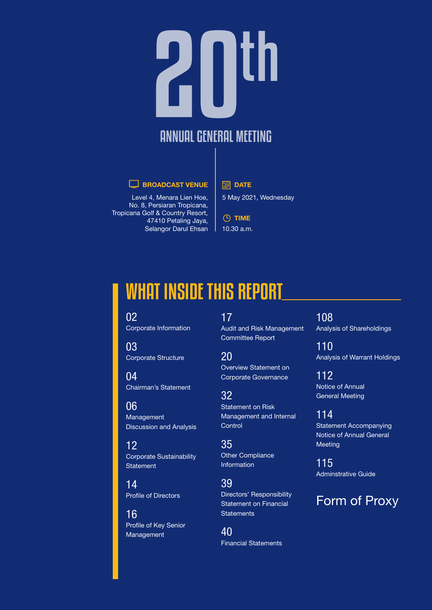

# ANNUAL GENERAL MEETING

### $\Box$  broadcast venue  $\parallel$  oate

Level 4, Menara Lien Hoe, No. 8, Persiaran Tropicana, Tropicana Golf & Country Resort, 47410 Petaling Jaya, Selangor Darul Ehsan 5 May 2021, Wednesday

*C* TIME 10.30 a.m.

# WHAT INSIDE THIS REPORT

02 Corporate Information

03 Corporate Structure

04 Chairman's Statement

### 06

Management Discussion and Analysis

### 12

Corporate Sustainability Statement

### 14

Profile of Directors

### 16

Profile of Key Senior Management

### 17 Audit and Risk Management Committee Report

20 Overview Statement on Corporate Governance

32 Statement on Risk Management and Internal **Control** 

### 35

Other Compliance Information

# 39

Directors' Responsibility Statement on Financial **Statements** 

40 Financial Statements

108 Analysis of Shareholdings

110 Analysis of Warrant Holdings

112 Notice of Annual General Meeting

### 114

Statement Accompanying Notice of Annual General Meeting

115 Adminstrative Guide

### Form of Proxy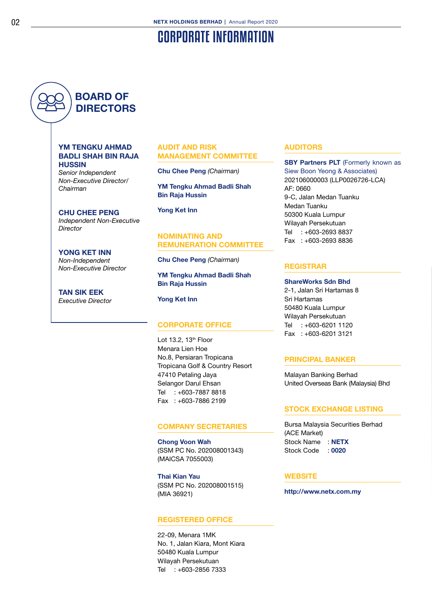### CORPORATE INFORMATION

### BOARD OF **DIRECTORS**

#### YM TENGKU AHMAD BADLI SHAH BIN RAJA **HUSSIN**

*Senior Independent Non-Executive Director/ Chairman*

#### CHU CHEE PENG *Independent Non-Executive Director*

YONG KET INN *Non-Independent Non-Executive Director*

TAN SIK EEK *Executive Director*

#### AUDIT AND RISK MANAGEMENT COMMITTEE

Chu Chee Peng *(Chairman)*

YM Tengku Ahmad Badli Shah Bin Raja Hussin

Yong Ket Inn

#### NOMINATING AND REMUNERATION COMMITTEE

Chu Chee Peng *(Chairman)*

YM Tengku Ahmad Badli Shah Bin Raja Hussin

Yong Ket Inn

#### CORPORATE OFFICE

Lot 13.2, 13th Floor Menara Lien Hoe No.8, Persiaran Tropicana Tropicana Golf & Country Resort 47410 Petaling Jaya Selangor Darul Ehsan Tel : +603-7887 8818 Fax : +603-7886 2199

#### COMPANY SECRETARIES

Chong Voon Wah (SSM PC No. 202008001343) (MAICSA 7055003)

Thai Kian Yau (SSM PC No. 202008001515) (MIA 36921)

#### REGISTERED OFFICE

22-09, Menara 1MK No. 1, Jalan Kiara, Mont Kiara 50480 Kuala Lumpur Wilayah Persekutuan Tel : +603-2856 7333

#### AUDITORS

**SBY Partners PLT** (Formerly known as Siew Boon Yeong & Associates) 202106000003 (LLP0026726-LCA) AF: 0660 9-C, Jalan Medan Tuanku Medan Tuanku 50300 Kuala Lumpur Wilayah Persekutuan Tel : +603-2693 8837 Fax : +603-2693 8836

#### REGISTRAR

ShareWorks Sdn Bhd 2-1, Jalan Sri Hartamas 8 Sri Hartamas 50480 Kuala Lumpur Wilayah Persekutuan Tel : +603-6201 1120 Fax : +603-6201 3121

#### PRINCIPAL BANKER

Malayan Banking Berhad United Overseas Bank (Malaysia) Bhd

#### STOCK EXCHANGE LISTING

Bursa Malaysia Securities Berhad (ACE Market) Stock Name : NETX Stock Code : 0020

#### **WEBSITE**

http://www.netx.com.my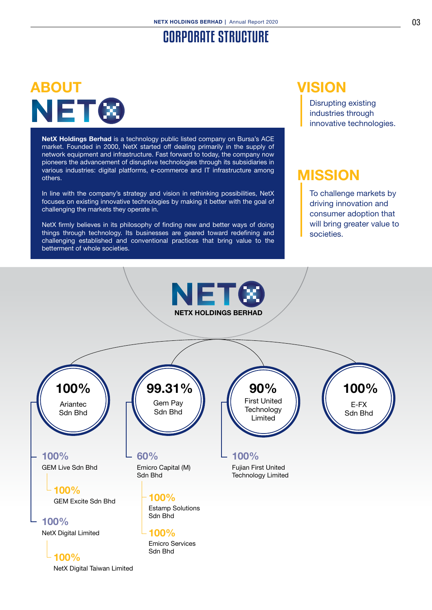# CORPORATE STRUCTURE

### ABOUT NET ×

NetX Holdings Berhad is a technology public listed company on Bursa's ACE market. Founded in 2000, NetX started off dealing primarily in the supply of network equipment and infrastructure. Fast forward to today, the company now pioneers the advancement of disruptive technologies through its subsidiaries in various industries: digital platforms, e-commerce and IT infrastructure among others.

In line with the company's strategy and vision in rethinking possibilities, NetX focuses on existing innovative technologies by making it better with the goal of challenging the markets they operate in.

NetX firmly believes in its philosophy of finding new and better ways of doing things through technology. Its businesses are geared toward redefining and challenging established and conventional practices that bring value to the betterment of whole societies.

### VISION

Disrupting existing industries through innovative technologies.

### MISSION

To challenge markets by driving innovation and consumer adoption that will bring greater value to societies.

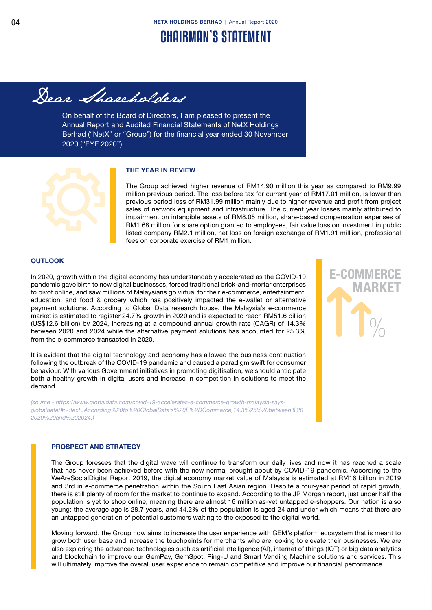### CHAIRMAN'S STATEMENT

Dear Shareholders

On behalf of the Board of Directors, I am pleased to present the Annual Report and Audited Financial Statements of NetX Holdings Berhad ("NetX" or "Group") for the financial year ended 30 November 2020 ("FYE 2020").

#### The Year In Review

The Group achieved higher revenue of RM14.90 million this year as compared to RM9.99 million previous period. The loss before tax for current year of RM17.01 million, is lower than previous period loss of RM31.99 million mainly due to higher revenue and profit from project sales of network equipment and infrastructure. The current year losses mainly attributed to impairment on intangible assets of RM8.05 million, share-based compensation expenses of RM1.68 million for share option granted to employees, fair value loss on investment in public listed company RM2.1 million, net loss on foreign exchange of RM1.91 milllion, professional fees on corporate exercise of RM1 million.

#### **OUTLOOK**

In 2020, growth within the digital economy has understandably accelerated as the COVID-19 pandemic gave birth to new digital businesses, forced traditional brick-and-mortar enterprises to pivot online, and saw millions of Malaysians go virtual for their e-commerce, entertainment, education, and food & grocery which has positively impacted the e-wallet or alternative payment solutions. According to Global Data research house, the Malaysia's e-commerce market is estimated to register 24.7% growth in 2020 and is expected to reach RM51.6 billion (US\$12.6 billion) by 2024, increasing at a compound annual growth rate (CAGR) of 14.3% between 2020 and 2024 while the alternative payment solutions has accounted for 25.3% from the e-commerce transacted in 2020.

It is evident that the digital technology and economy has allowed the business continuation following the outbreak of the COVID-19 pandemic and caused a paradigm swift for consumer behaviour. With various Government initiatives in promoting digitisation, we should anticipate both a healthy growth in digital users and increase in competition in solutions to meet the demand.

*(source - https://www.globaldata.com/covid-19-accelerates-e-commerce-growth-malaysia-saysglobaldata/#:~:text=According%20to%20GlobalData's%20E%2DCommerce,14.3%25%20between%20 2020%20and%202024.)*

#### Prospect and Strategy

The Group foresees that the digital wave will continue to transform our daily lives and now it has reached a scale that has never been achieved before with the new normal brought about by COVID-19 pandemic. According to the WeAreSocialDigital Report 2019, the digital economy market value of Malaysia is estimated at RM16 billion in 2019 and 3rd in e-commerce penetration within the South East Asian region. Despite a four-year period of rapid growth, there is still plenty of room for the market to continue to expand. According to the JP Morgan report, just under half the population is yet to shop online, meaning there are almost 16 million as-yet untapped e-shoppers. Our nation is also young: the average age is 28.7 years, and 44.2% of the population is aged 24 and under which means that there are an untapped generation of potential customers waiting to the exposed to the digital world.

Moving forward, the Group now aims to increase the user experience with GEM's platform ecosystem that is meant to grow both user base and increase the touchpoints for merchants who are looking to elevate their businesses. We are also exploring the advanced technologies such as artificial intelligence (AI), internet of things (IOT) or big data analytics and blockchain to improve our GemPay, GemSpot, Ping-U and Smart Vending Machine solutions and services. This will ultimately improve the overall user experience to remain competitive and improve our financial performance.

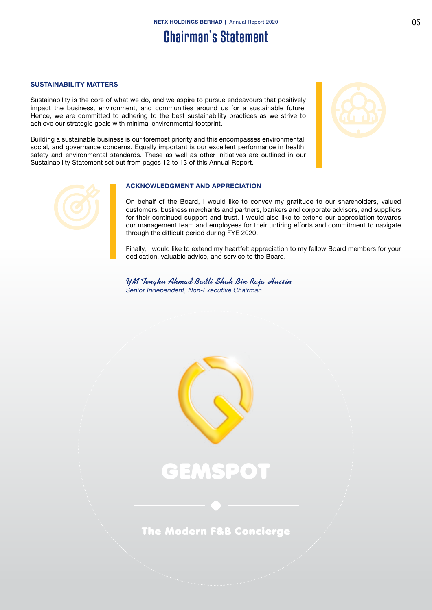### Chairman's Statement

#### Sustainability Matters

Sustainability is the core of what we do, and we aspire to pursue endeavours that positively impact the business, environment, and communities around us for a sustainable future. Hence, we are committed to adhering to the best sustainability practices as we strive to achieve our strategic goals with minimal environmental footprint.

Building a sustainable business is our foremost priority and this encompasses environmental, social, and governance concerns. Equally important is our excellent performance in health, safety and environmental standards. These as well as other initiatives are outlined in our Sustainability Statement set out from pages 12 to 13 of this Annual Report.





#### Acknowledgment and Appreciation

On behalf of the Board, I would like to convey my gratitude to our shareholders, valued customers, business merchants and partners, bankers and corporate advisors, and suppliers for their continued support and trust. I would also like to extend our appreciation towards our management team and employees for their untiring efforts and commitment to navigate through the difficult period during FYE 2020.

Finally, I would like to extend my heartfelt appreciation to my fellow Board members for your dedication, valuable advice, and service to the Board.

**YM Tengku Ahmad Badli Shah Bin Raja Hussin**  *Senior Independent, Non-Executive Chairman* 



GEMSPOT

The Modern F&B Concierge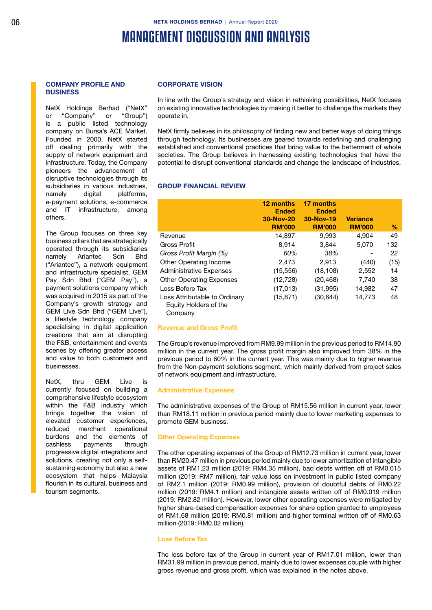### MANAGEMENT DISCUSSION AND ANALYSIS

#### COMPANY PROFILE AND **BUSINESS**

NetX Holdings Berhad ("NetX" or "Company" or "Group") is a public listed technology company on Bursa's ACE Market. Founded in 2000, NetX started off dealing primarily with the supply of network equipment and infrastructure. Today, the Company pioneers the advancement of disruptive technologies through its subsidiaries in various industries, namely digital platforms, e-payment solutions, e-commerce and IT infrastructure, among others.

The Group focuses on three key business pillars that are strategically operated through its subsidiaries namely Ariantec Sdn Bhd ("Ariantec"), a network equipment and infrastructure specialist, GEM Pay Sdn Bhd ("GEM Pay"), a payment solutions company which was acquired in 2015 as part of the Company's growth strategy and GEM Live Sdn Bhd ("GEM Live"), a lifestyle technology company specialising in digital application creations that aim at disrupting the F&B, entertainment and events scenes by offering greater access and value to both customers and businesses.

NetX, thru GEM Live is currently focused on building a comprehensive lifestyle ecosystem within the F&B industry which brings together the vision of elevated customer experiences, reduced merchant operational burdens and the elements of cashless payments through progressive digital integrations and solutions, creating not only a selfsustaining economy but also a new ecosystem that helps Malaysia flourish in its cultural, business and tourism segments.

#### CORPORATE VISION

In line with the Group's strategy and vision in rethinking possibilities, NetX focuses on existing innovative technologies by making it better to challenge the markets they operate in.

NetX firmly believes in its philosophy of finding new and better ways of doing things through technology. Its businesses are geared towards redefining and challenging established and conventional practices that bring value to the betterment of whole societies. The Group believes in harnessing existing technologies that have the potential to disrupt conventional standards and change the landscape of industries.

#### GROUP FINANCIAL REVIEW

|                                                                   | 12 months<br><b>Ended</b><br>30-Nov-20<br><b>RM'000</b> | 17 months<br><b>Ended</b><br>$30 - Nov - 19$<br><b>RM'000</b> | <b>Variance</b><br><b>RM'000</b> | $\%$ |
|-------------------------------------------------------------------|---------------------------------------------------------|---------------------------------------------------------------|----------------------------------|------|
| Revenue                                                           | 14,897                                                  | 9.993                                                         | 4.904                            | 49   |
| Gross Profit                                                      | 8,914                                                   | 3.844                                                         | 5,070                            | 132  |
| Gross Profit Margin (%)                                           | 60%                                                     | 38%                                                           |                                  | 22   |
| Other Operating Income                                            | 2,473                                                   | 2,913                                                         | (440)                            | (15) |
| <b>Administrative Expenses</b>                                    | (15, 556)                                               | (18, 108)                                                     | 2,552                            | 14   |
| <b>Other Operating Expenses</b>                                   | (12, 728)                                               | (20, 468)                                                     | 7.740                            | 38   |
| Loss Before Tax                                                   | (17, 013)                                               | (31, 995)                                                     | 14.982                           | 47   |
| Loss Attributable to Ordinary<br>Equity Holders of the<br>Company | (15, 871)                                               | (30,644)                                                      | 14,773                           | 48   |

#### Revenue and Gross Profit

The Group's revenue improved from RM9.99 million in the previous period to RM14.90 million in the current year. The gross profit margin also improved from 38% in the previous period to 60% in the current year. This was mainly due to higher revenue from the Non-payment solutions segment, which mainly derived from project sales of network equipment and infrastructure.

#### Administrative Expenses

The administrative expenses of the Group of RM15.56 million in current year, lower than RM18.11 million in previous period mainly due to lower marketing expenses to promote GEM business.

#### Other Operating Expenses

The other operating expenses of the Group of RM12.73 million in current year, lower than RM20.47 million in previous period mainly due to lower amortization of intangible assets of RM1.23 million (2019: RM4.35 million), bad debts written off of RM0.015 million (2019: RM7 million), fair value loss on investment in public listed company of RM2.1 million (2019: RM0.99 million), provision of doubtful debts of RM0.22 million (2019: RM4.1 million) and intangible assets written off of RM0.019 million (2019: RM2.82 million). However, lower other operating expenses were mitigated by higher share-based compensation expenses for share option granted to employees of RM1.68 million (2019: RM0.81 million) and higher terminal written off of RM0.63 million (2019: RM0.02 million).

#### Loss Before Tax

The loss before tax of the Group in current year of RM17.01 million, lower than RM31.99 million in previous period, mainly due to lower expenses couple with higher gross revenue and gross profit, which was explained in the notes above.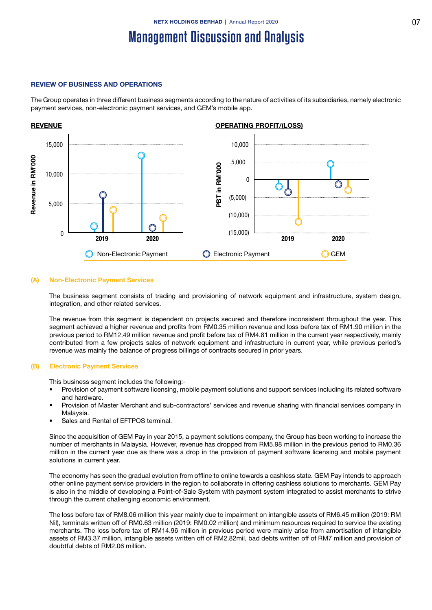#### REVIEW OF BUSINESS AND OPERATIONS

The Group operates in three different business segments according to the nature of activities of its subsidiaries, namely electronic payment services, non-electronic payment services, and GEM's mobile app.



#### (A) Non-Electronic Payment Services

The business segment consists of trading and provisioning of network equipment and infrastructure, system design, integration, and other related services.

The revenue from this segment is dependent on projects secured and therefore inconsistent throughout the year. This segment achieved a higher revenue and profits from RM0.35 million revenue and loss before tax of RM1.90 million in the previous period to RM12.49 million revenue and profit before tax of RM4.81 million in the current year respectively, mainly contributed from a few projects sales of network equipment and infrastructure in current year, while previous period's revenue was mainly the balance of progress billings of contracts secured in prior years.

#### (B) Electronic Payment Services

This business segment includes the following:-

- Provision of payment software licensing, mobile payment solutions and support services including its related software and hardware.
- Provision of Master Merchant and sub-contractors' services and revenue sharing with financial services company in Malaysia.
- Sales and Rental of EFTPOS terminal.

Since the acquisition of GEM Pay in year 2015, a payment solutions company, the Group has been working to increase the number of merchants in Malaysia. However, revenue has dropped from RM5.98 million in the previous period to RM0.36 million in the current year due as there was a drop in the provision of payment software licensing and mobile payment solutions in current year.

The economy has seen the gradual evolution from offline to online towards a cashless state. GEM Pay intends to approach other online payment service providers in the region to collaborate in offering cashless solutions to merchants. GEM Pay is also in the middle of developing a Point-of-Sale System with payment system integrated to assist merchants to strive through the current challenging economic environment.

The loss before tax of RM8.06 million this year mainly due to impairment on intangible assets of RM6.45 million (2019: RM Nil), terminals written off of RM0.63 million (2019: RM0.02 million) and minimum resources required to service the existing merchants. The loss before tax of RM14.96 million in previous period were mainly arise from amortisation of intangible assets of RM3.37 million, intangible assets written off of RM2.82mil, bad debts written off of RM7 million and provision of doubtful debts of RM2.06 million.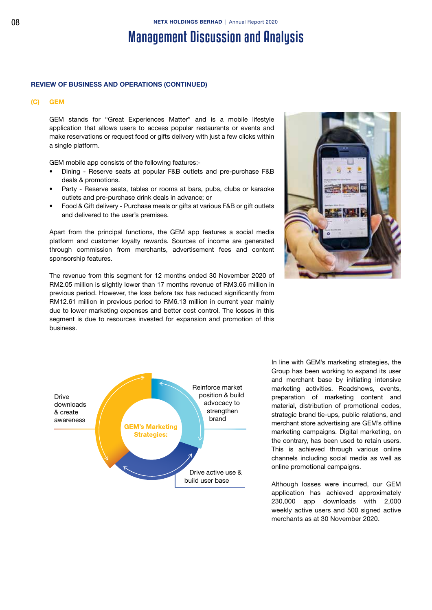#### REVIEW OF BUSINESS AND OPERATIONS (CONTINUED)

#### (C) GEM

GEM stands for "Great Experiences Matter" and is a mobile lifestyle application that allows users to access popular restaurants or events and make reservations or request food or gifts delivery with just a few clicks within a single platform.

GEM mobile app consists of the following features:-

- Dining Reserve seats at popular F&B outlets and pre-purchase F&B deals & promotions.
- Party Reserve seats, tables or rooms at bars, pubs, clubs or karaoke outlets and pre-purchase drink deals in advance; or
- Food & Gift delivery Purchase meals or gifts at various F&B or gift outlets and delivered to the user's premises.

Apart from the principal functions, the GEM app features a social media platform and customer loyalty rewards. Sources of income are generated through commission from merchants, advertisement fees and content sponsorship features.

The revenue from this segment for 12 months ended 30 November 2020 of RM2.05 million is slightly lower than 17 months revenue of RM3.66 million in previous period. However, the loss before tax has reduced significantly from RM12.61 million in previous period to RM6.13 million in current year mainly due to lower marketing expenses and better cost control. The losses in this segment is due to resources invested for expansion and promotion of this business.





In line with GEM's marketing strategies, the Group has been working to expand its user and merchant base by initiating intensive marketing activities. Roadshows, events, preparation of marketing content and material, distribution of promotional codes, strategic brand tie-ups, public relations, and merchant store advertising are GEM's offline marketing campaigns. Digital marketing, on the contrary, has been used to retain users. This is achieved through various online channels including social media as well as online promotional campaigns.

Although losses were incurred, our GEM application has achieved approximately 230,000 app downloads with 2,000 weekly active users and 500 signed active merchants as at 30 November 2020.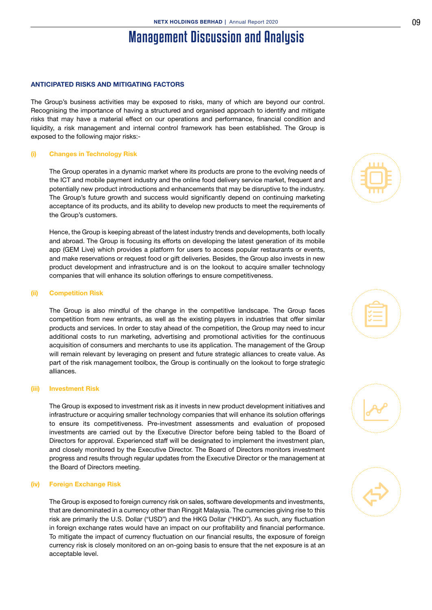#### ANTICIPATED RISKS AND MITIGATING FACTORS

The Group's business activities may be exposed to risks, many of which are beyond our control. Recognising the importance of having a structured and organised approach to identify and mitigate risks that may have a material effect on our operations and performance, financial condition and liquidity, a risk management and internal control framework has been established. The Group is exposed to the following major risks:-

#### (i) Changes in Technology Risk

The Group operates in a dynamic market where its products are prone to the evolving needs of the ICT and mobile payment industry and the online food delivery service market, frequent and potentially new product introductions and enhancements that may be disruptive to the industry. The Group's future growth and success would significantly depend on continuing marketing acceptance of its products, and its ability to develop new products to meet the requirements of the Group's customers.

Hence, the Group is keeping abreast of the latest industry trends and developments, both locally and abroad. The Group is focusing its efforts on developing the latest generation of its mobile app (GEM Live) which provides a platform for users to access popular restaurants or events, and make reservations or request food or gift deliveries. Besides, the Group also invests in new product development and infrastructure and is on the lookout to acquire smaller technology companies that will enhance its solution offerings to ensure competitiveness.

#### (ii) Competition Risk

The Group is also mindful of the change in the competitive landscape. The Group faces competition from new entrants, as well as the existing players in industries that offer similar products and services. In order to stay ahead of the competition, the Group may need to incur additional costs to run marketing, advertising and promotional activities for the continuous acquisition of consumers and merchants to use its application. The management of the Group will remain relevant by leveraging on present and future strategic alliances to create value. As part of the risk management toolbox, the Group is continually on the lookout to forge strategic alliances.

#### (iii) Investment Risk

The Group is exposed to investment risk as it invests in new product development initiatives and infrastructure or acquiring smaller technology companies that will enhance its solution offerings to ensure its competitiveness. Pre-investment assessments and evaluation of proposed investments are carried out by the Executive Director before being tabled to the Board of Directors for approval. Experienced staff will be designated to implement the investment plan, and closely monitored by the Executive Director. The Board of Directors monitors investment progress and results through regular updates from the Executive Director or the management at the Board of Directors meeting.

#### (iv) Foreign Exchange Risk

The Group is exposed to foreign currency risk on sales, software developments and investments, that are denominated in a currency other than Ringgit Malaysia. The currencies giving rise to this risk are primarily the U.S. Dollar ("USD") and the HKG Dollar ("HKD"). As such, any fluctuation in foreign exchange rates would have an impact on our profitability and financial performance. To mitigate the impact of currency fluctuation on our financial results, the exposure of foreign currency risk is closely monitored on an on-going basis to ensure that the net exposure is at an acceptable level.







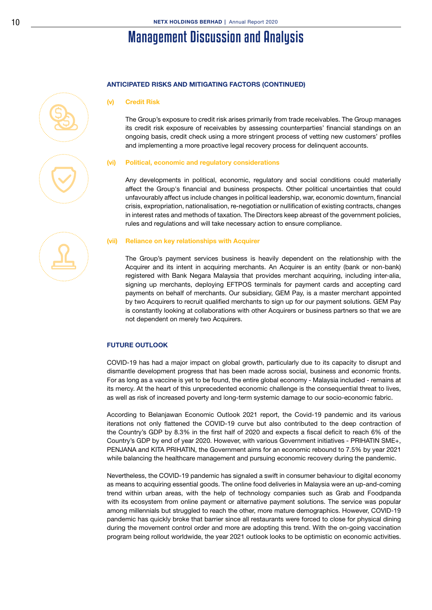#### ANTICIPATED RISKS AND MITIGATING FACTORS (CONTINUED)

#### (v) Credit Risk

The Group's exposure to credit risk arises primarily from trade receivables. The Group manages its credit risk exposure of receivables by assessing counterparties' financial standings on an ongoing basis, credit check using a more stringent process of vetting new customers' profiles and implementing a more proactive legal recovery process for delinquent accounts.

#### (vi) Political, economic and regulatory considerations

Any developments in political, economic, regulatory and social conditions could materially affect the Group's financial and business prospects. Other political uncertainties that could unfavourably affect us include changes in political leadership, war, economic downturn, financial crisis, expropriation, nationalisation, re-negotiation or nullification of existing contracts, changes in interest rates and methods of taxation. The Directors keep abreast of the government policies, rules and regulations and will take necessary action to ensure compliance.

#### (vii) Reliance on key relationships with Acquirer

The Group's payment services business is heavily dependent on the relationship with the Acquirer and its intent in acquiring merchants. An Acquirer is an entity (bank or non-bank) registered with Bank Negara Malaysia that provides merchant acquiring, including inter-alia, signing up merchants, deploying EFTPOS terminals for payment cards and accepting card payments on behalf of merchants. Our subsidiary, GEM Pay, is a master merchant appointed by two Acquirers to recruit qualified merchants to sign up for our payment solutions. GEM Pay is constantly looking at collaborations with other Acquirers or business partners so that we are not dependent on merely two Acquirers.

#### FUTURE OUTLOOK

COVID-19 has had a major impact on global growth, particularly due to its capacity to disrupt and dismantle development progress that has been made across social, business and economic fronts. For as long as a vaccine is yet to be found, the entire global economy - Malaysia included - remains at its mercy. At the heart of this unprecedented economic challenge is the consequential threat to lives, as well as risk of increased poverty and long-term systemic damage to our socio-economic fabric.

According to Belanjawan Economic Outlook 2021 report, the Covid-19 pandemic and its various iterations not only flattened the COVID-19 curve but also contributed to the deep contraction of the Country's GDP by 8.3% in the first half of 2020 and expects a fiscal deficit to reach 6% of the Country's GDP by end of year 2020. However, with various Government initiatives - PRIHATIN SME+, PENJANA and KITA PRIHATIN, the Government aims for an economic rebound to 7.5% by year 2021 while balancing the healthcare management and pursuing economic recovery during the pandemic.

Nevertheless, the COVID-19 pandemic has signaled a swift in consumer behaviour to digital economy as means to acquiring essential goods. The online food deliveries in Malaysia were an up-and-coming trend within urban areas, with the help of technology companies such as Grab and Foodpanda with its ecosystem from online payment or alternative payment solutions. The service was popular among millennials but struggled to reach the other, more mature demographics. However, COVID-19 pandemic has quickly broke that barrier since all restaurants were forced to close for physical dining during the movement control order and more are adopting this trend. With the on-going vaccination program being rollout worldwide, the year 2021 outlook looks to be optimistic on economic activities.

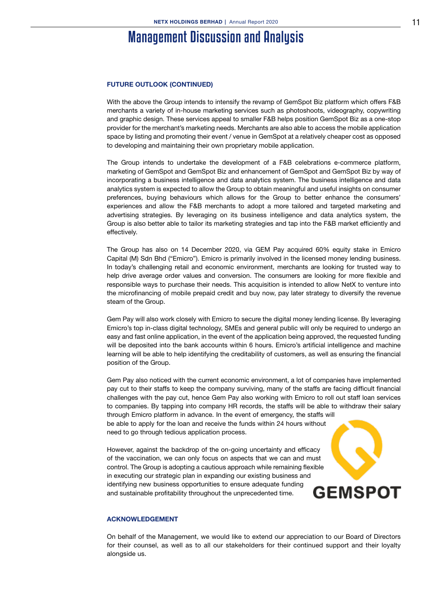#### FUTURE OUTLOOK (CONTINUED)

With the above the Group intends to intensify the revamp of GemSpot Biz platform which offers F&B merchants a variety of in-house marketing services such as photoshoots, videography, copywriting and graphic design. These services appeal to smaller F&B helps position GemSpot Biz as a one-stop provider for the merchant's marketing needs. Merchants are also able to access the mobile application space by listing and promoting their event / venue in GemSpot at a relatively cheaper cost as opposed to developing and maintaining their own proprietary mobile application.

The Group intends to undertake the development of a F&B celebrations e-commerce platform, marketing of GemSpot and GemSpot Biz and enhancement of GemSpot and GemSpot Biz by way of incorporating a business intelligence and data analytics system. The business intelligence and data analytics system is expected to allow the Group to obtain meaningful and useful insights on consumer preferences, buying behaviours which allows for the Group to better enhance the consumers' experiences and allow the F&B merchants to adopt a more tailored and targeted marketing and advertising strategies. By leveraging on its business intelligence and data analytics system, the Group is also better able to tailor its marketing strategies and tap into the F&B market efficiently and effectively.

The Group has also on 14 December 2020, via GEM Pay acquired 60% equity stake in Emicro Capital (M) Sdn Bhd ("Emicro"). Emicro is primarily involved in the licensed money lending business. In today's challenging retail and economic environment, merchants are looking for trusted way to help drive average order values and conversion. The consumers are looking for more flexible and responsible ways to purchase their needs. This acquisition is intended to allow NetX to venture into the microfinancing of mobile prepaid credit and buy now, pay later strategy to diversify the revenue steam of the Group.

Gem Pay will also work closely with Emicro to secure the digital money lending license. By leveraging Emicro's top in-class digital technology, SMEs and general public will only be required to undergo an easy and fast online application, in the event of the application being approved, the requested funding will be deposited into the bank accounts within 6 hours. Emicro's artificial intelligence and machine learning will be able to help identifying the creditability of customers, as well as ensuring the financial position of the Group.

Gem Pay also noticed with the current economic environment, a lot of companies have implemented pay cut to their staffs to keep the company surviving, many of the staffs are facing difficult financial challenges with the pay cut, hence Gem Pay also working with Emicro to roll out staff loan services to companies. By tapping into company HR records, the staffs will be able to withdraw their salary through Emicro platform in advance. In the event of emergency, the staffs will

be able to apply for the loan and receive the funds within 24 hours without need to go through tedious application process.

However, against the backdrop of the on-going uncertainty and efficacy of the vaccination, we can only focus on aspects that we can and must control. The Group is adopting a cautious approach while remaining flexible in executing our strategic plan in expanding our existing business and identifying new business opportunities to ensure adequate funding and sustainable profitability throughout the unprecedented time.



#### ACKNOWLEDGEMENT

On behalf of the Management, we would like to extend our appreciation to our Board of Directors for their counsel, as well as to all our stakeholders for their continued support and their loyalty alongside us.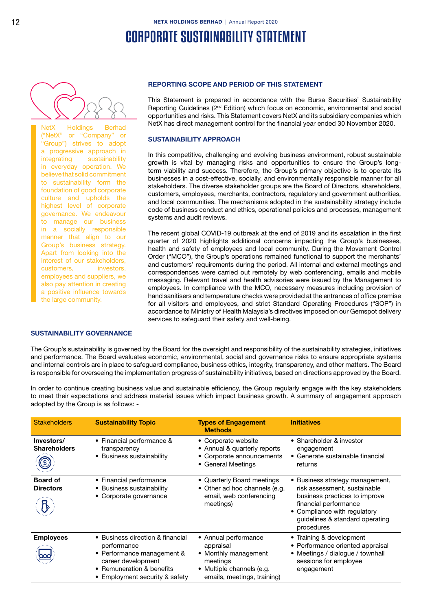### CORPORATE SUSTAINABILITY STATEMENT



NetX Holdings Berhad ("NetX" or "Company" or "Group") strives to adopt a progressive approach in integrating sustainability in everyday operation. We believe that solid commitment to sustainability form the foundation of good corporate culture and upholds the highest level of corporate governance. We endeavour to manage our business in a socially responsible manner that align to our Group's business strategy. Apart from looking into the interest of our stakeholders, customers, investors, employees and suppliers, we also pay attention in creating a positive influence towards the large community.

#### Reporting Scope and Period of this Statement

This Statement is prepared in accordance with the Bursa Securities' Sustainability Reporting Guidelines (2<sup>nd</sup> Edition) which focus on economic, environmental and social opportunities and risks. This Statement covers NetX and its subsidiary companies which NetX has direct management control for the financial year ended 30 November 2020.

#### Sustainability Approach

In this competitive, challenging and evolving business environment, robust sustainable growth is vital by managing risks and opportunities to ensure the Group's longterm viability and success. Therefore, the Group's primary objective is to operate its businesses in a cost-effective, socially, and environmentally responsible manner for all stakeholders. The diverse stakeholder groups are the Board of Directors, shareholders, customers, employees, merchants, contractors, regulatory and government authorities, and local communities. The mechanisms adopted in the sustainability strategy include code of business conduct and ethics, operational policies and processes, management systems and audit reviews.

The recent global COVID-19 outbreak at the end of 2019 and its escalation in the first quarter of 2020 highlights additional concerns impacting the Group's businesses, health and safety of employees and local community. During the Movement Control Order ("MCO"), the Group's operations remained functional to support the merchants' and customers' requirements during the period. All internal and external meetings and correspondences were carried out remotely by web conferencing, emails and mobile messaging. Relevant travel and health advisories were issued by the Management to employees. In compliance with the MCO, necessary measures including provision of hand sanitisers and temperature checks were provided at the entrances of office premise for all visitors and employees, and strict Standard Operating Procedures ("SOP") in accordance to Ministry of Health Malaysia's directives imposed on our Gemspot delivery services to safeguard their safety and well-being.

#### SUSTAINABILITY GOVERNANCE

The Group's sustainability is governed by the Board for the oversight and responsibility of the sustainability strategies, initiatives and performance. The Board evaluates economic, environmental, social and governance risks to ensure appropriate systems and internal controls are in place to safeguard compliance, business ethics, integrity, transparency, and other matters. The Board is responsible for overseeing the implementation progress of sustainability initiatives, based on directions approved by the Board.

In order to continue creating business value and sustainable efficiency, the Group regularly engage with the key stakeholders to meet their expectations and address material issues which impact business growth. A summary of engagement approach adopted by the Group is as follows: -

| <b>Stakeholders</b>                 | <b>Sustainability Topic</b>                                                                                                                                        | <b>Types of Engagement</b><br><b>Methods</b>                                                                                      | <b>Initiatives</b>                                                                                                                                                                                         |
|-------------------------------------|--------------------------------------------------------------------------------------------------------------------------------------------------------------------|-----------------------------------------------------------------------------------------------------------------------------------|------------------------------------------------------------------------------------------------------------------------------------------------------------------------------------------------------------|
| Investors/<br><b>Shareholders</b>   | • Financial performance &<br>transparency<br>• Business sustainability                                                                                             | • Corporate website<br>• Annual & quarterly reports<br>• Corporate announcements<br>• General Meetings                            | • Shareholder & investor<br>engagement<br>• Generate sustainable financial<br>returns                                                                                                                      |
| <b>Board of</b><br><b>Directors</b> | • Financial performance<br>• Business sustainability<br>• Corporate governance                                                                                     | • Quarterly Board meetings<br>• Other ad hoc channels (e.g.<br>email, web conferencing<br>meetings)                               | • Business strategy management,<br>risk assessment, sustainable<br>business practices to improve<br>financial performance<br>• Compliance with regulatory<br>guidelines & standard operating<br>procedures |
| <b>Employees</b>                    | • Business direction & financial<br>performance<br>• Performance management &<br>career development<br>• Remuneration & benefits<br>• Employment security & safety | • Annual performance<br>appraisal<br>• Monthly management<br>meetings<br>• Multiple channels (e.g.<br>emails, meetings, training) | • Training & development<br>• Performance oriented appraisal<br>• Meetings / dialogue / townhall<br>sessions for employee<br>engagement                                                                    |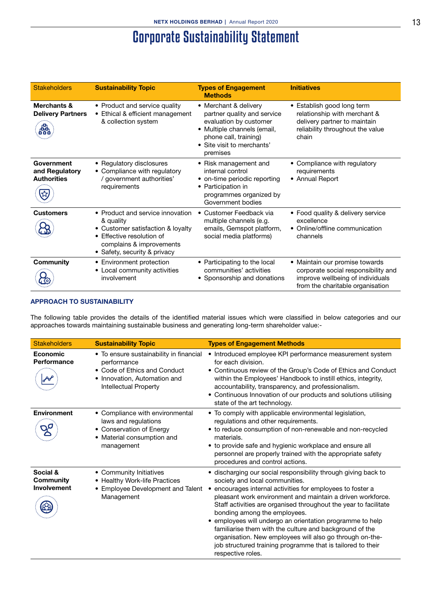# Corporate Sustainability Statement

| <b>Stakeholders</b>                                | <b>Sustainability Topic</b>                                                                                                                                                 | <b>Types of Engagement</b><br><b>Methods</b>                                                                                                                                     | <b>Initiatives</b>                                                                                                                            |
|----------------------------------------------------|-----------------------------------------------------------------------------------------------------------------------------------------------------------------------------|----------------------------------------------------------------------------------------------------------------------------------------------------------------------------------|-----------------------------------------------------------------------------------------------------------------------------------------------|
| Merchants &<br><b>Delivery Partners</b>            | • Product and service quality<br>• Ethical & efficient management<br>& collection system                                                                                    | • Merchant & delivery<br>partner quality and service<br>evaluation by customer<br>· Multiple channels (email,<br>phone call, training)<br>• Site visit to merchants'<br>premises | • Establish good long term<br>relationship with merchant &<br>delivery partner to maintain<br>reliability throughout the value<br>chain       |
| Government<br>and Regulatory<br><b>Authorities</b> | • Regulatory disclosures<br>• Compliance with regulatory<br>/ government authorities'<br>requirements                                                                       | • Risk management and<br>internal control<br>• on-time periodic reporting<br>• Participation in<br>programmes organized by<br>Government bodies                                  | • Compliance with regulatory<br>requirements<br>• Annual Report                                                                               |
| <b>Customers</b>                                   | • Product and service innovation<br>& quality<br>• Customer satisfaction & loyalty<br>• Effective resolution of<br>complains & improvements<br>• Safety, security & privacy | Customer Feedback via<br>multiple channels (e.g.<br>emails, Gemspot platform,<br>social media platforms)                                                                         | • Food quality & delivery service<br>excellence<br>• Online/offline communication<br>channels                                                 |
| <b>Community</b>                                   | • Environment protection<br>• Local community activities<br>involvement                                                                                                     | • Participating to the local<br>communities' activities<br>• Sponsorship and donations                                                                                           | • Maintain our promise towards<br>corporate social responsibility and<br>improve wellbeing of individuals<br>from the charitable organisation |

#### APPROACH TO SUSTAINABILITY

The following table provides the details of the identified material issues which were classified in below categories and our approaches towards maintaining sustainable business and generating long-term shareholder value:-

| <b>Stakeholders</b>                                | <b>Sustainability Topic</b>                                                                                                                     | <b>Types of Engagement Methods</b>                                                                                                                                                                                                                                                                                                                                                                                                                                                                                                                                                                     |
|----------------------------------------------------|-------------------------------------------------------------------------------------------------------------------------------------------------|--------------------------------------------------------------------------------------------------------------------------------------------------------------------------------------------------------------------------------------------------------------------------------------------------------------------------------------------------------------------------------------------------------------------------------------------------------------------------------------------------------------------------------------------------------------------------------------------------------|
| Economic<br>Performance                            | • To ensure sustainability in financial<br>performance<br>• Code of Ethics and Conduct<br>• Innovation, Automation and<br>Intellectual Property | • Introduced employee KPI performance measurement system<br>for each division.<br>• Continuous review of the Group's Code of Ethics and Conduct<br>within the Employees' Handbook to instill ethics, integrity,<br>accountability, transparency, and professionalism.<br>• Continuous Innovation of our products and solutions utilising<br>state of the art technology.                                                                                                                                                                                                                               |
| <b>Environment</b>                                 | • Compliance with environmental<br>laws and regulations<br>• Conservation of Energy<br>• Material consumption and<br>management                 | • To comply with applicable environmental legislation,<br>regulations and other requirements.<br>• to reduce consumption of non-renewable and non-recycled<br>materials.<br>• to provide safe and hygienic workplace and ensure all<br>personnel are properly trained with the appropriate safety<br>procedures and control actions.                                                                                                                                                                                                                                                                   |
| Social &<br><b>Community</b><br><b>Involvement</b> | • Community Initiatives<br>• Healthy Work-life Practices<br>• Employee Development and Talent<br>Management                                     | · discharging our social responsibility through giving back to<br>society and local communities.<br>encourages internal activities for employees to foster a<br>pleasant work environment and maintain a driven workforce.<br>Staff activities are organised throughout the year to facilitate<br>bonding among the employees.<br>• employees will undergo an orientation programme to help<br>familiarise them with the culture and background of the<br>organisation. New employees will also go through on-the-<br>job structured training programme that is tailored to their<br>respective roles. |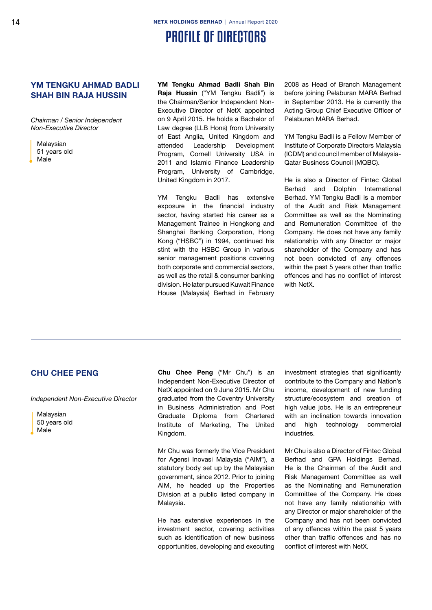### PROFILE OF DIRECTORS

### YM Tengku Ahmad Badli Shah Bin Raja Hussin

*Chairman / Senior Independent Non-Executive Director*

Malaysian 51 years old Male

YM Tengku Ahmad Badli Shah Bin Raja Hussin ("YM Tengku Badli") is the Chairman/Senior Independent Non-Executive Director of NetX appointed on 9 April 2015. He holds a Bachelor of Law degree (LLB Hons) from University of East Anglia, United Kingdom and attended Leadership Development Program, Cornell University USA in 2011 and Islamic Finance Leadership Program, University of Cambridge, United Kingdom in 2017.

YM Tengku Badli has extensive exposure in the financial industry sector, having started his career as a Management Trainee in Hongkong and Shanghai Banking Corporation, Hong Kong ("HSBC") in 1994, continued his stint with the HSBC Group in various senior management positions covering both corporate and commercial sectors, as well as the retail & consumer banking division. He later pursued Kuwait Finance House (Malaysia) Berhad in February 2008 as Head of Branch Management before joining Pelaburan MARA Berhad in September 2013. He is currently the Acting Group Chief Executive Officer of Pelaburan MARA Berhad.

YM Tengku Badli is a Fellow Member of Institute of Corporate Directors Malaysia (ICDM) and council member of Malaysia-Qatar Business Council (MQBC).

He is also a Director of Fintec Global Berhad and Dolphin International Berhad. YM Tengku Badli is a member of the Audit and Risk Management Committee as well as the Nominating and Remuneration Committee of the Company. He does not have any family relationship with any Director or major shareholder of the Company and has not been convicted of any offences within the past 5 years other than traffic offences and has no conflict of interest with NetX.

#### Chu Chee Peng

*Independent Non-Executive Director*

Malaysian 50 years old Male

Chu Chee Peng ("Mr Chu") is an Independent Non-Executive Director of NetX appointed on 9 June 2015. Mr Chu graduated from the Coventry University in Business Administration and Post Graduate Diploma from Chartered Institute of Marketing, The United Kingdom.

Mr Chu was formerly the Vice President for Agensi Inovasi Malaysia ("AIM"), a statutory body set up by the Malaysian government, since 2012. Prior to joining AIM, he headed up the Properties Division at a public listed company in Malaysia.

He has extensive experiences in the investment sector, covering activities such as identification of new business opportunities, developing and executing investment strategies that significantly contribute to the Company and Nation's income, development of new funding structure/ecosystem and creation of high value jobs. He is an entrepreneur with an inclination towards innovation and high technology commercial industries.

Mr Chu is also a Director of Fintec Global Berhad and GPA Holdings Berhad. He is the Chairman of the Audit and Risk Management Committee as well as the Nominating and Remuneration Committee of the Company. He does not have any family relationship with any Director or major shareholder of the Company and has not been convicted of any offences within the past 5 years other than traffic offences and has no conflict of interest with NetX.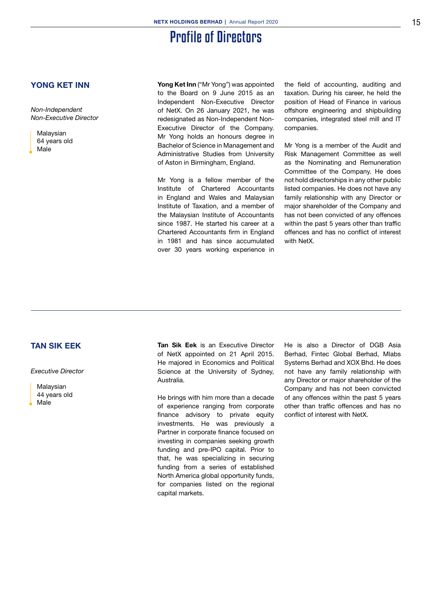### Profile of Directors

#### YONG KET INN

*Non-Independent Non-Executive Director*

Malaysian 64 years old Male

Yong Ket Inn ("Mr Yong") was appointed to the Board on 9 June 2015 as an Independent Non-Executive Director of NetX. On 26 January 2021, he was redesignated as Non-Independent Non-Executive Director of the Company. Mr Yong holds an honours degree in Bachelor of Science in Management and Administrative Studies from University of Aston in Birmingham, England.

Mr Yong is a fellow member of the Institute of Chartered Accountants in England and Wales and Malaysian Institute of Taxation, and a member of the Malaysian Institute of Accountants since 1987. He started his career at a Chartered Accountants firm in England in 1981 and has since accumulated over 30 years working experience in the field of accounting, auditing and taxation. During his career, he held the position of Head of Finance in various offshore engineering and shipbuilding companies, integrated steel mill and IT companies.

Mr Yong is a member of the Audit and Risk Management Committee as well as the Nominating and Remuneration Committee of the Company. He does not hold directorships in any other public listed companies. He does not have any family relationship with any Director or major shareholder of the Company and has not been convicted of any offences within the past 5 years other than traffic offences and has no conflict of interest with NetX.

#### Tan Sik Eek

#### *Executive Director*

Malaysian 44 years old Male

Tan Sik Eek is an Executive Director of NetX appointed on 21 April 2015. He majored in Economics and Political Science at the University of Sydney, Australia.

He brings with him more than a decade of experience ranging from corporate finance advisory to private equity investments. He was previously a Partner in corporate finance focused on investing in companies seeking growth funding and pre-IPO capital. Prior to that, he was specializing in securing funding from a series of established North America global opportunity funds, for companies listed on the regional capital markets.

He is also a Director of DGB Asia Berhad, Fintec Global Berhad, Mlabs Systems Berhad and XOX Bhd. He does not have any family relationship with any Director or major shareholder of the Company and has not been convicted of any offences within the past 5 years other than traffic offences and has no conflict of interest with NetX.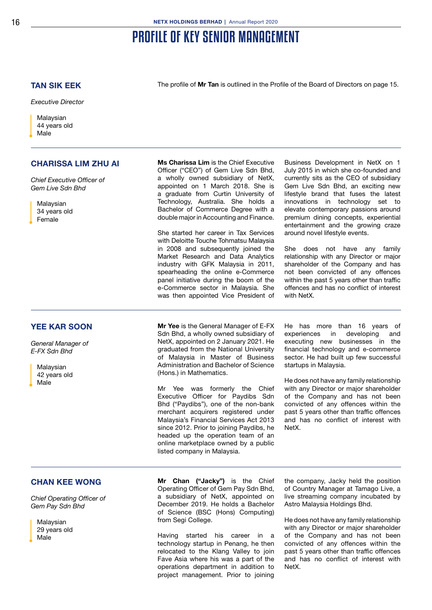### PROFILE OF KEY SENIOR MANAGEMENT

The profile of Mr Tan is outlined in the Profile of the Board of Directors on page 15.

#### Tan Sik Eek

*Executive Director*

Malaysian 44 years old Male

#### Charissa Lim Zhu AI

*Chief Executive Officer of Gem Live Sdn Bhd*

Malaysian 34 years old Female

#### YEE KAR SOON

*General Manager of E-FX Sdn Bhd*

> Malaysian 42 years old Male

Ms Charissa Lim is the Chief Executive Officer ("CEO") of Gem Live Sdn Bhd, a wholly owned subsidiary of NetX, appointed on 1 March 2018. She is a graduate from Curtin University of Technology, Australia. She holds a Bachelor of Commerce Degree with a double major in Accounting and Finance.

She started her career in Tax Services with Deloitte Touche Tohmatsu Malaysia in 2008 and subsequently joined the Market Research and Data Analytics industry with GFK Malaysia in 2011, spearheading the online e-Commerce panel initiative during the boom of the e-Commerce sector in Malaysia. She was then appointed Vice President of Business Development in NetX on 1 July 2015 in which she co-founded and currently sits as the CEO of subsidiary Gem Live Sdn Bhd, an exciting new lifestyle brand that fuses the latest innovations in technology set to elevate contemporary passions around premium dining concepts, experiential entertainment and the growing craze around novel lifestyle events.

She does not have any family relationship with any Director or major shareholder of the Company and has not been convicted of any offences within the past 5 years other than traffic offences and has no conflict of interest with NetX.

Mr Yee is the General Manager of E-FX Sdn Bhd, a wholly owned subsidiary of NetX, appointed on 2 January 2021. He graduated from the National University of Malaysia in Master of Business Administration and Bachelor of Science (Hons.) in Mathematics.

Mr Yee was formerly the Chief Executive Officer for Paydibs Sdn Bhd ("Paydibs"), one of the non-bank merchant acquirers registered under Malaysia's Financial Services Act 2013 since 2012. Prior to joining Paydibs, he headed up the operation team of an online marketplace owned by a public listed company in Malaysia.

He has more than 16 years of experiences in developing and executing new businesses in the financial technology and e-commerce sector. He had built up few successful startups in Malaysia.

He does not have any family relationship with any Director or major shareholder of the Company and has not been convicted of any offences within the past 5 years other than traffic offences and has no conflict of interest with NetX.

#### **CHAN KEE WONG**

*Chief Operating Officer of Gem Pay Sdn Bhd*

Malaysian 29 years old Male

Mr Chan ("Jacky") is the Chief Operating Officer of Gem Pay Sdn Bhd, a subsidiary of NetX, appointed on December 2019. He holds a Bachelor of Science (BSC (Hons) Computing) from Segi College.

Having started his career in a technology startup in Penang, he then relocated to the Klang Valley to join Fave Asia where his was a part of the operations department in addition to project management. Prior to joining the company, Jacky held the position of Country Manager at Tamago Live, a live streaming company incubated by Astro Malaysia Holdings Bhd.

He does not have any family relationship with any Director or major shareholder of the Company and has not been convicted of any offences within the past 5 years other than traffic offences and has no conflict of interest with NetX.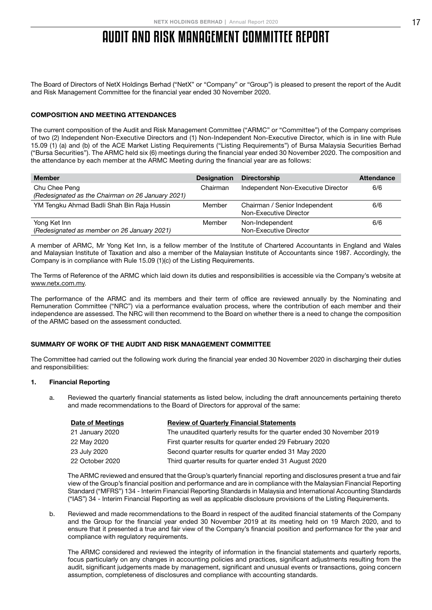### AUDIT AND RISK MANAGEMENT COMMITTEE REPORT

The Board of Directors of NetX Holdings Berhad ("NetX" or "Company" or "Group") is pleased to present the report of the Audit and Risk Management Committee for the financial year ended 30 November 2020.

#### COMPOSITION AND MEETING ATTENDANCES

The current composition of the Audit and Risk Management Committee ("ARMC" or "Committee") of the Company comprises of two (2) Independent Non-Executive Directors and (1) Non-Independent Non-Executive Director, which is in line with Rule 15.09 (1) (a) and (b) of the ACE Market Listing Requirements ("Listing Requirements") of Bursa Malaysia Securities Berhad ("Bursa Securities"). The ARMC held six (6) meetings during the financial year ended 30 November 2020. The composition and the attendance by each member at the ARMC Meeting during the financial year are as follows:

| <b>Member</b>                                                      | <b>Designation</b> | <b>Directorship</b>                                     | <b>Attendance</b> |
|--------------------------------------------------------------------|--------------------|---------------------------------------------------------|-------------------|
| Chu Chee Peng<br>(Redesignated as the Chairman on 26 January 2021) | Chairman           | Independent Non-Executive Director                      | 6/6               |
| YM Tengku Ahmad Badli Shah Bin Raja Hussin                         | Member             | Chairman / Senior Independent<br>Non-Executive Director | 6/6               |
| Yong Ket Inn<br>(Redesignated as member on 26 January 2021)        | Member             | Non-Independent<br>Non-Executive Director               | 6/6               |

A member of ARMC, Mr Yong Ket Inn, is a fellow member of the Institute of Chartered Accountants in England and Wales and Malaysian Institute of Taxation and also a member of the Malaysian Institute of Accountants since 1987. Accordingly, the Company is in compliance with Rule 15.09 (1)(c) of the Listing Requirements.

The Terms of Reference of the ARMC which laid down its duties and responsibilities is accessible via the Company's website at www.netx.com.my.

The performance of the ARMC and its members and their term of office are reviewed annually by the Nominating and Remuneration Committee ("NRC") via a performance evaluation process, where the contribution of each member and their independence are assessed. The NRC will then recommend to the Board on whether there is a need to change the composition of the ARMC based on the assessment conducted.

#### SUMMARY OF WORK OF THE AUDIT AND RISK MANAGEMENT COMMITTEE

The Committee had carried out the following work during the financial year ended 30 November 2020 in discharging their duties and responsibilities:

#### 1. Financial Reporting

a. Reviewed the quarterly financial statements as listed below, including the draft announcements pertaining thereto and made recommendations to the Board of Directors for approval of the same:

| <b>Review of Quarterly Financial Statements</b>                        |
|------------------------------------------------------------------------|
| The unaudited quarterly results for the quarter ended 30 November 2019 |
| First quarter results for quarter ended 29 February 2020               |
| Second quarter results for quarter ended 31 May 2020                   |
| Third quarter results for quarter ended 31 August 2020                 |
|                                                                        |

The ARMC reviewed and ensured that the Group's quarterly financial reporting and disclosures present a true and fair view of the Group's financial position and performance and are in compliance with the Malaysian Financial Reporting Standard ("MFRS") 134 - Interim Financial Reporting Standards in Malaysia and International Accounting Standards ("IAS") 34 - Interim Financial Reporting as well as applicable disclosure provisions of the Listing Requirements.

b. Reviewed and made recommendations to the Board in respect of the audited financial statements of the Company and the Group for the financial year ended 30 November 2019 at its meeting held on 19 March 2020, and to ensure that it presented a true and fair view of the Company's financial position and performance for the year and compliance with regulatory requirements.

The ARMC considered and reviewed the integrity of information in the financial statements and quarterly reports, focus particularly on any changes in accounting policies and practices, significant adjustments resulting from the audit, significant judgements made by management, significant and unusual events or transactions, going concern assumption, completeness of disclosures and compliance with accounting standards.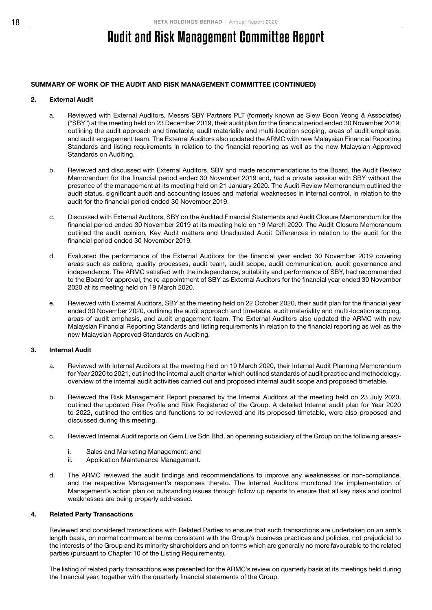### Audit and Risk Management Committee Report

#### SUMMARY OF WORK OF THE AUDIT AND RISK MANAGEMENT COMMITTEE (CONTINUED)

#### 2. External Audit

- a. Reviewed with External Auditors, Messrs SBY Partners PLT (formerly known as Siew Boon Yeong & Associates) ("SBY") at the meeting held on 23 December 2019, their audit plan for the financial period ended 30 November 2019, outlining the audit approach and timetable, audit materiality and multi-location scoping, areas of audit emphasis, and audit engagement team. The External Auditors also updated the ARMC with new Malaysian Financial Reporting Standards and listing requirements in relation to the financial reporting as well as the new Malaysian Approved Standards on Auditing.
- b. Reviewed and discussed with External Auditors, SBY and made recommendations to the Board, the Audit Review Memorandum for the financial period ended 30 November 2019 and, had a private session with SBY without the presence of the management at its meeting held on 21 January 2020. The Audit Review Memorandum outlined the audit status, significant audit and accounting issues and material weaknesses in internal control, in relation to the audit for the financial period ended 30 November 2019.
- c. Discussed with External Auditors, SBY on the Audited Financial Statements and Audit Closure Memorandum for the financial period ended 30 November 2019 at its meeting held on 19 March 2020. The Audit Closure Memorandum outlined the audit opinion, Key Audit matters and Unadjusted Audit Differences in relation to the audit for the financial period ended 30 November 2019.
- d. Evaluated the performance of the External Auditors for the financial year ended 30 November 2019 covering areas such as calibre, quality processes, audit team, audit scope, audit communication, audit governance and independence. The ARMC satisfied with the independence, suitability and performance of SBY, had recommended to the Board for approval, the re-appointment of SBY as External Auditors for the financial year ended 30 November 2020 at its meeting held on 19 March 2020.
- e. Reviewed with External Auditors, SBY at the meeting held on 22 October 2020, their audit plan for the financial year ended 30 November 2020, outlining the audit approach and timetable, audit materiality and multi-location scoping, areas of audit emphasis, and audit engagement team. The External Auditors also updated the ARMC with new Malaysian Financial Reporting Standards and listing requirements in relation to the financial reporting as well as the new Malaysian Approved Standards on Auditing.

#### 3. Internal Audit

- a. Reviewed with Internal Auditors at the meeting held on 19 March 2020, their Internal Audit Planning Memorandum for Year 2020 to 2021, outlined the internal audit charter which outlined standards of audit practice and methodology, overview of the internal audit activities carried out and proposed internal audit scope and proposed timetable.
- b. Reviewed the Risk Management Report prepared by the Internal Auditors at the meeting held on 23 July 2020, outlined the updated Risk Profile and Risk Registered of the Group. A detailed Internal audit plan for Year 2020 to 2022, outlined the entities and functions to be reviewed and its proposed timetable, were also proposed and discussed during this meeting.
- c. Reviewed Internal Audit reports on Gem Live Sdn Bhd, an operating subsidiary of the Group on the following areas:
	- i. Sales and Marketing Management; and
	- ii. Application Maintenance Management.
- d. The ARMC reviewed the audit findings and recommendations to improve any weaknesses or non-compliance, and the respective Management's responses thereto. The Internal Auditors monitored the implementation of Management's action plan on outstanding issues through follow up reports to ensure that all key risks and control weaknesses are being properly addressed.

#### 4. Related Party Transactions

Reviewed and considered transactions with Related Parties to ensure that such transactions are undertaken on an arm's length basis, on normal commercial terms consistent with the Group's business practices and policies, not prejudicial to the interests of the Group and its minority shareholders and on terms which are generally no more favourable to the related parties (pursuant to Chapter 10 of the Listing Requirements).

The listing of related party transactions was presented for the ARMC's review on quarterly basis at its meetings held during the financial year, together with the quarterly financial statements of the Group.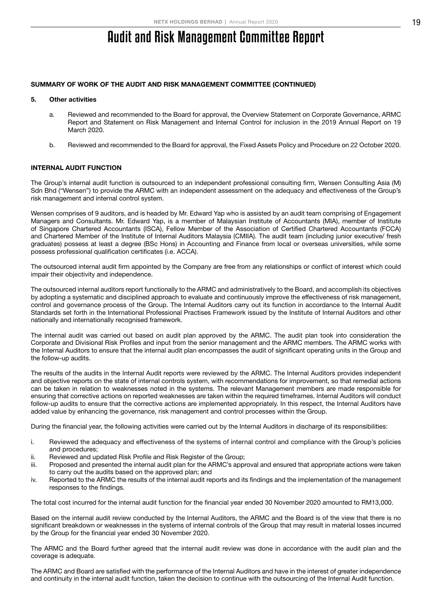### Audit and Risk Management Committee Report

#### SUMMARY OF WORK OF THE AUDIT AND RISK MANAGEMENT COMMITTEE (CONTINUED)

#### 5. Other activities

- a. Reviewed and recommended to the Board for approval, the Overview Statement on Corporate Governance, ARMC Report and Statement on Risk Management and Internal Control for inclusion in the 2019 Annual Report on 19 March 2020.
- b. Reviewed and recommended to the Board for approval, the Fixed Assets Policy and Procedure on 22 October 2020.

#### Internal Audit Function

The Group's internal audit function is outsourced to an independent professional consulting firm, Wensen Consulting Asia (M) Sdn Bhd ("Wensen") to provide the ARMC with an independent assessment on the adequacy and effectiveness of the Group's risk management and internal control system.

Wensen comprises of 9 auditors, and is headed by Mr. Edward Yap who is assisted by an audit team comprising of Engagement Managers and Consultants. Mr. Edward Yap, is a member of Malaysian Institute of Accountants (MIA), member of Institute of Singapore Chartered Accountants (ISCA), Fellow Member of the Association of Certified Chartered Accountants (FCCA) and Chartered Member of the Institute of Internal Auditors Malaysia (CMIIA). The audit team (including junior executive/ fresh graduates) possess at least a degree (BSc Hons) in Accounting and Finance from local or overseas universities, while some possess professional qualification certificates (i.e. ACCA).

The outsourced internal audit firm appointed by the Company are free from any relationships or conflict of interest which could impair their objectivity and independence.

The outsourced internal auditors report functionally to the ARMC and administratively to the Board, and accomplish its objectives by adopting a systematic and disciplined approach to evaluate and continuously improve the effectiveness of risk management, control and governance process of the Group. The Internal Auditors carry out its function in accordance to the Internal Audit Standards set forth in the International Professional Practises Framework issued by the Institute of Internal Auditors and other nationally and internationally recognised framework.

The internal audit was carried out based on audit plan approved by the ARMC. The audit plan took into consideration the Corporate and Divisional Risk Profiles and input from the senior management and the ARMC members. The ARMC works with the Internal Auditors to ensure that the internal audit plan encompasses the audit of significant operating units in the Group and the follow-up audits.

The results of the audits in the Internal Audit reports were reviewed by the ARMC. The Internal Auditors provides independent and objective reports on the state of internal controls system, with recommendations for improvement, so that remedial actions can be taken in relation to weaknesses noted in the systems. The relevant Management members are made responsible for ensuring that corrective actions on reported weaknesses are taken within the required timeframes. Internal Auditors will conduct follow-up audits to ensure that the corrective actions are implemented appropriately. In this respect, the Internal Auditors have added value by enhancing the governance, risk management and control processes within the Group.

During the financial year, the following activities were carried out by the Internal Auditors in discharge of its responsibilities:

- i. Reviewed the adequacy and effectiveness of the systems of internal control and compliance with the Group's policies and procedures;
- ii. Reviewed and updated Risk Profile and Risk Register of the Group;
- iii. Proposed and presented the internal audit plan for the ARMC's approval and ensured that appropriate actions were taken to carry out the audits based on the approved plan; and
- iv. Reported to the ARMC the results of the internal audit reports and its findings and the implementation of the management responses to the findings.

The total cost incurred for the internal audit function for the financial year ended 30 November 2020 amounted to RM13,000.

Based on the internal audit review conducted by the Internal Auditors, the ARMC and the Board is of the view that there is no significant breakdown or weaknesses in the systems of internal controls of the Group that may result in material losses incurred by the Group for the financial year ended 30 November 2020.

The ARMC and the Board further agreed that the internal audit review was done in accordance with the audit plan and the coverage is adequate.

The ARMC and Board are satisfied with the performance of the Internal Auditors and have in the interest of greater independence and continuity in the internal audit function, taken the decision to continue with the outsourcing of the Internal Audit function.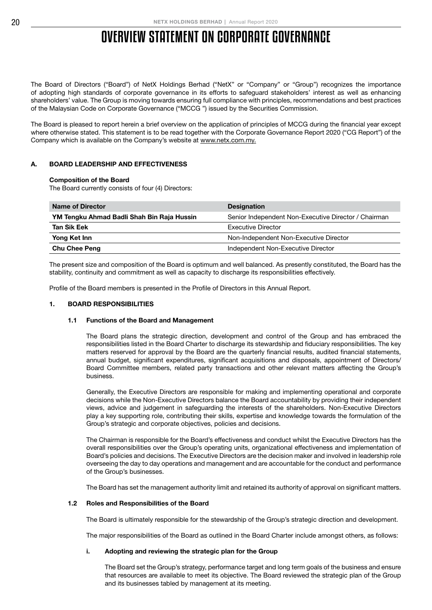# OVERVIEW STATEMENT ON CORPORATE GOVERNANCE

The Board of Directors ("Board") of NetX Holdings Berhad ("NetX" or "Company" or "Group") recognizes the importance of adopting high standards of corporate governance in its efforts to safeguard stakeholders' interest as well as enhancing shareholders' value. The Group is moving towards ensuring full compliance with principles, recommendations and best practices of the Malaysian Code on Corporate Governance ("MCCG ") issued by the Securities Commission.

The Board is pleased to report herein a brief overview on the application of principles of MCCG during the financial year except where otherwise stated. This statement is to be read together with the Corporate Governance Report 2020 ("CG Report") of the Company which is available on the Company's website at www.netx.com.my.

#### A. BOARD LEADERSHIP AND EFFECTIVENESS

#### Composition of the Board

The Board currently consists of four (4) Directors:

| <b>Name of Director</b>                    | <b>Designation</b>                                   |
|--------------------------------------------|------------------------------------------------------|
| YM Tengku Ahmad Badli Shah Bin Raja Hussin | Senior Independent Non-Executive Director / Chairman |
| <b>Tan Sik Eek</b>                         | Executive Director                                   |
| Yong Ket Inn                               | Non-Independent Non-Executive Director               |
| <b>Chu Chee Peng</b>                       | Independent Non-Executive Director                   |

The present size and composition of the Board is optimum and well balanced. As presently constituted, the Board has the stability, continuity and commitment as well as capacity to discharge its responsibilities effectively.

Profile of the Board members is presented in the Profile of Directors in this Annual Report.

#### 1. BOARD RESPONSIBILITIES

#### 1.1 Functions of the Board and Management

The Board plans the strategic direction, development and control of the Group and has embraced the responsibilities listed in the Board Charter to discharge its stewardship and fiduciary responsibilities. The key matters reserved for approval by the Board are the quarterly financial results, audited financial statements, annual budget, significant expenditures, significant acquisitions and disposals, appointment of Directors/ Board Committee members, related party transactions and other relevant matters affecting the Group's business.

Generally, the Executive Directors are responsible for making and implementing operational and corporate decisions while the Non-Executive Directors balance the Board accountability by providing their independent views, advice and judgement in safeguarding the interests of the shareholders. Non-Executive Directors play a key supporting role, contributing their skills, expertise and knowledge towards the formulation of the Group's strategic and corporate objectives, policies and decisions.

The Chairman is responsible for the Board's effectiveness and conduct whilst the Executive Directors has the overall responsibilities over the Group's operating units, organizational effectiveness and implementation of Board's policies and decisions. The Executive Directors are the decision maker and involved in leadership role overseeing the day to day operations and management and are accountable for the conduct and performance of the Group's businesses.

The Board has set the management authority limit and retained its authority of approval on significant matters.

#### 1.2 Roles and Responsibilities of the Board

The Board is ultimately responsible for the stewardship of the Group's strategic direction and development.

The major responsibilities of the Board as outlined in the Board Charter include amongst others, as follows:

#### i. Adopting and reviewing the strategic plan for the Group

The Board set the Group's strategy, performance target and long term goals of the business and ensure that resources are available to meet its objective. The Board reviewed the strategic plan of the Group and its businesses tabled by management at its meeting.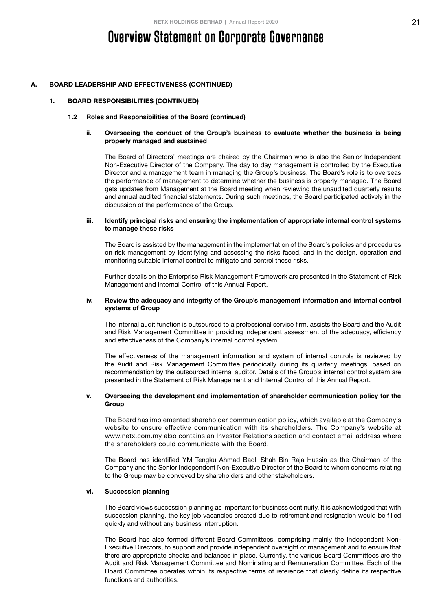#### A. BOARD LEADERSHIP AND EFFECTIVENESS (CONTINUED)

#### 1. BOARD RESPONSIBILITIES (CONTINUED)

#### 1.2 Roles and Responsibilities of the Board (continued)

#### ii. Overseeing the conduct of the Group's business to evaluate whether the business is being properly managed and sustained

The Board of Directors' meetings are chaired by the Chairman who is also the Senior Independent Non-Executive Director of the Company. The day to day management is controlled by the Executive Director and a management team in managing the Group's business. The Board's role is to overseas the performance of management to determine whether the business is properly managed. The Board gets updates from Management at the Board meeting when reviewing the unaudited quarterly results and annual audited financial statements. During such meetings, the Board participated actively in the discussion of the performance of the Group.

#### iii. Identify principal risks and ensuring the implementation of appropriate internal control systems to manage these risks

The Board is assisted by the management in the implementation of the Board's policies and procedures on risk management by identifying and assessing the risks faced, and in the design, operation and monitoring suitable internal control to mitigate and control these risks.

Further details on the Enterprise Risk Management Framework are presented in the Statement of Risk Management and Internal Control of this Annual Report.

#### iv. Review the adequacy and integrity of the Group's management information and internal control systems of Group

The internal audit function is outsourced to a professional service firm, assists the Board and the Audit and Risk Management Committee in providing independent assessment of the adequacy, efficiency and effectiveness of the Company's internal control system.

The effectiveness of the management information and system of internal controls is reviewed by the Audit and Risk Management Committee periodically during its quarterly meetings, based on recommendation by the outsourced internal auditor. Details of the Group's internal control system are presented in the Statement of Risk Management and Internal Control of this Annual Report.

#### v. Overseeing the development and implementation of shareholder communication policy for the Group

The Board has implemented shareholder communication policy, which available at the Company's website to ensure effective communication with its shareholders. The Company's website at www.netx.com.my also contains an Investor Relations section and contact email address where the shareholders could communicate with the Board.

The Board has identified YM Tengku Ahmad Badli Shah Bin Raja Hussin as the Chairman of the Company and the Senior Independent Non-Executive Director of the Board to whom concerns relating to the Group may be conveyed by shareholders and other stakeholders.

#### vi. Succession planning

The Board views succession planning as important for business continuity. It is acknowledged that with succession planning, the key job vacancies created due to retirement and resignation would be filled quickly and without any business interruption.

The Board has also formed different Board Committees, comprising mainly the Independent Non-Executive Directors, to support and provide independent oversight of management and to ensure that there are appropriate checks and balances in place. Currently, the various Board Committees are the Audit and Risk Management Committee and Nominating and Remuneration Committee. Each of the Board Committee operates within its respective terms of reference that clearly define its respective functions and authorities.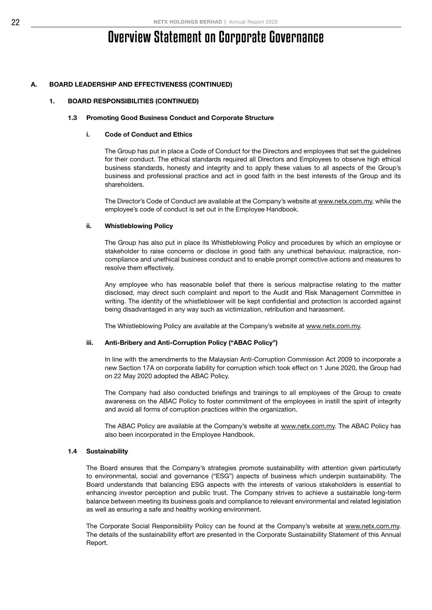#### A. BOARD LEADERSHIP AND EFFECTIVENESS (CONTINUED)

#### 1. BOARD RESPONSIBILITIES (CONTINUED)

#### 1.3 Promoting Good Business Conduct and Corporate Structure

#### i. Code of Conduct and Ethics

The Group has put in place a Code of Conduct for the Directors and employees that set the guidelines for their conduct. The ethical standards required all Directors and Employees to observe high ethical business standards, honesty and integrity and to apply these values to all aspects of the Group's business and professional practice and act in good faith in the best interests of the Group and its shareholders.

The Director's Code of Conduct are available at the Company's website at www.netx.com.my, while the employee's code of conduct is set out in the Employee Handbook.

#### ii. Whistleblowing Policy

The Group has also put in place its Whistleblowing Policy and procedures by which an employee or stakeholder to raise concerns or disclose in good faith any unethical behaviour, malpractice, noncompliance and unethical business conduct and to enable prompt corrective actions and measures to resolve them effectively.

Any employee who has reasonable belief that there is serious malpractise relating to the matter disclosed, may direct such complaint and report to the Audit and Risk Management Committee in writing. The identity of the whistleblower will be kept confidential and protection is accorded against being disadvantaged in any way such as victimization, retribution and harassment.

The Whistleblowing Policy are available at the Company's website at www.netx.com.my.

#### iii. Anti-Bribery and Anti-Corruption Policy ("ABAC Policy")

In line with the amendments to the Malaysian Anti-Corruption Commission Act 2009 to incorporate a new Section 17A on corporate liability for corruption which took effect on 1 June 2020, the Group had on 22 May 2020 adopted the ABAC Policy.

The Company had also conducted briefings and trainings to all employees of the Group to create awareness on the ABAC Policy to foster commitment of the employees in instill the spirit of integrity and avoid all forms of corruption practices within the organization.

The ABAC Policy are available at the Company's website at www.netx.com.my. The ABAC Policy has also been incorporated in the Employee Handbook.

#### 1.4 Sustainability

The Board ensures that the Company's strategies promote sustainability with attention given particularly to environmental, social and governance ("ESG") aspects of business which underpin sustainability. The Board understands that balancing ESG aspects with the interests of various stakeholders is essential to enhancing investor perception and public trust. The Company strives to achieve a sustainable long-term balance between meeting its business goals and compliance to relevant environmental and related legislation as well as ensuring a safe and healthy working environment.

The Corporate Social Responsibility Policy can be found at the Company's website at www.netx.com.my. The details of the sustainability effort are presented in the Corporate Sustainability Statement of this Annual Report.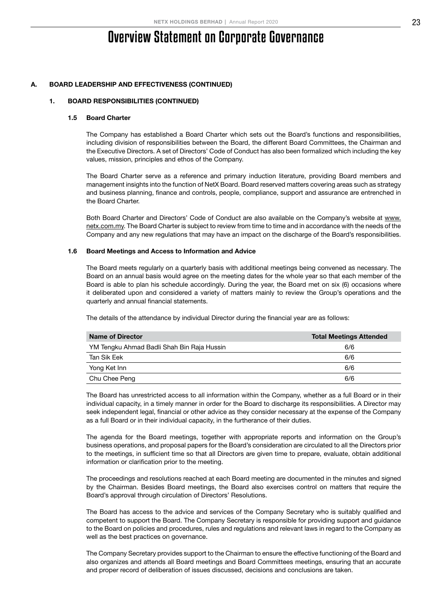#### A. BOARD LEADERSHIP AND EFFECTIVENESS (CONTINUED)

#### 1. BOARD RESPONSIBILITIES (CONTINUED)

#### 1.5 Board Charter

The Company has established a Board Charter which sets out the Board's functions and responsibilities, including division of responsibilities between the Board, the different Board Committees, the Chairman and the Executive Directors. A set of Directors' Code of Conduct has also been formalized which including the key values, mission, principles and ethos of the Company.

The Board Charter serve as a reference and primary induction literature, providing Board members and management insights into the function of NetX Board. Board reserved matters covering areas such as strategy and business planning, finance and controls, people, compliance, support and assurance are entrenched in the Board Charter.

Both Board Charter and Directors' Code of Conduct are also available on the Company's website at www. netx.com.my. The Board Charter is subject to review from time to time and in accordance with the needs of the Company and any new regulations that may have an impact on the discharge of the Board's responsibilities.

#### 1.6 Board Meetings and Access to Information and Advice

The Board meets regularly on a quarterly basis with additional meetings being convened as necessary. The Board on an annual basis would agree on the meeting dates for the whole year so that each member of the Board is able to plan his schedule accordingly. During the year, the Board met on six (6) occasions where it deliberated upon and considered a variety of matters mainly to review the Group's operations and the quarterly and annual financial statements.

The details of the attendance by individual Director during the financial year are as follows:

| Name of Director                           | <b>Total Meetings Attended</b> |
|--------------------------------------------|--------------------------------|
| YM Tengku Ahmad Badli Shah Bin Raja Hussin | 6/6                            |
| Tan Sik Eek                                | 6/6                            |
| Yong Ket Inn                               | 6/6                            |
| Chu Chee Peng                              | 6/6                            |

The Board has unrestricted access to all information within the Company, whether as a full Board or in their individual capacity, in a timely manner in order for the Board to discharge its responsibilities. A Director may seek independent legal, financial or other advice as they consider necessary at the expense of the Company as a full Board or in their individual capacity, in the furtherance of their duties.

The agenda for the Board meetings, together with appropriate reports and information on the Group's business operations, and proposal papers for the Board's consideration are circulated to all the Directors prior to the meetings, in sufficient time so that all Directors are given time to prepare, evaluate, obtain additional information or clarification prior to the meeting.

The proceedings and resolutions reached at each Board meeting are documented in the minutes and signed by the Chairman. Besides Board meetings, the Board also exercises control on matters that require the Board's approval through circulation of Directors' Resolutions.

The Board has access to the advice and services of the Company Secretary who is suitably qualified and competent to support the Board. The Company Secretary is responsible for providing support and guidance to the Board on policies and procedures, rules and regulations and relevant laws in regard to the Company as well as the best practices on governance.

The Company Secretary provides support to the Chairman to ensure the effective functioning of the Board and also organizes and attends all Board meetings and Board Committees meetings, ensuring that an accurate and proper record of deliberation of issues discussed, decisions and conclusions are taken.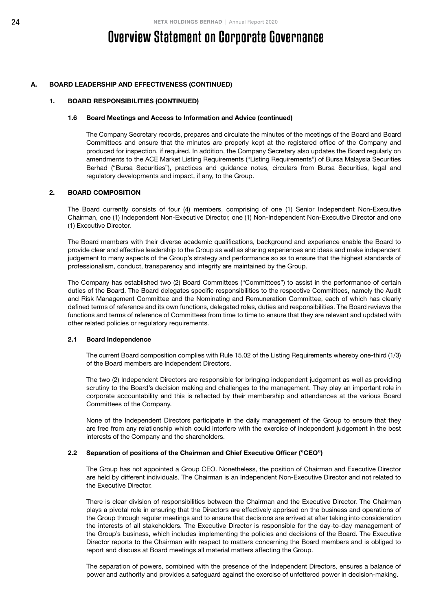#### A. BOARD LEADERSHIP AND EFFECTIVENESS (CONTINUED)

#### 1. BOARD RESPONSIBILITIES (CONTINUED)

#### 1.6 Board Meetings and Access to Information and Advice (continued)

The Company Secretary records, prepares and circulate the minutes of the meetings of the Board and Board Committees and ensure that the minutes are properly kept at the registered office of the Company and produced for inspection, if required. In addition, the Company Secretary also updates the Board regularly on amendments to the ACE Market Listing Requirements ("Listing Requirements") of Bursa Malaysia Securities Berhad ("Bursa Securities"), practices and guidance notes, circulars from Bursa Securities, legal and regulatory developments and impact, if any, to the Group.

#### 2. BOARD COMPOSITION

The Board currently consists of four (4) members, comprising of one (1) Senior Independent Non-Executive Chairman, one (1) Independent Non-Executive Director, one (1) Non-Independent Non-Executive Director and one (1) Executive Director.

The Board members with their diverse academic qualifications, background and experience enable the Board to provide clear and effective leadership to the Group as well as sharing experiences and ideas and make independent judgement to many aspects of the Group's strategy and performance so as to ensure that the highest standards of professionalism, conduct, transparency and integrity are maintained by the Group.

The Company has established two (2) Board Committees ("Committees") to assist in the performance of certain duties of the Board. The Board delegates specific responsibilities to the respective Committees, namely the Audit and Risk Management Committee and the Nominating and Remuneration Committee, each of which has clearly defined terms of reference and its own functions, delegated roles, duties and responsibilities. The Board reviews the functions and terms of reference of Committees from time to time to ensure that they are relevant and updated with other related policies or regulatory requirements.

#### 2.1 Board Independence

The current Board composition complies with Rule 15.02 of the Listing Requirements whereby one-third (1/3) of the Board members are Independent Directors.

The two (2) Independent Directors are responsible for bringing independent judgement as well as providing scrutiny to the Board's decision making and challenges to the management. They play an important role in corporate accountability and this is reflected by their membership and attendances at the various Board Committees of the Company.

None of the Independent Directors participate in the daily management of the Group to ensure that they are free from any relationship which could interfere with the exercise of independent judgement in the best interests of the Company and the shareholders.

#### 2.2 Separation of positions of the Chairman and Chief Executive Officer ("CEO")

The Group has not appointed a Group CEO. Nonetheless, the position of Chairman and Executive Director are held by different individuals. The Chairman is an Independent Non-Executive Director and not related to the Executive Director.

There is clear division of responsibilities between the Chairman and the Executive Director. The Chairman plays a pivotal role in ensuring that the Directors are effectively apprised on the business and operations of the Group through regular meetings and to ensure that decisions are arrived at after taking into consideration the interests of all stakeholders. The Executive Director is responsible for the day-to-day management of the Group's business, which includes implementing the policies and decisions of the Board. The Executive Director reports to the Chairman with respect to matters concerning the Board members and is obliged to report and discuss at Board meetings all material matters affecting the Group.

The separation of powers, combined with the presence of the Independent Directors, ensures a balance of power and authority and provides a safeguard against the exercise of unfettered power in decision-making.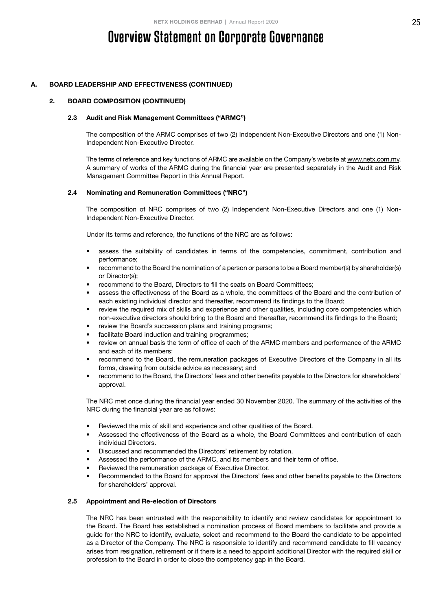#### A. BOARD LEADERSHIP AND EFFECTIVENESS (CONTINUED)

#### 2. BOARD COMPOSITION (CONTINUED)

#### 2.3 Audit and Risk Management Committees ("ARMC")

The composition of the ARMC comprises of two (2) Independent Non-Executive Directors and one (1) Non-Independent Non-Executive Director.

The terms of reference and key functions of ARMC are available on the Company's website at www.netx.com.my. A summary of works of the ARMC during the financial year are presented separately in the Audit and Risk Management Committee Report in this Annual Report.

#### 2.4 Nominating and Remuneration Committees ("NRC")

The composition of NRC comprises of two (2) Independent Non-Executive Directors and one (1) Non-Independent Non-Executive Director.

Under its terms and reference, the functions of the NRC are as follows:

- assess the suitability of candidates in terms of the competencies, commitment, contribution and performance;
- recommend to the Board the nomination of a person or persons to be a Board member(s) by shareholder(s) or Director(s);
- recommend to the Board, Directors to fill the seats on Board Committees;
- assess the effectiveness of the Board as a whole, the committees of the Board and the contribution of each existing individual director and thereafter, recommend its findings to the Board;
- review the required mix of skills and experience and other qualities, including core competencies which non-executive directors should bring to the Board and thereafter, recommend its findings to the Board;
- review the Board's succession plans and training programs;
- facilitate Board induction and training programmes;
- review on annual basis the term of office of each of the ARMC members and performance of the ARMC and each of its members;
- recommend to the Board, the remuneration packages of Executive Directors of the Company in all its forms, drawing from outside advice as necessary; and
- recommend to the Board, the Directors' fees and other benefits payable to the Directors for shareholders' approval.

The NRC met once during the financial year ended 30 November 2020. The summary of the activities of the NRC during the financial year are as follows:

- Reviewed the mix of skill and experience and other qualities of the Board.
- Assessed the effectiveness of the Board as a whole, the Board Committees and contribution of each individual Directors.
- Discussed and recommended the Directors' retirement by rotation.
- Assessed the performance of the ARMC, and its members and their term of office.
- Reviewed the remuneration package of Executive Director.
- Recommended to the Board for approval the Directors' fees and other benefits payable to the Directors for shareholders' approval.

#### 2.5 Appointment and Re-election of Directors

The NRC has been entrusted with the responsibility to identify and review candidates for appointment to the Board. The Board has established a nomination process of Board members to facilitate and provide a guide for the NRC to identify, evaluate, select and recommend to the Board the candidate to be appointed as a Director of the Company. The NRC is responsible to identify and recommend candidate to fill vacancy arises from resignation, retirement or if there is a need to appoint additional Director with the required skill or profession to the Board in order to close the competency gap in the Board.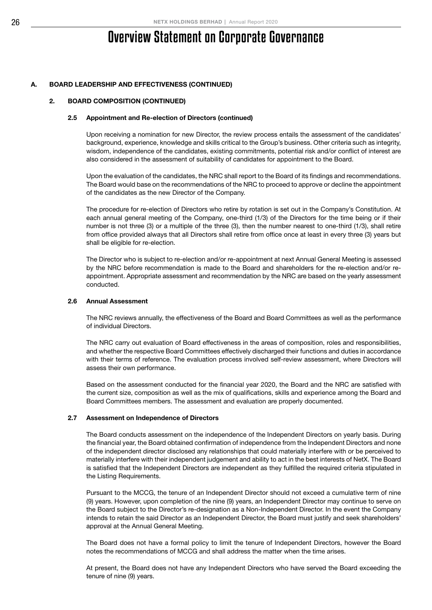#### A. BOARD LEADERSHIP AND EFFECTIVENESS (CONTINUED)

#### 2. BOARD COMPOSITION (CONTINUED)

#### 2.5 Appointment and Re-election of Directors (continued)

Upon receiving a nomination for new Director, the review process entails the assessment of the candidates' background, experience, knowledge and skills critical to the Group's business. Other criteria such as integrity, wisdom, independence of the candidates, existing commitments, potential risk and/or conflict of interest are also considered in the assessment of suitability of candidates for appointment to the Board.

Upon the evaluation of the candidates, the NRC shall report to the Board of its findings and recommendations. The Board would base on the recommendations of the NRC to proceed to approve or decline the appointment of the candidates as the new Director of the Company.

The procedure for re-election of Directors who retire by rotation is set out in the Company's Constitution. At each annual general meeting of the Company, one-third (1/3) of the Directors for the time being or if their number is not three (3) or a multiple of the three (3), then the number nearest to one-third (1/3), shall retire from office provided always that all Directors shall retire from office once at least in every three (3) years but shall be eligible for re-election.

The Director who is subject to re-election and/or re-appointment at next Annual General Meeting is assessed by the NRC before recommendation is made to the Board and shareholders for the re-election and/or reappointment. Appropriate assessment and recommendation by the NRC are based on the yearly assessment conducted.

#### 2.6 Annual Assessment

The NRC reviews annually, the effectiveness of the Board and Board Committees as well as the performance of individual Directors.

The NRC carry out evaluation of Board effectiveness in the areas of composition, roles and responsibilities, and whether the respective Board Committees effectively discharged their functions and duties in accordance with their terms of reference. The evaluation process involved self-review assessment, where Directors will assess their own performance.

Based on the assessment conducted for the financial year 2020, the Board and the NRC are satisfied with the current size, composition as well as the mix of qualifications, skills and experience among the Board and Board Committees members. The assessment and evaluation are properly documented.

#### 2.7 Assessment on Independence of Directors

The Board conducts assessment on the independence of the Independent Directors on yearly basis. During the financial year, the Board obtained confirmation of independence from the Independent Directors and none of the independent director disclosed any relationships that could materially interfere with or be perceived to materially interfere with their independent judgement and ability to act in the best interests of NetX. The Board is satisfied that the Independent Directors are independent as they fulfilled the required criteria stipulated in the Listing Requirements.

Pursuant to the MCCG, the tenure of an Independent Director should not exceed a cumulative term of nine (9) years. However, upon completion of the nine (9) years, an Independent Director may continue to serve on the Board subject to the Director's re-designation as a Non-Independent Director. In the event the Company intends to retain the said Director as an Independent Director, the Board must justify and seek shareholders' approval at the Annual General Meeting.

The Board does not have a formal policy to limit the tenure of Independent Directors, however the Board notes the recommendations of MCCG and shall address the matter when the time arises.

At present, the Board does not have any Independent Directors who have served the Board exceeding the tenure of nine (9) years.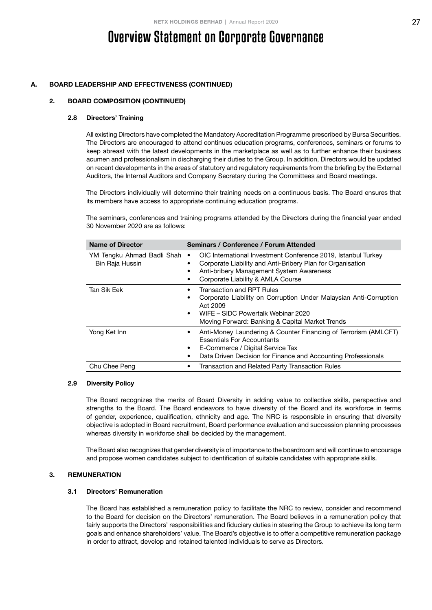#### A. BOARD LEADERSHIP AND EFFECTIVENESS (CONTINUED)

#### 2. BOARD COMPOSITION (CONTINUED)

#### 2.8 Directors' Training

All existing Directors have completed the Mandatory Accreditation Programme prescribed by Bursa Securities. The Directors are encouraged to attend continues education programs, conferences, seminars or forums to keep abreast with the latest developments in the marketplace as well as to further enhance their business acumen and professionalism in discharging their duties to the Group. In addition, Directors would be updated on recent developments in the areas of statutory and regulatory requirements from the briefing by the External Auditors, the Internal Auditors and Company Secretary during the Committees and Board meetings.

The Directors individually will determine their training needs on a continuous basis. The Board ensures that its members have access to appropriate continuing education programs.

The seminars, conferences and training programs attended by the Directors during the financial year ended 30 November 2020 are as follows:

| <b>Name of Director</b>                       | Seminars / Conference / Forum Attended                                                                                                                                                                                      |
|-----------------------------------------------|-----------------------------------------------------------------------------------------------------------------------------------------------------------------------------------------------------------------------------|
| YM Tengku Ahmad Badli Shah<br>Bin Raja Hussin | OIC International Investment Conference 2019, Istanbul Turkey<br>٠<br>Corporate Liability and Anti-Bribery Plan for Organisation<br>Anti-bribery Management System Awareness<br>٠<br>Corporate Liability & AMLA Course<br>٠ |
| Tan Sik Eek                                   | Transaction and RPT Rules<br>Corporate Liability on Corruption Under Malaysian Anti-Corruption<br>٠<br>Act 2009<br>WIFF - SIDC Powertalk Webinar 2020<br>$\bullet$<br>Moving Forward: Banking & Capital Market Trends       |
| Yong Ket Inn                                  | Anti-Money Laundering & Counter Financing of Terrorism (AMLCFT)<br>٠<br><b>Essentials For Accountants</b><br>E-Commerce / Digital Service Tax<br>٠<br>Data Driven Decision for Finance and Accounting Professionals         |
| Chu Chee Peng                                 | Transaction and Related Party Transaction Rules<br>٠                                                                                                                                                                        |

#### 2.9 Diversity Policy

The Board recognizes the merits of Board Diversity in adding value to collective skills, perspective and strengths to the Board. The Board endeavors to have diversity of the Board and its workforce in terms of gender, experience, qualification, ethnicity and age. The NRC is responsible in ensuring that diversity objective is adopted in Board recruitment, Board performance evaluation and succession planning processes whereas diversity in workforce shall be decided by the management.

The Board also recognizes that gender diversity is of importance to the boardroom and will continue to encourage and propose women candidates subject to identification of suitable candidates with appropriate skills.

#### 3. REMUNERATION

#### 3.1 Directors' Remuneration

The Board has established a remuneration policy to facilitate the NRC to review, consider and recommend to the Board for decision on the Directors' remuneration. The Board believes in a remuneration policy that fairly supports the Directors' responsibilities and fiduciary duties in steering the Group to achieve its long term goals and enhance shareholders' value. The Board's objective is to offer a competitive remuneration package in order to attract, develop and retained talented individuals to serve as Directors.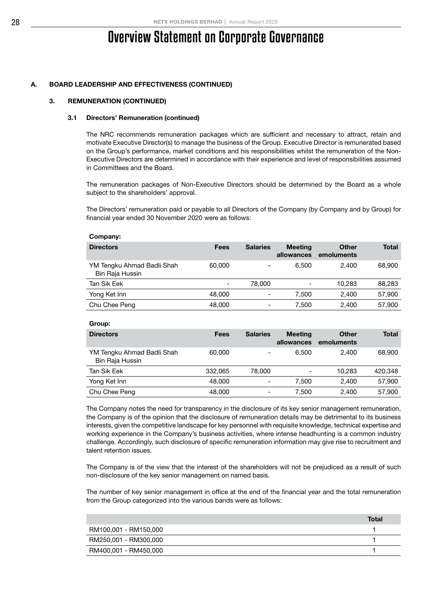#### A. BOARD LEADERSHIP AND EFFECTIVENESS (CONTINUED)

#### 3. REMUNERATION (CONTINUED)

#### 3.1 Directors' Remuneration (continued)

The NRC recommends remuneration packages which are sufficient and necessary to attract, retain and motivate Executive Director(s) to manage the business of the Group. Executive Director is remunerated based on the Group's performance, market conditions and his responsibilities whilst the remuneration of the Non-Executive Directors are determined in accordance with their experience and level of responsibilities assumed in Committees and the Board.

The remuneration packages of Non-Executive Directors should be determined by the Board as a whole subject to the shareholders' approval.

The Directors' remuneration paid or payable to all Directors of the Company (by Company and by Group) for financial year ended 30 November 2020 were as follows:

| Company:                                             |             |                          |                              |                            |              |
|------------------------------------------------------|-------------|--------------------------|------------------------------|----------------------------|--------------|
| <b>Directors</b>                                     | <b>Fees</b> | <b>Salaries</b>          | <b>Meeting</b><br>allowances | <b>Other</b><br>emoluments | <b>Total</b> |
| YM Tengku Ahmad Badli Shah<br><b>Bin Raja Hussin</b> | 60,000      | ٠                        | 6.500                        | 2.400                      | 68,900       |
| Tan Sik Eek                                          |             | 78,000                   |                              | 10.283                     | 88,283       |
| Yong Ket Inn                                         | 48,000      | $\overline{\phantom{a}}$ | 7.500                        | 2.400                      | 57,900       |
| Chu Chee Peng                                        | 48,000      | $\overline{\phantom{0}}$ | 7.500                        | 2.400                      | 57,900       |

#### Group:

| <b>Directors</b>                              | Fees    | <b>Salaries</b>          | <b>Meeting</b><br>allowances | <b>Other</b><br>emoluments | <b>Total</b> |
|-----------------------------------------------|---------|--------------------------|------------------------------|----------------------------|--------------|
| YM Tengku Ahmad Badli Shah<br>Bin Raja Hussin | 60,000  | $\overline{\phantom{0}}$ | 6.500                        | 2.400                      | 68,900       |
| Tan Sik Eek                                   | 332.065 | 78,000                   | $\overline{\phantom{a}}$     | 10.283                     | 420.348      |
| Yong Ket Inn                                  | 48,000  | $\overline{\phantom{0}}$ | 7.500                        | 2.400                      | 57,900       |
| Chu Chee Peng                                 | 48,000  | $\overline{\phantom{0}}$ | 7.500                        | 2.400                      | 57,900       |

The Company notes the need for transparency in the disclosure of its key senior management remuneration, the Company is of the opinion that the disclosure of remuneration details may be detrimental to its business interests, given the competitive landscape for key personnel with requisite knowledge, technical expertise and working experience in the Company's business activities, where intense headhunting is a common industry challenge. Accordingly, such disclosure of specific remuneration information may give rise to recruitment and talent retention issues.

The Company is of the view that the interest of the shareholders will not be prejudiced as a result of such non-disclosure of the key senior management on named basis.

The number of key senior management in office at the end of the financial year and the total remuneration from the Group categorized into the various bands were as follows:

|                       | Total |
|-----------------------|-------|
| RM100,001 - RM150,000 |       |
| RM250,001 - RM300,000 |       |
| RM400,001 - RM450,000 |       |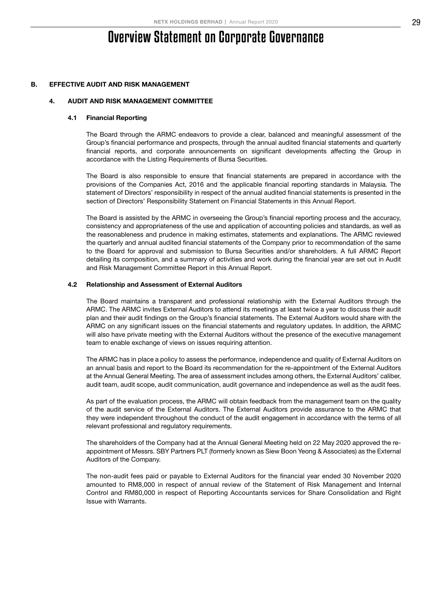#### B. EFFECTIVE AUDIT AND RISK MANAGEMENT

#### 4. AUDIT AND RISK MANAGEMENT COMMITTEE

#### 4.1 Financial Reporting

The Board through the ARMC endeavors to provide a clear, balanced and meaningful assessment of the Group's financial performance and prospects, through the annual audited financial statements and quarterly financial reports, and corporate announcements on significant developments affecting the Group in accordance with the Listing Requirements of Bursa Securities.

The Board is also responsible to ensure that financial statements are prepared in accordance with the provisions of the Companies Act, 2016 and the applicable financial reporting standards in Malaysia. The statement of Directors' responsibility in respect of the annual audited financial statements is presented in the section of Directors' Responsibility Statement on Financial Statements in this Annual Report.

The Board is assisted by the ARMC in overseeing the Group's financial reporting process and the accuracy, consistency and appropriateness of the use and application of accounting policies and standards, as well as the reasonableness and prudence in making estimates, statements and explanations. The ARMC reviewed the quarterly and annual audited financial statements of the Company prior to recommendation of the same to the Board for approval and submission to Bursa Securities and/or shareholders. A full ARMC Report detailing its composition, and a summary of activities and work during the financial year are set out in Audit and Risk Management Committee Report in this Annual Report.

#### 4.2 Relationship and Assessment of External Auditors

The Board maintains a transparent and professional relationship with the External Auditors through the ARMC. The ARMC invites External Auditors to attend its meetings at least twice a year to discuss their audit plan and their audit findings on the Group's financial statements. The External Auditors would share with the ARMC on any significant issues on the financial statements and regulatory updates. In addition, the ARMC will also have private meeting with the External Auditors without the presence of the executive management team to enable exchange of views on issues requiring attention.

The ARMC has in place a policy to assess the performance, independence and quality of External Auditors on an annual basis and report to the Board its recommendation for the re-appointment of the External Auditors at the Annual General Meeting. The area of assessment includes among others, the External Auditors' caliber, audit team, audit scope, audit communication, audit governance and independence as well as the audit fees.

As part of the evaluation process, the ARMC will obtain feedback from the management team on the quality of the audit service of the External Auditors. The External Auditors provide assurance to the ARMC that they were independent throughout the conduct of the audit engagement in accordance with the terms of all relevant professional and regulatory requirements.

The shareholders of the Company had at the Annual General Meeting held on 22 May 2020 approved the reappointment of Messrs. SBY Partners PLT (formerly known as Siew Boon Yeong & Associates) as the External Auditors of the Company.

The non-audit fees paid or payable to External Auditors for the financial year ended 30 November 2020 amounted to RM8,000 in respect of annual review of the Statement of Risk Management and Internal Control and RM80,000 in respect of Reporting Accountants services for Share Consolidation and Right Issue with Warrants.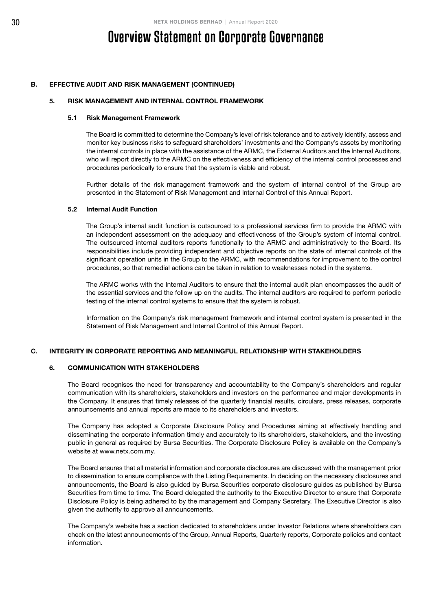#### B. EFFECTIVE AUDIT AND RISK MANAGEMENT (CONTINUED)

#### 5. Risk Management and Internal Control Framework

#### 5.1 Risk Management Framework

The Board is committed to determine the Company's level of risk tolerance and to actively identify, assess and monitor key business risks to safeguard shareholders' investments and the Company's assets by monitoring the internal controls in place with the assistance of the ARMC, the External Auditors and the Internal Auditors, who will report directly to the ARMC on the effectiveness and efficiency of the internal control processes and procedures periodically to ensure that the system is viable and robust.

Further details of the risk management framework and the system of internal control of the Group are presented in the Statement of Risk Management and Internal Control of this Annual Report.

#### 5.2 Internal Audit Function

The Group's internal audit function is outsourced to a professional services firm to provide the ARMC with an independent assessment on the adequacy and effectiveness of the Group's system of internal control. The outsourced internal auditors reports functionally to the ARMC and administratively to the Board. Its responsibilities include providing independent and objective reports on the state of internal controls of the significant operation units in the Group to the ARMC, with recommendations for improvement to the control procedures, so that remedial actions can be taken in relation to weaknesses noted in the systems.

The ARMC works with the Internal Auditors to ensure that the internal audit plan encompasses the audit of the essential services and the follow up on the audits. The internal auditors are required to perform periodic testing of the internal control systems to ensure that the system is robust.

Information on the Company's risk management framework and internal control system is presented in the Statement of Risk Management and Internal Control of this Annual Report.

#### C. INTEGRITY IN CORPORATE REPORTING AND MEANINGFUL RELATIONSHIP WITH STAKEHOLDERS

#### 6. Communication with Stakeholders

The Board recognises the need for transparency and accountability to the Company's shareholders and regular communication with its shareholders, stakeholders and investors on the performance and major developments in the Company. It ensures that timely releases of the quarterly financial results, circulars, press releases, corporate announcements and annual reports are made to its shareholders and investors.

The Company has adopted a Corporate Disclosure Policy and Procedures aiming at effectively handling and disseminating the corporate information timely and accurately to its shareholders, stakeholders, and the investing public in general as required by Bursa Securities. The Corporate Disclosure Policy is available on the Company's website at www.netx.com.my.

The Board ensures that all material information and corporate disclosures are discussed with the management prior to dissemination to ensure compliance with the Listing Requirements. In deciding on the necessary disclosures and announcements, the Board is also guided by Bursa Securities corporate disclosure guides as published by Bursa Securities from time to time. The Board delegated the authority to the Executive Director to ensure that Corporate Disclosure Policy is being adhered to by the management and Company Secretary. The Executive Director is also given the authority to approve all announcements.

The Company's website has a section dedicated to shareholders under Investor Relations where shareholders can check on the latest announcements of the Group, Annual Reports, Quarterly reports, Corporate policies and contact information.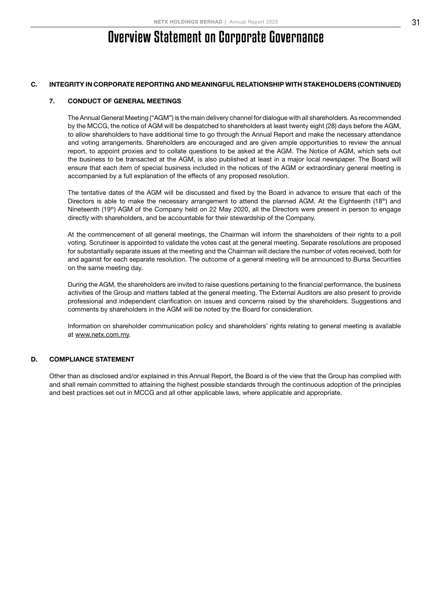#### C. INTEGRITY IN CORPORATE REPORTING AND MEANINGFUL RELATIONSHIP WITH STAKEHOLDERS (CONTINUED)

#### 7. Conduct of General Meetings

The Annual General Meeting ("AGM") is the main delivery channel for dialogue with all shareholders. As recommended by the MCCG, the notice of AGM will be despatched to shareholders at least twenty eight (28) days before the AGM, to allow shareholders to have additional time to go through the Annual Report and make the necessary attendance and voting arrangements. Shareholders are encouraged and are given ample opportunities to review the annual report, to appoint proxies and to collate questions to be asked at the AGM. The Notice of AGM, which sets out the business to be transacted at the AGM, is also published at least in a major local newspaper. The Board will ensure that each item of special business included in the notices of the AGM or extraordinary general meeting is accompanied by a full explanation of the effects of any proposed resolution.

The tentative dates of the AGM will be discussed and fixed by the Board in advance to ensure that each of the Directors is able to make the necessary arrangement to attend the planned AGM. At the Eighteenth (18<sup>th</sup>) and Nineteenth (19<sup>th</sup>) AGM of the Company held on 22 May 2020, all the Directors were present in person to engage directly with shareholders, and be accountable for their stewardship of the Company.

At the commencement of all general meetings, the Chairman will inform the shareholders of their rights to a poll voting. Scrutineer is appointed to validate the votes cast at the general meeting. Separate resolutions are proposed for substantially separate issues at the meeting and the Chairman will declare the number of votes received, both for and against for each separate resolution. The outcome of a general meeting will be announced to Bursa Securities on the same meeting day.

During the AGM, the shareholders are invited to raise questions pertaining to the financial performance, the business activities of the Group and matters tabled at the general meeting. The External Auditors are also present to provide professional and independent clarification on issues and concerns raised by the shareholders. Suggestions and comments by shareholders in the AGM will be noted by the Board for consideration.

Information on shareholder communication policy and shareholders' rights relating to general meeting is available at www.netx.com.my.

#### D. COMPLIANCE STATEMENT

Other than as disclosed and/or explained in this Annual Report, the Board is of the view that the Group has complied with and shall remain committed to attaining the highest possible standards through the continuous adoption of the principles and best practices set out in MCCG and all other applicable laws, where applicable and appropriate.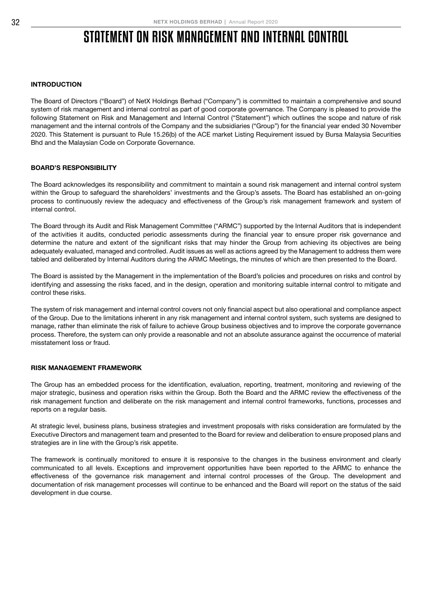# Statement on Risk Management and Internal Control

#### **INTRODUCTION**

The Board of Directors ("Board") of NetX Holdings Berhad ("Company") is committed to maintain a comprehensive and sound system of risk management and internal control as part of good corporate governance. The Company is pleased to provide the following Statement on Risk and Management and Internal Control ("Statement") which outlines the scope and nature of risk management and the internal controls of the Company and the subsidiaries ("Group") for the financial year ended 30 November 2020. This Statement is pursuant to Rule 15.26(b) of the ACE market Listing Requirement issued by Bursa Malaysia Securities Bhd and the Malaysian Code on Corporate Governance.

#### BOARD'S RESPONSIBILITY

The Board acknowledges its responsibility and commitment to maintain a sound risk management and internal control system within the Group to safeguard the shareholders' investments and the Group's assets. The Board has established an on-going process to continuously review the adequacy and effectiveness of the Group's risk management framework and system of internal control.

The Board through its Audit and Risk Management Committee ("ARMC") supported by the Internal Auditors that is independent of the activities it audits, conducted periodic assessments during the financial year to ensure proper risk governance and determine the nature and extent of the significant risks that may hinder the Group from achieving its objectives are being adequately evaluated, managed and controlled. Audit issues as well as actions agreed by the Management to address them were tabled and deliberated by Internal Auditors during the ARMC Meetings, the minutes of which are then presented to the Board.

The Board is assisted by the Management in the implementation of the Board's policies and procedures on risks and control by identifying and assessing the risks faced, and in the design, operation and monitoring suitable internal control to mitigate and control these risks.

The system of risk management and internal control covers not only financial aspect but also operational and compliance aspect of the Group. Due to the limitations inherent in any risk management and internal control system, such systems are designed to manage, rather than eliminate the risk of failure to achieve Group business objectives and to improve the corporate governance process. Therefore, the system can only provide a reasonable and not an absolute assurance against the occurrence of material misstatement loss or fraud.

#### RISK MANAGEMENT FRAMEWORK

The Group has an embedded process for the identification, evaluation, reporting, treatment, monitoring and reviewing of the major strategic, business and operation risks within the Group. Both the Board and the ARMC review the effectiveness of the risk management function and deliberate on the risk management and internal control frameworks, functions, processes and reports on a regular basis.

At strategic level, business plans, business strategies and investment proposals with risks consideration are formulated by the Executive Directors and management team and presented to the Board for review and deliberation to ensure proposed plans and strategies are in line with the Group's risk appetite.

The framework is continually monitored to ensure it is responsive to the changes in the business environment and clearly communicated to all levels. Exceptions and improvement opportunities have been reported to the ARMC to enhance the effectiveness of the governance risk management and internal control processes of the Group. The development and documentation of risk management processes will continue to be enhanced and the Board will report on the status of the said development in due course.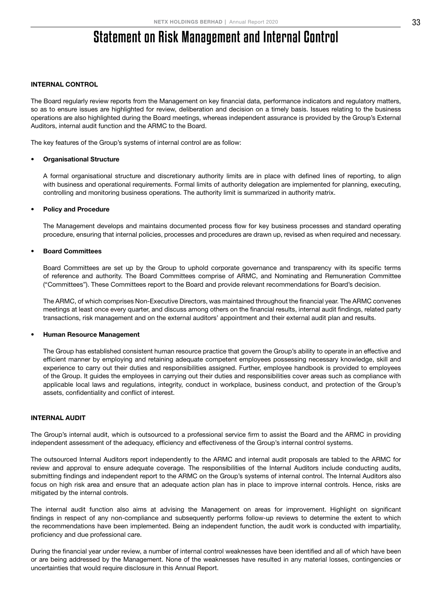### Statement on Risk Management and Internal Control

#### INTERNAL CONTROL

The Board regularly review reports from the Management on key financial data, performance indicators and regulatory matters, so as to ensure issues are highlighted for review, deliberation and decision on a timely basis. Issues relating to the business operations are also highlighted during the Board meetings, whereas independent assurance is provided by the Group's External Auditors, internal audit function and the ARMC to the Board.

The key features of the Group's systems of internal control are as follow:

#### **Organisational Structure**

A formal organisational structure and discretionary authority limits are in place with defined lines of reporting, to align with business and operational requirements. Formal limits of authority delegation are implemented for planning, executing, controlling and monitoring business operations. The authority limit is summarized in authority matrix.

#### Policy and Procedure

The Management develops and maintains documented process flow for key business processes and standard operating procedure, ensuring that internal policies, processes and procedures are drawn up, revised as when required and necessary.

#### **Board Committees**

Board Committees are set up by the Group to uphold corporate governance and transparency with its specific terms of reference and authority. The Board Committees comprise of ARMC, and Nominating and Remuneration Committee ("Committees"). These Committees report to the Board and provide relevant recommendations for Board's decision.

The ARMC, of which comprises Non-Executive Directors, was maintained throughout the financial year. The ARMC convenes meetings at least once every quarter, and discuss among others on the financial results, internal audit findings, related party transactions, risk management and on the external auditors' appointment and their external audit plan and results.

#### **Human Resource Management**

The Group has established consistent human resource practice that govern the Group's ability to operate in an effective and efficient manner by employing and retaining adequate competent employees possessing necessary knowledge, skill and experience to carry out their duties and responsibilities assigned. Further, employee handbook is provided to employees of the Group. It guides the employees in carrying out their duties and responsibilities cover areas such as compliance with applicable local laws and regulations, integrity, conduct in workplace, business conduct, and protection of the Group's assets, confidentiality and conflict of interest.

#### INTERNAL AUDIT

The Group's internal audit, which is outsourced to a professional service firm to assist the Board and the ARMC in providing independent assessment of the adequacy, efficiency and effectiveness of the Group's internal control systems.

The outsourced Internal Auditors report independently to the ARMC and internal audit proposals are tabled to the ARMC for review and approval to ensure adequate coverage. The responsibilities of the Internal Auditors include conducting audits, submitting findings and independent report to the ARMC on the Group's systems of internal control. The Internal Auditors also focus on high risk area and ensure that an adequate action plan has in place to improve internal controls. Hence, risks are mitigated by the internal controls.

The internal audit function also aims at advising the Management on areas for improvement. Highlight on significant findings in respect of any non-compliance and subsequently performs follow-up reviews to determine the extent to which the recommendations have been implemented. Being an independent function, the audit work is conducted with impartiality, proficiency and due professional care.

During the financial year under review, a number of internal control weaknesses have been identified and all of which have been or are being addressed by the Management. None of the weaknesses have resulted in any material losses, contingencies or uncertainties that would require disclosure in this Annual Report.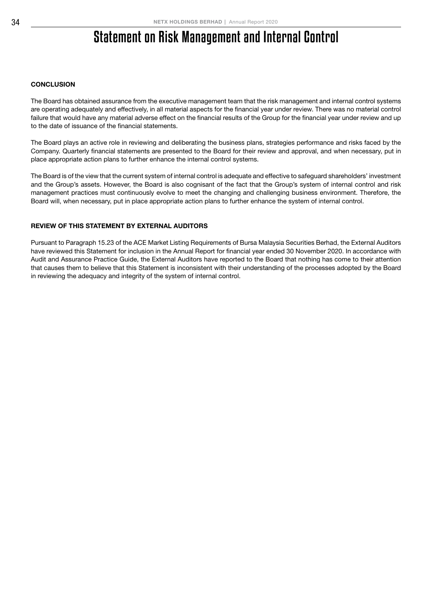### Statement on Risk Management and Internal Control

#### **CONCLUSION**

The Board has obtained assurance from the executive management team that the risk management and internal control systems are operating adequately and effectively, in all material aspects for the financial year under review. There was no material control failure that would have any material adverse effect on the financial results of the Group for the financial year under review and up to the date of issuance of the financial statements.

The Board plays an active role in reviewing and deliberating the business plans, strategies performance and risks faced by the Company. Quarterly financial statements are presented to the Board for their review and approval, and when necessary, put in place appropriate action plans to further enhance the internal control systems.

The Board is of the view that the current system of internal control is adequate and effective to safeguard shareholders' investment and the Group's assets. However, the Board is also cognisant of the fact that the Group's system of internal control and risk management practices must continuously evolve to meet the changing and challenging business environment. Therefore, the Board will, when necessary, put in place appropriate action plans to further enhance the system of internal control.

#### REVIEW OF THIS STATEMENT BY EXTERNAL AUDITORS

Pursuant to Paragraph 15.23 of the ACE Market Listing Requirements of Bursa Malaysia Securities Berhad, the External Auditors have reviewed this Statement for inclusion in the Annual Report for financial year ended 30 November 2020. In accordance with Audit and Assurance Practice Guide, the External Auditors have reported to the Board that nothing has come to their attention that causes them to believe that this Statement is inconsistent with their understanding of the processes adopted by the Board in reviewing the adequacy and integrity of the system of internal control.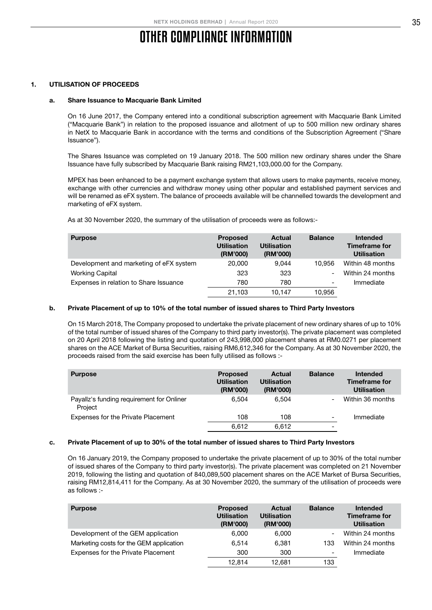## OTHER COMPLIANCE INFORMATION

#### 1. UTILISATION OF PROCEEDS

#### a. Share Issuance to Macquarie Bank Limited

On 16 June 2017, the Company entered into a conditional subscription agreement with Macquarie Bank Limited ("Macquarie Bank") in relation to the proposed issuance and allotment of up to 500 million new ordinary shares in NetX to Macquarie Bank in accordance with the terms and conditions of the Subscription Agreement ("Share Issuance").

The Shares Issuance was completed on 19 January 2018. The 500 million new ordinary shares under the Share Issuance have fully subscribed by Macquarie Bank raising RM21,103,000.00 for the Company.

MPEX has been enhanced to be a payment exchange system that allows users to make payments, receive money, exchange with other currencies and withdraw money using other popular and established payment services and will be renamed as eFX system. The balance of proceeds available will be channelled towards the development and marketing of eFX system.

| <b>Purpose</b>                          | <b>Proposed</b><br><b>Utilisation</b><br>(RM'000) | <b>Actual</b><br><b>Utilisation</b><br>(RM'000) | <b>Balance</b> | <b>Intended</b><br><b>Timeframe for</b><br><b>Utilisation</b> |
|-----------------------------------------|---------------------------------------------------|-------------------------------------------------|----------------|---------------------------------------------------------------|
| Development and marketing of eFX system | 20,000                                            | 9.044                                           | 10.956         | Within 48 months                                              |
| <b>Working Capital</b>                  | 323                                               | 323                                             |                | Within 24 months                                              |
| Expenses in relation to Share Issuance  | 780                                               | 780                                             | ۰.             | Immediate                                                     |
|                                         | 21.103                                            | 10.147                                          | 10.956         |                                                               |

As at 30 November 2020, the summary of the utilisation of proceeds were as follows:-

#### b. Private Placement of up to 10% of the total number of issued shares to Third Party Investors

On 15 March 2018, The Company proposed to undertake the private placement of new ordinary shares of up to 10% of the total number of issued shares of the Company to third party investor(s). The private placement was completed on 20 April 2018 following the listing and quotation of 243,998,000 placement shares at RM0.0271 per placement shares on the ACE Market of Bursa Securities, raising RM6,612,346 for the Company. As at 30 November 2020, the proceeds raised from the said exercise has been fully utilised as follows :-

| <b>Purpose</b>                                       | <b>Proposed</b><br><b>Utilisation</b><br>(RM'000) | <b>Actual</b><br><b>Utilisation</b><br>(RM'000) | <b>Balance</b> | <b>Intended</b><br><b>Timeframe for</b><br><b>Utilisation</b> |
|------------------------------------------------------|---------------------------------------------------|-------------------------------------------------|----------------|---------------------------------------------------------------|
| Payallz's funding requirement for Onliner<br>Project | 6.504                                             | 6.504                                           |                | Within 36 months                                              |
| Expenses for the Private Placement                   | 108                                               | 108                                             | -              | Immediate                                                     |
|                                                      | 6.612                                             | 6.612                                           | -              |                                                               |

#### c. Private Placement of up to 30% of the total number of issued shares to Third Party Investors

On 16 January 2019, the Company proposed to undertake the private placement of up to 30% of the total number of issued shares of the Company to third party investor(s). The private placement was completed on 21 November 2019, following the listing and quotation of 840,089,500 placement shares on the ACE Market of Bursa Securities, raising RM12,814,411 for the Company. As at 30 November 2020, the summary of the utilisation of proceeds were as follows :-

| <b>Purpose</b>                          | <b>Proposed</b><br><b>Utilisation</b><br>(RM'000) | <b>Actual</b><br><b>Utilisation</b><br>(RM'000) | <b>Balance</b>           | <b>Intended</b><br><b>Timeframe for</b><br><b>Utilisation</b> |
|-----------------------------------------|---------------------------------------------------|-------------------------------------------------|--------------------------|---------------------------------------------------------------|
| Development of the GEM application      | 6.000                                             | 6,000                                           | $\overline{\phantom{a}}$ | Within 24 months                                              |
| Marketing costs for the GEM application | 6.514                                             | 6.381                                           | 133                      | Within 24 months                                              |
| Expenses for the Private Placement      | 300                                               | 300                                             | $\overline{\phantom{a}}$ | Immediate                                                     |
|                                         | 12.814                                            | 12.681                                          | 133                      |                                                               |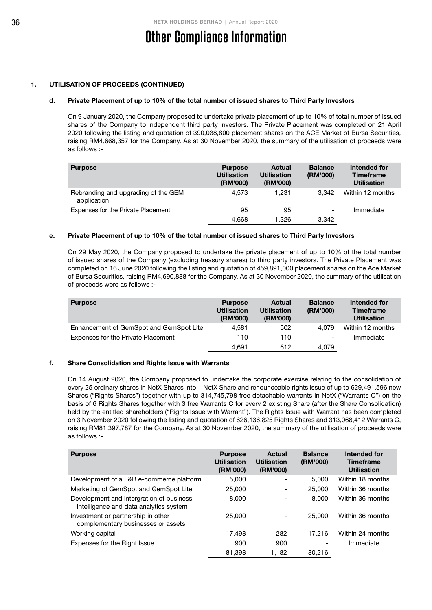## Other Compliance Information

#### 1. UTILISATION OF PROCEEDS (CONTINUED)

#### d. Private Placement of up to 10% of the total number of issued shares to Third Party Investors

On 9 January 2020, the Company proposed to undertake private placement of up to 10% of total number of issued shares of the Company to independent third party investors. The Private Placement was completed on 21 April 2020 following the listing and quotation of 390,038,800 placement shares on the ACE Market of Bursa Securities, raising RM4,668,357 for the Company. As at 30 November 2020, the summary of the utilisation of proceeds were as follows :-

| <b>Purpose</b>                                     | <b>Purpose</b><br><b>Utilisation</b><br>(RM'000) | <b>Actual</b><br><b>Utilisation</b><br>(RM'000) | <b>Balance</b><br>(RM'000) | Intended for<br><b>Timeframe</b><br><b>Utilisation</b> |
|----------------------------------------------------|--------------------------------------------------|-------------------------------------------------|----------------------------|--------------------------------------------------------|
| Rebranding and upgrading of the GEM<br>application | 4.573                                            | 1.231                                           | 3.342                      | Within 12 months                                       |
| Expenses for the Private Placement                 | 95                                               | 95                                              | -                          | Immediate                                              |
|                                                    | 4.668                                            | 1.326                                           | 3,342                      |                                                        |

#### e. Private Placement of up to 10% of the total number of issued shares to Third Party Investors

On 29 May 2020, the Company proposed to undertake the private placement of up to 10% of the total number of issued shares of the Company (excluding treasury shares) to third party investors. The Private Placement was completed on 16 June 2020 following the listing and quotation of 459,891,000 placement shares on the Ace Market of Bursa Securities, raising RM4,690,888 for the Company. As at 30 November 2020, the summary of the utilisation of proceeds were as follows :-

| <b>Purpose</b>                          | <b>Purpose</b><br><b>Utilisation</b><br>(RM'000) | Actual<br><b>Utilisation</b><br>(RM'000) | <b>Balance</b><br>(RM'000) | Intended for<br><b>Timeframe</b><br><b>Utilisation</b> |
|-----------------------------------------|--------------------------------------------------|------------------------------------------|----------------------------|--------------------------------------------------------|
| Enhancement of GemSpot and GemSpot Lite | 4.581                                            | 502                                      | 4.079                      | Within 12 months                                       |
| Expenses for the Private Placement      | 110                                              | 110                                      | $\overline{\phantom{a}}$   | Immediate                                              |
|                                         | 4.691                                            | 612                                      | 4.079                      |                                                        |

#### f. Share Consolidation and Rights Issue with Warrants

On 14 August 2020, the Company proposed to undertake the corporate exercise relating to the consolidation of every 25 ordinary shares in NetX Shares into 1 NetX Share and renounceable rights issue of up to 629,491,596 new Shares ("Rights Shares") together with up to 314,745,798 free detachable warrants in NetX ("Warrants C") on the basis of 6 Rights Shares together with 3 free Warrants C for every 2 existing Share (after the Share Consolidation) held by the entitled shareholders ("Rights Issue with Warrant"). The Rights Issue with Warrant has been completed on 3 November 2020 following the listing and quotation of 626,136,825 Rights Shares and 313,068,412 Warrants C, raising RM81,397,787 for the Company. As at 30 November 2020, the summary of the utilisation of proceeds were as follows :-

| <b>Purpose</b>                                                                     | <b>Purpose</b><br><b>Utilisation</b><br>(RM'000) | <b>Actual</b><br><b>Utilisation</b><br>(RM'000) | <b>Balance</b><br>(RM'000) | Intended for<br><b>Timeframe</b><br><b>Utilisation</b> |
|------------------------------------------------------------------------------------|--------------------------------------------------|-------------------------------------------------|----------------------------|--------------------------------------------------------|
| Development of a F&B e-commerce platform                                           | 5,000                                            | $\qquad \qquad \blacksquare$                    | 5.000                      | Within 18 months                                       |
| Marketing of GemSpot and GemSpot Lite                                              | 25,000                                           | $\overline{\phantom{0}}$                        | 25,000                     | Within 36 months                                       |
| Development and intergration of business<br>intelligence and data analytics system | 8,000                                            | -                                               | 8.000                      | Within 36 months                                       |
| Investment or partnership in other<br>complementary businesses or assets           | 25,000                                           | -                                               | 25,000                     | Within 36 months                                       |
| Working capital                                                                    | 17,498                                           | 282                                             | 17.216                     | Within 24 months                                       |
| Expenses for the Right Issue                                                       | 900                                              | 900                                             |                            | Immediate                                              |
|                                                                                    | 81,398                                           | 1.182                                           | 80,216                     |                                                        |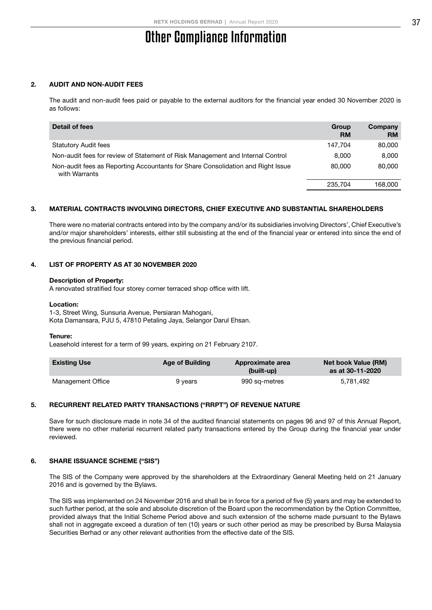## Other Compliance Information

#### 2. AUDIT AND NON-AUDIT FEES

The audit and non-audit fees paid or payable to the external auditors for the financial year ended 30 November 2020 is as follows:

| Detail of fees                                                                                   | Group<br><b>RM</b> | Company<br><b>RM</b> |
|--------------------------------------------------------------------------------------------------|--------------------|----------------------|
| <b>Statutory Audit fees</b>                                                                      | 147.704            | 80,000               |
| Non-audit fees for review of Statement of Risk Management and Internal Control                   | 8.000              | 8.000                |
| Non-audit fees as Reporting Accountants for Share Consolidation and Right Issue<br>with Warrants | 80,000             | 80,000               |
|                                                                                                  | 235,704            | 168,000              |

#### 3. MATERIAL CONTRACTS INVOLVING DIRECTORS, CHIEF EXECUTIVE AND SUBSTANTIAL SHAREHOLDERS

There were no material contracts entered into by the company and/or its subsidiaries involving Directors', Chief Executive's and/or major shareholders' interests, either still subsisting at the end of the financial year or entered into since the end of the previous financial period.

#### 4. LIST OF PROPERTY AS AT 30 NOVEMBER 2020

#### Description of Property:

A renovated stratified four storey corner terraced shop office with lift.

#### Location:

1-3, Street Wing, Sunsuria Avenue, Persiaran Mahogani, Kota Damansara, PJU 5, 47810 Petaling Jaya, Selangor Darul Ehsan.

#### Tenure:

Leasehold interest for a term of 99 years, expiring on 21 February 2107.

| <b>Existing Use</b> | Age of Building | Approximate area<br>(built-up) | Net book Value (RM)<br>as at 30-11-2020 |
|---------------------|-----------------|--------------------------------|-----------------------------------------|
| Management Office   | 9 vears         | 990 sq-metres                  | 5.781.492                               |

#### 5. RECURRENT RELATED PARTY TRANSACTIONS ("RRPT") OF REVENUE NATURE

Save for such disclosure made in note 34 of the audited financial statements on pages 96 and 97 of this Annual Report, there were no other material recurrent related party transactions entered by the Group during the financial year under reviewed.

#### 6. SHARE ISSUANCE SCHEME ("SIS")

The SIS of the Company were approved by the shareholders at the Extraordinary General Meeting held on 21 January 2016 and is governed by the Bylaws.

The SIS was implemented on 24 November 2016 and shall be in force for a period of five (5) years and may be extended to such further period, at the sole and absolute discretion of the Board upon the recommendation by the Option Committee, provided always that the Initial Scheme Period above and such extension of the scheme made pursuant to the Bylaws shall not in aggregate exceed a duration of ten (10) years or such other period as may be prescribed by Bursa Malaysia Securities Berhad or any other relevant authorities from the effective date of the SIS.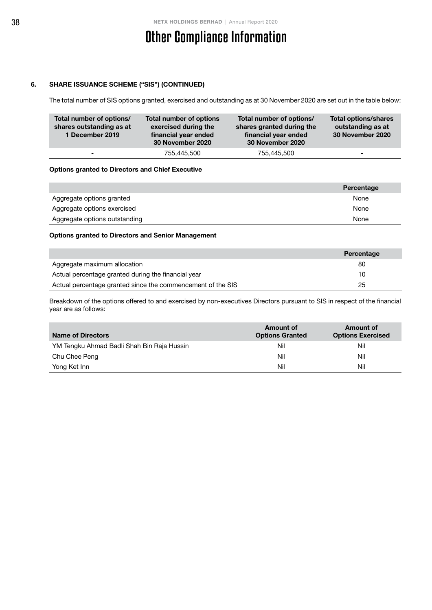## Other Compliance Information

#### 6. SHARE ISSUANCE SCHEME ("SIS") (CONTINUED)

The total number of SIS options granted, exercised and outstanding as at 30 November 2020 are set out in the table below:

| Total number of options/<br>shares outstanding as at<br>1 December 2019 | Total number of options<br>exercised during the<br>financial year ended<br>30 November 2020 | Total number of options/<br>shares granted during the<br>financial year ended<br>30 November 2020 | <b>Total options/shares</b><br>outstanding as at<br>30 November 2020 |
|-------------------------------------------------------------------------|---------------------------------------------------------------------------------------------|---------------------------------------------------------------------------------------------------|----------------------------------------------------------------------|
| $\overline{\phantom{0}}$                                                | 755.445.500                                                                                 | 755.445.500                                                                                       | $\overline{\phantom{0}}$                                             |

#### Options granted to Directors and Chief Executive

|                               | Percentage |
|-------------------------------|------------|
| Aggregate options granted     | None       |
| Aggregate options exercised   | None       |
| Aggregate options outstanding | None       |

#### Options granted to Directors and Senior Management

|                                                             | Percentage |
|-------------------------------------------------------------|------------|
| Aggregate maximum allocation                                | 80         |
| Actual percentage granted during the financial year         | 10         |
| Actual percentage granted since the commencement of the SIS | 25         |

Breakdown of the options offered to and exercised by non-executives Directors pursuant to SIS in respect of the financial year are as follows:

| <b>Name of Directors</b>                   | Amount of<br><b>Options Granted</b> | Amount of<br><b>Options Exercised</b> |
|--------------------------------------------|-------------------------------------|---------------------------------------|
| YM Tengku Ahmad Badli Shah Bin Raja Hussin | Nil                                 | Nil                                   |
| Chu Chee Peng                              | Nil                                 | Nil                                   |
| Yong Ket Inn                               | Nil                                 | Nil                                   |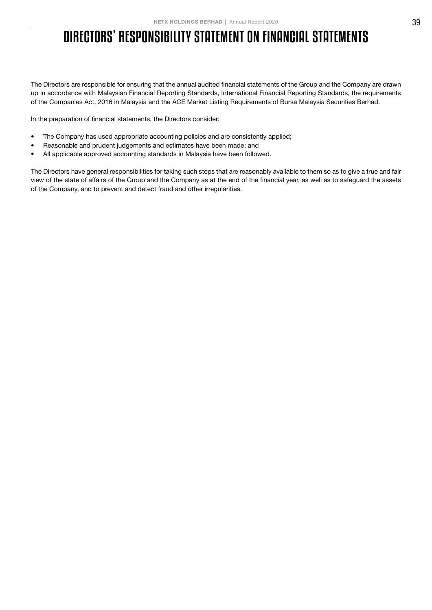## DIRECTORS' RESPONSIBILITY STATEMENT ON FINANCIAL STATEMENTS

The Directors are responsible for ensuring that the annual audited financial statements of the Group and the Company are drawn up in accordance with Malaysian Financial Reporting Standards, International Financial Reporting Standards, the requirements of the Companies Act, 2016 in Malaysia and the ACE Market Listing Requirements of Bursa Malaysia Securities Berhad.

In the preparation of financial statements, the Directors consider:

- The Company has used appropriate accounting policies and are consistently applied;
- Reasonable and prudent judgements and estimates have been made; and
- All applicable approved accounting standards in Malaysia have been followed.

The Directors have general responsibilities for taking such steps that are reasonably available to them so as to give a true and fair view of the state of affairs of the Group and the Company as at the end of the financial year, as well as to safeguard the assets of the Company, and to prevent and detect fraud and other irregularities.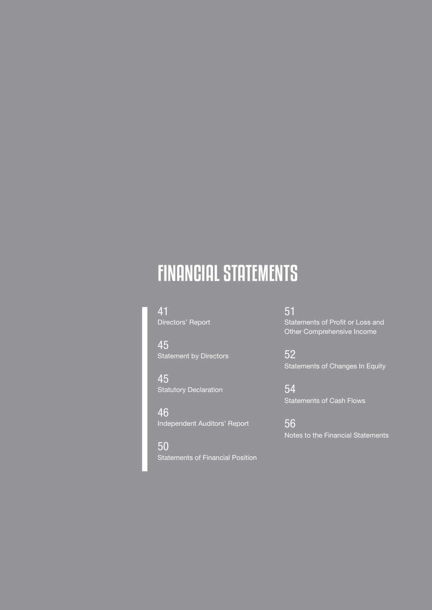# FINANCIAL STATEMENTS

41 Directors' Report

45 Statement by Directors

45 Statutory Declaration

46 Independent Auditors' Report

50 Statements of Financial Position 51 Statements of Profit or Loss and Other Comprehensive Income

52 Statements of Changes In Equity

54 **Statements of Cash Flows** 

56 Notes to the Financial Statements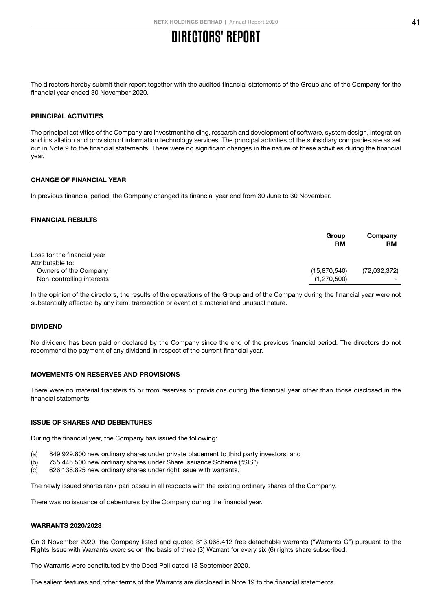## DIRECTORS' REPORT

The directors hereby submit their report together with the audited financial statements of the Group and of the Company for the financial year ended 30 November 2020.

#### PRINCIPAL ACTIVITIES

The principal activities of the Company are investment holding, research and development of software, system design, integration and installation and provision of information technology services. The principal activities of the subsidiary companies are as set out in Note 9 to the financial statements. There were no significant changes in the nature of these activities during the financial year.

#### CHANGE OF FINANCIAL YEAR

In previous financial period, the Company changed its financial year end from 30 June to 30 November.

#### FINANCIAL RESULTS

|                                                 | Group<br><b>RM</b> | Company<br>RM |
|-------------------------------------------------|--------------------|---------------|
| Loss for the financial year<br>Attributable to: |                    |               |
| Owners of the Company                           | (15,870,540)       | (72,032,372)  |
| Non-controlling interests                       | (1,270,500)        |               |

In the opinion of the directors, the results of the operations of the Group and of the Company during the financial year were not substantially affected by any item, transaction or event of a material and unusual nature.

#### DIVIDEND

No dividend has been paid or declared by the Company since the end of the previous financial period. The directors do not recommend the payment of any dividend in respect of the current financial year.

#### MOVEMENTS ON RESERVES AND PROVISIONS

There were no material transfers to or from reserves or provisions during the financial year other than those disclosed in the financial statements.

#### ISSUE OF SHARES AND DEBENTURES

During the financial year, the Company has issued the following:

- (a) 849,929,800 new ordinary shares under private placement to third party investors; and
- (b) 755,445,500 new ordinary shares under Share Issuance Scheme ("SIS").
- (c) 626,136,825 new ordinary shares under right issue with warrants.

The newly issued shares rank pari passu in all respects with the existing ordinary shares of the Company.

There was no issuance of debentures by the Company during the financial year.

#### WARRANTS 2020/2023

On 3 November 2020, the Company listed and quoted 313,068,412 free detachable warrants ("Warrants C") pursuant to the Rights Issue with Warrants exercise on the basis of three (3) Warrant for every six (6) rights share subscribed.

The Warrants were constituted by the Deed Poll dated 18 September 2020.

The salient features and other terms of the Warrants are disclosed in Note 19 to the financial statements.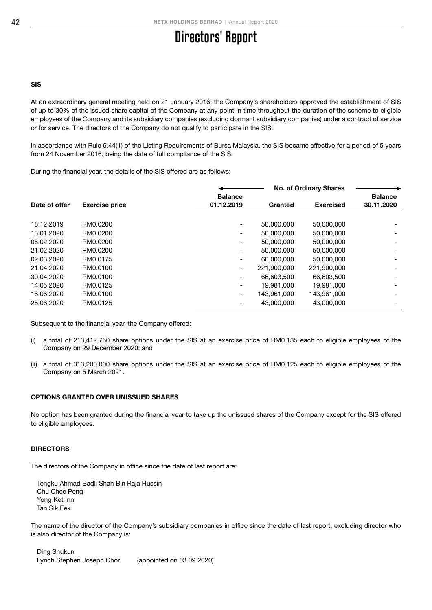## Directors' Report

#### SIS

At an extraordinary general meeting held on 21 January 2016, the Company's shareholders approved the establishment of SIS of up to 30% of the issued share capital of the Company at any point in time throughout the duration of the scheme to eligible employees of the Company and its subsidiary companies (excluding dormant subsidiary companies) under a contract of service or for service. The directors of the Company do not qualify to participate in the SIS.

In accordance with Rule 6.44(1) of the Listing Requirements of Bursa Malaysia, the SIS became effective for a period of 5 years from 24 November 2016, being the date of full compliance of the SIS.

During the financial year, the details of the SIS offered are as follows:

|               |                       |  |                              |             | <b>No. of Ordinary Shares</b> |                              |
|---------------|-----------------------|--|------------------------------|-------------|-------------------------------|------------------------------|
| Date of offer | <b>Exercise price</b> |  | <b>Balance</b><br>01.12.2019 | Granted     | <b>Exercised</b>              | <b>Balance</b><br>30.11.2020 |
| 18.12.2019    | RM0.0200              |  |                              | 50,000,000  | 50,000,000                    |                              |
| 13.01.2020    | RM0.0200              |  | $\overline{\phantom{a}}$     | 50.000.000  | 50,000,000                    |                              |
| 05.02.2020    | RM0.0200              |  | $\overline{\phantom{a}}$     | 50.000.000  | 50,000,000                    |                              |
| 21.02.2020    | RM0.0200              |  |                              | 50,000,000  | 50,000,000                    |                              |
| 02.03.2020    | RM0.0175              |  | $\overline{\phantom{a}}$     | 60,000,000  | 50,000,000                    |                              |
| 21.04.2020    | RM0.0100              |  | $\overline{\phantom{a}}$     | 221.900.000 | 221.900.000                   |                              |
| 30.04.2020    | RM0.0100              |  |                              | 66.603.500  | 66.603.500                    |                              |
| 14.05.2020    | RM0.0125              |  |                              | 19.981.000  | 19.981.000                    |                              |
| 16.06.2020    | RM0.0100              |  | $\overline{\phantom{a}}$     | 143.961.000 | 143,961,000                   |                              |
| 25.06.2020    | RM0.0125              |  |                              | 43.000.000  | 43,000,000                    |                              |

Subsequent to the financial year, the Company offered:

- (i) a total of 213,412,750 share options under the SIS at an exercise price of RM0.135 each to eligible employees of the Company on 29 December 2020; and
- (ii) a total of 313,200,000 share options under the SIS at an exercise price of RM0.125 each to eligible employees of the Company on 5 March 2021.

#### OPTIONS GRANTED OVER UNISSUED SHARES

No option has been granted during the financial year to take up the unissued shares of the Company except for the SIS offered to eligible employees.

#### **DIRECTORS**

The directors of the Company in office since the date of last report are:

Tengku Ahmad Badli Shah Bin Raja Hussin Chu Chee Peng Yong Ket Inn Tan Sik Eek

The name of the director of the Company's subsidiary companies in office since the date of last report, excluding director who is also director of the Company is:

Ding Shukun Lynch Stephen Joseph Chor (appointed on 03.09.2020)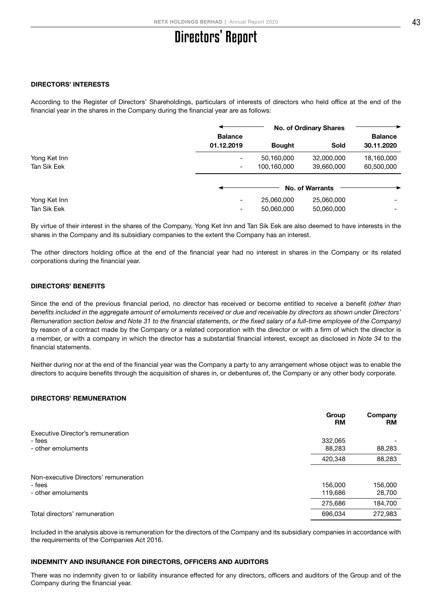## Directors' Report

#### DIRECTORS' INTERESTS

According to the Register of Directors' Shareholdings, particulars of interests of directors who held office at the end of the financial year in the shares in the Company during the financial year are as follows:

|              |                          | <b>No. of Ordinary Shares</b> |                        |                |  |  |
|--------------|--------------------------|-------------------------------|------------------------|----------------|--|--|
|              | <b>Balance</b>           |                               |                        | <b>Balance</b> |  |  |
|              | 01.12.2019               | <b>Bought</b>                 | Sold                   | 30.11.2020     |  |  |
| Yong Ket Inn | $\overline{a}$           | 50,160,000                    | 32,000,000             | 18,160,000     |  |  |
| Tan Sik Eek  | $\overline{\phantom{a}}$ | 100,160,000                   | 39,660,000             | 60,500,000     |  |  |
|              |                          |                               | <b>No. of Warrants</b> |                |  |  |
| Yong Ket Inn | $\overline{\phantom{a}}$ | 25,060,000                    | 25,060,000             |                |  |  |
| Tan Sik Eek  | $\overline{\phantom{a}}$ | 50,060,000                    | 50,060,000             |                |  |  |

By virtue of their interest in the shares of the Company, Yong Ket Inn and Tan Sik Eek are also deemed to have interests in the shares in the Company and its subsidiary companies to the extent the Company has an interest.

The other directors holding office at the end of the financial year had no interest in shares in the Company or its related corporations during the financial year.

#### DIRECTORS' BENEFITS

Since the end of the previous financial period, no director has received or become entitled to receive a benefit *(other than benefits included in the aggregate amount of emoluments received or due and receivable by directors as shown under Directors' Remuneration section below and Note 31 to the financial statements, or the fixed salary of a full-time employee of the Company)*  by reason of a contract made by the Company or a related corporation with the director or with a firm of which the director is a member, or with a company in which the director has a substantial financial interest, except as disclosed in *Note 34* to the financial statements.

Neither during nor at the end of the financial year was the Company a party to any arrangement whose object was to enable the directors to acquire benefits through the acquisition of shares in, or debentures of, the Company or any other body corporate.

#### DIRECTORS' REMUNERATION

|                                       | Group<br><b>RM</b> | Company<br><b>RM</b> |
|---------------------------------------|--------------------|----------------------|
| Executive Director's remuneration     |                    |                      |
| - fees                                | 332,065            |                      |
| - other emoluments                    | 88,283             | 88,283               |
|                                       | 420,348            | 88,283               |
| Non-executive Directors' remuneration |                    |                      |
| - fees                                | 156,000            | 156,000              |
| - other emoluments                    | 119,686            | 28,700               |
|                                       | 275,686            | 184,700              |
| Total directors' remuneration         | 696,034            | 272,983              |

Included in the analysis above is remuneration for the directors of the Company and its subsidiary companies in accordance with the requirements of the Companies Act 2016.

#### INDEMNITY AND INSURANCE FOR DIRECTORS, OFFICERS AND AUDITORS

There was no indemnity given to or liability insurance effected for any directors, officers and auditors of the Group and of the Company during the financial year.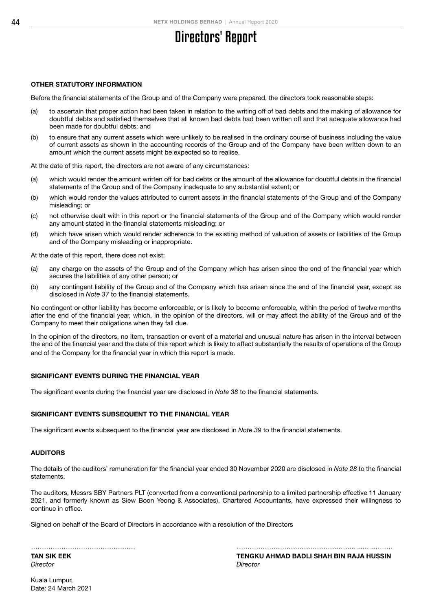## Directors' Report

#### OTHER STATUTORY INFORMATION

Before the financial statements of the Group and of the Company were prepared, the directors took reasonable steps:

- (a) to ascertain that proper action had been taken in relation to the writing off of bad debts and the making of allowance for doubtful debts and satisfied themselves that all known bad debts had been written off and that adequate allowance had been made for doubtful debts; and
- (b) to ensure that any current assets which were unlikely to be realised in the ordinary course of business including the value of current assets as shown in the accounting records of the Group and of the Company have been written down to an amount which the current assets might be expected so to realise.

At the date of this report, the directors are not aware of any circumstances:

- (a) which would render the amount written off for bad debts or the amount of the allowance for doubtful debts in the financial statements of the Group and of the Company inadequate to any substantial extent; or
- (b) which would render the values attributed to current assets in the financial statements of the Group and of the Company misleading; or
- (c) not otherwise dealt with in this report or the financial statements of the Group and of the Company which would render any amount stated in the financial statements misleading; or
- (d) which have arisen which would render adherence to the existing method of valuation of assets or liabilities of the Group and of the Company misleading or inappropriate.

At the date of this report, there does not exist:

- (a) any charge on the assets of the Group and of the Company which has arisen since the end of the financial year which secures the liabilities of any other person; or
- (b) any contingent liability of the Group and of the Company which has arisen since the end of the financial year, except as disclosed in *Note 37* to the financial statements.

No contingent or other liability has become enforceable, or is likely to become enforceable, within the period of twelve months after the end of the financial year, which, in the opinion of the directors, will or may affect the ability of the Group and of the Company to meet their obligations when they fall due.

In the opinion of the directors, no item, transaction or event of a material and unusual nature has arisen in the interval between the end of the financial year and the date of this report which is likely to affect substantially the results of operations of the Group and of the Company for the financial year in which this report is made.

#### SIGNIFICANT EVENTS DURING THE FINANCIAL YEAR

The significant events during the financial year are disclosed in *Note 38* to the financial statements.

#### SIGNIFICANT EVENTS SUBSEQUENT TO THE FINANCIAL YEAR

The significant events subsequent to the financial year are disclosed in *Note 39* to the financial statements.

#### AUDITORS

The details of the auditors' remuneration for the financial year ended 30 November 2020 are disclosed in *Note 28* to the financial statements.

The auditors, Messrs SBY Partners PLT (converted from a conventional partnership to a limited partnership effective 11 January 2021, and formerly known as Siew Boon Yeong & Associates), Chartered Accountants, have expressed their willingness to continue in office.

Signed on behalf of the Board of Directors in accordance with a resolution of the Directors

|                    | .            |
|--------------------|--------------|
| <b>TAN SIK EEK</b> | <b>TENGK</b> |
| <b>Director</b>    | Director     |

TENGKU AHMAD BADLI SHAH BIN RAJA HUSSIN

Kuala Lumpur, Date: 24 March 2021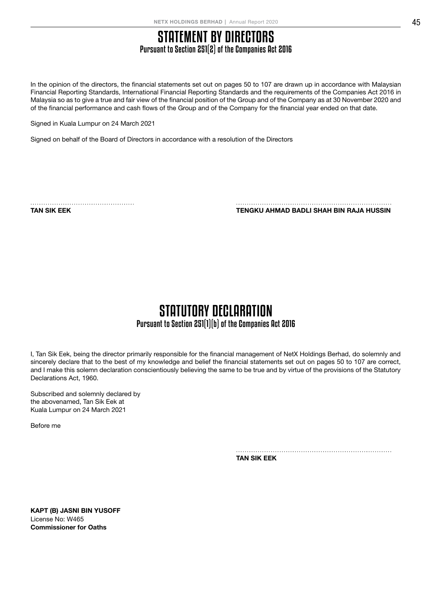### STATEMENT BY DIRECTORS Pursuant to Section 251(2) of the Companies Act 2016

In the opinion of the directors, the financial statements set out on pages 50 to 107 are drawn up in accordance with Malaysian Financial Reporting Standards, International Financial Reporting Standards and the requirements of the Companies Act 2016 in Malaysia so as to give a true and fair view of the financial position of the Group and of the Company as at 30 November 2020 and of the financial performance and cash flows of the Group and of the Company for the financial year ended on that date.

Signed in Kuala Lumpur on 24 March 2021

Signed on behalf of the Board of Directors in accordance with a resolution of the Directors

TAN SIK EEK TENGKU AHMAD BADLI SHAH BIN RAJA HUSSIN

## STATUTORY DECLARATION

### Pursuant to Section 251(1)(b) of the Companies Act 2016

I, Tan Sik Eek, being the director primarily responsible for the financial management of NetX Holdings Berhad, do solemnly and sincerely declare that to the best of my knowledge and belief the financial statements set out on pages 50 to 107 are correct, and I make this solemn declaration conscientiously believing the same to be true and by virtue of the provisions of the Statutory Declarations Act, 1960.

Subscribed and solemnly declared by the abovenamed, Tan Sik Eek at Kuala Lumpur on 24 March 2021

Before me

TAN SIK EEK

KAPT (B) JASNI BIN YUSOFF License No: W465 Commissioner for Oaths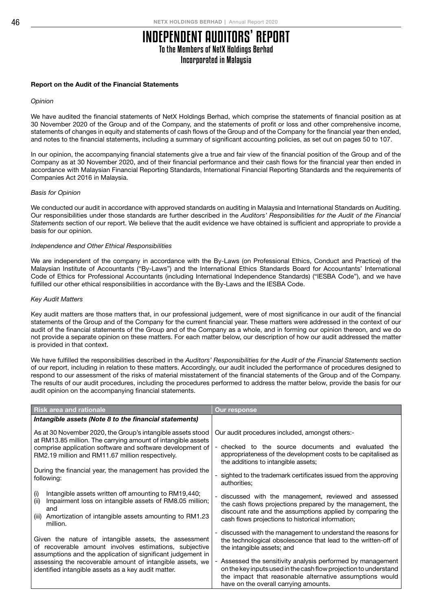### INDEPENDENT AUDITORS' REPORT To the Members of NetX Holdings Berhad Incorporated in Malaysia

#### Report on the Audit of the Financial Statements

*Opinion*

We have audited the financial statements of NetX Holdings Berhad, which comprise the statements of financial position as at 30 November 2020 of the Group and of the Company, and the statements of profit or loss and other comprehensive income, statements of changes in equity and statements of cash flows of the Group and of the Company for the financial year then ended, and notes to the financial statements, including a summary of significant accounting policies, as set out on pages 50 to 107.

In our opinion, the accompanying financial statements give a true and fair view of the financial position of the Group and of the Company as at 30 November 2020, and of their financial performance and their cash flows for the financial year then ended in accordance with Malaysian Financial Reporting Standards, International Financial Reporting Standards and the requirements of Companies Act 2016 in Malaysia.

#### *Basis for Opinion*

We conducted our audit in accordance with approved standards on auditing in Malaysia and International Standards on Auditing. Our responsibilities under those standards are further described in the *Auditors' Responsibilities for the Audit of the Financial Statements* section of our report. We believe that the audit evidence we have obtained is sufficient and appropriate to provide a basis for our opinion.

#### *Independence and Other Ethical Responsibilities*

We are independent of the company in accordance with the By-Laws (on Professional Ethics, Conduct and Practice) of the Malaysian Institute of Accountants ("By-Laws") and the International Ethics Standards Board for Accountants' International Code of Ethics for Professional Accountants (including International Independence Standards) ("IESBA Code"), and we have fulfilled our other ethical responsibilities in accordance with the By-Laws and the IESBA Code.

#### *Key Audit Matters*

Key audit matters are those matters that, in our professional judgement, were of most significance in our audit of the financial statements of the Group and of the Company for the current financial year. These matters were addressed in the context of our audit of the financial statements of the Group and of the Company as a whole, and in forming our opinion thereon, and we do not provide a separate opinion on these matters. For each matter below, our description of how our audit addressed the matter is provided in that context.

We have fulfilled the responsibilities described in the *Auditors' Responsibilities for the Audit of the Financial Statements* section of our report, including in relation to these matters. Accordingly, our audit included the performance of procedures designed to respond to our assessment of the risks of material misstatement of the financial statements of the Group and of the Company. The results of our audit procedures, including the procedures performed to address the matter below, provide the basis for our audit opinion on the accompanying financial statements.

| <b>Risk area and rationale</b>                                                                                                                                                                                                                                                                                           | Our response                                                                                                                                                                                                                                                                                    |
|--------------------------------------------------------------------------------------------------------------------------------------------------------------------------------------------------------------------------------------------------------------------------------------------------------------------------|-------------------------------------------------------------------------------------------------------------------------------------------------------------------------------------------------------------------------------------------------------------------------------------------------|
| Intangible assets (Note 8 to the financial statements)                                                                                                                                                                                                                                                                   |                                                                                                                                                                                                                                                                                                 |
| As at 30 November 2020, the Group's intangible assets stood<br>at RM13.85 million. The carrying amount of intangible assets<br>comprise application software and software development of<br>RM2.19 million and RM11.67 million respectively.<br>During the financial year, the management has provided the<br>following: | Our audit procedures included, amongst others:-<br>checked to the source documents and evaluated the<br>appropriateness of the development costs to be capitalised as<br>the additions to intangible assets;<br>sighted to the trademark certificates issued from the approving<br>authorities; |
| (i)<br>Intangible assets written off amounting to RM19,440;<br>Impairment loss on intangible assets of RM8.05 million;<br>(ii)<br>and<br>Amortization of intangible assets amounting to RM1.23<br>(iii)<br>million.                                                                                                      | discussed with the management, reviewed and assessed<br>the cash flows projections prepared by the management, the<br>discount rate and the assumptions applied by comparing the<br>cash flows projections to historical information;                                                           |
| Given the nature of intangible assets, the assessment<br>of recoverable amount involves estimations, subjective<br>assumptions and the application of significant judgement in<br>assessing the recoverable amount of intangible assets, we                                                                              | discussed with the management to understand the reasons for<br>the technological obsolescence that lead to the written-off of<br>the intangible assets; and<br>Assessed the sensitivity analysis performed by management                                                                        |
| identified intangible assets as a key audit matter.                                                                                                                                                                                                                                                                      | on the key inputs used in the cash flow projection to understand<br>the impact that reasonable alternative assumptions would<br>have on the overall carrying amounts.                                                                                                                           |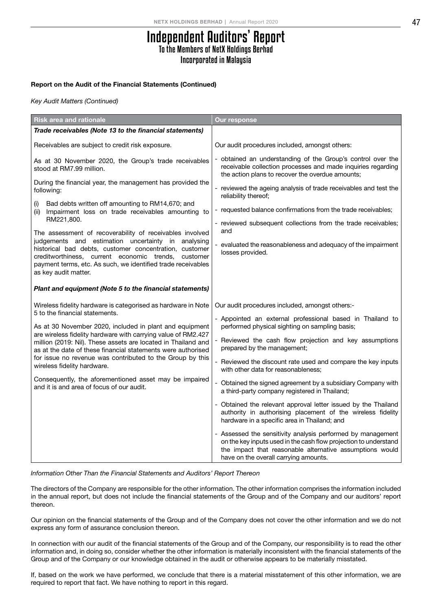### Independent Auditors' Report To the Members of NetX Holdings Berhad Incorporated in Malaysia

#### Report on the Audit of the Financial Statements (Continued)

*Key Audit Matters (Continued)*

| <b>Risk area and rationale</b>                                                                                                                                                                                                                                                                                          | <b>Our response</b>                                                                                                                                                                                                                  |
|-------------------------------------------------------------------------------------------------------------------------------------------------------------------------------------------------------------------------------------------------------------------------------------------------------------------------|--------------------------------------------------------------------------------------------------------------------------------------------------------------------------------------------------------------------------------------|
| Trade receivables (Note 13 to the financial statements)                                                                                                                                                                                                                                                                 |                                                                                                                                                                                                                                      |
| Receivables are subject to credit risk exposure.                                                                                                                                                                                                                                                                        | Our audit procedures included, amongst others:                                                                                                                                                                                       |
| As at 30 November 2020, the Group's trade receivables<br>stood at RM7.99 million.                                                                                                                                                                                                                                       | - obtained an understanding of the Group's control over the<br>receivable collection processes and made inquiries regarding<br>the action plans to recover the overdue amounts;                                                      |
| During the financial year, the management has provided the<br>following:                                                                                                                                                                                                                                                | - reviewed the ageing analysis of trade receivables and test the<br>reliability thereof;                                                                                                                                             |
| Bad debts written off amounting to RM14,670; and<br>(i)<br>Impairment loss on trade receivables amounting to<br>(ii)<br>RM221,800.                                                                                                                                                                                      | - requested balance confirmations from the trade receivables;<br>- reviewed subsequent collections from the trade receivables;                                                                                                       |
| The assessment of recoverability of receivables involved<br>judgements and estimation uncertainty in analysing<br>historical bad debts, customer concentration, customer<br>creditworthiness, current economic trends, customer<br>payment terms, etc. As such, we identified trade receivables<br>as key audit matter. | and<br>- evaluated the reasonableness and adequacy of the impairment<br>losses provided.                                                                                                                                             |
| Plant and equipment (Note 5 to the financial statements)                                                                                                                                                                                                                                                                |                                                                                                                                                                                                                                      |
| Wireless fidelity hardware is categorised as hardware in Note<br>5 to the financial statements.                                                                                                                                                                                                                         | Our audit procedures included, amongst others:-                                                                                                                                                                                      |
| As at 30 November 2020, included in plant and equipment<br>are wireless fidelity hardware with carrying value of RM2.427                                                                                                                                                                                                | - Appointed an external professional based in Thailand to<br>performed physical sighting on sampling basis;                                                                                                                          |
| million (2019: Nil). These assets are located in Thailand and<br>as at the date of these financial statements were authorised                                                                                                                                                                                           | - Reviewed the cash flow projection and key assumptions<br>prepared by the management;                                                                                                                                               |
| for issue no revenue was contributed to the Group by this<br>wireless fidelity hardware.                                                                                                                                                                                                                                | - Reviewed the discount rate used and compare the key inputs<br>with other data for reasonableness;                                                                                                                                  |
| Consequently, the aforementioned asset may be impaired<br>and it is and area of focus of our audit.                                                                                                                                                                                                                     | Obtained the signed agreement by a subsidiary Company with<br>a third-party company registered in Thailand;                                                                                                                          |
|                                                                                                                                                                                                                                                                                                                         | - Obtained the relevant approval letter issued by the Thailand<br>authority in authorising placement of the wireless fidelity<br>hardware in a specific area in Thailand; and                                                        |
|                                                                                                                                                                                                                                                                                                                         | - Assessed the sensitivity analysis performed by management<br>on the key inputs used in the cash flow projection to understand<br>the impact that reasonable alternative assumptions would<br>have on the overall carrying amounts. |

*Information Other Than the Financial Statements and Auditors' Report Thereon*

The directors of the Company are responsible for the other information. The other information comprises the information included in the annual report, but does not include the financial statements of the Group and of the Company and our auditors' report thereon.

Our opinion on the financial statements of the Group and of the Company does not cover the other information and we do not express any form of assurance conclusion thereon.

In connection with our audit of the financial statements of the Group and of the Company, our responsibility is to read the other information and, in doing so, consider whether the other information is materially inconsistent with the financial statements of the Group and of the Company or our knowledge obtained in the audit or otherwise appears to be materially misstated.

If, based on the work we have performed, we conclude that there is a material misstatement of this other information, we are required to report that fact. We have nothing to report in this regard.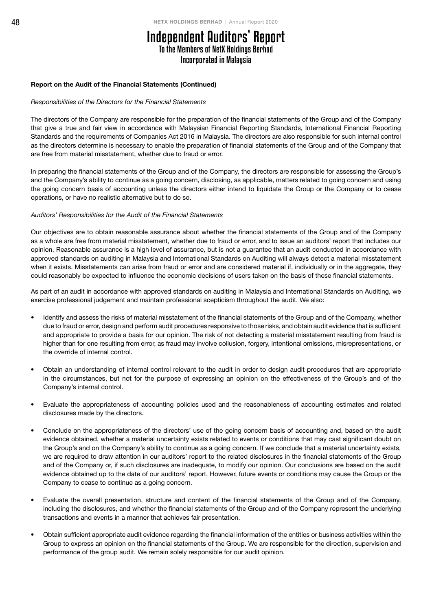### Independent Auditors' Report To the Members of NetX Holdings Berhad Incorporated in Malaysia

#### Report on the Audit of the Financial Statements (Continued)

#### *Responsibilities of the Directors for the Financial Statements*

The directors of the Company are responsible for the preparation of the financial statements of the Group and of the Company that give a true and fair view in accordance with Malaysian Financial Reporting Standards, International Financial Reporting Standards and the requirements of Companies Act 2016 in Malaysia. The directors are also responsible for such internal control as the directors determine is necessary to enable the preparation of financial statements of the Group and of the Company that are free from material misstatement, whether due to fraud or error.

In preparing the financial statements of the Group and of the Company, the directors are responsible for assessing the Group's and the Company's ability to continue as a going concern, disclosing, as applicable, matters related to going concern and using the going concern basis of accounting unless the directors either intend to liquidate the Group or the Company or to cease operations, or have no realistic alternative but to do so.

#### *Auditors' Responsibilities for the Audit of the Financial Statements*

Our objectives are to obtain reasonable assurance about whether the financial statements of the Group and of the Company as a whole are free from material misstatement, whether due to fraud or error, and to issue an auditors' report that includes our opinion. Reasonable assurance is a high level of assurance, but is not a guarantee that an audit conducted in accordance with approved standards on auditing in Malaysia and International Standards on Auditing will always detect a material misstatement when it exists. Misstatements can arise from fraud or error and are considered material if, individually or in the aggregate, they could reasonably be expected to influence the economic decisions of users taken on the basis of these financial statements.

As part of an audit in accordance with approved standards on auditing in Malaysia and International Standards on Auditing, we exercise professional judgement and maintain professional scepticism throughout the audit. We also:

- Identify and assess the risks of material misstatement of the financial statements of the Group and of the Company, whether due to fraud or error, design and perform audit procedures responsive to those risks, and obtain audit evidence that is sufficient and appropriate to provide a basis for our opinion. The risk of not detecting a material misstatement resulting from fraud is higher than for one resulting from error, as fraud may involve collusion, forgery, intentional omissions, misrepresentations, or the override of internal control.
- Obtain an understanding of internal control relevant to the audit in order to design audit procedures that are appropriate in the circumstances, but not for the purpose of expressing an opinion on the effectiveness of the Group's and of the Company's internal control.
- Evaluate the appropriateness of accounting policies used and the reasonableness of accounting estimates and related disclosures made by the directors.
- Conclude on the appropriateness of the directors' use of the going concern basis of accounting and, based on the audit evidence obtained, whether a material uncertainty exists related to events or conditions that may cast significant doubt on the Group's and on the Company's ability to continue as a going concern. If we conclude that a material uncertainty exists, we are required to draw attention in our auditors' report to the related disclosures in the financial statements of the Group and of the Company or, if such disclosures are inadequate, to modify our opinion. Our conclusions are based on the audit evidence obtained up to the date of our auditors' report. However, future events or conditions may cause the Group or the Company to cease to continue as a going concern.
- Evaluate the overall presentation, structure and content of the financial statements of the Group and of the Company, including the disclosures, and whether the financial statements of the Group and of the Company represent the underlying transactions and events in a manner that achieves fair presentation.
- Obtain sufficient appropriate audit evidence regarding the financial information of the entities or business activities within the Group to express an opinion on the financial statements of the Group. We are responsible for the direction, supervision and performance of the group audit. We remain solely responsible for our audit opinion.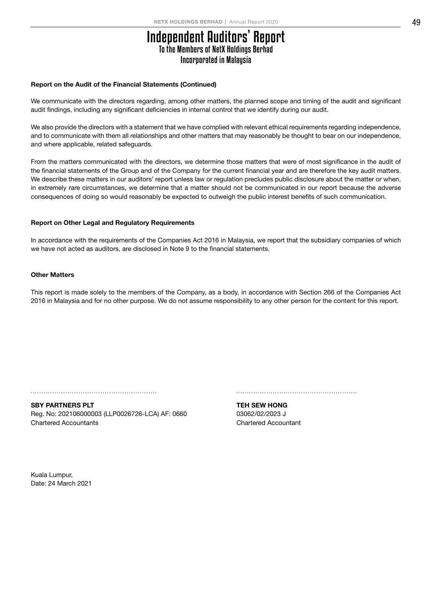### Independent Auditors' Report To the Members of NetX Holdings Berhad Incorporated in Malaysia

#### Report on the Audit of the Financial Statements (Continued)

We communicate with the directors regarding, among other matters, the planned scope and timing of the audit and significant audit findings, including any significant deficiencies in internal control that we identify during our audit.

We also provide the directors with a statement that we have complied with relevant ethical requirements regarding independence, and to communicate with them all relationships and other matters that may reasonably be thought to bear on our independence, and where applicable, related safeguards.

From the matters communicated with the directors, we determine those matters that were of most significance in the audit of the financial statements of the Group and of the Company for the current financial year and are therefore the key audit matters. We describe these matters in our auditors' report unless law or regulation precludes public disclosure about the matter or when, in extremely rare circumstances, we determine that a matter should not be communicated in our report because the adverse consequences of doing so would reasonably be expected to outweigh the public interest benefits of such communication.

#### Report on Other Legal and Regulatory Requirements

In accordance with the requirements of the Companies Act 2016 in Malaysia, we report that the subsidiary companies of which we have not acted as auditors, are disclosed in Note 9 to the financial statements.

#### Other Matters

This report is made solely to the members of the Company, as a body, in accordance with Section 266 of the Companies Act 2016 in Malaysia and for no other purpose. We do not assume responsibility to any other person for the content for this report.

SBY PARTNERS PLT **TEH SEW HONG** Reg. No: 202106000003 (LLP0026726-LCA) AF: 0660 03062/02/2023 J Chartered Accountants Chartered Accountant

Kuala Lumpur, Date: 24 March 2021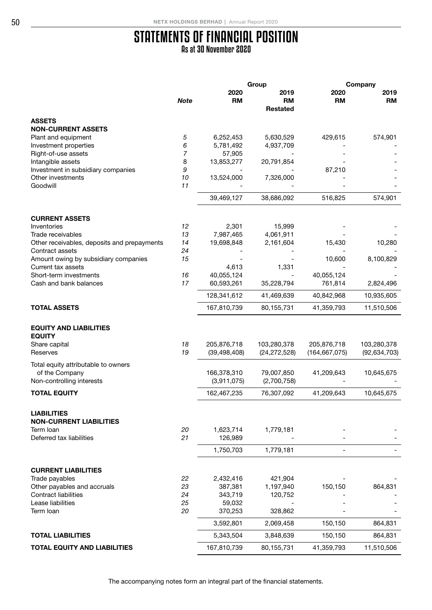### Statements of Financial Position As at 30 November 2020

|                                                                             |             | Group                         |                               | Company                        |                               |  |
|-----------------------------------------------------------------------------|-------------|-------------------------------|-------------------------------|--------------------------------|-------------------------------|--|
|                                                                             |             | 2020                          | 2019                          | 2020                           | 2019                          |  |
|                                                                             | <b>Note</b> | <b>RM</b>                     | RM<br><b>Restated</b>         | <b>RM</b>                      | <b>RM</b>                     |  |
| <b>ASSETS</b>                                                               |             |                               |                               |                                |                               |  |
| <b>NON-CURRENT ASSETS</b>                                                   |             |                               |                               |                                |                               |  |
| Plant and equipment                                                         | 5           | 6,252,453                     | 5,630,529                     | 429,615                        | 574,901                       |  |
| Investment properties                                                       | 6           | 5,781,492                     | 4,937,709                     |                                |                               |  |
| Right-of-use assets                                                         | 7           | 57,905                        |                               |                                |                               |  |
| Intangible assets                                                           | 8           | 13,853,277                    | 20,791,854                    |                                |                               |  |
| Investment in subsidiary companies                                          | 9           |                               |                               | 87,210                         |                               |  |
| Other investments                                                           | 10          | 13,524,000                    | 7,326,000                     |                                |                               |  |
| Goodwill                                                                    | 11          |                               |                               |                                |                               |  |
|                                                                             |             | 39,469,127                    | 38,686,092                    | 516,825                        | 574,901                       |  |
|                                                                             |             |                               |                               |                                |                               |  |
| <b>CURRENT ASSETS</b>                                                       |             |                               |                               |                                |                               |  |
| Inventories                                                                 | 12          | 2,301                         | 15,999                        |                                |                               |  |
| Trade receivables                                                           | 13          | 7,987,465                     | 4,061,911                     |                                |                               |  |
| Other receivables, deposits and prepayments                                 | 14<br>24    | 19,698,848                    | 2,161,604                     | 15,430                         | 10,280                        |  |
| Contract assets<br>Amount owing by subsidiary companies                     | 15          |                               |                               | 10,600                         | 8,100,829                     |  |
| Current tax assets                                                          |             | 4,613                         | 1,331                         |                                |                               |  |
| Short-term investments                                                      | 16          | 40,055,124                    |                               | 40,055,124                     |                               |  |
| Cash and bank balances                                                      | 17          | 60,593,261                    | 35,228,794                    | 761,814                        | 2,824,496                     |  |
|                                                                             |             | 128,341,612                   | 41,469,639                    | 40,842,968                     | 10,935,605                    |  |
| <b>TOTAL ASSETS</b>                                                         |             | 167,810,739                   | 80,155,731                    | 41,359,793                     | 11,510,506                    |  |
| <b>EQUITY AND LIABILITIES</b><br><b>EQUITY</b><br>Share capital<br>Reserves | 18<br>19    | 205,876,718<br>(39, 498, 408) | 103,280,378<br>(24, 272, 528) | 205,876,718<br>(164, 667, 075) | 103,280,378<br>(92, 634, 703) |  |
|                                                                             |             |                               |                               |                                |                               |  |
| Total equity attributable to owners                                         |             |                               |                               |                                |                               |  |
| of the Company                                                              |             | 166,378,310                   | 79,007,850                    | 41,209,643                     | 10,645,675                    |  |
| Non-controlling interests                                                   |             | (3,911,075)                   | (2,700,758)                   |                                |                               |  |
| <b>TOTAL EQUITY</b>                                                         |             | 162,467,235                   | 76,307,092                    | 41,209,643                     | 10,645,675                    |  |
| <b>LIABILITIES</b><br><b>NON-CURRENT LIABILITIES</b>                        |             |                               |                               |                                |                               |  |
| Term Ioan                                                                   | 20          | 1,623,714                     | 1,779,181                     |                                |                               |  |
| Deferred tax liabilities                                                    | 21          | 126,989                       |                               |                                |                               |  |
|                                                                             |             | 1,750,703                     | 1,779,181                     |                                |                               |  |
|                                                                             |             |                               |                               |                                |                               |  |
| <b>CURRENT LIABILITIES</b><br>Trade payables                                | 22          | 2,432,416                     | 421,904                       |                                |                               |  |
| Other payables and accruals                                                 | 23          | 387,381                       | 1,197,940                     | 150,150                        | 864,831                       |  |
| <b>Contract liabilities</b>                                                 | 24          | 343,719                       | 120,752                       |                                |                               |  |
| Lease liabilities                                                           | 25          | 59,032                        |                               |                                |                               |  |
| Term Ioan                                                                   | 20          | 370,253                       | 328,862                       |                                |                               |  |
|                                                                             |             | 3,592,801                     | 2,069,458                     | 150,150                        | 864,831                       |  |
| <b>TOTAL LIABILITIES</b>                                                    |             | 5,343,504                     | 3,848,639                     | 150,150                        | 864,831                       |  |
| <b>TOTAL EQUITY AND LIABILITIES</b>                                         |             | 167,810,739                   | 80,155,731                    | 41,359,793                     | 11,510,506                    |  |

The accompanying notes form an integral part of the financial statements.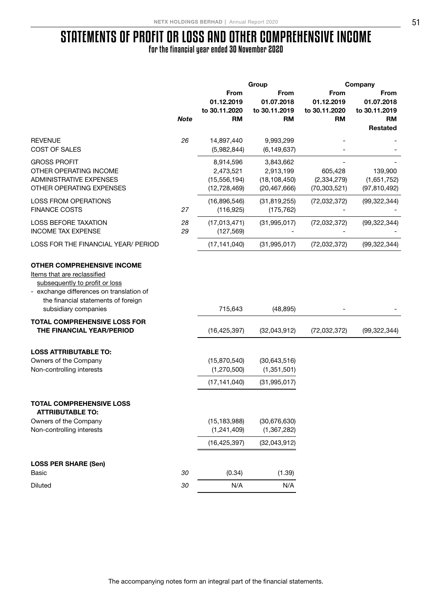### STATEMENTS OF PROFIT OR LOSS AND OTHER COMPREHENSIVE INCOME For the financial year ended 30 November 2020

|                                                                                                                                                                                                               |             | Group                                                      |                                                            | Company                                          |                                          |
|---------------------------------------------------------------------------------------------------------------------------------------------------------------------------------------------------------------|-------------|------------------------------------------------------------|------------------------------------------------------------|--------------------------------------------------|------------------------------------------|
|                                                                                                                                                                                                               |             | From<br>01.12.2019<br>to 30.11.2020<br><b>RM</b>           | From<br>01.07.2018<br>to 30.11.2019<br><b>RM</b>           | From<br>01.12.2019<br>to 30.11.2020<br><b>RM</b> | From<br>01.07.2018<br>to 30.11.2019      |
|                                                                                                                                                                                                               | <b>Note</b> |                                                            |                                                            |                                                  | RM<br><b>Restated</b>                    |
| <b>REVENUE</b><br><b>COST OF SALES</b>                                                                                                                                                                        | 26          | 14,897,440<br>(5,982,844)                                  | 9,993,299<br>(6, 149, 637)                                 |                                                  |                                          |
| <b>GROSS PROFIT</b><br>OTHER OPERATING INCOME<br><b>ADMINISTRATIVE EXPENSES</b><br>OTHER OPERATING EXPENSES                                                                                                   |             | 8,914,596<br>2,473,521<br>(15, 556, 194)<br>(12, 728, 469) | 3,843,662<br>2,913,199<br>(18, 108, 450)<br>(20, 467, 666) | 605,428<br>(2,334,279)<br>(70, 303, 521)         | 139,900<br>(1,651,752)<br>(97, 810, 492) |
| <b>LOSS FROM OPERATIONS</b><br><b>FINANCE COSTS</b>                                                                                                                                                           | 27          | (16,896,546)<br>(116, 925)                                 | (31, 819, 255)<br>(175, 762)                               | (72,032,372)                                     | (99, 322, 344)                           |
| <b>LOSS BEFORE TAXATION</b><br><b>INCOME TAX EXPENSE</b>                                                                                                                                                      | 28<br>29    | (17,013,471)<br>(127, 569)                                 | (31, 995, 017)                                             | (72,032,372)                                     | (99, 322, 344)                           |
| LOSS FOR THE FINANCIAL YEAR/ PERIOD                                                                                                                                                                           |             | (17, 141, 040)                                             | (31, 995, 017)                                             | (72,032,372)                                     | (99, 322, 344)                           |
| <b>OTHER COMPREHENSIVE INCOME</b><br>Items that are reclassified<br>subsequently to profit or loss<br>- exchange differences on translation of<br>the financial statements of foreign<br>subsidiary companies |             | 715,643                                                    | (48, 895)                                                  |                                                  |                                          |
| <b>TOTAL COMPREHENSIVE LOSS FOR</b><br>THE FINANCIAL YEAR/PERIOD                                                                                                                                              |             | (16, 425, 397)                                             | (32,043,912)                                               | (72,032,372)                                     | (99, 322, 344)                           |
| <b>LOSS ATTRIBUTABLE TO:</b><br>Owners of the Company<br>Non-controlling interests                                                                                                                            |             | (15,870,540)<br>(1,270,500)<br>(17, 141, 040)              | (30,643,516)<br>(1, 351, 501)<br>(31, 995, 017)            |                                                  |                                          |
| TOTAL COMPREHENSIVE LOSS<br><b>ATTRIBUTABLE TO:</b>                                                                                                                                                           |             |                                                            |                                                            |                                                  |                                          |
| Owners of the Company<br>Non-controlling interests                                                                                                                                                            |             | (15, 183, 988)<br>(1,241,409)<br>(16, 425, 397)            | (30,676,630)<br>(1, 367, 282)<br>(32,043,912)              |                                                  |                                          |
|                                                                                                                                                                                                               |             |                                                            |                                                            |                                                  |                                          |
| <b>LOSS PER SHARE (Sen)</b><br>Basic                                                                                                                                                                          | 30          | (0.34)                                                     | (1.39)                                                     |                                                  |                                          |
| Diluted                                                                                                                                                                                                       | 30          | N/A                                                        | N/A                                                        |                                                  |                                          |
|                                                                                                                                                                                                               |             |                                                            |                                                            |                                                  |                                          |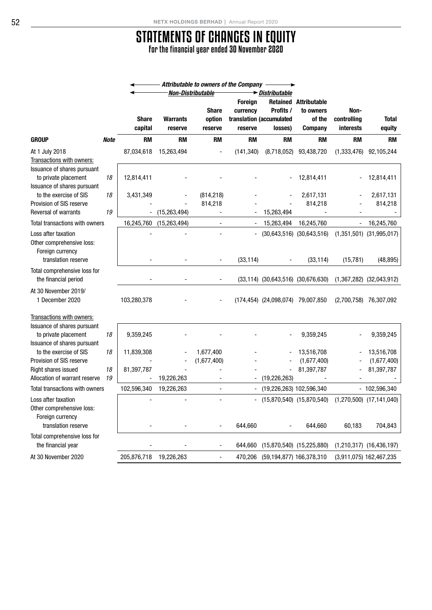## STATEMENTS OF CHANGES IN EQUITY

For the financial year ended 30 November 2020

| Non-Distributable <sup>-</sup><br>→ Distributable<br><b>Foreign</b><br><b>Retained</b><br><b>Attributable</b><br><b>Share</b><br>Profits /<br>to owners<br>Non-<br>currency<br><b>Share</b><br>option<br>translation (accumulated<br>of the<br>controlling<br><b>Warrants</b><br><b>Total</b><br>capital<br>losses)<br><b>Company</b><br><b>interests</b><br>equity<br>reserve<br>reserve<br>reserve<br><b>RM</b><br><b>GROUP</b><br><b>Note</b><br><b>RM</b><br><b>RM</b><br><b>RM</b><br><b>RM</b><br><b>RM</b><br><b>RM</b><br>At 1 July 2018<br>87,034,618<br>15,263,494<br>(141, 340)<br>(8,718,052)<br>93,438,720<br>(1, 333, 476)<br>92,105,244 | RM |
|--------------------------------------------------------------------------------------------------------------------------------------------------------------------------------------------------------------------------------------------------------------------------------------------------------------------------------------------------------------------------------------------------------------------------------------------------------------------------------------------------------------------------------------------------------------------------------------------------------------------------------------------------------|----|
|                                                                                                                                                                                                                                                                                                                                                                                                                                                                                                                                                                                                                                                        |    |
|                                                                                                                                                                                                                                                                                                                                                                                                                                                                                                                                                                                                                                                        |    |
|                                                                                                                                                                                                                                                                                                                                                                                                                                                                                                                                                                                                                                                        |    |
|                                                                                                                                                                                                                                                                                                                                                                                                                                                                                                                                                                                                                                                        |    |
|                                                                                                                                                                                                                                                                                                                                                                                                                                                                                                                                                                                                                                                        |    |
|                                                                                                                                                                                                                                                                                                                                                                                                                                                                                                                                                                                                                                                        |    |
| Transactions with owners:<br>Issuance of shares pursuant                                                                                                                                                                                                                                                                                                                                                                                                                                                                                                                                                                                               |    |
| 18<br>12,814,411<br>12,814,411<br>12,814,411<br>to private placement<br>Issuance of shares pursuant                                                                                                                                                                                                                                                                                                                                                                                                                                                                                                                                                    |    |
| to the exercise of SIS<br>18<br>3,431,349<br>(814, 218)<br>2,617,131<br>2,617,131                                                                                                                                                                                                                                                                                                                                                                                                                                                                                                                                                                      |    |
| Provision of SIS reserve<br>814,218<br>814,218<br>814,218                                                                                                                                                                                                                                                                                                                                                                                                                                                                                                                                                                                              |    |
| Reversal of warrants<br>19<br>(15, 263, 494)<br>15,263,494                                                                                                                                                                                                                                                                                                                                                                                                                                                                                                                                                                                             |    |
| Total transactions with owners<br>16,245,760<br>(15, 263, 494)<br>15,263,494<br>16,245,760<br>16,245,760<br>$\blacksquare$<br>$\blacksquare$                                                                                                                                                                                                                                                                                                                                                                                                                                                                                                           |    |
| $(1,351,501)$ $(31,995,017)$<br>Loss after taxation<br>$(30,643,516)$ $(30,643,516)$<br>Other comprehensive loss:<br>Foreign currency                                                                                                                                                                                                                                                                                                                                                                                                                                                                                                                  |    |
| translation reserve<br>(33, 114)<br>(33, 114)<br>(15, 781)<br>(48, 895)                                                                                                                                                                                                                                                                                                                                                                                                                                                                                                                                                                                |    |
| Total comprehensive loss for<br>the financial period<br>$(33, 114)$ $(30, 643, 516)$ $(30, 676, 630)$<br>$(1,367,282)$ $(32,043,912)$                                                                                                                                                                                                                                                                                                                                                                                                                                                                                                                  |    |
| At 30 November 2019/<br>1 December 2020<br>103,280,378<br>(174,454) (24,098,074) 79,007,850<br>(2,700,758)<br>76,307,092                                                                                                                                                                                                                                                                                                                                                                                                                                                                                                                               |    |
| Transactions with owners:                                                                                                                                                                                                                                                                                                                                                                                                                                                                                                                                                                                                                              |    |
| Issuance of shares pursuant                                                                                                                                                                                                                                                                                                                                                                                                                                                                                                                                                                                                                            |    |
| to private placement<br>18<br>9,359,245<br>9,359,245<br>9,359,245<br>Issuance of shares pursuant                                                                                                                                                                                                                                                                                                                                                                                                                                                                                                                                                       |    |
| to the exercise of SIS<br>11,839,308<br>13,516,708<br>13,516,708<br>18<br>1,677,400                                                                                                                                                                                                                                                                                                                                                                                                                                                                                                                                                                    |    |
| Provision of SIS reserve<br>(1,677,400)<br>(1,677,400)<br>(1,677,400)                                                                                                                                                                                                                                                                                                                                                                                                                                                                                                                                                                                  |    |
| Right shares issued<br>18<br>81,397,787<br>81,397,787<br>81,397,787                                                                                                                                                                                                                                                                                                                                                                                                                                                                                                                                                                                    |    |
| Allocation of warrant reserve<br>19<br>19,226,263<br>(19, 226, 263)                                                                                                                                                                                                                                                                                                                                                                                                                                                                                                                                                                                    |    |
| Total transactions with owners<br>(19,226,263) 102,596,340<br>102,596,340<br>19,226,263<br>$-102,596,340$<br>$\overline{\phantom{a}}$                                                                                                                                                                                                                                                                                                                                                                                                                                                                                                                  |    |
| $(15,870,540)$ $(15,870,540)$<br>$(1,270,500)$ $(17,141,040)$<br>Loss after taxation<br>Other comprehensive loss:<br>Foreign currency                                                                                                                                                                                                                                                                                                                                                                                                                                                                                                                  |    |
| translation reserve<br>644,660<br>60,183<br>704,843<br>644,660<br>$\blacksquare$                                                                                                                                                                                                                                                                                                                                                                                                                                                                                                                                                                       |    |
| Total comprehensive loss for                                                                                                                                                                                                                                                                                                                                                                                                                                                                                                                                                                                                                           |    |
| the financial year<br>644,660<br>$(15,870,540)$ $(15,225,880)$<br>$(1,210,317)$ $(16,436,197)$<br>$\overline{\phantom{a}}$                                                                                                                                                                                                                                                                                                                                                                                                                                                                                                                             |    |
| 205,876,718<br>At 30 November 2020<br>19,226,263<br>470,206<br>(59,194,877) 166,378,310<br>(3,911,075) 162,467,235<br>$\qquad \qquad \blacksquare$                                                                                                                                                                                                                                                                                                                                                                                                                                                                                                     |    |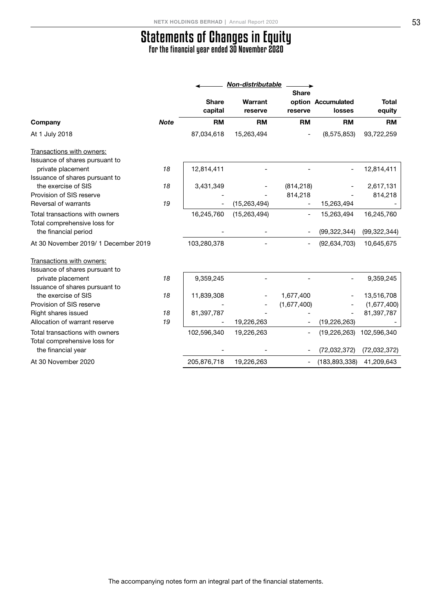### Statements of Changes in Equity For the financial year ended 30 November 2020

|                                      |             |              | Non-distributable |                          |                    |                |
|--------------------------------------|-------------|--------------|-------------------|--------------------------|--------------------|----------------|
|                                      |             | <b>Share</b> | Warrant           | <b>Share</b>             | option Accumulated | <b>Total</b>   |
|                                      |             | capital      | reserve           | reserve                  | <b>losses</b>      | equity         |
| Company                              | <b>Note</b> | <b>RM</b>    | <b>RM</b>         | <b>RM</b>                | <b>RM</b>          | <b>RM</b>      |
| At 1 July 2018                       |             | 87,034,618   | 15,263,494        |                          | (8,575,853)        | 93,722,259     |
| Transactions with owners:            |             |              |                   |                          |                    |                |
| Issuance of shares pursuant to       |             |              |                   |                          |                    |                |
| private placement                    | 18          | 12,814,411   |                   |                          |                    | 12,814,411     |
| Issuance of shares pursuant to       |             |              |                   |                          |                    |                |
| the exercise of SIS                  | 18          | 3,431,349    |                   | (814, 218)               |                    | 2,617,131      |
| Provision of SIS reserve             |             |              |                   | 814,218                  |                    | 814,218        |
| Reversal of warrants                 | 19          |              | (15, 263, 494)    |                          | 15,263,494         |                |
| Total transactions with owners       |             | 16,245,760   | (15, 263, 494)    |                          | 15,263,494         | 16,245,760     |
| Total comprehensive loss for         |             |              |                   |                          |                    |                |
| the financial period                 |             |              |                   |                          | (99, 322, 344)     | (99, 322, 344) |
| At 30 November 2019/ 1 December 2019 |             | 103,280,378  |                   |                          | (92, 634, 703)     | 10,645,675     |
| Transactions with owners:            |             |              |                   |                          |                    |                |
| Issuance of shares pursuant to       |             |              |                   |                          |                    |                |
| private placement                    | 18          | 9,359,245    |                   |                          |                    | 9,359,245      |
| Issuance of shares pursuant to       |             |              |                   |                          |                    |                |
| the exercise of SIS                  | 18          | 11,839,308   |                   | 1,677,400                |                    | 13,516,708     |
| Provision of SIS reserve             |             |              |                   | (1,677,400)              |                    | (1,677,400)    |
| Right shares issued                  | 18          | 81,397,787   |                   |                          |                    | 81,397,787     |
| Allocation of warrant reserve        | 19          |              | 19,226,263        | $\overline{\phantom{a}}$ | (19, 226, 263)     |                |
| Total transactions with owners       |             | 102,596,340  | 19,226,263        | $\overline{\phantom{a}}$ | (19, 226, 263)     | 102,596,340    |
| Total comprehensive loss for         |             |              |                   |                          |                    |                |
| the financial year                   |             |              |                   |                          | (72,032,372)       | (72,032,372)   |
| At 30 November 2020                  |             | 205,876,718  | 19,226,263        | $\overline{\phantom{a}}$ | (183, 893, 338)    | 41,209,643     |
|                                      |             |              |                   |                          |                    |                |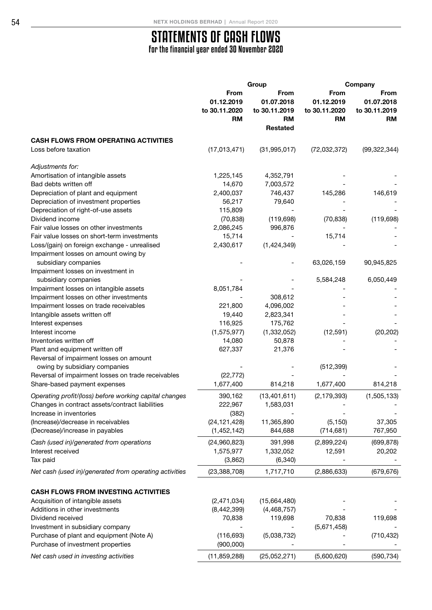### STATEMENTS OF CASH FLOWS For the financial year ended 30 November 2020

|                                                                                      | Group                                      |                                     | Company                             |                                     |
|--------------------------------------------------------------------------------------|--------------------------------------------|-------------------------------------|-------------------------------------|-------------------------------------|
|                                                                                      | <b>From</b><br>01.12.2019<br>to 30.11.2020 | From<br>01.07.2018<br>to 30.11.2019 | From<br>01.12.2019<br>to 30.11.2020 | From<br>01.07.2018<br>to 30.11.2019 |
|                                                                                      | <b>RM</b>                                  | <b>RM</b>                           | <b>RM</b>                           | <b>RM</b>                           |
|                                                                                      |                                            | <b>Restated</b>                     |                                     |                                     |
| <b>CASH FLOWS FROM OPERATING ACTIVITIES</b>                                          |                                            |                                     |                                     |                                     |
| Loss before taxation                                                                 | (17,013,471)                               | (31, 995, 017)                      | (72,032,372)                        | (99, 322, 344)                      |
| Adjustments for:                                                                     |                                            |                                     |                                     |                                     |
| Amortisation of intangible assets                                                    | 1,225,145                                  | 4,352,791                           |                                     |                                     |
| Bad debts written off                                                                | 14,670                                     | 7,003,572                           |                                     |                                     |
| Depreciation of plant and equipment                                                  | 2,400,037                                  | 746,437                             | 145,286                             | 146,619                             |
| Depreciation of investment properties                                                | 56,217                                     | 79,640                              |                                     |                                     |
| Depreciation of right-of-use assets                                                  | 115,809                                    |                                     |                                     |                                     |
| Dividend income                                                                      | (70, 838)                                  | (119, 698)                          | (70, 838)                           | (119, 698)                          |
| Fair value losses on other investments                                               | 2,086,245                                  | 996,876                             |                                     |                                     |
| Fair value losses on short-term investments                                          | 15,714                                     |                                     | 15,714                              |                                     |
| Loss/(gain) on foreign exchange - unrealised<br>Impairment losses on amount owing by | 2,430,617                                  | (1,424,349)                         |                                     |                                     |
| subsidiary companies                                                                 |                                            |                                     | 63,026,159                          | 90,945,825                          |
| Impairment losses on investment in                                                   |                                            |                                     |                                     |                                     |
| subsidiary companies                                                                 |                                            |                                     | 5,584,248                           | 6,050,449                           |
| Impairment losses on intangible assets                                               | 8,051,784                                  |                                     |                                     |                                     |
| Impairment losses on other investments                                               |                                            | 308,612                             |                                     |                                     |
| Impairment losses on trade receivables                                               | 221,800                                    | 4,096,002                           |                                     |                                     |
| Intangible assets written off<br>Interest expenses                                   | 19,440<br>116,925                          | 2,823,341<br>175,762                |                                     |                                     |
| Interest income                                                                      | (1, 575, 977)                              | (1,332,052)                         | (12, 591)                           | (20, 202)                           |
| Inventories written off                                                              | 14,080                                     | 50,878                              |                                     |                                     |
| Plant and equipment written off                                                      | 627,337                                    | 21,376                              |                                     |                                     |
| Reversal of impairment losses on amount                                              |                                            |                                     |                                     |                                     |
| owing by subsidiary companies                                                        |                                            |                                     | (512, 399)                          |                                     |
| Reversal of impairment losses on trade receivables                                   | (22, 772)                                  |                                     |                                     |                                     |
| Share-based payment expenses                                                         | 1,677,400                                  | 814,218                             | 1,677,400                           | 814,218                             |
| Operating profit/(loss) before working capital changes                               | 390,162                                    | (13,401,611)                        | (2, 179, 393)                       | (1,505,133)                         |
| Changes in contract assets/contract liabilities                                      | 222,967                                    | 1,583,031                           |                                     |                                     |
| Increase in inventories                                                              | (382)                                      |                                     |                                     |                                     |
| (Increase)/decrease in receivables                                                   | (24, 121, 428)                             | 11,365,890                          | (5, 150)                            | 37,305                              |
| (Decrease)/increase in payables                                                      | (1,452,142)                                | 844,688                             | (714, 681)                          | 767,950                             |
| Cash (used in)/generated from operations                                             | (24,960,823)                               | 391,998                             | (2,899,224)                         | (699, 878)                          |
| Interest received                                                                    | 1,575,977                                  | 1,332,052                           | 12,591                              | 20,202                              |
| Tax paid                                                                             | (3,862)                                    | (6, 340)                            |                                     |                                     |
| Net cash (used in)/generated from operating activities                               | (23, 388, 708)                             | 1,717,710                           | (2,886,633)                         | (679, 676)                          |
| <b>CASH FLOWS FROM INVESTING ACTIVITIES</b>                                          |                                            |                                     |                                     |                                     |
| Acquisition of intangible assets                                                     | (2,471,034)                                | (15,664,480)                        |                                     |                                     |
| Additions in other investments                                                       | (8,442,399)                                | (4, 468, 757)                       |                                     |                                     |
| Dividend received                                                                    | 70,838                                     | 119,698                             | 70,838                              | 119,698                             |
| Investment in subsidiary company                                                     |                                            |                                     | (5,671,458)                         |                                     |
| Purchase of plant and equipment (Note A)                                             | (116, 693)                                 | (5,038,732)                         |                                     | (710, 432)                          |
| Purchase of investment properties                                                    | (900,000)                                  |                                     |                                     |                                     |
| Net cash used in investing activities                                                | (11, 859, 288)                             | (25,052,271)                        | (5,600,620)                         | (590, 734)                          |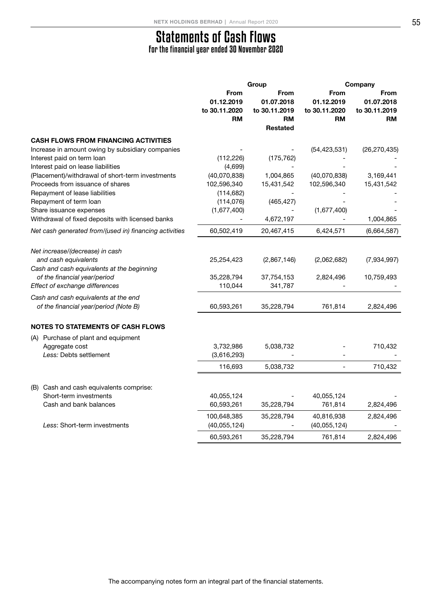### Statements of Cash Flows For the financial year ended 30 November 2020

|                                                        |                                                         | Group                                                                      |                                                         | Company                                                 |  |
|--------------------------------------------------------|---------------------------------------------------------|----------------------------------------------------------------------------|---------------------------------------------------------|---------------------------------------------------------|--|
|                                                        | <b>From</b><br>01.12.2019<br>to 30.11.2020<br><b>RM</b> | <b>From</b><br>01.07.2018<br>to 30.11.2019<br><b>RM</b><br><b>Restated</b> | <b>From</b><br>01.12.2019<br>to 30.11.2020<br><b>RM</b> | <b>From</b><br>01.07.2018<br>to 30.11.2019<br><b>RM</b> |  |
| <b>CASH FLOWS FROM FINANCING ACTIVITIES</b>            |                                                         |                                                                            |                                                         |                                                         |  |
| Increase in amount owing by subsidiary companies       |                                                         |                                                                            | (54, 423, 531)                                          | (26, 270, 435)                                          |  |
| Interest paid on term loan                             | (112, 226)                                              | (175, 762)                                                                 |                                                         |                                                         |  |
| Interest paid on lease liabilities                     | (4,699)                                                 |                                                                            |                                                         |                                                         |  |
| (Placement)/withdrawal of short-term investments       | (40,070,838)                                            | 1,004,865                                                                  | (40,070,838)                                            | 3,169,441                                               |  |
| Proceeds from issuance of shares                       | 102,596,340                                             | 15,431,542                                                                 | 102,596,340                                             | 15,431,542                                              |  |
| Repayment of lease liabilities                         | (114, 682)                                              |                                                                            |                                                         |                                                         |  |
| Repayment of term loan                                 | (114, 076)                                              | (465, 427)                                                                 |                                                         |                                                         |  |
| Share issuance expenses                                | (1,677,400)                                             |                                                                            | (1,677,400)                                             |                                                         |  |
| Withdrawal of fixed deposits with licensed banks       |                                                         | 4,672,197                                                                  |                                                         | 1,004,865                                               |  |
| Net cash generated from/(used in) financing activities | 60,502,419                                              | 20,467,415                                                                 | 6,424,571                                               | (6,664,587)                                             |  |
| Net increase/(decrease) in cash                        |                                                         |                                                                            |                                                         |                                                         |  |
| and cash equivalents                                   | 25,254,423                                              | (2,867,146)                                                                | (2,062,682)                                             | (7,934,997)                                             |  |
| Cash and cash equivalents at the beginning             |                                                         |                                                                            |                                                         |                                                         |  |
| of the financial year/period                           | 35,228,794                                              | 37,754,153                                                                 | 2,824,496                                               | 10,759,493                                              |  |
| Effect of exchange differences                         | 110,044                                                 | 341,787                                                                    |                                                         |                                                         |  |
| Cash and cash equivalents at the end                   |                                                         |                                                                            |                                                         |                                                         |  |
| of the financial year/period (Note B)                  | 60,593,261                                              | 35,228,794                                                                 | 761,814                                                 | 2,824,496                                               |  |
| <b>NOTES TO STATEMENTS OF CASH FLOWS</b>               |                                                         |                                                                            |                                                         |                                                         |  |
| (A) Purchase of plant and equipment                    |                                                         |                                                                            |                                                         |                                                         |  |
| Aggregate cost                                         | 3,732,986                                               | 5,038,732                                                                  |                                                         | 710,432                                                 |  |
| Less: Debts settlement                                 | (3,616,293)                                             |                                                                            |                                                         |                                                         |  |
|                                                        | 116,693                                                 | 5,038,732                                                                  | $\overline{\phantom{0}}$                                | 710,432                                                 |  |
| (B) Cash and cash equivalents comprise:                |                                                         |                                                                            |                                                         |                                                         |  |
| Short-term investments                                 | 40,055,124                                              |                                                                            | 40,055,124                                              |                                                         |  |
| Cash and bank balances                                 | 60,593,261                                              | 35,228,794                                                                 | 761,814                                                 | 2,824,496                                               |  |
|                                                        | 100,648,385                                             | 35,228,794                                                                 | 40,816,938                                              | 2,824,496                                               |  |
| Less: Short-term investments                           | (40, 055, 124)                                          |                                                                            | (40, 055, 124)                                          |                                                         |  |
|                                                        | 60,593,261                                              | 35,228,794                                                                 | 761,814                                                 | 2,824,496                                               |  |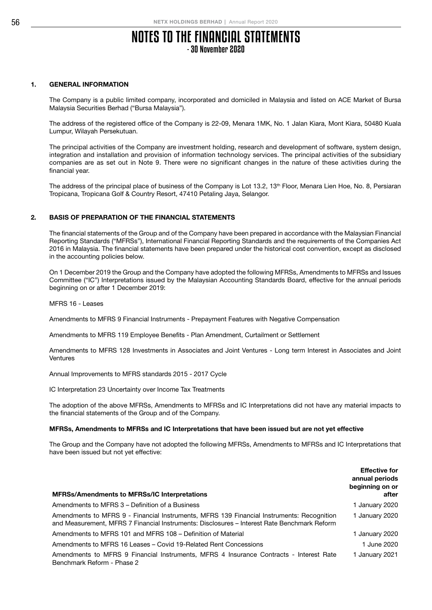#### 1. GENERAL INFORMATION

The Company is a public limited company, incorporated and domiciled in Malaysia and listed on ACE Market of Bursa Malaysia Securities Berhad ("Bursa Malaysia").

The address of the registered office of the Company is 22-09, Menara 1MK, No. 1 Jalan Kiara, Mont Kiara, 50480 Kuala Lumpur, Wilayah Persekutuan.

The principal activities of the Company are investment holding, research and development of software, system design, integration and installation and provision of information technology services. The principal activities of the subsidiary companies are as set out in Note 9. There were no significant changes in the nature of these activities during the financial year.

The address of the principal place of business of the Company is Lot 13.2, 13<sup>th</sup> Floor, Menara Lien Hoe, No. 8, Persiaran Tropicana, Tropicana Golf & Country Resort, 47410 Petaling Jaya, Selangor.

#### 2. BASIS OF PREPARATION OF THE FINANCIAL STATEMENTS

The financial statements of the Group and of the Company have been prepared in accordance with the Malaysian Financial Reporting Standards ("MFRSs"), International Financial Reporting Standards and the requirements of the Companies Act 2016 in Malaysia. The financial statements have been prepared under the historical cost convention, except as disclosed in the accounting policies below.

On 1 December 2019 the Group and the Company have adopted the following MFRSs, Amendments to MFRSs and Issues Committee ("IC") Interpretations issued by the Malaysian Accounting Standards Board, effective for the annual periods beginning on or after 1 December 2019:

MFRS 16 - Leases

Amendments to MFRS 9 Financial Instruments - Prepayment Features with Negative Compensation

Amendments to MFRS 119 Employee Benefits - Plan Amendment, Curtailment or Settlement

Amendments to MFRS 128 Investments in Associates and Joint Ventures - Long term Interest in Associates and Joint Ventures

Annual Improvements to MFRS standards 2015 - 2017 Cycle

IC Interpretation 23 Uncertainty over Income Tax Treatments

The adoption of the above MFRSs, Amendments to MFRSs and IC Interpretations did not have any material impacts to the financial statements of the Group and of the Company.

#### MFRSs, Amendments to MFRSs and IC Interpretations that have been issued but are not yet effective

The Group and the Company have not adopted the following MFRSs, Amendments to MFRSs and IC Interpretations that have been issued but not yet effective:

| <b>MFRSs/Amendments to MFRSs/IC Interpretations</b>                                                                                                                                      | <b>Effective for</b><br>annual periods<br>beginning on or<br>after |
|------------------------------------------------------------------------------------------------------------------------------------------------------------------------------------------|--------------------------------------------------------------------|
| Amendments to MFRS 3 – Definition of a Business                                                                                                                                          | 1 January 2020                                                     |
| Amendments to MFRS 9 - Financial Instruments, MFRS 139 Financial Instruments: Recognition<br>and Measurement, MFRS 7 Financial Instruments: Disclosures - Interest Rate Benchmark Reform | 1 January 2020                                                     |
| Amendments to MFRS 101 and MFRS 108 – Definition of Material                                                                                                                             | 1 January 2020                                                     |
| Amendments to MFRS 16 Leases – Covid 19-Related Rent Concessions                                                                                                                         | 1 June 2020                                                        |
| Amendments to MFRS 9 Financial Instruments, MFRS 4 Insurance Contracts - Interest Rate<br>Benchmark Reform - Phase 2                                                                     | 1 January 2021                                                     |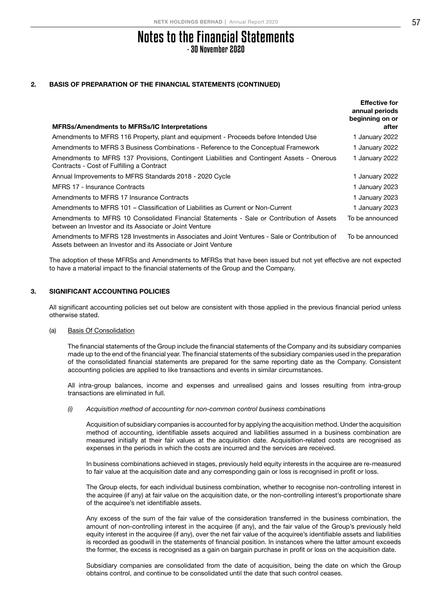#### 2. BASIS OF PREPARATION OF THE FINANCIAL STATEMENTS (CONTINUED)

| <b>MFRSs/Amendments to MFRSs/IC Interpretations</b>                                                                                                            | <b>Effective for</b><br>annual periods<br>beginning on or<br>after |
|----------------------------------------------------------------------------------------------------------------------------------------------------------------|--------------------------------------------------------------------|
| Amendments to MFRS 116 Property, plant and equipment - Proceeds before Intended Use                                                                            | 1 January 2022                                                     |
| Amendments to MFRS 3 Business Combinations - Reference to the Conceptual Framework                                                                             | 1 January 2022                                                     |
| Amendments to MFRS 137 Provisions, Contingent Liabilities and Contingent Assets - Onerous<br>Contracts - Cost of Fulfilling a Contract                         | 1 January 2022                                                     |
| Annual Improvements to MFRS Standards 2018 - 2020 Cycle                                                                                                        | 1 January 2022                                                     |
| MFRS 17 - Insurance Contracts                                                                                                                                  | 1 January 2023                                                     |
| Amendments to MFRS 17 Insurance Contracts                                                                                                                      | 1 January 2023                                                     |
| Amendments to MFRS 101 – Classification of Liabilities as Current or Non-Current                                                                               | 1 January 2023                                                     |
| Amendments to MFRS 10 Consolidated Financial Statements - Sale or Contribution of Assets<br>between an Investor and its Associate or Joint Venture             | To be announced                                                    |
| Amendments to MFRS 128 Investments in Associates and Joint Ventures - Sale or Contribution of<br>Assets between an Investor and its Associate or Joint Venture | To be announced                                                    |

The adoption of these MFRSs and Amendments to MFRSs that have been issued but not yet effective are not expected to have a material impact to the financial statements of the Group and the Company.

#### 3. SIGNIFICANT ACCOUNTING POLICIES

All significant accounting policies set out below are consistent with those applied in the previous financial period unless otherwise stated.

#### (a) Basis Of Consolidation

The financial statements of the Group include the financial statements of the Company and its subsidiary companies made up to the end of the financial year. The financial statements of the subsidiary companies used in the preparation of the consolidated financial statements are prepared for the same reporting date as the Company. Consistent accounting policies are applied to like transactions and events in similar circumstances.

All intra-group balances, income and expenses and unrealised gains and losses resulting from intra-group transactions are eliminated in full.

*(i) Acquisition method of accounting for non-common control business combinations*

Acquisition of subsidiary companies is accounted for by applying the acquisition method. Under the acquisition method of accounting, identifiable assets acquired and liabilities assumed in a business combination are measured initially at their fair values at the acquisition date. Acquisition-related costs are recognised as expenses in the periods in which the costs are incurred and the services are received.

In business combinations achieved in stages, previously held equity interests in the acquiree are re-measured to fair value at the acquisition date and any corresponding gain or loss is recognised in profit or loss.

The Group elects, for each individual business combination, whether to recognise non-controlling interest in the acquiree (if any) at fair value on the acquisition date, or the non-controlling interest's proportionate share of the acquiree's net identifiable assets.

Any excess of the sum of the fair value of the consideration transferred in the business combination, the amount of non-controlling interest in the acquiree (if any), and the fair value of the Group's previously held equity interest in the acquiree (if any), over the net fair value of the acquiree's identifiable assets and liabilities is recorded as goodwill in the statements of financial position. In instances where the latter amount exceeds the former, the excess is recognised as a gain on bargain purchase in profit or loss on the acquisition date.

Subsidiary companies are consolidated from the date of acquisition, being the date on which the Group obtains control, and continue to be consolidated until the date that such control ceases.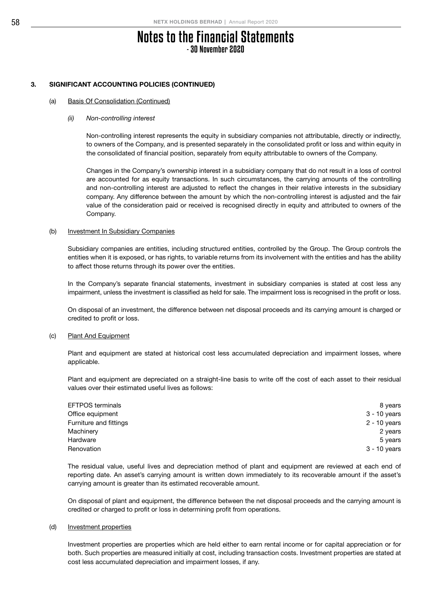#### 3. SIGNIFICANT ACCOUNTING POLICIES (CONTINUED)

#### (a) Basis Of Consolidation (Continued)

#### *(ii) Non-controlling interest*

Non-controlling interest represents the equity in subsidiary companies not attributable, directly or indirectly, to owners of the Company, and is presented separately in the consolidated profit or loss and within equity in the consolidated of financial position, separately from equity attributable to owners of the Company.

Changes in the Company's ownership interest in a subsidiary company that do not result in a loss of control are accounted for as equity transactions. In such circumstances, the carrying amounts of the controlling and non-controlling interest are adjusted to reflect the changes in their relative interests in the subsidiary company. Any difference between the amount by which the non-controlling interest is adjusted and the fair value of the consideration paid or received is recognised directly in equity and attributed to owners of the Company.

#### (b) Investment In Subsidiary Companies

Subsidiary companies are entities, including structured entities, controlled by the Group. The Group controls the entities when it is exposed, or has rights, to variable returns from its involvement with the entities and has the ability to affect those returns through its power over the entities.

In the Company's separate financial statements, investment in subsidiary companies is stated at cost less any impairment, unless the investment is classified as held for sale. The impairment loss is recognised in the profit or loss.

On disposal of an investment, the difference between net disposal proceeds and its carrying amount is charged or credited to profit or loss.

#### (c) Plant And Equipment

Plant and equipment are stated at historical cost less accumulated depreciation and impairment losses, where applicable.

Plant and equipment are depreciated on a straight-line basis to write off the cost of each asset to their residual values over their estimated useful lives as follows:

| <b>EFTPOS</b> terminals | 8 years        |
|-------------------------|----------------|
| Office equipment        | 3 - 10 years   |
| Furniture and fittings  | $2 - 10$ years |
| Machinery               | 2 years        |
| Hardware                | 5 years        |
| Renovation              | 3 - 10 years   |

The residual value, useful lives and depreciation method of plant and equipment are reviewed at each end of reporting date. An asset's carrying amount is written down immediately to its recoverable amount if the asset's carrying amount is greater than its estimated recoverable amount.

On disposal of plant and equipment, the difference between the net disposal proceeds and the carrying amount is credited or charged to profit or loss in determining profit from operations.

#### (d) Investment properties

Investment properties are properties which are held either to earn rental income or for capital appreciation or for both. Such properties are measured initially at cost, including transaction costs. Investment properties are stated at cost less accumulated depreciation and impairment losses, if any.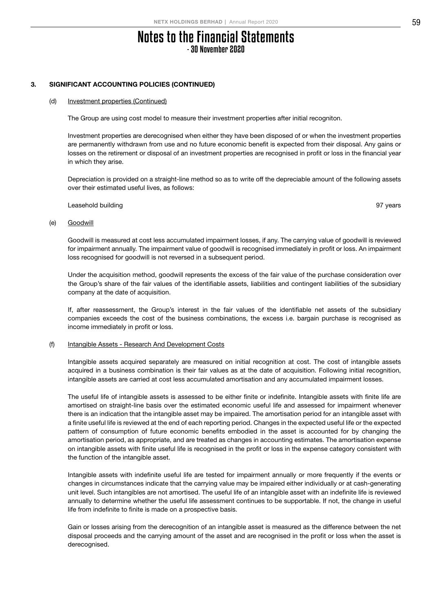#### 3. SIGNIFICANT ACCOUNTING POLICIES (CONTINUED)

#### (d) Investment properties (Continued)

The Group are using cost model to measure their investment properties after initial recogniton.

Investment properties are derecognised when either they have been disposed of or when the investment properties are permanently withdrawn from use and no future economic benefit is expected from their disposal. Any gains or losses on the retirement or disposal of an investment properties are recognised in profit or loss in the financial year in which they arise.

Depreciation is provided on a straight-line method so as to write off the depreciable amount of the following assets over their estimated useful lives, as follows:

Leasehold building 97 years

#### (e) Goodwill

Goodwill is measured at cost less accumulated impairment losses, if any. The carrying value of goodwill is reviewed for impairment annually. The impairment value of goodwill is recognised immediately in profit or loss. An impairment loss recognised for goodwill is not reversed in a subsequent period.

Under the acquisition method, goodwill represents the excess of the fair value of the purchase consideration over the Group's share of the fair values of the identifiable assets, liabilities and contingent liabilities of the subsidiary company at the date of acquisition.

If, after reassessment, the Group's interest in the fair values of the identifiable net assets of the subsidiary companies exceeds the cost of the business combinations, the excess i.e. bargain purchase is recognised as income immediately in profit or loss.

#### (f) Intangible Assets - Research And Development Costs

Intangible assets acquired separately are measured on initial recognition at cost. The cost of intangible assets acquired in a business combination is their fair values as at the date of acquisition. Following initial recognition, intangible assets are carried at cost less accumulated amortisation and any accumulated impairment losses.

The useful life of intangible assets is assessed to be either finite or indefinite. Intangible assets with finite life are amortised on straight-line basis over the estimated economic useful life and assessed for impairment whenever there is an indication that the intangible asset may be impaired. The amortisation period for an intangible asset with a finite useful life is reviewed at the end of each reporting period. Changes in the expected useful life or the expected pattern of consumption of future economic benefits embodied in the asset is accounted for by changing the amortisation period, as appropriate, and are treated as changes in accounting estimates. The amortisation expense on intangible assets with finite useful life is recognised in the profit or loss in the expense category consistent with the function of the intangible asset.

Intangible assets with indefinite useful life are tested for impairment annually or more frequently if the events or changes in circumstances indicate that the carrying value may be impaired either individually or at cash-generating unit level. Such intangibles are not amortised. The useful life of an intangible asset with an indefinite life is reviewed annually to determine whether the useful life assessment continues to be supportable. If not, the change in useful life from indefinite to finite is made on a prospective basis.

Gain or losses arising from the derecognition of an intangible asset is measured as the difference between the net disposal proceeds and the carrying amount of the asset and are recognised in the profit or loss when the asset is derecognised.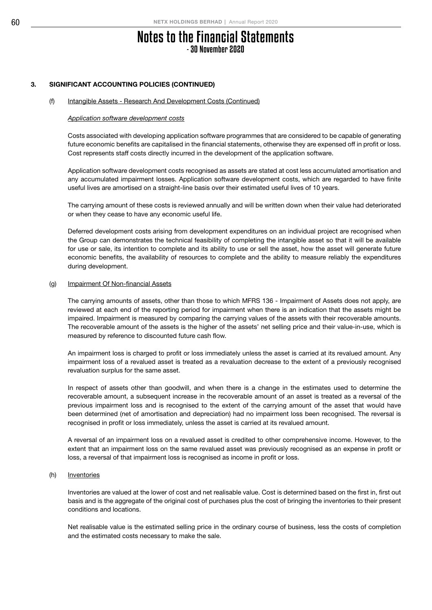#### 3. SIGNIFICANT ACCOUNTING POLICIES (CONTINUED)

#### (f) Intangible Assets - Research And Development Costs (Continued)

#### *Application software development costs*

Costs associated with developing application software programmes that are considered to be capable of generating future economic benefits are capitalised in the financial statements, otherwise they are expensed off in profit or loss. Cost represents staff costs directly incurred in the development of the application software.

Application software development costs recognised as assets are stated at cost less accumulated amortisation and any accumulated impairment losses. Application software development costs, which are regarded to have finite useful lives are amortised on a straight-line basis over their estimated useful lives of 10 years.

The carrying amount of these costs is reviewed annually and will be written down when their value had deteriorated or when they cease to have any economic useful life.

Deferred development costs arising from development expenditures on an individual project are recognised when the Group can demonstrates the technical feasibility of completing the intangible asset so that it will be available for use or sale, its intention to complete and its ability to use or sell the asset, how the asset will generate future economic benefits, the availability of resources to complete and the ability to measure reliably the expenditures during development.

#### (g) Impairment Of Non-financial Assets

The carrying amounts of assets, other than those to which MFRS 136 - Impairment of Assets does not apply, are reviewed at each end of the reporting period for impairment when there is an indication that the assets might be impaired. Impairment is measured by comparing the carrying values of the assets with their recoverable amounts. The recoverable amount of the assets is the higher of the assets' net selling price and their value-in-use, which is measured by reference to discounted future cash flow.

An impairment loss is charged to profit or loss immediately unless the asset is carried at its revalued amount. Any impairment loss of a revalued asset is treated as a revaluation decrease to the extent of a previously recognised revaluation surplus for the same asset.

In respect of assets other than goodwill, and when there is a change in the estimates used to determine the recoverable amount, a subsequent increase in the recoverable amount of an asset is treated as a reversal of the previous impairment loss and is recognised to the extent of the carrying amount of the asset that would have been determined (net of amortisation and depreciation) had no impairment loss been recognised. The reversal is recognised in profit or loss immediately, unless the asset is carried at its revalued amount.

A reversal of an impairment loss on a revalued asset is credited to other comprehensive income. However, to the extent that an impairment loss on the same revalued asset was previously recognised as an expense in profit or loss, a reversal of that impairment loss is recognised as income in profit or loss.

#### (h) Inventories

Inventories are valued at the lower of cost and net realisable value. Cost is determined based on the first in, first out basis and is the aggregate of the original cost of purchases plus the cost of bringing the inventories to their present conditions and locations.

Net realisable value is the estimated selling price in the ordinary course of business, less the costs of completion and the estimated costs necessary to make the sale.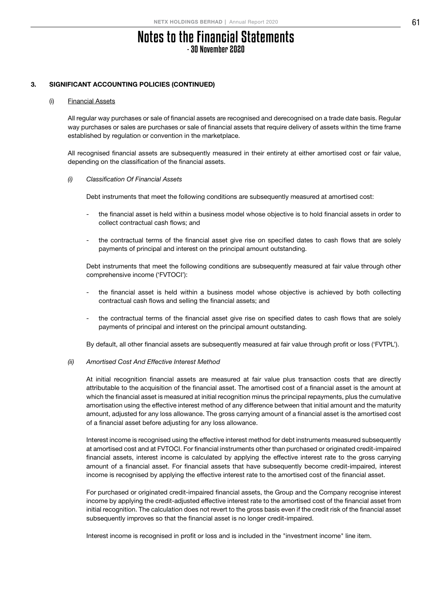#### 3. SIGNIFICANT ACCOUNTING POLICIES (CONTINUED)

#### (i) Financial Assets

All regular way purchases or sale of financial assets are recognised and derecognised on a trade date basis. Regular way purchases or sales are purchases or sale of financial assets that require delivery of assets within the time frame established by regulation or convention in the marketplace.

All recognised financial assets are subsequently measured in their entirety at either amortised cost or fair value, depending on the classification of the financial assets.

#### *(i) Classification Of Financial Assets*

Debt instruments that meet the following conditions are subsequently measured at amortised cost:

- the financial asset is held within a business model whose objective is to hold financial assets in order to collect contractual cash flows; and
- the contractual terms of the financial asset give rise on specified dates to cash flows that are solely payments of principal and interest on the principal amount outstanding.

Debt instruments that meet the following conditions are subsequently measured at fair value through other comprehensive income ('FVTOCI'):

- the financial asset is held within a business model whose objective is achieved by both collecting contractual cash flows and selling the financial assets; and
- the contractual terms of the financial asset give rise on specified dates to cash flows that are solely payments of principal and interest on the principal amount outstanding.

By default, all other financial assets are subsequently measured at fair value through profit or loss ('FVTPL').

#### *(ii) Amortised Cost And Effective Interest Method*

At initial recognition financial assets are measured at fair value plus transaction costs that are directly attributable to the acquisition of the financial asset. The amortised cost of a financial asset is the amount at which the financial asset is measured at initial recognition minus the principal repayments, plus the cumulative amortisation using the effective interest method of any difference between that initial amount and the maturity amount, adjusted for any loss allowance. The gross carrying amount of a financial asset is the amortised cost of a financial asset before adjusting for any loss allowance.

Interest income is recognised using the effective interest method for debt instruments measured subsequently at amortised cost and at FVTOCI. For financial instruments other than purchased or originated credit-impaired financial assets, interest income is calculated by applying the effective interest rate to the gross carrying amount of a financial asset. For financial assets that have subsequently become credit-impaired, interest income is recognised by applying the effective interest rate to the amortised cost of the financial asset.

For purchased or originated credit-impaired financial assets, the Group and the Company recognise interest income by applying the credit-adjusted effective interest rate to the amortised cost of the financial asset from initial recognition. The calculation does not revert to the gross basis even if the credit risk of the financial asset subsequently improves so that the financial asset is no longer credit-impaired.

Interest income is recognised in profit or loss and is included in the "investment income" line item.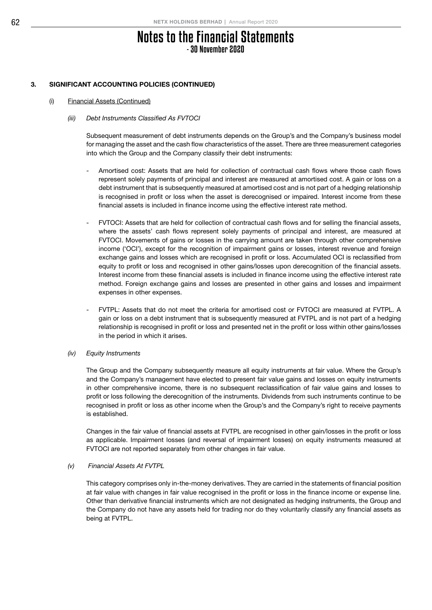#### 3. SIGNIFICANT ACCOUNTING POLICIES (CONTINUED)

#### (i) Financial Assets (Continued)

#### *(iii) Debt Instruments Classified As FVTOCI*

Subsequent measurement of debt instruments depends on the Group's and the Company's business model for managing the asset and the cash flow characteristics of the asset. There are three measurement categories into which the Group and the Company classify their debt instruments:

- Amortised cost: Assets that are held for collection of contractual cash flows where those cash flows represent solely payments of principal and interest are measured at amortised cost. A gain or loss on a debt instrument that is subsequently measured at amortised cost and is not part of a hedging relationship is recognised in profit or loss when the asset is derecognised or impaired. Interest income from these financial assets is included in finance income using the effective interest rate method.
- FVTOCI: Assets that are held for collection of contractual cash flows and for selling the financial assets, where the assets' cash flows represent solely payments of principal and interest, are measured at FVTOCI. Movements of gains or losses in the carrying amount are taken through other comprehensive income ('OCI'), except for the recognition of impairment gains or losses, interest revenue and foreign exchange gains and losses which are recognised in profit or loss. Accumulated OCI is reclassified from equity to profit or loss and recognised in other gains/losses upon derecognition of the financial assets. Interest income from these financial assets is included in finance income using the effective interest rate method. Foreign exchange gains and losses are presented in other gains and losses and impairment expenses in other expenses.
- FVTPL: Assets that do not meet the criteria for amortised cost or FVTOCI are measured at FVTPL. A gain or loss on a debt instrument that is subsequently measured at FVTPL and is not part of a hedging relationship is recognised in profit or loss and presented net in the profit or loss within other gains/losses in the period in which it arises.

#### *(iv) Equity Instruments*

The Group and the Company subsequently measure all equity instruments at fair value. Where the Group's and the Company's management have elected to present fair value gains and losses on equity instruments in other comprehensive income, there is no subsequent reclassification of fair value gains and losses to profit or loss following the derecognition of the instruments. Dividends from such instruments continue to be recognised in profit or loss as other income when the Group's and the Company's right to receive payments is established.

Changes in the fair value of financial assets at FVTPL are recognised in other gain/losses in the profit or loss as applicable. Impairment losses (and reversal of impairment losses) on equity instruments measured at FVTOCI are not reported separately from other changes in fair value.

#### *(v) Financial Assets At FVTPL*

This category comprises only in-the-money derivatives. They are carried in the statements of financial position at fair value with changes in fair value recognised in the profit or loss in the finance income or expense line. Other than derivative financial instruments which are not designated as hedging instruments, the Group and the Company do not have any assets held for trading nor do they voluntarily classify any financial assets as being at FVTPL.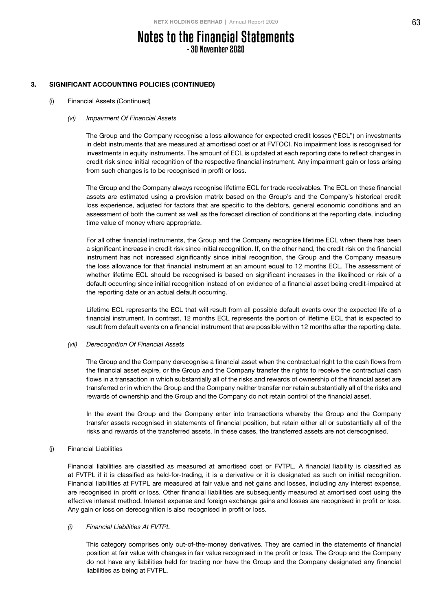#### 3. SIGNIFICANT ACCOUNTING POLICIES (CONTINUED)

#### (i) Financial Assets (Continued)

#### *(vi) Impairment Of Financial Assets*

The Group and the Company recognise a loss allowance for expected credit losses ("ECL") on investments in debt instruments that are measured at amortised cost or at FVTOCI. No impairment loss is recognised for investments in equity instruments. The amount of ECL is updated at each reporting date to reflect changes in credit risk since initial recognition of the respective financial instrument. Any impairment gain or loss arising from such changes is to be recognised in profit or loss.

The Group and the Company always recognise lifetime ECL for trade receivables. The ECL on these financial assets are estimated using a provision matrix based on the Group's and the Company's historical credit loss experience, adjusted for factors that are specific to the debtors, general economic conditions and an assessment of both the current as well as the forecast direction of conditions at the reporting date, including time value of money where appropriate.

For all other financial instruments, the Group and the Company recognise lifetime ECL when there has been a significant increase in credit risk since initial recognition. If, on the other hand, the credit risk on the financial instrument has not increased significantly since initial recognition, the Group and the Company measure the loss allowance for that financial instrument at an amount equal to 12 months ECL. The assessment of whether lifetime ECL should be recognised is based on significant increases in the likelihood or risk of a default occurring since initial recognition instead of on evidence of a financial asset being credit-impaired at the reporting date or an actual default occurring.

Lifetime ECL represents the ECL that will result from all possible default events over the expected life of a financial instrument. In contrast, 12 months ECL represents the portion of lifetime ECL that is expected to result from default events on a financial instrument that are possible within 12 months after the reporting date.

#### *(vii) Derecognition Of Financial Assets*

The Group and the Company derecognise a financial asset when the contractual right to the cash flows from the financial asset expire, or the Group and the Company transfer the rights to receive the contractual cash flows in a transaction in which substantially all of the risks and rewards of ownership of the financial asset are transferred or in which the Group and the Company neither transfer nor retain substantially all of the risks and rewards of ownership and the Group and the Company do not retain control of the financial asset.

In the event the Group and the Company enter into transactions whereby the Group and the Company transfer assets recognised in statements of financial position, but retain either all or substantially all of the risks and rewards of the transferred assets. In these cases, the transferred assets are not derecognised.

#### (j) Financial Liabilities

Financial liabilities are classified as measured at amortised cost or FVTPL. A financial liability is classified as at FVTPL if it is classified as held-for-trading, it is a derivative or it is designated as such on initial recognition. Financial liabilities at FVTPL are measured at fair value and net gains and losses, including any interest expense, are recognised in profit or loss. Other financial liabilities are subsequently measured at amortised cost using the effective interest method. Interest expense and foreign exchange gains and losses are recognised in profit or loss. Any gain or loss on derecognition is also recognised in profit or loss.

#### *(i) Financial Liabilities At FVTPL*

This category comprises only out-of-the-money derivatives. They are carried in the statements of financial position at fair value with changes in fair value recognised in the profit or loss. The Group and the Company do not have any liabilities held for trading nor have the Group and the Company designated any financial liabilities as being at FVTPL.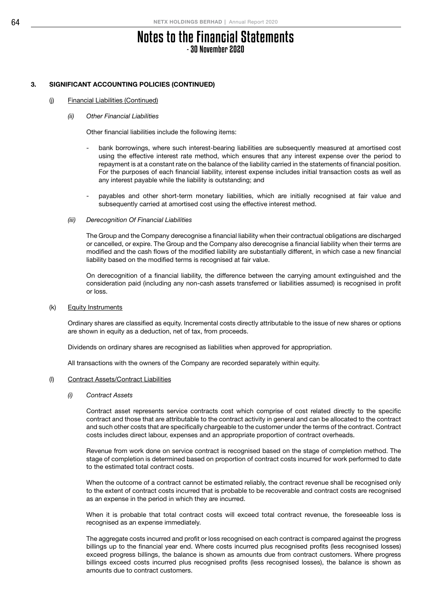#### 3. SIGNIFICANT ACCOUNTING POLICIES (CONTINUED)

#### (j) Financial Liabilities (Continued)

#### *(ii) Other Financial Liabilities*

Other financial liabilities include the following items:

- bank borrowings, where such interest-bearing liabilities are subsequently measured at amortised cost using the effective interest rate method, which ensures that any interest expense over the period to repayment is at a constant rate on the balance of the liability carried in the statements of financial position. For the purposes of each financial liability, interest expense includes initial transaction costs as well as any interest payable while the liability is outstanding; and
- payables and other short-term monetary liabilities, which are initially recognised at fair value and subsequently carried at amortised cost using the effective interest method.

#### *(iii) Derecognition Of Financial Liabilities*

The Group and the Company derecognise a financial liability when their contractual obligations are discharged or cancelled, or expire. The Group and the Company also derecognise a financial liability when their terms are modified and the cash flows of the modified liability are substantially different, in which case a new financial liability based on the modified terms is recognised at fair value.

On derecognition of a financial liability, the difference between the carrying amount extinguished and the consideration paid (including any non-cash assets transferred or liabilities assumed) is recognised in profit or loss.

#### (k) Equity Instruments

Ordinary shares are classified as equity. Incremental costs directly attributable to the issue of new shares or options are shown in equity as a deduction, net of tax, from proceeds.

Dividends on ordinary shares are recognised as liabilities when approved for appropriation.

All transactions with the owners of the Company are recorded separately within equity.

#### (l) Contract Assets/Contract Liabilities

#### *(i) Contract Assets*

Contract asset represents service contracts cost which comprise of cost related directly to the specific contract and those that are attributable to the contract activity in general and can be allocated to the contract and such other costs that are specifically chargeable to the customer under the terms of the contract. Contract costs includes direct labour, expenses and an appropriate proportion of contract overheads.

Revenue from work done on service contract is recognised based on the stage of completion method. The stage of completion is determined based on proportion of contract costs incurred for work performed to date to the estimated total contract costs.

When the outcome of a contract cannot be estimated reliably, the contract revenue shall be recognised only to the extent of contract costs incurred that is probable to be recoverable and contract costs are recognised as an expense in the period in which they are incurred.

When it is probable that total contract costs will exceed total contract revenue, the foreseeable loss is recognised as an expense immediately.

The aggregate costs incurred and profit or loss recognised on each contract is compared against the progress billings up to the financial year end. Where costs incurred plus recognised profits (less recognised losses) exceed progress billings, the balance is shown as amounts due from contract customers. Where progress billings exceed costs incurred plus recognised profits (less recognised losses), the balance is shown as amounts due to contract customers.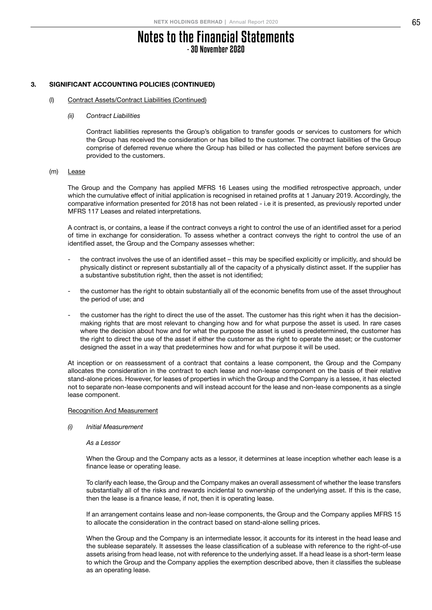#### 3. SIGNIFICANT ACCOUNTING POLICIES (CONTINUED)

#### (l) Contract Assets/Contract Liabilities (Continued)

#### *(ii) Contract Liabilities*

Contract liabilities represents the Group's obligation to transfer goods or services to customers for which the Group has received the consideration or has billed to the customer. The contract liabilities of the Group comprise of deferred revenue where the Group has billed or has collected the payment before services are provided to the customers.

#### (m) Lease

The Group and the Company has applied MFRS 16 Leases using the modified retrospective approach, under which the cumulative effect of initial application is recognised in retained profits at 1 January 2019. Accordingly, the comparative information presented for 2018 has not been related - i.e it is presented, as previously reported under MFRS 117 Leases and related interpretations.

A contract is, or contains, a lease if the contract conveys a right to control the use of an identified asset for a period of time in exchange for consideration. To assess whether a contract conveys the right to control the use of an identified asset, the Group and the Company assesses whether:

- the contract involves the use of an identified asset this may be specified explicitly or implicitly, and should be physically distinct or represent substantially all of the capacity of a physically distinct asset. If the supplier has a substantive substitution right, then the asset is not identified;
- the customer has the right to obtain substantially all of the economic benefits from use of the asset throughout the period of use; and
- the customer has the right to direct the use of the asset. The customer has this right when it has the decisionmaking rights that are most relevant to changing how and for what purpose the asset is used. In rare cases where the decision about how and for what the purpose the asset is used is predetermined, the customer has the right to direct the use of the asset if either the customer as the right to operate the asset; or the customer designed the asset in a way that predetermines how and for what purpose it will be used.

At inception or on reassessment of a contract that contains a lease component, the Group and the Company allocates the consideration in the contract to each lease and non-lease component on the basis of their relative stand-alone prices. However, for leases of properties in which the Group and the Company is a lessee, it has elected not to separate non-lease components and will instead account for the lease and non-lease components as a single lease component.

#### Recognition And Measurement

*(i) Initial Measurement*

*As a Lessor* 

When the Group and the Company acts as a lessor, it determines at lease inception whether each lease is a finance lease or operating lease.

To clarify each lease, the Group and the Company makes an overall assessment of whether the lease transfers substantially all of the risks and rewards incidental to ownership of the underlying asset. If this is the case, then the lease is a finance lease, if not, then it is operating lease.

If an arrangement contains lease and non-lease components, the Group and the Company applies MFRS 15 to allocate the consideration in the contract based on stand-alone selling prices.

When the Group and the Company is an intermediate lessor, it accounts for its interest in the head lease and the sublease separately. It assesses the lease classification of a sublease with reference to the right-of-use assets arising from head lease, not with reference to the underlying asset. If a head lease is a short-term lease to which the Group and the Company applies the exemption described above, then it classifies the sublease as an operating lease.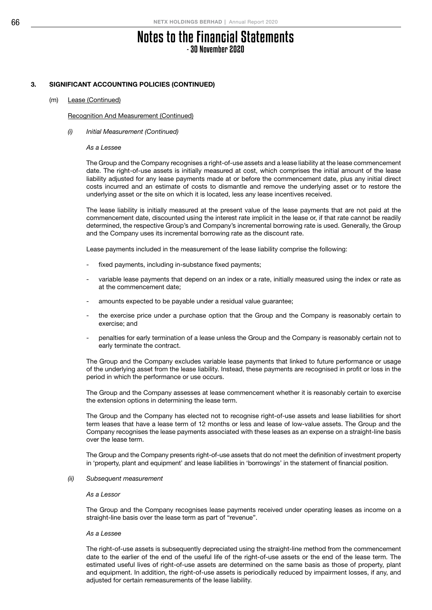#### 3. SIGNIFICANT ACCOUNTING POLICIES (CONTINUED)

#### (m) Lease (Continued)

Recognition And Measurement (Continued)

*(i) Initial Measurement (Continued)*

*As a Lessee*

The Group and the Company recognises a right-of-use assets and a lease liability at the lease commencement date. The right-of-use assets is initially measured at cost, which comprises the initial amount of the lease liability adjusted for any lease payments made at or before the commencement date, plus any initial direct costs incurred and an estimate of costs to dismantle and remove the underlying asset or to restore the underlying asset or the site on which it is located, less any lease incentives received.

The lease liability is initially measured at the present value of the lease payments that are not paid at the commencement date, discounted using the interest rate implicit in the lease or, if that rate cannot be readily determined, the respective Group's and Company's incremental borrowing rate is used. Generally, the Group and the Company uses its incremental borrowing rate as the discount rate.

Lease payments included in the measurement of the lease liability comprise the following:

- fixed payments, including in-substance fixed payments;
- variable lease payments that depend on an index or a rate, initially measured using the index or rate as at the commencement date;
- amounts expected to be payable under a residual value quarantee;
- the exercise price under a purchase option that the Group and the Company is reasonably certain to exercise; and
- penalties for early termination of a lease unless the Group and the Company is reasonably certain not to early terminate the contract.

The Group and the Company excludes variable lease payments that linked to future performance or usage of the underlying asset from the lease liability. Instead, these payments are recognised in profit or loss in the period in which the performance or use occurs.

The Group and the Company assesses at lease commencement whether it is reasonably certain to exercise the extension options in determining the lease term.

The Group and the Company has elected not to recognise right-of-use assets and lease liabilities for short term leases that have a lease term of 12 months or less and lease of low-value assets. The Group and the Company recognises the lease payments associated with these leases as an expense on a straight-line basis over the lease term.

The Group and the Company presents right-of-use assets that do not meet the definition of investment property in 'property, plant and equipment' and lease liabilities in 'borrowings' in the statement of financial position.

*(ii) Subsequent measurement*

#### *As a Lessor*

The Group and the Company recognises lease payments received under operating leases as income on a straight-line basis over the lease term as part of "revenue".

#### *As a Lessee*

The right-of-use assets is subsequently depreciated using the straight-line method from the commencement date to the earlier of the end of the useful life of the right-of-use assets or the end of the lease term. The estimated useful lives of right-of-use assets are determined on the same basis as those of property, plant and equipment. In addition, the right-of-use assets is periodically reduced by impairment losses, if any, and adjusted for certain remeasurements of the lease liability.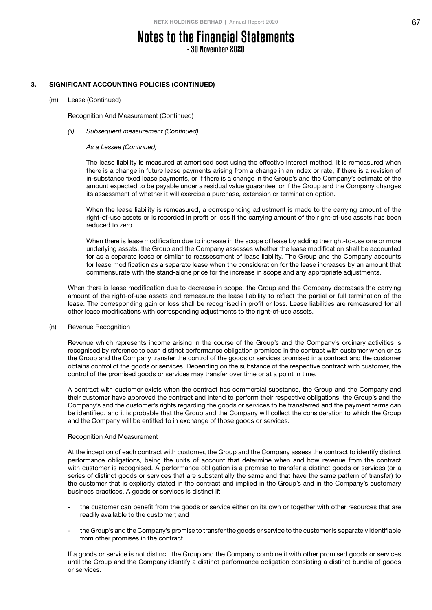#### 3. SIGNIFICANT ACCOUNTING POLICIES (CONTINUED)

#### (m) Lease (Continued)

#### Recognition And Measurement (Continued)

*(ii) Subsequent measurement (Continued)*

#### *As a Lessee (Continued)*

The lease liability is measured at amortised cost using the effective interest method. It is remeasured when there is a change in future lease payments arising from a change in an index or rate, if there is a revision of in-substance fixed lease payments, or if there is a change in the Group's and the Company's estimate of the amount expected to be payable under a residual value guarantee, or if the Group and the Company changes its assessment of whether it will exercise a purchase, extension or termination option.

When the lease liability is remeasured, a corresponding adjustment is made to the carrying amount of the right-of-use assets or is recorded in profit or loss if the carrying amount of the right-of-use assets has been reduced to zero.

When there is lease modification due to increase in the scope of lease by adding the right-to-use one or more underlying assets, the Group and the Company assesses whether the lease modification shall be accounted for as a separate lease or similar to reassessment of lease liability. The Group and the Company accounts for lease modification as a separate lease when the consideration for the lease increases by an amount that commensurate with the stand-alone price for the increase in scope and any appropriate adjustments.

When there is lease modification due to decrease in scope, the Group and the Company decreases the carrying amount of the right-of-use assets and remeasure the lease liability to reflect the partial or full termination of the lease. The corresponding gain or loss shall be recognised in profit or loss. Lease liabilities are remeasured for all other lease modifications with corresponding adjustments to the right-of-use assets.

#### (n) Revenue Recognition

Revenue which represents income arising in the course of the Group's and the Company's ordinary activities is recognised by reference to each distinct performance obligation promised in the contract with customer when or as the Group and the Company transfer the control of the goods or services promised in a contract and the customer obtains control of the goods or services. Depending on the substance of the respective contract with customer, the control of the promised goods or services may transfer over time or at a point in time.

A contract with customer exists when the contract has commercial substance, the Group and the Company and their customer have approved the contract and intend to perform their respective obligations, the Group's and the Company's and the customer's rights regarding the goods or services to be transferred and the payment terms can be identified, and it is probable that the Group and the Company will collect the consideration to which the Group and the Company will be entitled to in exchange of those goods or services.

#### Recognition And Measurement

At the inception of each contract with customer, the Group and the Company assess the contract to identify distinct performance obligations, being the units of account that determine when and how revenue from the contract with customer is recognised. A performance obligation is a promise to transfer a distinct goods or services (or a series of distinct goods or services that are substantially the same and that have the same pattern of transfer) to the customer that is explicitly stated in the contract and implied in the Group's and in the Company's customary business practices. A goods or services is distinct if:

- the customer can benefit from the goods or service either on its own or together with other resources that are readily available to the customer; and
- the Group's and the Company's promise to transfer the goods or service to the customer is separately identifiable from other promises in the contract.

If a goods or service is not distinct, the Group and the Company combine it with other promised goods or services until the Group and the Company identify a distinct performance obligation consisting a distinct bundle of goods or services.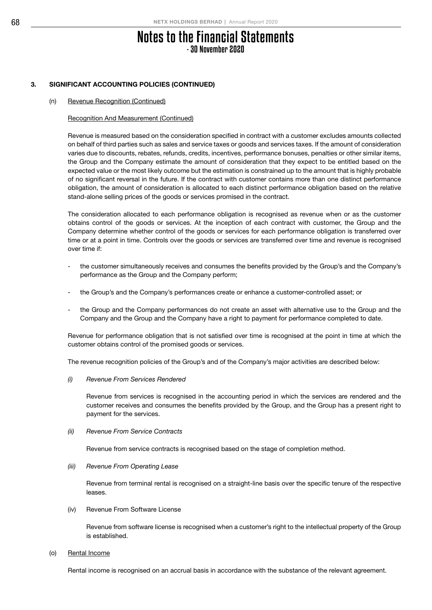#### 3. SIGNIFICANT ACCOUNTING POLICIES (CONTINUED)

#### (n) Revenue Recognition (Continued)

#### Recognition And Measurement (Continued)

Revenue is measured based on the consideration specified in contract with a customer excludes amounts collected on behalf of third parties such as sales and service taxes or goods and services taxes. If the amount of consideration varies due to discounts, rebates, refunds, credits, incentives, performance bonuses, penalties or other similar items, the Group and the Company estimate the amount of consideration that they expect to be entitled based on the expected value or the most likely outcome but the estimation is constrained up to the amount that is highly probable of no significant reversal in the future. If the contract with customer contains more than one distinct performance obligation, the amount of consideration is allocated to each distinct performance obligation based on the relative stand-alone selling prices of the goods or services promised in the contract.

The consideration allocated to each performance obligation is recognised as revenue when or as the customer obtains control of the goods or services. At the inception of each contract with customer, the Group and the Company determine whether control of the goods or services for each performance obligation is transferred over time or at a point in time. Controls over the goods or services are transferred over time and revenue is recognised over time if:

- the customer simultaneously receives and consumes the benefits provided by the Group's and the Company's performance as the Group and the Company perform;
- the Group's and the Company's performances create or enhance a customer-controlled asset; or
- the Group and the Company performances do not create an asset with alternative use to the Group and the Company and the Group and the Company have a right to payment for performance completed to date.

Revenue for performance obligation that is not satisfied over time is recognised at the point in time at which the customer obtains control of the promised goods or services.

The revenue recognition policies of the Group's and of the Company's major activities are described below:

*(i) Revenue From Services Rendered*

Revenue from services is recognised in the accounting period in which the services are rendered and the customer receives and consumes the benefits provided by the Group, and the Group has a present right to payment for the services.

*(ii) Revenue From Service Contracts*

Revenue from service contracts is recognised based on the stage of completion method.

*(iii) Revenue From Operating Lease*

Revenue from terminal rental is recognised on a straight-line basis over the specific tenure of the respective leases.

(iv) Revenue From Software License

Revenue from software license is recognised when a customer's right to the intellectual property of the Group is established.

#### (o) Rental Income

Rental income is recognised on an accrual basis in accordance with the substance of the relevant agreement.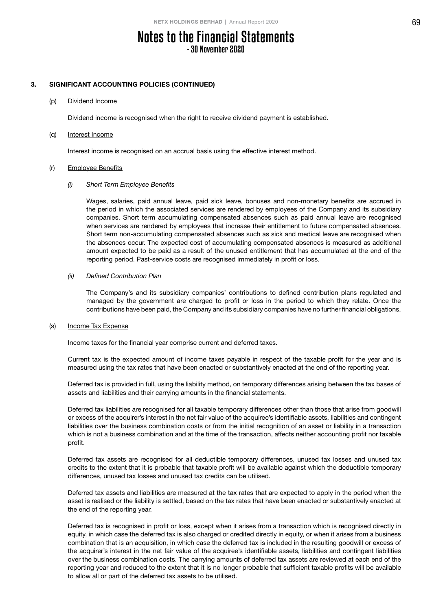#### 3. SIGNIFICANT ACCOUNTING POLICIES (CONTINUED)

#### (p) Dividend Income

Dividend income is recognised when the right to receive dividend payment is established.

#### (q) Interest Income

Interest income is recognised on an accrual basis using the effective interest method.

#### (r) Employee Benefits

#### *(i) Short Term Employee Benefits*

Wages, salaries, paid annual leave, paid sick leave, bonuses and non-monetary benefits are accrued in the period in which the associated services are rendered by employees of the Company and its subsidiary companies. Short term accumulating compensated absences such as paid annual leave are recognised when services are rendered by employees that increase their entitlement to future compensated absences. Short term non-accumulating compensated absences such as sick and medical leave are recognised when the absences occur. The expected cost of accumulating compensated absences is measured as additional amount expected to be paid as a result of the unused entitlement that has accumulated at the end of the reporting period. Past-service costs are recognised immediately in profit or loss.

#### *(ii) Defined Contribution Plan*

The Company's and its subsidiary companies' contributions to defined contribution plans regulated and managed by the government are charged to profit or loss in the period to which they relate. Once the contributions have been paid, the Company and its subsidiary companies have no further financial obligations.

#### (s) Income Tax Expense

Income taxes for the financial year comprise current and deferred taxes.

Current tax is the expected amount of income taxes payable in respect of the taxable profit for the year and is measured using the tax rates that have been enacted or substantively enacted at the end of the reporting year.

Deferred tax is provided in full, using the liability method, on temporary differences arising between the tax bases of assets and liabilities and their carrying amounts in the financial statements.

Deferred tax liabilities are recognised for all taxable temporary differences other than those that arise from goodwill or excess of the acquirer's interest in the net fair value of the acquiree's identifiable assets, liabilities and contingent liabilities over the business combination costs or from the initial recognition of an asset or liability in a transaction which is not a business combination and at the time of the transaction, affects neither accounting profit nor taxable profit.

Deferred tax assets are recognised for all deductible temporary differences, unused tax losses and unused tax credits to the extent that it is probable that taxable profit will be available against which the deductible temporary differences, unused tax losses and unused tax credits can be utilised.

Deferred tax assets and liabilities are measured at the tax rates that are expected to apply in the period when the asset is realised or the liability is settled, based on the tax rates that have been enacted or substantively enacted at the end of the reporting year.

Deferred tax is recognised in profit or loss, except when it arises from a transaction which is recognised directly in equity, in which case the deferred tax is also charged or credited directly in equity, or when it arises from a business combination that is an acquisition, in which case the deferred tax is included in the resulting goodwill or excess of the acquirer's interest in the net fair value of the acquiree's identifiable assets, liabilities and contingent liabilities over the business combination costs. The carrying amounts of deferred tax assets are reviewed at each end of the reporting year and reduced to the extent that it is no longer probable that sufficient taxable profits will be available to allow all or part of the deferred tax assets to be utilised.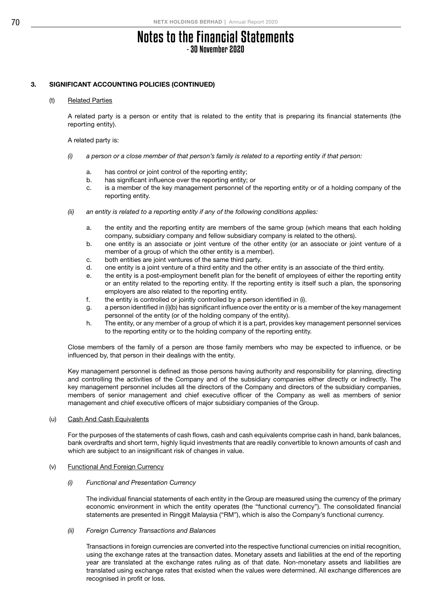#### 3. SIGNIFICANT ACCOUNTING POLICIES (CONTINUED)

#### (t) Related Parties

A related party is a person or entity that is related to the entity that is preparing its financial statements (the reporting entity).

A related party is:

- *(i) a person or a close member of that person's family is related to a reporting entity if that person:*
	- a. has control or joint control of the reporting entity;
	- b. has significant influence over the reporting entity; or
	- c. is a member of the key management personnel of the reporting entity or of a holding company of the reporting entity.
- *(ii) an entity is related to a reporting entity if any of the following conditions applies:*
	- a. the entity and the reporting entity are members of the same group (which means that each holding company, subsidiary company and fellow subsidiary company is related to the others).
	- b. one entity is an associate or joint venture of the other entity (or an associate or joint venture of a member of a group of which the other entity is a member).
	- c. both entities are joint ventures of the same third party.
	- d. one entity is a joint venture of a third entity and the other entity is an associate of the third entity.
	- e. the entity is a post-employment benefit plan for the benefit of employees of either the reporting entity or an entity related to the reporting entity. If the reporting entity is itself such a plan, the sponsoring employers are also related to the reporting entity.
	- f. the entity is controlled or jointly controlled by a person identified in (i).
	- g. a person identified in (i)(b) has significant influence over the entity or is a member of the key management personnel of the entity (or of the holding company of the entity).
	- h. The entity, or any member of a group of which it is a part, provides key management personnel services to the reporting entity or to the holding company of the reporting entity.

Close members of the family of a person are those family members who may be expected to influence, or be influenced by, that person in their dealings with the entity.

Key management personnel is defined as those persons having authority and responsibility for planning, directing and controlling the activities of the Company and of the subsidiary companies either directly or indirectly. The key management personnel includes all the directors of the Company and directors of the subsidiary companies, members of senior management and chief executive officer of the Company as well as members of senior management and chief executive officers of major subsidiary companies of the Group.

(u) Cash And Cash Equivalents

For the purposes of the statements of cash flows, cash and cash equivalents comprise cash in hand, bank balances, bank overdrafts and short term, highly liquid investments that are readily convertible to known amounts of cash and which are subject to an insignificant risk of changes in value.

#### (v) Functional And Foreign Currency

*(i) Functional and Presentation Currency*

The individual financial statements of each entity in the Group are measured using the currency of the primary economic environment in which the entity operates (the "functional currency"). The consolidated financial statements are presented in Ringgit Malaysia ("RM"), which is also the Company's functional currency.

*(ii) Foreign Currency Transactions and Balances*

Transactions in foreign currencies are converted into the respective functional currencies on initial recognition, using the exchange rates at the transaction dates. Monetary assets and liabilities at the end of the reporting year are translated at the exchange rates ruling as of that date. Non-monetary assets and liabilities are translated using exchange rates that existed when the values were determined. All exchange differences are recognised in profit or loss.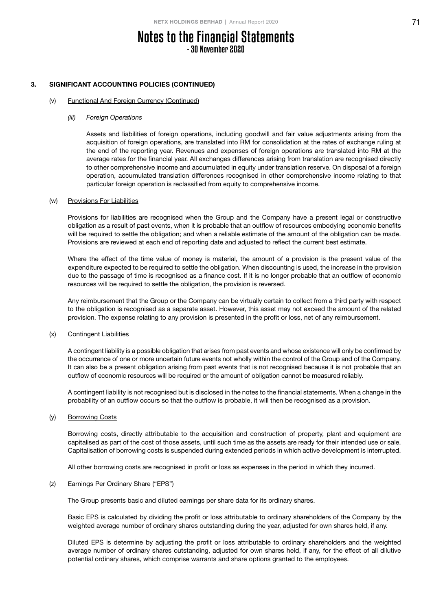### 3. SIGNIFICANT ACCOUNTING POLICIES (CONTINUED)

#### (v) Functional And Foreign Currency (Continued)

#### *(iii) Foreign Operations*

Assets and liabilities of foreign operations, including goodwill and fair value adjustments arising from the acquisition of foreign operations, are translated into RM for consolidation at the rates of exchange ruling at the end of the reporting year. Revenues and expenses of foreign operations are translated into RM at the average rates for the financial year. All exchanges differences arising from translation are recognised directly to other comprehensive income and accumulated in equity under translation reserve. On disposal of a foreign operation, accumulated translation differences recognised in other comprehensive income relating to that particular foreign operation is reclassified from equity to comprehensive income.

### (w) Provisions For Liabilities

Provisions for liabilities are recognised when the Group and the Company have a present legal or constructive obligation as a result of past events, when it is probable that an outflow of resources embodying economic benefits will be required to settle the obligation; and when a reliable estimate of the amount of the obligation can be made. Provisions are reviewed at each end of reporting date and adjusted to reflect the current best estimate.

Where the effect of the time value of money is material, the amount of a provision is the present value of the expenditure expected to be required to settle the obligation. When discounting is used, the increase in the provision due to the passage of time is recognised as a finance cost. If it is no longer probable that an outflow of economic resources will be required to settle the obligation, the provision is reversed.

Any reimbursement that the Group or the Company can be virtually certain to collect from a third party with respect to the obligation is recognised as a separate asset. However, this asset may not exceed the amount of the related provision. The expense relating to any provision is presented in the profit or loss, net of any reimbursement.

#### (x) Contingent Liabilities

A contingent liability is a possible obligation that arises from past events and whose existence will only be confirmed by the occurrence of one or more uncertain future events not wholly within the control of the Group and of the Company. It can also be a present obligation arising from past events that is not recognised because it is not probable that an outflow of economic resources will be required or the amount of obligation cannot be measured reliably.

A contingent liability is not recognised but is disclosed in the notes to the financial statements. When a change in the probability of an outflow occurs so that the outflow is probable, it will then be recognised as a provision.

#### (y) Borrowing Costs

Borrowing costs, directly attributable to the acquisition and construction of property, plant and equipment are capitalised as part of the cost of those assets, until such time as the assets are ready for their intended use or sale. Capitalisation of borrowing costs is suspended during extended periods in which active development is interrupted.

All other borrowing costs are recognised in profit or loss as expenses in the period in which they incurred.

#### (z) Earnings Per Ordinary Share ("EPS")

The Group presents basic and diluted earnings per share data for its ordinary shares.

Basic EPS is calculated by dividing the profit or loss attributable to ordinary shareholders of the Company by the weighted average number of ordinary shares outstanding during the year, adjusted for own shares held, if any.

Diluted EPS is determine by adjusting the profit or loss attributable to ordinary shareholders and the weighted average number of ordinary shares outstanding, adjusted for own shares held, if any, for the effect of all dilutive potential ordinary shares, which comprise warrants and share options granted to the employees.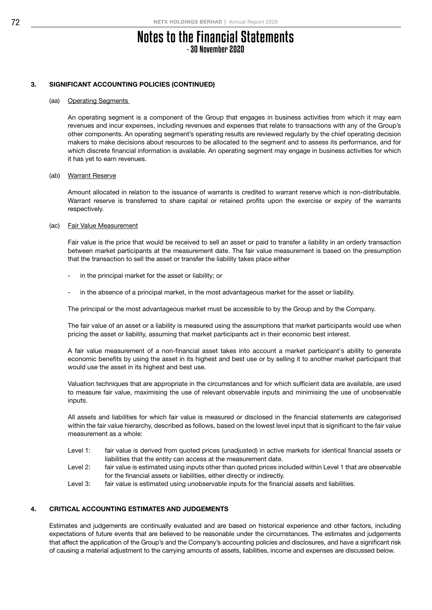## 3. SIGNIFICANT ACCOUNTING POLICIES (CONTINUED)

### (aa) Operating Segments

An operating segment is a component of the Group that engages in business activities from which it may earn revenues and incur expenses, including revenues and expenses that relate to transactions with any of the Group's other components. An operating segment's operating results are reviewed regularly by the chief operating decision makers to make decisions about resources to be allocated to the segment and to assess its performance, and for which discrete financial information is available. An operating segment may engage in business activities for which it has yet to earn revenues.

### (ab) Warrant Reserve

Amount allocated in relation to the issuance of warrants is credited to warrant reserve which is non-distributable. Warrant reserve is transferred to share capital or retained profits upon the exercise or expiry of the warrants respectively.

### (ac) Fair Value Measurement

Fair value is the price that would be received to sell an asset or paid to transfer a liability in an orderly transaction between market participants at the measurement date. The fair value measurement is based on the presumption that the transaction to sell the asset or transfer the liability takes place either

- in the principal market for the asset or liability; or
- in the absence of a principal market, in the most advantageous market for the asset or liability.

The principal or the most advantageous market must be accessible to by the Group and by the Company.

The fair value of an asset or a liability is measured using the assumptions that market participants would use when pricing the asset or liability, assuming that market participants act in their economic best interest.

A fair value measurement of a non-financial asset takes into account a market participant's ability to generate economic benefits by using the asset in its highest and best use or by selling it to another market participant that would use the asset in its highest and best use.

Valuation techniques that are appropriate in the circumstances and for which sufficient data are available, are used to measure fair value, maximising the use of relevant observable inputs and minimising the use of unobservable inputs.

All assets and liabilities for which fair value is measured or disclosed in the financial statements are categorised within the fair value hierarchy, described as follows, based on the lowest level input that is significant to the fair value measurement as a whole:

- Level 1: fair value is derived from quoted prices (unadjusted) in active markets for identical financial assets or liabilities that the entity can access at the measurement date.
- Level 2: fair value is estimated using inputs other than quoted prices included within Level 1 that are observable for the financial assets or liabilities, either directly or indirectly.
- Level 3: fair value is estimated using unobservable inputs for the financial assets and liabilities.

## 4. CRITICAL ACCOUNTING ESTIMATES AND JUDGEMENTS

Estimates and judgements are continually evaluated and are based on historical experience and other factors, including expectations of future events that are believed to be reasonable under the circumstances. The estimates and judgements that affect the application of the Group's and the Company's accounting policies and disclosures, and have a significant risk of causing a material adjustment to the carrying amounts of assets, liabilities, income and expenses are discussed below.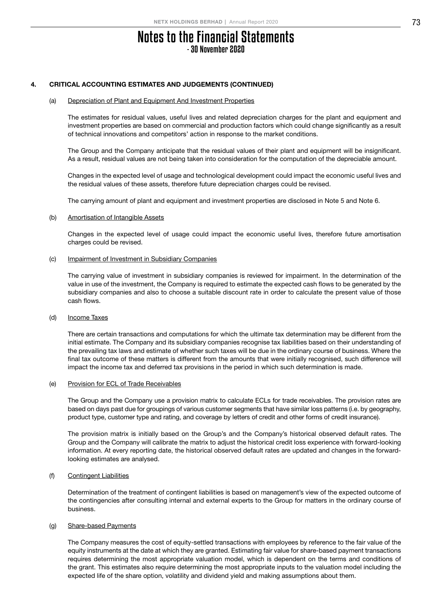## 4. CRITICAL ACCOUNTING ESTIMATES AND JUDGEMENTS (CONTINUED)

#### (a) Depreciation of Plant and Equipment And Investment Properties

The estimates for residual values, useful lives and related depreciation charges for the plant and equipment and investment properties are based on commercial and production factors which could change significantly as a result of technical innovations and competitors' action in response to the market conditions.

The Group and the Company anticipate that the residual values of their plant and equipment will be insignificant. As a result, residual values are not being taken into consideration for the computation of the depreciable amount.

Changes in the expected level of usage and technological development could impact the economic useful lives and the residual values of these assets, therefore future depreciation charges could be revised.

The carrying amount of plant and equipment and investment properties are disclosed in Note 5 and Note 6.

#### (b) Amortisation of Intangible Assets

Changes in the expected level of usage could impact the economic useful lives, therefore future amortisation charges could be revised.

### (c) Impairment of Investment in Subsidiary Companies

The carrying value of investment in subsidiary companies is reviewed for impairment. In the determination of the value in use of the investment, the Company is required to estimate the expected cash flows to be generated by the subsidiary companies and also to choose a suitable discount rate in order to calculate the present value of those cash flows.

### (d) Income Taxes

There are certain transactions and computations for which the ultimate tax determination may be different from the initial estimate. The Company and its subsidiary companies recognise tax liabilities based on their understanding of the prevailing tax laws and estimate of whether such taxes will be due in the ordinary course of business. Where the final tax outcome of these matters is different from the amounts that were initially recognised, such difference will impact the income tax and deferred tax provisions in the period in which such determination is made.

### (e) Provision for ECL of Trade Receivables

The Group and the Company use a provision matrix to calculate ECLs for trade receivables. The provision rates are based on days past due for groupings of various customer segments that have similar loss patterns (i.e. by geography, product type, customer type and rating, and coverage by letters of credit and other forms of credit insurance).

The provision matrix is initially based on the Group's and the Company's historical observed default rates. The Group and the Company will calibrate the matrix to adjust the historical credit loss experience with forward-looking information. At every reporting date, the historical observed default rates are updated and changes in the forwardlooking estimates are analysed.

### (f) Contingent Liabilities

Determination of the treatment of contingent liabilities is based on management's view of the expected outcome of the contingencies after consulting internal and external experts to the Group for matters in the ordinary course of business.

## (g) Share-based Payments

The Company measures the cost of equity-settled transactions with employees by reference to the fair value of the equity instruments at the date at which they are granted. Estimating fair value for share-based payment transactions requires determining the most appropriate valuation model, which is dependent on the terms and conditions of the grant. This estimates also require determining the most appropriate inputs to the valuation model including the expected life of the share option, volatility and dividend yield and making assumptions about them.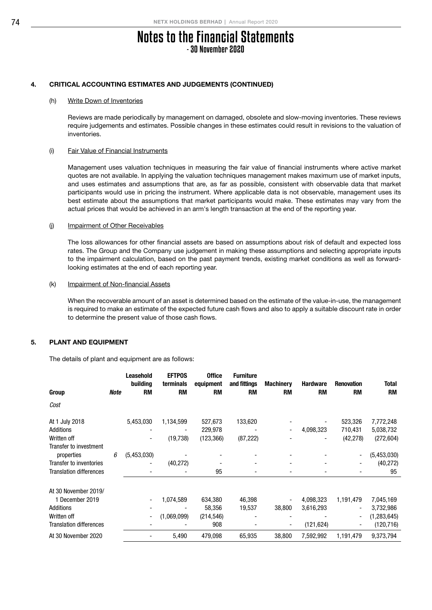## 4. CRITICAL ACCOUNTING ESTIMATES AND JUDGEMENTS (CONTINUED)

### (h) Write Down of Inventories

Reviews are made periodically by management on damaged, obsolete and slow-moving inventories. These reviews require judgements and estimates. Possible changes in these estimates could result in revisions to the valuation of inventories.

### (i) Fair Value of Financial Instruments

Management uses valuation techniques in measuring the fair value of financial instruments where active market quotes are not available. In applying the valuation techniques management makes maximum use of market inputs, and uses estimates and assumptions that are, as far as possible, consistent with observable data that market participants would use in pricing the instrument. Where applicable data is not observable, management uses its best estimate about the assumptions that market participants would make. These estimates may vary from the actual prices that would be achieved in an arm's length transaction at the end of the reporting year.

### (j) Impairment of Other Receivables

The loss allowances for other financial assets are based on assumptions about risk of default and expected loss rates. The Group and the Company use judgement in making these assumptions and selecting appropriate inputs to the impairment calculation, based on the past payment trends, existing market conditions as well as forwardlooking estimates at the end of each reporting year.

### (k) Impairment of Non-financial Assets

When the recoverable amount of an asset is determined based on the estimate of the value-in-use, the management is required to make an estimate of the expected future cash flows and also to apply a suitable discount rate in order to determine the present value of those cash flows.

## 5. PLANT AND EQUIPMENT

The details of plant and equipment are as follows:

| Group                                                     | <b>Note</b> | Leasehold<br>building<br><b>RM</b> | <b>EFTPOS</b><br>terminals<br><b>RM</b> | <b>Office</b><br>equipment<br><b>RM</b> | <b>Furniture</b><br>and fittings<br><b>RM</b> | <b>Machinery</b><br><b>RM</b> | <b>Hardware</b><br><b>RM</b> | <b>Renovation</b><br><b>RM</b> | <b>Total</b><br><b>RM</b>  |
|-----------------------------------------------------------|-------------|------------------------------------|-----------------------------------------|-----------------------------------------|-----------------------------------------------|-------------------------------|------------------------------|--------------------------------|----------------------------|
| Cost                                                      |             |                                    |                                         |                                         |                                               |                               |                              |                                |                            |
| At 1 July 2018                                            |             | 5,453,030                          | 1,134,599                               | 527,673                                 | 133,620                                       |                               |                              | 523,326                        | 7,772,248                  |
| <b>Additions</b><br>Written off                           |             |                                    | (19, 738)                               | 229,978<br>(123, 366)                   | (87, 222)                                     | $\overline{\phantom{a}}$      | 4,098,323                    | 710,431<br>(42, 278)           | 5,038,732<br>(272, 604)    |
| Transfer to investment<br>properties                      | 6           | (5,453,030)                        |                                         |                                         |                                               |                               |                              |                                | (5,453,030)                |
| Transfer to inventories<br><b>Translation differences</b> |             |                                    | (40, 272)                               | 95                                      |                                               | ٠                             |                              |                                | (40, 272)<br>95            |
| At 30 November 2019/                                      |             |                                    |                                         |                                         |                                               |                               |                              |                                |                            |
| 1 December 2019                                           |             |                                    | 1,074,589                               | 634,380                                 | 46,398                                        |                               | 4,098,323                    | 1,191,479                      | 7,045,169                  |
| Additions<br>Written off                                  |             |                                    | (1,069,099)                             | 58,356<br>(214, 546)                    | 19,537                                        | 38,800                        | 3,616,293                    | ۰<br>Ξ.                        | 3,732,986<br>(1, 283, 645) |
| <b>Translation differences</b>                            |             |                                    |                                         | 908                                     |                                               | $\overline{\phantom{a}}$      | (121, 624)                   | Ξ.                             | (120, 716)                 |
| At 30 November 2020                                       |             |                                    | 5,490                                   | 479,098                                 | 65,935                                        | 38,800                        | 7,592,992                    | 1,191,479                      | 9,373,794                  |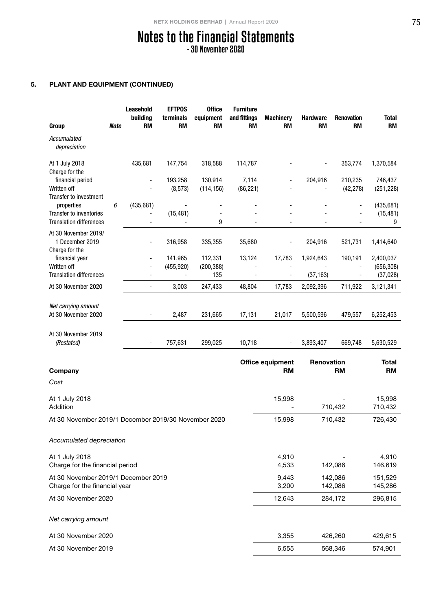## 5. PLANT AND EQUIPMENT (CONTINUED)

| Group                                                                | <b>Note</b> | Leasehold<br>building<br><b>RM</b> | <b>EFTPOS</b><br>terminals<br><b>RM</b> | <b>Office</b><br>equipment<br><b>RM</b> | <b>Furniture</b><br>and fittings<br><b>RM</b> | <b>Machinery</b><br><b>RM</b> | <b>Hardware</b><br><b>RM</b> | Renovation<br><b>RM</b>   | <b>Total</b><br><b>RM</b> |
|----------------------------------------------------------------------|-------------|------------------------------------|-----------------------------------------|-----------------------------------------|-----------------------------------------------|-------------------------------|------------------------------|---------------------------|---------------------------|
| Accumulated<br>depreciation                                          |             |                                    |                                         |                                         |                                               |                               |                              |                           |                           |
| At 1 July 2018<br>Charge for the                                     |             | 435,681                            | 147,754                                 | 318,588                                 | 114,787                                       |                               |                              | 353,774                   | 1,370,584                 |
| financial period<br>Written off                                      |             |                                    | 193,258<br>(8, 573)                     | 130,914<br>(114, 156)                   | 7,114<br>(86, 221)                            |                               | 204,916<br>$\overline{a}$    | 210,235<br>(42, 278)      | 746,437<br>(251, 228)     |
| Transfer to investment<br>properties                                 | 6           | (435, 681)                         |                                         |                                         |                                               |                               |                              | $\overline{\phantom{a}}$  | (435, 681)                |
| Transfer to inventories<br><b>Translation differences</b>            |             | $\overline{a}$                     | (15, 481)                               | 9                                       |                                               |                               |                              |                           | (15, 481)<br>9            |
| At 30 November 2019/<br>1 December 2019<br>Charge for the            |             |                                    | 316,958                                 | 335,355                                 | 35,680                                        |                               | 204,916                      | 521,731                   | 1,414,640                 |
| financial year<br>Written off                                        |             | -                                  | 141,965<br>(455, 920)                   | 112,331<br>(200, 388)                   | 13,124                                        | 17,783                        | 1,924,643                    | 190,191<br>$\blacksquare$ | 2,400,037<br>(656, 308)   |
| <b>Translation differences</b>                                       |             |                                    | $\overline{\phantom{a}}$                | 135                                     | $\blacksquare$                                | $\blacksquare$                | (37, 163)                    | $\overline{\phantom{a}}$  | (37, 028)                 |
| At 30 November 2020                                                  |             | ÷,                                 | 3,003                                   | 247,433                                 | 48,804                                        | 17,783                        | 2,092,396                    | 711,922                   | 3,121,341                 |
| Net carrying amount                                                  |             |                                    |                                         |                                         |                                               |                               |                              |                           |                           |
| At 30 November 2020                                                  |             | $\overline{\phantom{a}}$           | 2,487                                   | 231,665                                 | 17,131                                        | 21,017                        | 5,500,596                    | 479,557                   | 6,252,453                 |
| At 30 November 2019<br>(Restated)                                    |             | $\overline{\phantom{a}}$           | 757,631                                 | 299,025                                 | 10,718                                        |                               | 3,893,407                    | 669,748                   | 5,630,529                 |
|                                                                      |             |                                    |                                         |                                         |                                               | <b>Office equipment</b>       | Renovation                   |                           | <b>Total</b>              |
| Company<br>Cost                                                      |             |                                    |                                         |                                         |                                               | <b>RM</b>                     |                              | <b>RM</b>                 | <b>RM</b>                 |
| At 1 July 2018<br>Addition                                           |             |                                    |                                         |                                         |                                               | 15,998                        |                              | 710,432                   | 15,998<br>710,432         |
| At 30 November 2019/1 December 2019/30 November 2020                 |             |                                    |                                         |                                         |                                               | 15,998                        |                              | 710,432                   | 726,430                   |
| Accumulated depreciation                                             |             |                                    |                                         |                                         |                                               |                               |                              |                           |                           |
| At 1 July 2018<br>Charge for the financial period                    |             |                                    |                                         |                                         |                                               | 4,910<br>4,533                |                              | 142,086                   | 4,910<br>146,619          |
| At 30 November 2019/1 December 2019<br>Charge for the financial year |             |                                    |                                         |                                         |                                               | 9,443<br>3,200                |                              | 142,086<br>142,086        | 151,529<br>145,286        |
| At 30 November 2020                                                  |             |                                    |                                         |                                         |                                               | 12,643                        |                              | 284,172                   | 296,815                   |
| Net carrying amount                                                  |             |                                    |                                         |                                         |                                               |                               |                              |                           |                           |
| At 30 November 2020                                                  |             |                                    |                                         |                                         |                                               | 3,355                         |                              | 426,260                   | 429,615                   |
| At 30 November 2019                                                  |             |                                    |                                         |                                         |                                               | 6,555                         |                              | 568,346                   | 574,901                   |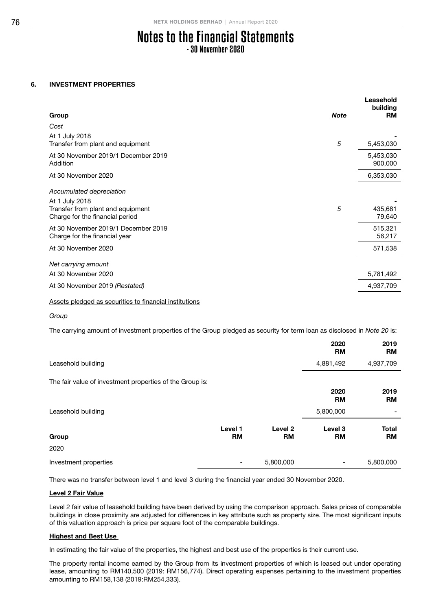## 6. INVESTMENT PROPERTIES

|                                     |             | Leasehold<br>building |
|-------------------------------------|-------------|-----------------------|
| Group                               | <b>Note</b> | RM                    |
| Cost                                |             |                       |
| At 1 July 2018                      |             |                       |
| Transfer from plant and equipment   | 5           | 5,453,030             |
| At 30 November 2019/1 December 2019 |             | 5,453,030             |
| Addition                            |             | 900,000               |
| At 30 November 2020                 |             | 6,353,030             |
|                                     |             |                       |
| Accumulated depreciation            |             |                       |
| At 1 July 2018                      |             |                       |
| Transfer from plant and equipment   | 5           | 435,681               |
| Charge for the financial period     |             | 79,640                |
| At 30 November 2019/1 December 2019 |             | 515,321               |
| Charge for the financial year       |             | 56,217                |
| At 30 November 2020                 |             | 571,538               |
|                                     |             |                       |
| Net carrying amount                 |             |                       |
| At 30 November 2020                 |             | 5,781,492             |
| At 30 November 2019 (Restated)      |             | 4,937,709             |
|                                     |             |                       |

Assets pledged as securities to financial institutions

## *Group*

The carrying amount of investment properties of the Group pledged as security for term loan as disclosed in *Note 20* is:

|                                                          |                      |                                 | 2020<br><b>RM</b>    | 2019<br><b>RM</b>         |
|----------------------------------------------------------|----------------------|---------------------------------|----------------------|---------------------------|
| Leasehold building                                       |                      |                                 | 4,881,492            | 4,937,709                 |
| The fair value of investment properties of the Group is: |                      |                                 |                      |                           |
|                                                          |                      |                                 | 2020<br><b>RM</b>    | 2019<br><b>RM</b>         |
| Leasehold building                                       |                      |                                 | 5,800,000            |                           |
| Group                                                    | Level 1<br><b>RM</b> | Level <sub>2</sub><br><b>RM</b> | Level 3<br><b>RM</b> | <b>Total</b><br><b>RM</b> |
| 2020                                                     |                      |                                 |                      |                           |
| Investment properties                                    |                      | 5,800,000                       |                      | 5,800,000                 |

There was no transfer between level 1 and level 3 during the financial year ended 30 November 2020.

### **Level 2 Fair Value**

Level 2 fair value of leasehold building have been derived by using the comparison approach. Sales prices of comparable buildings in close proximity are adjusted for differences in key attribute such as property size. The most significant inputs of this valuation approach is price per square foot of the comparable buildings.

## Highest and Best Use

In estimating the fair value of the properties, the highest and best use of the properties is their current use.

The property rental income earned by the Group from its investment properties of which is leased out under operating lease, amounting to RM140,500 (2019: RM156,774). Direct operating expenses pertaining to the investment properties amounting to RM158,138 (2019:RM254,333).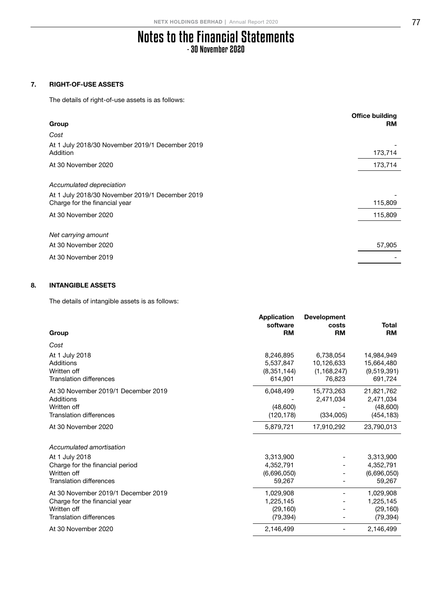## 7. RIGHT-OF-USE ASSETS

The details of right-of-use assets is as follows:

| Group                                                                                                        | <b>Office building</b><br><b>RM</b> |
|--------------------------------------------------------------------------------------------------------------|-------------------------------------|
| Cost                                                                                                         |                                     |
| At 1 July 2018/30 November 2019/1 December 2019<br>Addition                                                  | 173,714                             |
| At 30 November 2020                                                                                          | 173,714                             |
| Accumulated depreciation<br>At 1 July 2018/30 November 2019/1 December 2019<br>Charge for the financial year | 115,809                             |
| At 30 November 2020                                                                                          | 115,809                             |
| Net carrying amount<br>At 30 November 2020                                                                   | 57,905                              |
| At 30 November 2019                                                                                          |                                     |

## 8. INTANGIBLE ASSETS

The details of intangible assets is as follows:

| Group                                                                                                                          | Application<br>software<br><b>RM</b>               | <b>Development</b><br>costs<br><b>RM</b>           | <b>Total</b><br><b>RM</b>                          |
|--------------------------------------------------------------------------------------------------------------------------------|----------------------------------------------------|----------------------------------------------------|----------------------------------------------------|
| Cost                                                                                                                           |                                                    |                                                    |                                                    |
| At 1 July 2018<br>Additions<br>Written off<br><b>Translation differences</b>                                                   | 8,246,895<br>5,537,847<br>(8, 351, 144)<br>614,901 | 6,738,054<br>10,126,633<br>(1, 168, 247)<br>76,823 | 14,984,949<br>15,664,480<br>(9,519,391)<br>691,724 |
| At 30 November 2019/1 December 2019<br>Additions<br>Written off<br><b>Translation differences</b>                              | 6,048,499<br>(48,600)<br>(120, 178)                | 15,773,263<br>2,471,034<br>(334,005)               | 21,821,762<br>2,471,034<br>(48,600)<br>(454, 183)  |
| At 30 November 2020                                                                                                            | 5,879,721                                          | 17,910,292                                         | 23,790,013                                         |
| Accumulated amortisation<br>At 1 July 2018<br>Charge for the financial period<br>Written off<br><b>Translation differences</b> | 3,313,900<br>4,352,791<br>(6,696,050)<br>59,267    |                                                    | 3,313,900<br>4,352,791<br>(6,696,050)<br>59,267    |
| At 30 November 2019/1 December 2019<br>Charge for the financial year<br>Written off<br><b>Translation differences</b>          | 1,029,908<br>1,225,145<br>(29, 160)<br>(79, 394)   |                                                    | 1,029,908<br>1,225,145<br>(29, 160)<br>(79, 394)   |
| At 30 November 2020                                                                                                            | 2,146,499                                          |                                                    | 2,146,499                                          |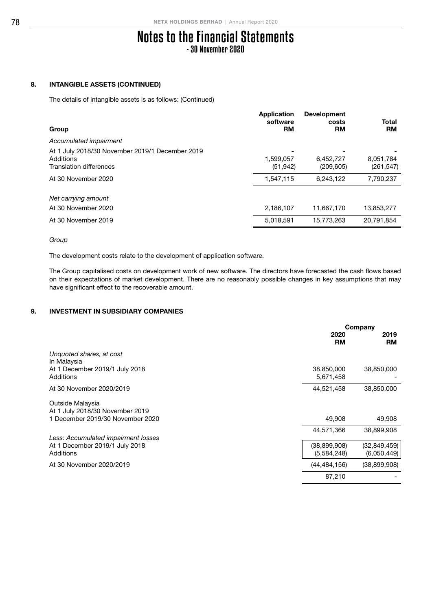## 8. INTANGIBLE ASSETS (CONTINUED)

The details of intangible assets is as follows: (Continued)

|                                                 | <b>Application</b><br>software | <b>Development</b><br>costs | <b>Total</b> |
|-------------------------------------------------|--------------------------------|-----------------------------|--------------|
| Group                                           | <b>RM</b>                      | <b>RM</b>                   | <b>RM</b>    |
| Accumulated impairment                          |                                |                             |              |
| At 1 July 2018/30 November 2019/1 December 2019 |                                |                             |              |
| Additions                                       | 1.599.057                      | 6.452.727                   | 8,051,784    |
| Translation differences                         | (51, 942)                      | (209, 605)                  | (261, 547)   |
| At 30 November 2020                             | 1,547,115                      | 6.243.122                   | 7,790,237    |
|                                                 |                                |                             |              |
| Net carrying amount                             |                                |                             |              |
| At 30 November 2020                             | 2,186,107                      | 11,667,170                  | 13,853,277   |
| At 30 November 2019                             | 5,018,591                      | 15,773,263                  | 20,791,854   |
|                                                 |                                |                             |              |

*Group*

The development costs relate to the development of application software.

The Group capitalised costs on development work of new software. The directors have forecasted the cash flows based on their expectations of market development. There are no reasonably possible changes in key assumptions that may have significant effect to the recoverable amount.

## 9. INVESTMENT IN SUBSIDIARY COMPANIES

|                                                     |                             | Company                       |
|-----------------------------------------------------|-----------------------------|-------------------------------|
|                                                     | 2020<br><b>RM</b>           | 2019<br>RM                    |
| Unquoted shares, at cost<br>In Malaysia             |                             |                               |
| At 1 December 2019/1 July 2018<br>Additions         | 38,850,000<br>5,671,458     | 38,850,000                    |
| At 30 November 2020/2019                            | 44,521,458                  | 38,850,000                    |
| Outside Malaysia<br>At 1 July 2018/30 November 2019 |                             |                               |
| 1 December 2019/30 November 2020                    | 49,908                      | 49,908                        |
| Less: Accumulated impairment losses                 | 44,571,366                  | 38,899,908                    |
| At 1 December 2019/1 July 2018<br>Additions         | (38,899,908)<br>(5,584,248) | (32, 849, 459)<br>(6,050,449) |
| At 30 November 2020/2019                            | (44, 484, 156)              | (38, 899, 908)                |
|                                                     | 87,210                      |                               |
|                                                     |                             |                               |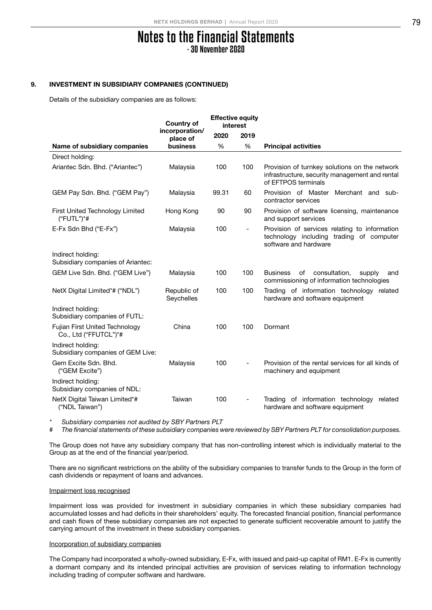### 9. INVESTMENT IN SUBSIDIARY COMPANIES (CONTINUED)

Details of the subsidiary companies are as follows:

|                                                                | <b>Country of</b>          |       | <b>Effective equity</b><br>interest |                                                                                                                        |
|----------------------------------------------------------------|----------------------------|-------|-------------------------------------|------------------------------------------------------------------------------------------------------------------------|
|                                                                | incorporation/<br>place of | 2020  | 2019                                |                                                                                                                        |
| Name of subsidiary companies                                   | business                   | %     | %                                   | <b>Principal activities</b>                                                                                            |
| Direct holding:                                                |                            |       |                                     |                                                                                                                        |
| Ariantec Sdn. Bhd. ("Ariantec")                                | Malaysia                   | 100   | 100                                 | Provision of turnkey solutions on the network<br>infrastructure, security management and rental<br>of EFTPOS terminals |
| GEM Pay Sdn. Bhd. ("GEM Pay")                                  | Malaysia                   | 99.31 | 60                                  | Provision of Master<br>Merchant and sub-<br>contractor services                                                        |
| First United Technology Limited<br>$("FUTL")^*$ #              | Hong Kong                  | 90    | 90                                  | Provision of software licensing, maintenance<br>and support services                                                   |
| E-Fx Sdn Bhd ("E-Fx")                                          | Malaysia                   | 100   | $\overline{\phantom{0}}$            | Provision of services relating to information<br>technology including trading of computer<br>software and hardware     |
| Indirect holding:<br>Subsidiary companies of Ariantec:         |                            |       |                                     |                                                                                                                        |
| GEM Live Sdn. Bhd. ("GEM Live")                                | Malaysia                   | 100   | 100                                 | <b>Business</b><br>of<br>consultation.<br>supply<br>and<br>commissioning of information technologies                   |
| NetX Digital Limited*# ("NDL")                                 | Republic of<br>Seychelles  | 100   | 100                                 | Trading of information technology related<br>hardware and software equipment                                           |
| Indirect holding:<br>Subsidiary companies of FUTL:             |                            |       |                                     |                                                                                                                        |
| <b>Fujian First United Technology</b><br>Co., Ltd ("FFUTCL")*# | China                      | 100   | 100                                 | Dormant                                                                                                                |
| Indirect holding:<br>Subsidiary companies of GEM Live:         |                            |       |                                     |                                                                                                                        |
| Gem Excite Sdn. Bhd.<br>("GEM Excite")                         | Malaysia                   | 100   |                                     | Provision of the rental services for all kinds of<br>machinery and equipment                                           |
| Indirect holding:<br>Subsidiary companies of NDL:              |                            |       |                                     |                                                                                                                        |
| NetX Digital Taiwan Limited*#<br>("NDL Taiwan")                | Taiwan                     | 100   |                                     | Trading of information technology<br>related<br>hardware and software equipment                                        |

*\* Subsidiary companies not audited by SBY Partners PLT*

*# The financial statements of these subsidiary companies were reviewed by SBY Partners PLT for consolidation purposes.*

The Group does not have any subsidiary company that has non-controlling interest which is individually material to the Group as at the end of the financial year/period.

There are no significant restrictions on the ability of the subsidiary companies to transfer funds to the Group in the form of cash dividends or repayment of loans and advances.

#### Impairment loss recognised

Impairment loss was provided for investment in subsidiary companies in which these subsidiary companies had accumulated losses and had deficits in their shareholders' equity. The forecasted financial position, financial performance and cash flows of these subsidiary companies are not expected to generate sufficient recoverable amount to justify the carrying amount of the investment in these subsidiary companies.

#### Incorporation of subsidiary companies

The Company had incorporated a wholly-owned subsidiary, E-Fx, with issued and paid-up capital of RM1. E-Fx is currently a dormant company and its intended principal activities are provision of services relating to information technology including trading of computer software and hardware.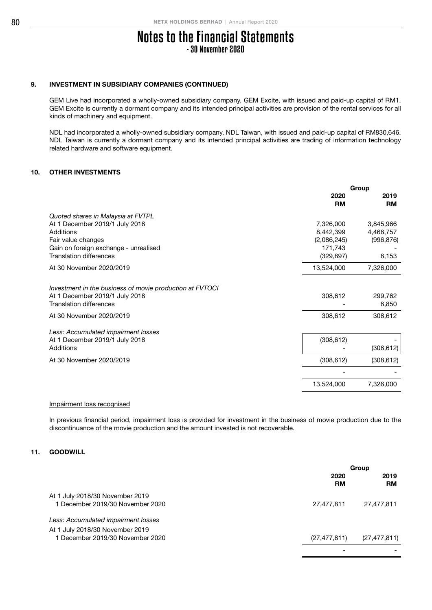## 9. INVESTMENT IN SUBSIDIARY COMPANIES (CONTINUED)

GEM Live had incorporated a wholly-owned subsidiary company, GEM Excite, with issued and paid-up capital of RM1. GEM Excite is currently a dormant company and its intended principal activities are provision of the rental services for all kinds of machinery and equipment.

NDL had incorporated a wholly-owned subsidiary company, NDL Taiwan, with issued and paid-up capital of RM830,646. NDL Taiwan is currently a dormant company and its intended principal activities are trading of information technology related hardware and software equipment.

## 10. OTHER INVESTMENTS

|                                                                                                                              |                   | Group             |
|------------------------------------------------------------------------------------------------------------------------------|-------------------|-------------------|
|                                                                                                                              | 2020<br><b>RM</b> | 2019<br><b>RM</b> |
| Quoted shares in Malaysia at FVTPL<br>At 1 December 2019/1 July 2018                                                         | 7,326,000         | 3,845,966         |
| Additions                                                                                                                    | 8,442,399         | 4,468,757         |
| Fair value changes                                                                                                           | (2,086,245)       | (996, 876)        |
| Gain on foreign exchange - unrealised                                                                                        | 171,743           |                   |
| <b>Translation differences</b>                                                                                               | (329, 897)        | 8,153             |
| At 30 November 2020/2019                                                                                                     | 13,524,000        | 7,326,000         |
| Investment in the business of movie production at FVTOCI<br>At 1 December 2019/1 July 2018<br><b>Translation differences</b> | 308,612           | 299,762<br>8,850  |
| At 30 November 2020/2019                                                                                                     | 308,612           | 308,612           |
| Less: Accumulated impairment losses                                                                                          |                   |                   |
| At 1 December 2019/1 July 2018                                                                                               | (308, 612)        |                   |
| Additions                                                                                                                    |                   | (308, 612)        |
| At 30 November 2020/2019                                                                                                     | (308, 612)        | (308, 612)        |
|                                                                                                                              |                   |                   |
|                                                                                                                              | 13,524,000        | 7,326,000         |
|                                                                                                                              |                   |                   |

### Impairment loss recognised

In previous financial period, impairment loss is provided for investment in the business of movie production due to the discontinuance of the movie production and the amount invested is not recoverable.

## 11. GOODWILL

|                                                                                                            |                   | Group             |  |  |
|------------------------------------------------------------------------------------------------------------|-------------------|-------------------|--|--|
|                                                                                                            | 2020<br><b>RM</b> | 2019<br><b>RM</b> |  |  |
| At 1 July 2018/30 November 2019<br>1 December 2019/30 November 2020                                        | 27,477,811        | 27,477,811        |  |  |
| Less: Accumulated impairment losses<br>At 1 July 2018/30 November 2019<br>1 December 2019/30 November 2020 | (27, 477, 811)    | (27, 477, 811)    |  |  |
|                                                                                                            |                   |                   |  |  |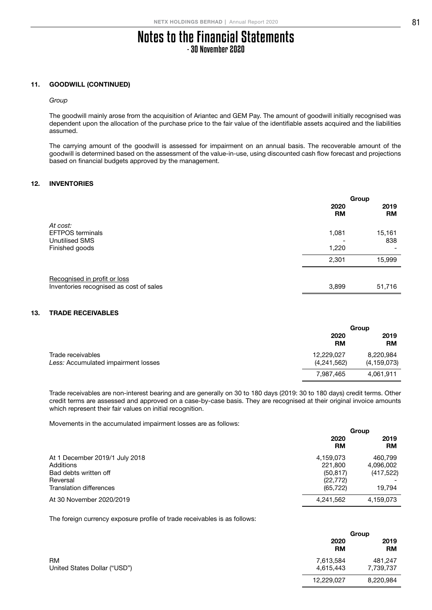## 11. GOODWILL (CONTINUED)

*Group*

The goodwill mainly arose from the acquisition of Ariantec and GEM Pay. The amount of goodwill initially recognised was dependent upon the allocation of the purchase price to the fair value of the identifiable assets acquired and the liabilities assumed.

The carrying amount of the goodwill is assessed for impairment on an annual basis. The recoverable amount of the goodwill is determined based on the assessment of the value-in-use, using discounted cash flow forecast and projections based on financial budgets approved by the management.

## 12. INVENTORIES

|                                                                         | 2020<br><b>RM</b> | Group<br>2019<br><b>RM</b> |
|-------------------------------------------------------------------------|-------------------|----------------------------|
| At cost:<br><b>EFTPOS</b> terminals                                     | 1,081             | 15,161                     |
| Unutilised SMS<br>Finished goods                                        | 1,220             | 838                        |
|                                                                         | 2,301             | 15,999                     |
| Recognised in profit or loss<br>Inventories recognised as cost of sales | 3,899             | 51,716                     |

## 13. TRADE RECEIVABLES

|                                                          |                           | Group                      |  |
|----------------------------------------------------------|---------------------------|----------------------------|--|
|                                                          | 2020<br><b>RM</b>         | 2019<br><b>RM</b>          |  |
| Trade receivables<br>Less: Accumulated impairment losses | 12,229,027<br>(4,241,562) | 8,220,984<br>(4, 159, 073) |  |
|                                                          | 7,987,465                 | 4,061,911                  |  |

Trade receivables are non-interest bearing and are generally on 30 to 180 days (2019: 30 to 180 days) credit terms. Other credit terms are assessed and approved on a case-by-case basis. They are recognised at their original invoice amounts which represent their fair values on initial recognition.

Movements in the accumulated impairment losses are as follows:

|                                                                                                             |                                                             | Group                                        |  |
|-------------------------------------------------------------------------------------------------------------|-------------------------------------------------------------|----------------------------------------------|--|
|                                                                                                             | 2020<br><b>RM</b>                                           | 2019<br><b>RM</b>                            |  |
| At 1 December 2019/1 July 2018<br>Additions<br>Bad debts written off<br>Reversal<br>Translation differences | 4,159,073<br>221,800<br>(50, 817)<br>(22, 772)<br>(65, 722) | 460.799<br>4,096,002<br>(417, 522)<br>19.794 |  |
| At 30 November 2020/2019                                                                                    | 4,241,562                                                   | 4,159,073                                    |  |

The foreign currency exposure profile of trade receivables is as follows:

|                              |            | Group             |
|------------------------------|------------|-------------------|
|                              | 2020<br>RM | 2019<br><b>RM</b> |
| <b>RM</b>                    | 7,613,584  | 481,247           |
| United States Dollar ("USD") | 4,615,443  | 7,739,737         |
|                              | 12,229,027 | 8,220,984         |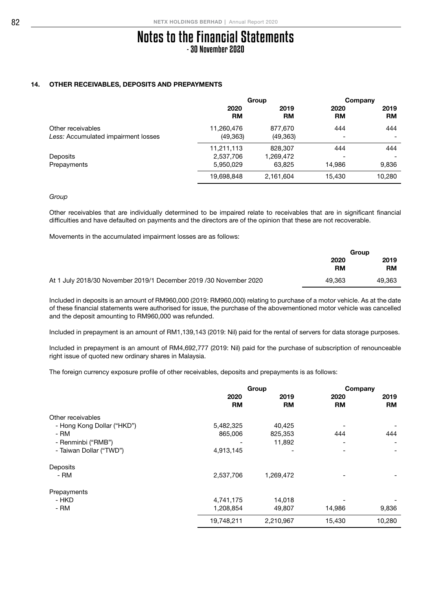## 14. OTHER RECEIVABLES, DEPOSITS AND PREPAYMENTS

|                                     | Group      |              | Company   |           |
|-------------------------------------|------------|--------------|-----------|-----------|
|                                     | 2020       | 2019<br>2020 | 2019      |           |
|                                     | <b>RM</b>  | <b>RM</b>    | <b>RM</b> | <b>RM</b> |
| Other receivables                   | 11,260,476 | 877,670      | 444       | 444       |
| Less: Accumulated impairment losses | (49, 363)  | (49, 363)    |           |           |
|                                     | 11,211,113 | 828,307      | 444       | 444       |
| Deposits                            | 2,537,706  | 1,269,472    |           |           |
| Prepayments                         | 5,950,029  | 63,825       | 14.986    | 9,836     |
|                                     | 19,698,848 | 2,161,604    | 15.430    | 10,280    |

#### *Group*

Other receivables that are individually determined to be impaired relate to receivables that are in significant financial difficulties and have defaulted on payments and the directors are of the opinion that these are not recoverable.

Movements in the accumulated impairment losses are as follows:

|                                                                   | Group             |            |
|-------------------------------------------------------------------|-------------------|------------|
|                                                                   | 2020<br><b>RM</b> | 2019<br>RM |
| At 1 July 2018/30 November 2019/1 December 2019 /30 November 2020 | 49.363            | 49.363     |

Included in deposits is an amount of RM960,000 (2019: RM960,000) relating to purchase of a motor vehicle. As at the date of these financial statements were authorised for issue, the purchase of the abovementioned motor vehicle was cancelled and the deposit amounting to RM960,000 was refunded.

Included in prepayment is an amount of RM1,139,143 (2019: Nil) paid for the rental of servers for data storage purposes.

Included in prepayment is an amount of RM4,692,777 (2019: Nil) paid for the purchase of subscription of renounceable right issue of quoted new ordinary shares in Malaysia.

The foreign currency exposure profile of other receivables, deposits and prepayments is as follows:

|                            | Group      |           | Company   |           |
|----------------------------|------------|-----------|-----------|-----------|
|                            | 2020       | 2019      | 2020      | 2019      |
|                            | <b>RM</b>  | <b>RM</b> | <b>RM</b> | <b>RM</b> |
| Other receivables          |            |           |           |           |
| - Hong Kong Dollar ("HKD") | 5,482,325  | 40,425    |           |           |
| - RM                       | 865,006    | 825,353   | 444       | 444       |
| - Renminbi ("RMB")         |            | 11,892    |           |           |
| - Taiwan Dollar ("TWD")    | 4,913,145  |           |           |           |
| Deposits                   |            |           |           |           |
| - RM                       | 2,537,706  | 1,269,472 |           |           |
| Prepayments                |            |           |           |           |
| - HKD                      | 4,741,175  | 14,018    |           |           |
| - RM                       | 1,208,854  | 49,807    | 14,986    | 9,836     |
|                            | 19,748,211 | 2,210,967 | 15,430    | 10,280    |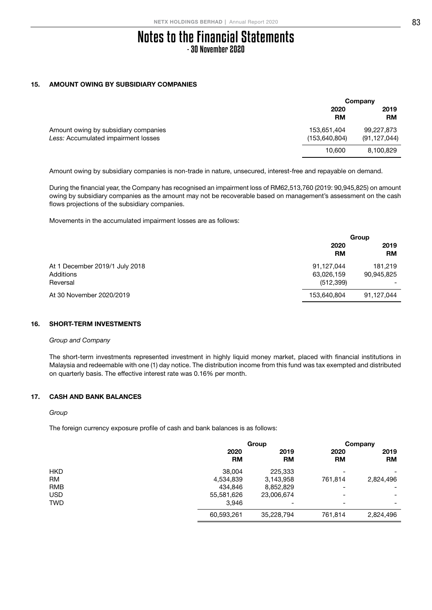## 15. AMOUNT OWING BY SUBSIDIARY COMPANIES

|                                                                             |                                | Company                      |  |
|-----------------------------------------------------------------------------|--------------------------------|------------------------------|--|
|                                                                             | 2020<br><b>RM</b>              | 2019<br><b>RM</b>            |  |
| Amount owing by subsidiary companies<br>Less: Accumulated impairment losses | 153,651,404<br>(153, 640, 804) | 99,227,873<br>(91, 127, 044) |  |
|                                                                             | 10.600                         | 8,100,829                    |  |

Amount owing by subsidiary companies is non-trade in nature, unsecured, interest-free and repayable on demand.

During the financial year, the Company has recognised an impairment loss of RM62,513,760 (2019: 90,945,825) on amount owing by subsidiary companies as the amount may not be recoverable based on management's assessment on the cash flows projections of the subsidiary companies.

Movements in the accumulated impairment losses are as follows:

|                                |             | Group      |  |
|--------------------------------|-------------|------------|--|
|                                | 2020        |            |  |
|                                | <b>RM</b>   | <b>RM</b>  |  |
| At 1 December 2019/1 July 2018 | 91,127,044  | 181.219    |  |
| <b>Additions</b>               | 63,026,159  | 90,945,825 |  |
| Reversal                       | (512, 399)  |            |  |
| At 30 November 2020/2019       | 153,640,804 | 91.127.044 |  |

## 16. SHORT-TERM INVESTMENTS

### *Group and Company*

The short-term investments represented investment in highly liquid money market, placed with financial institutions in Malaysia and redeemable with one (1) day notice. The distribution income from this fund was tax exempted and distributed on quarterly basis. The effective interest rate was 0.16% per month.

## 17. CASH AND BANK BALANCES

### *Group*

The foreign currency exposure profile of cash and bank balances is as follows:

|            |                   | Group      |                   | Company           |
|------------|-------------------|------------|-------------------|-------------------|
|            | 2020<br><b>RM</b> | 2019<br>RM | 2020<br><b>RM</b> | 2019<br><b>RM</b> |
| <b>HKD</b> | 38,004            | 225,333    | -                 |                   |
| <b>RM</b>  | 4,534,839         | 3,143,958  | 761.814           | 2,824,496         |
| <b>RMB</b> | 434,846           | 8,852,829  | -                 | -                 |
| <b>USD</b> | 55,581,626        | 23,006,674 | -                 | -                 |
| <b>TWD</b> | 3.946             |            | -                 | Ξ.                |
|            | 60,593,261        | 35,228,794 | 761,814           | 2,824,496         |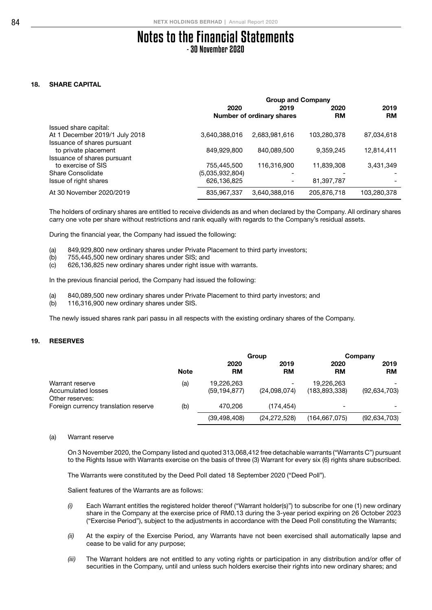## 18. SHARE CAPITAL

|                                | <b>Group and Company</b> |                           |             |             |
|--------------------------------|--------------------------|---------------------------|-------------|-------------|
|                                | 2020                     | 2019                      | 2020        | 2019        |
|                                |                          | Number of ordinary shares | <b>RM</b>   | <b>RM</b>   |
| Issued share capital:          |                          |                           |             |             |
| At 1 December 2019/1 July 2018 | 3,640,388,016            | 2,683,981,616             | 103,280,378 | 87,034,618  |
| Issuance of shares pursuant    |                          |                           |             |             |
| to private placement           | 849,929,800              | 840,089,500               | 9,359,245   | 12,814,411  |
| Issuance of shares pursuant    |                          |                           |             |             |
| to exercise of SIS             | 755,445,500              | 116,316,900               | 11,839,308  | 3,431,349   |
| Share Consolidate              | (5,035,932,804)          |                           |             |             |
| Issue of right shares          | 626,136,825              |                           | 81,397,787  |             |
| At 30 November 2020/2019       | 835,967,337              | 3,640,388,016             | 205,876,718 | 103,280,378 |

The holders of ordinary shares are entitled to receive dividends as and when declared by the Company. All ordinary shares carry one vote per share without restrictions and rank equally with regards to the Company's residual assets.

During the financial year, the Company had issued the following:

- (a) 849,929,800 new ordinary shares under Private Placement to third party investors;
- (b) 755,445,500 new ordinary shares under SIS; and
- (c) 626,136,825 new ordinary shares under right issue with warrants.

In the previous financial period, the Company had issued the following:

- (a) 840,089,500 new ordinary shares under Private Placement to third party investors; and
- (b) 116,316,900 new ordinary shares under SIS.

The newly issued shares rank pari passu in all respects with the existing ordinary shares of the Company.

#### 19. RESERVES

|                                                          | Group       |                              | Company           |                               |                   |
|----------------------------------------------------------|-------------|------------------------------|-------------------|-------------------------------|-------------------|
|                                                          | <b>Note</b> | 2020<br>RM                   | 2019<br><b>RM</b> | 2020<br><b>RM</b>             | 2019<br><b>RM</b> |
| Warrant reserve<br>Accumulated losses<br>Other reserves: | (a)         | 19,226,263<br>(59, 194, 877) | (24,098,074)      | 19.226.263<br>(183, 893, 338) | (92, 634, 703)    |
| Foreign currency translation reserve                     | (b)         | 470.206                      | (174, 454)        |                               |                   |
|                                                          |             | (39, 498, 408)               | (24, 272, 528)    | (164,667,075)                 | (92, 634, 703)    |

#### (a) Warrant reserve

On 3 November 2020, the Company listed and quoted 313,068,412 free detachable warrants ("Warrants C") pursuant to the Rights Issue with Warrants exercise on the basis of three (3) Warrant for every six (6) rights share subscribed.

The Warrants were constituted by the Deed Poll dated 18 September 2020 ("Deed Poll").

Salient features of the Warrants are as follows:

- *(i)* Each Warrant entitles the registered holder thereof ("Warrant holder(s)") to subscribe for one (1) new ordinary share in the Company at the exercise price of RM0.13 during the 3-year period expiring on 26 October 2023 ("Exercise Period"), subject to the adjustments in accordance with the Deed Poll constituting the Warrants;
- *(ii)* At the expiry of the Exercise Period, any Warrants have not been exercised shall automatically lapse and cease to be valid for any purpose;
- *(iii)* The Warrant holders are not entitled to any voting rights or participation in any distribution and/or offer of securities in the Company, until and unless such holders exercise their rights into new ordinary shares; and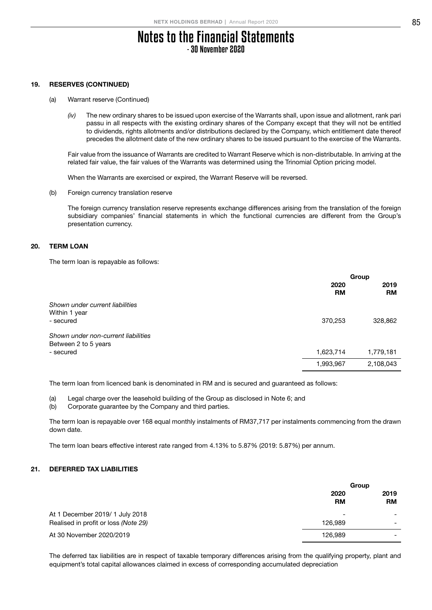### 19. RESERVES (CONTINUED)

- (a) Warrant reserve (Continued)
	- *(iv)* The new ordinary shares to be issued upon exercise of the Warrants shall, upon issue and allotment, rank pari passu in all respects with the existing ordinary shares of the Company except that they will not be entitled to dividends, rights allotments and/or distributions declared by the Company, which entitlement date thereof precedes the allotment date of the new ordinary shares to be issued pursuant to the exercise of the Warrants.

Fair value from the issuance of Warrants are credited to Warrant Reserve which is non-distributable. In arriving at the related fair value, the fair values of the Warrants was determined using the Trinomial Option pricing model.

When the Warrants are exercised or expired, the Warrant Reserve will be reversed.

(b) Foreign currency translation reserve

The foreign currency translation reserve represents exchange differences arising from the translation of the foreign subsidiary companies' financial statements in which the functional currencies are different from the Group's presentation currency.

#### 20. TERM LOAN

The term loan is repayable as follows:

|                                     | Group             |            |
|-------------------------------------|-------------------|------------|
|                                     | 2020<br><b>RM</b> | 2019<br>RM |
| Shown under current liabilities     |                   |            |
| Within 1 year                       |                   |            |
| - secured                           | 370,253           | 328,862    |
| Shown under non-current liabilities |                   |            |
| Between 2 to 5 years                |                   |            |
| - secured                           | 1,623,714         | 1,779,181  |
|                                     | 1,993,967         | 2,108,043  |

The term loan from licenced bank is denominated in RM and is secured and guaranteed as follows:

(a) Legal charge over the leasehold building of the Group as disclosed in Note 6; and

(b) Corporate guarantee by the Company and third parties.

The term loan is repayable over 168 equal monthly instalments of RM37,717 per instalments commencing from the drawn down date.

The term loan bears effective interest rate ranged from 4.13% to 5.87% (2019: 5.87%) per annum.

## 21. DEFERRED TAX LIABILITIES

|                                      | Group             |                   |
|--------------------------------------|-------------------|-------------------|
|                                      | 2020<br><b>RM</b> | 2019<br><b>RM</b> |
| At 1 December 2019/ 1 July 2018      | -                 |                   |
| Realised in profit or loss (Note 29) | 126.989           |                   |
| At 30 November 2020/2019             | 126.989           |                   |

The deferred tax liabilities are in respect of taxable temporary differences arising from the qualifying property, plant and equipment's total capital allowances claimed in excess of corresponding accumulated depreciation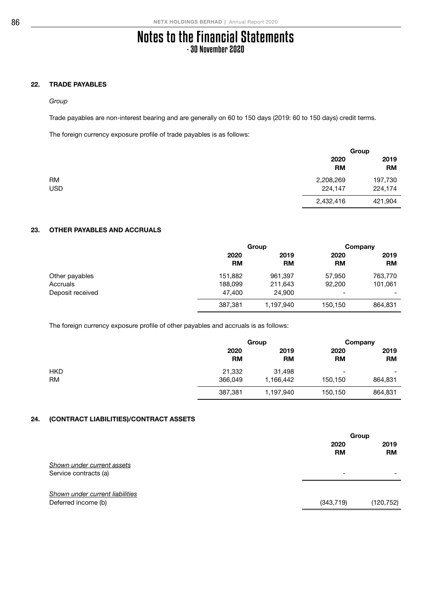## 22. TRADE PAYABLES

*Group* 

Trade payables are non-interest bearing and are generally on 60 to 150 days (2019: 60 to 150 days) credit terms.

The foreign currency exposure profile of trade payables is as follows:

|            | Group             |                   |
|------------|-------------------|-------------------|
|            | 2020<br><b>RM</b> | 2019<br><b>RM</b> |
| <b>RM</b>  | 2,208,269         | 197,730           |
| <b>USD</b> | 224,147           | 224,174           |
|            | 2,432,416         | 421,904           |

## 23. OTHER PAYABLES AND ACCRUALS

|                  | Group     |           | Company                  |           |
|------------------|-----------|-----------|--------------------------|-----------|
|                  | 2020      | 2019      | 2020                     | 2019      |
|                  | <b>RM</b> | <b>RM</b> | <b>RM</b>                | <b>RM</b> |
| Other payables   | 151,882   | 961,397   | 57,950                   | 763,770   |
| Accruals         | 188.099   | 211,643   | 92,200                   | 101,061   |
| Deposit received | 47.400    | 24.900    | $\overline{\phantom{0}}$ |           |
|                  | 387,381   | 1,197,940 | 150,150                  | 864,831   |

The foreign currency exposure profile of other payables and accruals is as follows:

|            | Group     |           | Company   |           |
|------------|-----------|-----------|-----------|-----------|
|            | 2020      | 2019      | 2020      | 2019      |
|            | <b>RM</b> | <b>RM</b> | <b>RM</b> | <b>RM</b> |
| <b>HKD</b> | 21,332    | 31,498    | -         | -         |
| <b>RM</b>  | 366,049   | 1,166,442 | 150,150   | 864,831   |
|            | 387,381   | 1,197,940 | 150,150   | 864,831   |

## 24. (CONTRACT LIABILITIES)/CONTRACT ASSETS

|                                                        | Group             |                   |
|--------------------------------------------------------|-------------------|-------------------|
|                                                        | 2020<br><b>RM</b> | 2019<br><b>RM</b> |
| Shown under current assets<br>Service contracts (a)    |                   |                   |
| Shown under current liabilities<br>Deferred income (b) | (343, 719)        | (120, 752)        |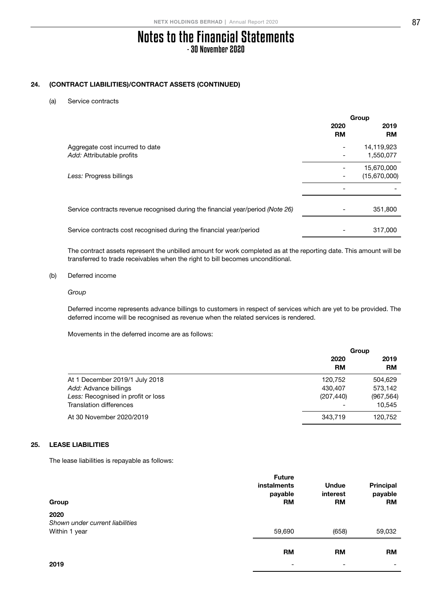## 24. (CONTRACT LIABILITIES)/CONTRACT ASSETS (CONTINUED)

### (a) Service contracts

|                                                                                 | Group     |              |
|---------------------------------------------------------------------------------|-----------|--------------|
|                                                                                 | 2020      | 2019         |
|                                                                                 | <b>RM</b> | <b>RM</b>    |
| Aggregate cost incurred to date                                                 |           | 14,119,923   |
| Add: Attributable profits                                                       |           | 1,550,077    |
|                                                                                 |           | 15,670,000   |
| Less: Progress billings                                                         |           | (15,670,000) |
|                                                                                 |           |              |
|                                                                                 |           |              |
| Service contracts revenue recognised during the financial year/period (Note 26) |           | 351,800      |
|                                                                                 |           |              |
| Service contracts cost recognised during the financial year/period              |           | 317,000      |

The contract assets represent the unbilled amount for work completed as at the reporting date. This amount will be transferred to trade receivables when the right to bill becomes unconditional.

### (b) Deferred income

### *Group*

Deferred income represents advance billings to customers in respect of services which are yet to be provided. The deferred income will be recognised as revenue when the related services is rendered.

Movements in the deferred income are as follows:

|                                                                                                                                 | Group                                                        |                                            |
|---------------------------------------------------------------------------------------------------------------------------------|--------------------------------------------------------------|--------------------------------------------|
|                                                                                                                                 | 2020<br>RM                                                   | 2019<br><b>RM</b>                          |
| At 1 December 2019/1 July 2018<br>Add: Advance billings<br>Less: Recognised in profit or loss<br><b>Translation differences</b> | 120,752<br>430,407<br>(207, 440)<br>$\overline{\phantom{0}}$ | 504.629<br>573.142<br>(967, 564)<br>10.545 |
| At 30 November 2020/2019                                                                                                        | 343.719                                                      | 120,752                                    |

## 25. LEASE LIABILITIES

The lease liabilities is repayable as follows:

| Group                                                    | <b>Future</b><br><b>instalments</b><br>payable<br><b>RM</b> | <b>Undue</b><br>interest<br><b>RM</b> | <b>Principal</b><br>payable<br><b>RM</b> |
|----------------------------------------------------------|-------------------------------------------------------------|---------------------------------------|------------------------------------------|
| 2020<br>Shown under current liabilities<br>Within 1 year | 59,690                                                      | (658)                                 | 59,032                                   |
| 2019                                                     | <b>RM</b><br>٠                                              | <b>RM</b><br>-                        | <b>RM</b><br>$\overline{\phantom{a}}$    |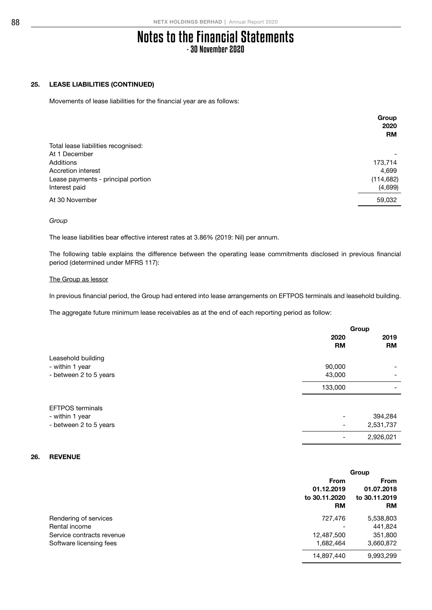## 25. LEASE LIABILITIES (CONTINUED)

Movements of lease liabilities for the financial year are as follows:

|                                     | Group<br>2020<br><b>RM</b> |
|-------------------------------------|----------------------------|
| Total lease liabilities recognised: |                            |
| At 1 December                       |                            |
| Additions                           | 173,714                    |
| Accretion interest                  | 4,699                      |
| Lease payments - principal portion  | (114, 682)                 |
| Interest paid                       | (4,699)                    |
| At 30 November                      | 59,032                     |

*Group*

The lease liabilities bear effective interest rates at 3.86% (2019: Nil) per annum.

The following table explains the difference between the operating lease commitments disclosed in previous financial period (determined under MFRS 117):

### The Group as lessor

In previous financial period, the Group had entered into lease arrangements on EFTPOS terminals and leasehold building.

The aggregate future minimum lease receivables as at the end of each reporting period as follow:

|                         | Group     |           |
|-------------------------|-----------|-----------|
|                         | 2020      | 2019      |
|                         | <b>RM</b> | <b>RM</b> |
| Leasehold building      |           |           |
| - within 1 year         | 90,000    |           |
| - between 2 to 5 years  | 43,000    |           |
|                         | 133,000   |           |
| <b>EFTPOS</b> terminals |           |           |
| - within 1 year         |           | 394,284   |
| - between 2 to 5 years  |           | 2,531,737 |
|                         |           | 2,926,021 |
|                         |           |           |

## 26. REVENUE

|                           | Group         |               |
|---------------------------|---------------|---------------|
|                           | <b>From</b>   | <b>From</b>   |
|                           | 01.12.2019    | 01.07.2018    |
|                           | to 30.11.2020 | to 30,11,2019 |
|                           | <b>RM</b>     | <b>RM</b>     |
| Rendering of services     | 727,476       | 5,538,803     |
| Rental income             |               | 441,824       |
| Service contracts revenue | 12,487,500    | 351,800       |
| Software licensing fees   | 1,682,464     | 3,660,872     |
|                           | 14,897,440    | 9,993,299     |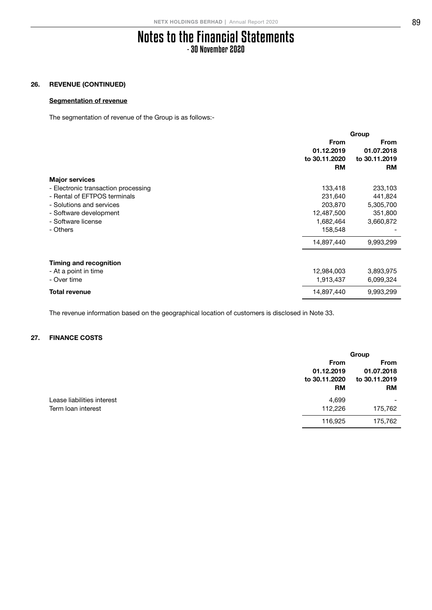## 26. REVENUE (CONTINUED)

## Segmentation of revenue

The segmentation of revenue of the Group is as follows:-

|                                                | Group         |  |
|------------------------------------------------|---------------|--|
| <b>From</b>                                    | <b>From</b>   |  |
| 01.12.2019                                     | 01.07.2018    |  |
| to 30.11.2020                                  | to 30.11.2019 |  |
| <b>RM</b>                                      | <b>RM</b>     |  |
| <b>Major services</b>                          |               |  |
| 133,418<br>- Electronic transaction processing | 233,103       |  |
| - Rental of EFTPOS terminals<br>231,640        | 441,824       |  |
| - Solutions and services<br>203,870            | 5,305,700     |  |
| 12,487,500<br>- Software development           | 351,800       |  |
| - Software license<br>1,682,464                | 3,660,872     |  |
| - Others<br>158,548                            |               |  |
| 14,897,440                                     | 9,993,299     |  |
| Timing and recognition                         |               |  |
| 12,984,003<br>- At a point in time             | 3,893,975     |  |
| - Over time<br>1,913,437                       | 6,099,324     |  |
| 14,897,440<br><b>Total revenue</b>             | 9,993,299     |  |

The revenue information based on the geographical location of customers is disclosed in Note 33.

## 27. FINANCE COSTS

|                            |               | Group         |
|----------------------------|---------------|---------------|
|                            | <b>From</b>   | <b>From</b>   |
|                            | 01.12.2019    | 01.07.2018    |
|                            | to 30.11.2020 | to 30.11.2019 |
|                            | <b>RM</b>     | <b>RM</b>     |
| Lease liabilities interest | 4,699         | ۰             |
| Term loan interest         | 112,226       | 175,762       |
|                            | 116,925       | 175,762       |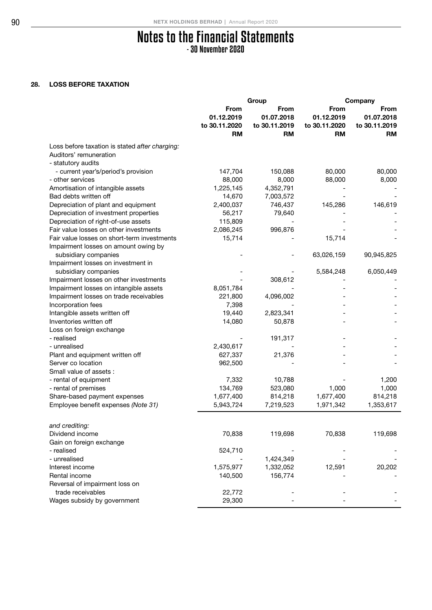## 28. LOSS BEFORE TAXATION

|                                                |               | Group         |               | Company       |  |
|------------------------------------------------|---------------|---------------|---------------|---------------|--|
|                                                | From          | From          | <b>From</b>   | From          |  |
|                                                | 01.12.2019    | 01.07.2018    | 01.12.2019    | 01.07.2018    |  |
|                                                | to 30.11.2020 | to 30.11.2019 | to 30.11.2020 | to 30.11.2019 |  |
|                                                | <b>RM</b>     | RM            | RM            | RM            |  |
| Loss before taxation is stated after charging: |               |               |               |               |  |
| Auditors' remuneration                         |               |               |               |               |  |
| - statutory audits                             |               |               |               |               |  |
| - current year's/period's provision            | 147,704       | 150,088       | 80,000        | 80,000        |  |
| - other services                               | 88,000        | 8,000         | 88,000        | 8,000         |  |
| Amortisation of intangible assets              | 1,225,145     | 4,352,791     |               |               |  |
| Bad debts written off                          | 14,670        | 7,003,572     |               |               |  |
| Depreciation of plant and equipment            | 2,400,037     | 746,437       | 145,286       | 146,619       |  |
| Depreciation of investment properties          | 56,217        | 79,640        |               |               |  |
| Depreciation of right-of-use assets            | 115,809       |               |               |               |  |
| Fair value losses on other investments         | 2,086,245     | 996,876       |               |               |  |
| Fair value losses on short-term investments    | 15,714        |               | 15,714        |               |  |
| Impairment losses on amount owing by           |               |               |               |               |  |
| subsidiary companies                           |               |               | 63,026,159    | 90,945,825    |  |
| Impairment losses on investment in             |               |               |               |               |  |
| subsidiary companies                           |               |               | 5,584,248     |               |  |
|                                                |               |               |               | 6,050,449     |  |
| Impairment losses on other investments         |               | 308,612       |               |               |  |
| Impairment losses on intangible assets         | 8,051,784     |               |               |               |  |
| Impairment losses on trade receivables         | 221,800       | 4,096,002     |               |               |  |
| Incorporation fees                             | 7,398         |               |               |               |  |
| Intangible assets written off                  | 19,440        | 2,823,341     |               |               |  |
| Inventories written off                        | 14,080        | 50,878        |               |               |  |
| Loss on foreign exchange                       |               |               |               |               |  |
| - realised                                     |               | 191,317       |               |               |  |
| - unrealised                                   | 2,430,617     |               |               |               |  |
| Plant and equipment written off                | 627,337       | 21,376        |               |               |  |
| Server co location                             | 962,500       |               |               |               |  |
| Small value of assets :                        |               |               |               |               |  |
| - rental of equipment                          | 7,332         | 10,788        |               | 1,200         |  |
| - rental of premises                           | 134,769       | 523,080       | 1,000         | 1,000         |  |
| Share-based payment expenses                   | 1,677,400     | 814,218       | 1,677,400     | 814,218       |  |
| Employee benefit expenses (Note 31)            | 5,943,724     | 7,219,523     | 1,971,342     | 1,353,617     |  |
|                                                |               |               |               |               |  |
| and crediting:                                 |               |               |               |               |  |
| Dividend income                                | 70,838        | 119,698       | 70,838        | 119,698       |  |
| Gain on foreign exchange                       |               |               |               |               |  |
| - realised                                     | 524,710       |               |               |               |  |
| - unrealised                                   |               | 1,424,349     |               |               |  |
| Interest income                                | 1,575,977     | 1,332,052     | 12,591        | 20,202        |  |
| Rental income                                  | 140,500       | 156,774       |               |               |  |
| Reversal of impairment loss on                 |               |               |               |               |  |
| trade receivables                              | 22,772        |               |               |               |  |
| Wages subsidy by government                    | 29,300        |               |               |               |  |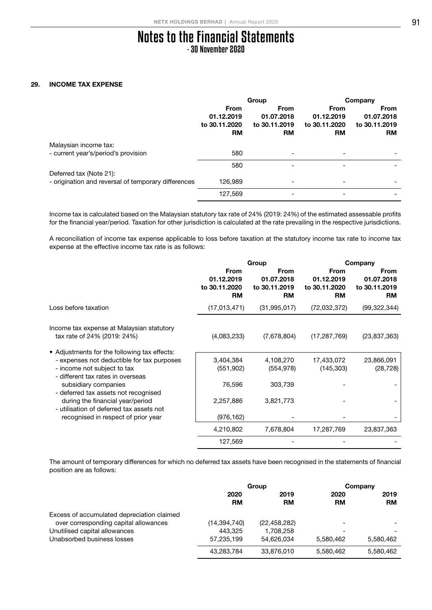## 29. INCOME TAX EXPENSE

|                                                     | Group         |               |               | Company       |  |
|-----------------------------------------------------|---------------|---------------|---------------|---------------|--|
|                                                     | <b>From</b>   | <b>From</b>   | From          | <b>From</b>   |  |
|                                                     | 01.12.2019    | 01.07.2018    | 01.12.2019    | 01.07.2018    |  |
|                                                     | to 30,11,2020 | to 30.11.2019 | to 30.11.2020 | to 30,11,2019 |  |
|                                                     | <b>RM</b>     | <b>RM</b>     | <b>RM</b>     | <b>RM</b>     |  |
| Malaysian income tax:                               |               |               |               |               |  |
| - current year's/period's provision                 | 580           |               |               |               |  |
|                                                     | 580           |               |               |               |  |
| Deferred tax (Note 21):                             |               |               |               |               |  |
| - origination and reversal of temporary differences | 126.989       |               |               |               |  |
|                                                     | 127,569       |               |               |               |  |

Income tax is calculated based on the Malaysian statutory tax rate of 24% (2019: 24%) of the estimated assessable profits for the financial year/period. Taxation for other jurisdiction is calculated at the rate prevailing in the respective jurisdictions.

A reconciliation of income tax expense applicable to loss before taxation at the statutory income tax rate to income tax expense at the effective income tax rate is as follows:

|                                                                                                                                                                |                                                         | Group                                                   |                                                  | Company                                                 |  |
|----------------------------------------------------------------------------------------------------------------------------------------------------------------|---------------------------------------------------------|---------------------------------------------------------|--------------------------------------------------|---------------------------------------------------------|--|
|                                                                                                                                                                | <b>From</b><br>01.12.2019<br>to 30.11.2020<br><b>RM</b> | <b>From</b><br>01.07.2018<br>to 30.11.2019<br><b>RM</b> | <b>From</b><br>01.12.2019<br>to 30.11.2020<br>RM | <b>From</b><br>01.07.2018<br>to 30.11.2019<br><b>RM</b> |  |
| Loss before taxation                                                                                                                                           | (17,013,471)                                            | (31, 995, 017)                                          | (72,032,372)                                     | (99, 322, 344)                                          |  |
| Income tax expense at Malaysian statutory<br>tax rate of 24% (2019: 24%)                                                                                       | (4,083,233)                                             | (7,678,804)                                             | (17, 287, 769)                                   | (23, 837, 363)                                          |  |
| • Adjustments for the following tax effects:<br>- expenses not deductible for tax purposes<br>- income not subject to tax<br>- different tax rates in overseas | 3,404,384<br>(551, 902)                                 | 4,108,270<br>(554, 978)                                 | 17,433,072<br>(145, 303)                         | 23,866,091<br>(28, 728)                                 |  |
| subsidiary companies<br>- deferred tax assets not recognised                                                                                                   | 76,596                                                  | 303,739                                                 |                                                  |                                                         |  |
| during the financial year/period<br>- utilisation of deferred tax assets not                                                                                   | 2,257,886                                               | 3,821,773                                               |                                                  |                                                         |  |
| recognised in respect of prior year                                                                                                                            | (976, 162)                                              |                                                         |                                                  |                                                         |  |
|                                                                                                                                                                | 4,210,802                                               | 7,678,804                                               | 17,287,769                                       | 23,837,363                                              |  |
|                                                                                                                                                                | 127,569                                                 |                                                         |                                                  |                                                         |  |

The amount of temporary differences for which no deferred tax assets have been recognised in the statements of financial position are as follows:

|                                            | Group          |                | Company   |           |
|--------------------------------------------|----------------|----------------|-----------|-----------|
|                                            | 2020           | 2019<br>2020   |           | 2019      |
|                                            | <b>RM</b>      | <b>RM</b>      | <b>RM</b> | <b>RM</b> |
| Excess of accumulated depreciation claimed |                |                |           |           |
| over corresponding capital allowances      | (14, 394, 740) | (22, 458, 282) |           |           |
| Unutilised capital allowances              | 443.325        | 1.708.258      |           |           |
| Unabsorbed business losses                 | 57.235.199     | 54.626.034     | 5.580.462 | 5.580.462 |
|                                            | 43.283.784     | 33,876,010     | 5.580.462 | 5,580,462 |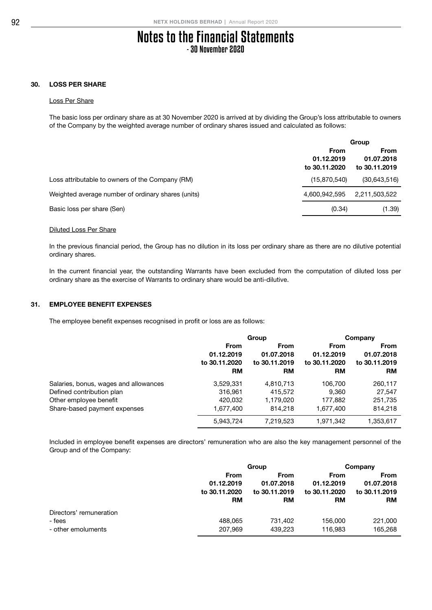## 30. LOSS PER SHARE

### Loss Per Share

The basic loss per ordinary share as at 30 November 2020 is arrived at by dividing the Group's loss attributable to owners of the Company by the weighted average number of ordinary shares issued and calculated as follows:

|                                                    |               | Group         |
|----------------------------------------------------|---------------|---------------|
|                                                    | From          | From          |
|                                                    | 01.12.2019    | 01.07.2018    |
|                                                    | to 30.11.2020 | to 30.11.2019 |
| Loss attributable to owners of the Company (RM)    | (15,870,540)  | (30,643,516)  |
| Weighted average number of ordinary shares (units) | 4,600,942,595 | 2,211,503,522 |
| Basic loss per share (Sen)                         | (0.34)        | (1.39)        |

### Diluted Loss Per Share

In the previous financial period, the Group has no dilution in its loss per ordinary share as there are no dilutive potential ordinary shares.

In the current financial year, the outstanding Warrants have been excluded from the computation of diluted loss per ordinary share as the exercise of Warrants to ordinary share would be anti-dilutive.

## 31. EMPLOYEE BENEFIT EXPENSES

The employee benefit expenses recognised in profit or loss are as follows:

|                                       |                             | Group         | Company       |               |  |
|---------------------------------------|-----------------------------|---------------|---------------|---------------|--|
|                                       | <b>From</b>                 | <b>From</b>   | <b>From</b>   | <b>From</b>   |  |
|                                       | 01.12.2019<br>to 30,11,2020 | 01.07.2018    | 01.12.2019    | 01.07.2018    |  |
|                                       |                             | to 30.11.2019 | to 30.11.2020 | to 30.11.2019 |  |
|                                       | <b>RM</b>                   | <b>RM</b>     | <b>RM</b>     | RM            |  |
| Salaries, bonus, wages and allowances | 3,529,331                   | 4,810,713     | 106.700       | 260,117       |  |
| Defined contribution plan             | 316,961                     | 415,572       | 9.360         | 27.547        |  |
| Other employee benefit                | 420,032                     | 1,179,020     | 177.882       | 251,735       |  |
| Share-based payment expenses          | 1,677,400                   | 814,218       | 1,677,400     | 814,218       |  |
|                                       | 5,943,724                   | 7.219.523     | 1,971,342     | 1,353,617     |  |

Included in employee benefit expenses are directors' remuneration who are also the key management personnel of the Group and of the Company:

|                         |               | Group         | Company       |               |
|-------------------------|---------------|---------------|---------------|---------------|
|                         | <b>From</b>   | <b>From</b>   | <b>From</b>   | <b>From</b>   |
|                         | 01.12.2019    | 01.07.2018    | 01.12.2019    | 01.07.2018    |
|                         | to 30.11.2020 | to 30.11.2019 | to 30.11.2020 | to 30.11.2019 |
|                         | <b>RM</b>     | <b>RM</b>     | RM            | <b>RM</b>     |
| Directors' remuneration |               |               |               |               |
| - fees                  | 488.065       | 731,402       | 156,000       | 221,000       |
| - other emoluments      | 207.969       | 439,223       | 116.983       | 165,268       |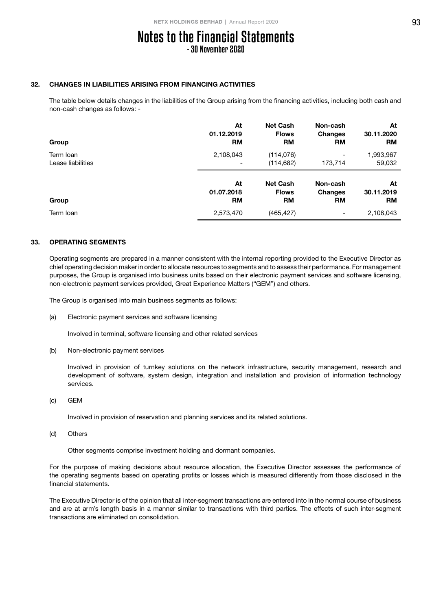## 32. CHANGES IN LIABILITIES ARISING FROM FINANCING ACTIVITIES

The table below details changes in the liabilities of the Group arising from the financing activities, including both cash and non-cash changes as follows: -

| Group                          | At         | <b>Net Cash</b>          | Non-cash       | At                  |
|--------------------------------|------------|--------------------------|----------------|---------------------|
|                                | 01.12.2019 | <b>Flows</b>             | <b>Changes</b> | 30.11.2020          |
|                                | <b>RM</b>  | <b>RM</b>                | RM             | RM                  |
| Term Ioan<br>Lease liabilities | 2,108,043  | (114, 076)<br>(114, 682) | 173,714        | 1,993,967<br>59,032 |
| Group                          | At         | <b>Net Cash</b>          | Non-cash       | At                  |
|                                | 01.07.2018 | <b>Flows</b>             | <b>Changes</b> | 30.11.2019          |
|                                | <b>RM</b>  | <b>RM</b>                | RM             | RM                  |
| Term Ioan                      | 2,573,470  | (465, 427)               | -              | 2,108,043           |

## 33. OPERATING SEGMENTS

Operating segments are prepared in a manner consistent with the internal reporting provided to the Executive Director as chief operating decision maker in order to allocate resources to segments and to assess their performance. For management purposes, the Group is organised into business units based on their electronic payment services and software licensing, non-electronic payment services provided, Great Experience Matters ("GEM") and others.

The Group is organised into main business segments as follows:

(a) Electronic payment services and software licensing

Involved in terminal, software licensing and other related services

(b) Non-electronic payment services

Involved in provision of turnkey solutions on the network infrastructure, security management, research and development of software, system design, integration and installation and provision of information technology services.

(c) GEM

Involved in provision of reservation and planning services and its related solutions.

(d) Others

Other segments comprise investment holding and dormant companies.

For the purpose of making decisions about resource allocation, the Executive Director assesses the performance of the operating segments based on operating profits or losses which is measured differently from those disclosed in the financial statements.

The Executive Director is of the opinion that all inter-segment transactions are entered into in the normal course of business and are at arm's length basis in a manner similar to transactions with third parties. The effects of such inter-segment transactions are eliminated on consolidation.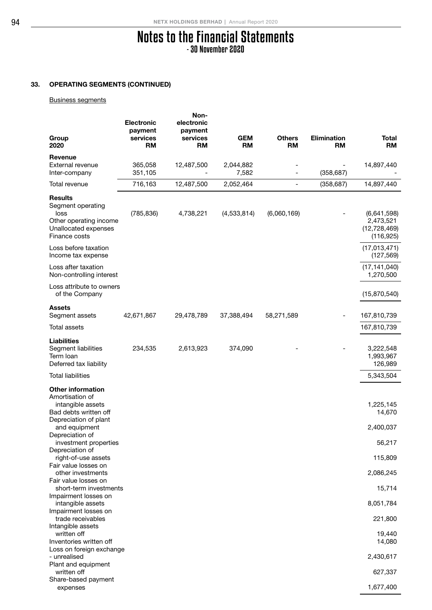## 33. OPERATING SEGMENTS (CONTINUED)

Business segments

| Group<br>2020                                                                                                                                          | <b>Electronic</b><br>payment<br>services<br><b>RM</b> | Non-<br>electronic<br>payment<br>services<br><b>RM</b> | <b>GEM</b><br><b>RM</b> | <b>Others</b><br><b>RM</b> | <b>Elimination</b><br><b>RM</b> | <b>Total</b><br><b>RM</b>                                |
|--------------------------------------------------------------------------------------------------------------------------------------------------------|-------------------------------------------------------|--------------------------------------------------------|-------------------------|----------------------------|---------------------------------|----------------------------------------------------------|
| Revenue<br>External revenue<br>Inter-company                                                                                                           | 365,058<br>351,105                                    | 12,487,500                                             | 2,044,882<br>7,582      |                            | (358, 687)                      | 14,897,440                                               |
| Total revenue                                                                                                                                          | 716,163                                               | 12,487,500                                             | 2,052,464               | $\overline{\phantom{a}}$   | (358, 687)                      | 14,897,440                                               |
| <b>Results</b><br>Segment operating<br>loss<br>Other operating income<br>Unallocated expenses<br>Finance costs                                         | (785, 836)                                            | 4,738,221                                              | (4,533,814)             | (6,060,169)                |                                 | (6,641,598)<br>2,473,521<br>(12, 728, 469)<br>(116, 925) |
| Loss before taxation<br>Income tax expense                                                                                                             |                                                       |                                                        |                         |                            |                                 | (17,013,471)<br>(127, 569)                               |
| Loss after taxation<br>Non-controlling interest                                                                                                        |                                                       |                                                        |                         |                            |                                 | (17, 141, 040)<br>1,270,500                              |
| Loss attribute to owners<br>of the Company                                                                                                             |                                                       |                                                        |                         |                            |                                 | (15,870,540)                                             |
| <b>Assets</b><br>Segment assets                                                                                                                        | 42,671,867                                            | 29,478,789                                             | 37,388,494              | 58,271,589                 |                                 | 167,810,739                                              |
| <b>Total assets</b>                                                                                                                                    |                                                       |                                                        |                         |                            |                                 | 167,810,739                                              |
| <b>Liabilities</b><br>Segment liabilities<br>Term Ioan<br>Deferred tax liability                                                                       | 234,535                                               | 2,613,923                                              | 374,090                 |                            |                                 | 3,222,548<br>1,993,967<br>126,989                        |
| <b>Total liabilities</b>                                                                                                                               |                                                       |                                                        |                         |                            |                                 | 5,343,504                                                |
| <b>Other information</b><br>Amortisation of<br>intangible assets<br>Bad debts written off<br>Depreciation of plant<br>and equipment<br>Depreciation of |                                                       |                                                        |                         |                            |                                 | 1,225,145<br>14,670<br>2,400,037                         |
| investment properties<br>Depreciation of                                                                                                               |                                                       |                                                        |                         |                            |                                 | 56,217                                                   |
| right-of-use assets<br>Fair value losses on                                                                                                            |                                                       |                                                        |                         |                            |                                 | 115,809                                                  |
| other investments<br>Fair value losses on<br>short-term investments                                                                                    |                                                       |                                                        |                         |                            |                                 | 2,086,245<br>15,714                                      |
| Impairment losses on                                                                                                                                   |                                                       |                                                        |                         |                            |                                 |                                                          |
| intangible assets<br>Impairment losses on<br>trade receivables                                                                                         |                                                       |                                                        |                         |                            |                                 | 8,051,784<br>221,800                                     |
| Intangible assets<br>written off                                                                                                                       |                                                       |                                                        |                         |                            |                                 | 19,440                                                   |
| Inventories written off<br>Loss on foreign exchange                                                                                                    |                                                       |                                                        |                         |                            |                                 | 14,080                                                   |
| - unrealised<br>Plant and equipment                                                                                                                    |                                                       |                                                        |                         |                            |                                 | 2,430,617                                                |
| written off<br>Share-based payment                                                                                                                     |                                                       |                                                        |                         |                            |                                 | 627,337                                                  |
| expenses                                                                                                                                               |                                                       |                                                        |                         |                            |                                 | 1,677,400                                                |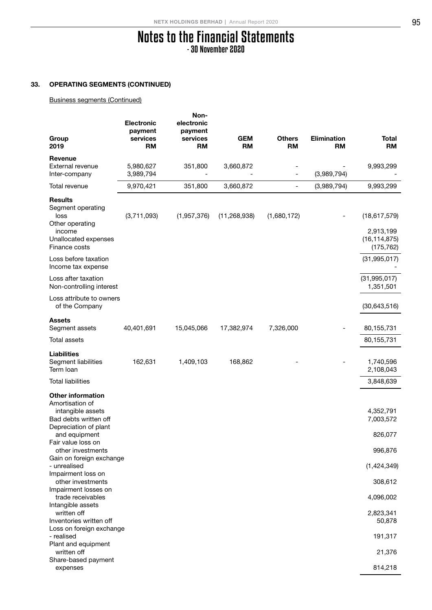## 33. OPERATING SEGMENTS (CONTINUED)

Business segments (Continued)

| Group<br>2019                                                                                    | <b>Electronic</b><br>payment<br>services<br><b>RM</b> | Non-<br>electronic<br>payment<br>services<br><b>RM</b> | <b>GEM</b><br><b>RM</b> | <b>Others</b><br><b>RM</b> | <b>Elimination</b><br><b>RM</b> | Total<br><b>RM</b>                            |
|--------------------------------------------------------------------------------------------------|-------------------------------------------------------|--------------------------------------------------------|-------------------------|----------------------------|---------------------------------|-----------------------------------------------|
| Revenue<br><b>External revenue</b><br>Inter-company                                              | 5,980,627<br>3,989,794                                | 351,800                                                | 3,660,872               |                            | (3,989,794)                     | 9,993,299                                     |
| Total revenue                                                                                    | 9,970,421                                             | 351,800                                                | 3,660,872               | $\overline{\phantom{a}}$   | (3,989,794)                     | 9,993,299                                     |
| <b>Results</b><br>Segment operating<br>loss<br>Other operating<br>income<br>Unallocated expenses | (3,711,093)                                           | (1,957,376)                                            | (11, 268, 938)          | (1,680,172)                |                                 | (18, 617, 579)<br>2,913,199<br>(16, 114, 875) |
| Finance costs                                                                                    |                                                       |                                                        |                         |                            |                                 | (175, 762)                                    |
| Loss before taxation<br>Income tax expense                                                       |                                                       |                                                        |                         |                            |                                 | (31, 995, 017)                                |
| Loss after taxation<br>Non-controlling interest                                                  |                                                       |                                                        |                         |                            |                                 | (31, 995, 017)<br>1,351,501                   |
| Loss attribute to owners<br>of the Company                                                       |                                                       |                                                        |                         |                            |                                 | (30, 643, 516)                                |
| <b>Assets</b><br>Segment assets                                                                  | 40,401,691                                            | 15,045,066                                             | 17,382,974              | 7,326,000                  |                                 | 80,155,731                                    |
| <b>Total assets</b>                                                                              |                                                       |                                                        |                         |                            |                                 | 80,155,731                                    |
| <b>Liabilities</b><br>Segment liabilities<br>Term loan                                           | 162,631                                               | 1,409,103                                              | 168,862                 |                            |                                 | 1,740,596<br>2,108,043                        |
| <b>Total liabilities</b>                                                                         |                                                       |                                                        |                         |                            |                                 | 3,848,639                                     |
| <b>Other information</b><br>Amortisation of<br>intangible assets<br>Bad debts written off        |                                                       |                                                        |                         |                            |                                 | 4,352,791<br>7,003,572                        |
| Depreciation of plant<br>and equipment<br>Fair value loss on                                     |                                                       |                                                        |                         |                            |                                 | 826,077                                       |
| other investments<br>Gain on foreign exchange                                                    |                                                       |                                                        |                         |                            |                                 | 996,876                                       |
| - unrealised<br>Impairment loss on                                                               |                                                       |                                                        |                         |                            |                                 | (1,424,349)                                   |
| other investments<br>Impairment losses on                                                        |                                                       |                                                        |                         |                            |                                 | 308,612                                       |
| trade receivables<br>Intangible assets<br>written off                                            |                                                       |                                                        |                         |                            |                                 | 4,096,002<br>2,823,341                        |
| Inventories written off<br>Loss on foreign exchange                                              |                                                       |                                                        |                         |                            |                                 | 50,878                                        |
| - realised<br>Plant and equipment                                                                |                                                       |                                                        |                         |                            |                                 | 191,317                                       |
| written off<br>Share-based payment<br>expenses                                                   |                                                       |                                                        |                         |                            |                                 | 21,376<br>814,218                             |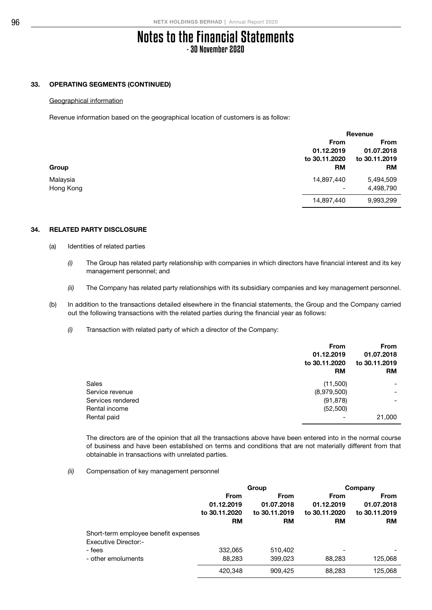## 33. OPERATING SEGMENTS (CONTINUED)

### Geographical information

Revenue information based on the geographical location of customers is as follow:

|           |               | Revenue       |
|-----------|---------------|---------------|
|           | <b>From</b>   | <b>From</b>   |
|           | 01.12.2019    | 01.07.2018    |
|           | to 30.11.2020 | to 30.11.2019 |
| Group     | <b>RM</b>     | <b>RM</b>     |
| Malaysia  | 14,897,440    | 5,494,509     |
| Hong Kong | -             | 4,498,790     |
|           | 14,897,440    | 9,993,299     |

### 34. RELATED PARTY DISCLOSURE

- (a) Identities of related parties
	- *(i)* The Group has related party relationship with companies in which directors have financial interest and its key management personnel; and
	- *(ii)* The Company has related party relationships with its subsidiary companies and key management personnel.
- (b) In addition to the transactions detailed elsewhere in the financial statements, the Group and the Company carried out the following transactions with the related parties during the financial year as follows:
	- *(i)* Transaction with related party of which a director of the Company:

|                   | <b>From</b><br>01.12.2019 | From<br>01.07.2018 |
|-------------------|---------------------------|--------------------|
|                   | to 30.11.2020             | to 30.11.2019      |
|                   | <b>RM</b>                 | <b>RM</b>          |
| Sales             | (11,500)                  |                    |
| Service revenue   | (8,979,500)               |                    |
| Services rendered | (91, 878)                 |                    |
| Rental income     | (52, 500)                 |                    |
| Rental paid       |                           | 21,000             |

The directors are of the opinion that all the transactions above have been entered into in the normal course of business and have been established on terms and conditions that are not materially different from that obtainable in transactions with unrelated parties.

*(ii)* Compensation of key management personnel

|                                                                     | Group         |               |               | Company       |
|---------------------------------------------------------------------|---------------|---------------|---------------|---------------|
|                                                                     | <b>From</b>   | <b>From</b>   | <b>From</b>   | <b>From</b>   |
|                                                                     | 01.12.2019    | 01.07.2018    | 01.12.2019    | 01.07.2018    |
|                                                                     | to 30.11.2020 | to 30.11.2019 | to 30.11.2020 | to 30.11.2019 |
|                                                                     | <b>RM</b>     | <b>RM</b>     | <b>RM</b>     | <b>RM</b>     |
| Short-term employee benefit expenses<br><b>Executive Director:-</b> |               |               |               |               |
| - fees                                                              | 332,065       | 510,402       |               |               |
| - other emoluments                                                  | 88,283        | 399,023       | 88,283        | 125,068       |
|                                                                     | 420,348       | 909,425       | 88,283        | 125,068       |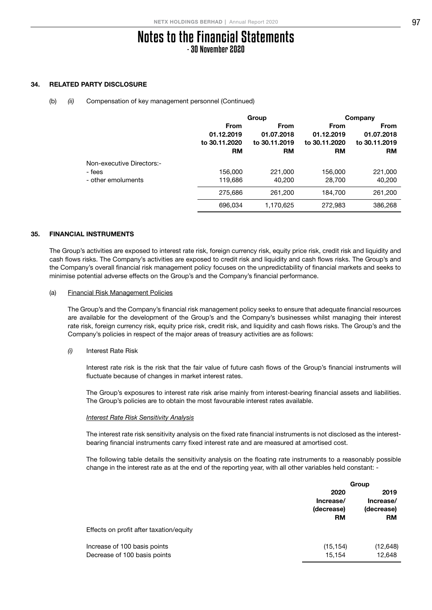## 34. RELATED PARTY DISCLOSURE

(b) *(ii)* Compensation of key management personnel (Continued)

|                           | Group         |               |               | Company       |
|---------------------------|---------------|---------------|---------------|---------------|
|                           | <b>From</b>   | From          | <b>From</b>   | From          |
|                           | 01.12.2019    | 01.07.2018    | 01.12.2019    | 01.07.2018    |
|                           | to 30.11.2020 | to 30.11.2019 | to 30.11.2020 | to 30.11.2019 |
|                           | <b>RM</b>     | <b>RM</b>     | <b>RM</b>     | <b>RM</b>     |
| Non-executive Directors:- |               |               |               |               |
| - fees                    | 156,000       | 221,000       | 156,000       | 221,000       |
| - other emoluments        | 119,686       | 40,200        | 28,700        | 40,200        |
|                           | 275,686       | 261,200       | 184.700       | 261,200       |
|                           | 696,034       | 1,170,625     | 272,983       | 386,268       |

## 35. FINANCIAL INSTRUMENTS

The Group's activities are exposed to interest rate risk, foreign currency risk, equity price risk, credit risk and liquidity and cash flows risks. The Company's activities are exposed to credit risk and liquidity and cash flows risks. The Group's and the Company's overall financial risk management policy focuses on the unpredictability of financial markets and seeks to minimise potential adverse effects on the Group's and the Company's financial performance.

### (a) Financial Risk Management Policies

The Group's and the Company's financial risk management policy seeks to ensure that adequate financial resources are available for the development of the Group's and the Company's businesses whilst managing their interest rate risk, foreign currency risk, equity price risk, credit risk, and liquidity and cash flows risks. The Group's and the Company's policies in respect of the major areas of treasury activities are as follows:

#### *(i)* Interest Rate Risk

Interest rate risk is the risk that the fair value of future cash flows of the Group's financial instruments will fluctuate because of changes in market interest rates.

The Group's exposures to interest rate risk arise mainly from interest-bearing financial assets and liabilities. The Group's policies are to obtain the most favourable interest rates available.

## *Interest Rate Risk Sensitivity Analysis*

The interest rate risk sensitivity analysis on the fixed rate financial instruments is not disclosed as the interestbearing financial instruments carry fixed interest rate and are measured at amortised cost.

The following table details the sensitivity analysis on the floating rate instruments to a reasonably possible change in the interest rate as at the end of the reporting year, with all other variables held constant: -

|                                         |            | Group                   |
|-----------------------------------------|------------|-------------------------|
|                                         | 2020       | 2019                    |
|                                         | Increase/  | Increase/<br>(decrease) |
|                                         | (decrease) |                         |
|                                         | <b>RM</b>  | <b>RM</b>               |
| Effects on profit after taxation/equity |            |                         |
| Increase of 100 basis points            | (15, 154)  | (12, 648)               |
| Decrease of 100 basis points            | 15,154     | 12,648                  |
|                                         |            |                         |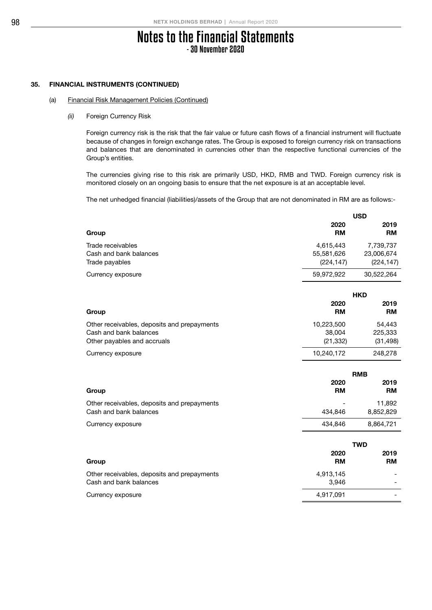### 35. FINANCIAL INSTRUMENTS (CONTINUED)

## (a) Financial Risk Management Policies (Continued)

### *(ii)* Foreign Currency Risk

Foreign currency risk is the risk that the fair value or future cash flows of a financial instrument will fluctuate because of changes in foreign exchange rates. The Group is exposed to foreign currency risk on transactions and balances that are denominated in currencies other than the respective functional currencies of the Group's entities.

The currencies giving rise to this risk are primarily USD, HKD, RMB and TWD. Foreign currency risk is monitored closely on an ongoing basis to ensure that the net exposure is at an acceptable level.

The net unhedged financial (liabilities)/assets of the Group that are not denominated in RM are as follows:-

|                                                                                                      |                                       | <b>USD</b>                            |
|------------------------------------------------------------------------------------------------------|---------------------------------------|---------------------------------------|
| Group                                                                                                | 2020<br><b>RM</b>                     | 2019<br><b>RM</b>                     |
| Trade receivables<br>Cash and bank balances<br>Trade payables                                        | 4,615,443<br>55,581,626<br>(224, 147) | 7,739,737<br>23,006,674<br>(224, 147) |
| Currency exposure                                                                                    | 59,972,922                            | 30,522,264                            |
| Group                                                                                                | 2020<br><b>RM</b>                     | <b>HKD</b><br>2019<br><b>RM</b>       |
| Other receivables, deposits and prepayments<br>Cash and bank balances<br>Other payables and accruals | 10,223,500<br>38,004<br>(21, 332)     | 54,443<br>225,333<br>(31, 498)        |
| Currency exposure                                                                                    | 10,240,172                            | 248,278                               |
|                                                                                                      | 2020                                  | <b>RMB</b><br>2019                    |
| Group                                                                                                | <b>RM</b>                             | <b>RM</b>                             |
| Other receivables, deposits and prepayments<br>Cash and bank balances                                | 434,846                               | 11,892<br>8,852,829                   |
| Currency exposure                                                                                    | 434,846                               | 8,864,721                             |
|                                                                                                      |                                       | <b>TWD</b>                            |
| Group                                                                                                | 2020<br><b>RM</b>                     | 2019<br><b>RM</b>                     |
| Other receivables, deposits and prepayments<br>Cash and bank balances                                | 4,913,145<br>3,946                    |                                       |
| Currency exposure                                                                                    | 4,917,091                             |                                       |
|                                                                                                      |                                       |                                       |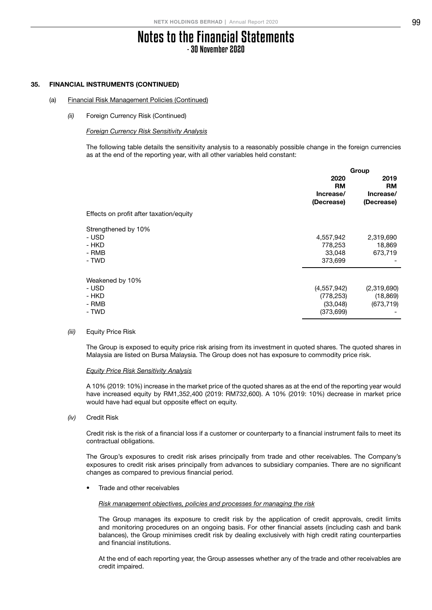### 35. FINANCIAL INSTRUMENTS (CONTINUED)

### (a) Financial Risk Management Policies (Continued)

*(ii)* Foreign Currency Risk (Continued)

#### *Foreign Currency Risk Sensitivity Analysis*

The following table details the sensitivity analysis to a reasonably possible change in the foreign currencies as at the end of the reporting year, with all other variables held constant:

|                                                         |                                                       | Group                                        |
|---------------------------------------------------------|-------------------------------------------------------|----------------------------------------------|
|                                                         | 2020<br><b>RM</b><br>Increase/<br>(Decrease)          | 2019<br><b>RM</b><br>Increase/<br>(Decrease) |
| Effects on profit after taxation/equity                 |                                                       |                                              |
| Strengthened by 10%<br>- USD<br>- HKD<br>- RMB<br>- TWD | 4,557,942<br>778,253<br>33,048<br>373,699             | 2,319,690<br>18,869<br>673,719               |
| Weakened by 10%<br>- USD<br>- HKD<br>- RMB<br>- TWD     | (4, 557, 942)<br>(778, 253)<br>(33,048)<br>(373, 699) | (2,319,690)<br>(18, 869)<br>(673, 719)       |

*(iii)* Equity Price Risk

The Group is exposed to equity price risk arising from its investment in quoted shares. The quoted shares in Malaysia are listed on Bursa Malaysia. The Group does not has exposure to commodity price risk.

#### *Equity Price Risk Sensitivity Analysis*

A 10% (2019: 10%) increase in the market price of the quoted shares as at the end of the reporting year would have increased equity by RM1,352,400 (2019: RM732,600). A 10% (2019: 10%) decrease in market price would have had equal but opposite effect on equity.

*(iv)* Credit Risk

Credit risk is the risk of a financial loss if a customer or counterparty to a financial instrument fails to meet its contractual obligations.

The Group's exposures to credit risk arises principally from trade and other receivables. The Company's exposures to credit risk arises principally from advances to subsidiary companies. There are no significant changes as compared to previous financial period.

Trade and other receivables

### *Risk management objectives, policies and processes for managing the risk*

The Group manages its exposure to credit risk by the application of credit approvals, credit limits and monitoring procedures on an ongoing basis. For other financial assets (including cash and bank balances), the Group minimises credit risk by dealing exclusively with high credit rating counterparties and financial institutions.

At the end of each reporting year, the Group assesses whether any of the trade and other receivables are credit impaired.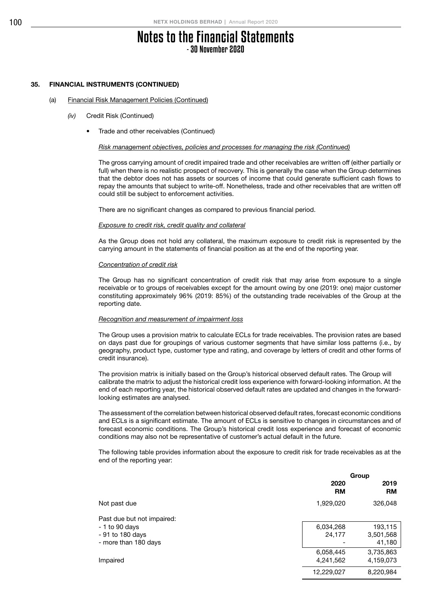### 35. FINANCIAL INSTRUMENTS (CONTINUED)

- (a) Financial Risk Management Policies (Continued)
	- *(iv)* Credit Risk (Continued)
		- Trade and other receivables (Continued)

#### *Risk management objectives, policies and processes for managing the risk (Continued)*

The gross carrying amount of credit impaired trade and other receivables are written off (either partially or full) when there is no realistic prospect of recovery. This is generally the case when the Group determines that the debtor does not has assets or sources of income that could generate sufficient cash flows to repay the amounts that subject to write-off. Nonetheless, trade and other receivables that are written off could still be subject to enforcement activities.

There are no significant changes as compared to previous financial period.

#### *Exposure to credit risk, credit quality and collateral*

As the Group does not hold any collateral, the maximum exposure to credit risk is represented by the carrying amount in the statements of financial position as at the end of the reporting year.

#### *Concentration of credit risk*

The Group has no significant concentration of credit risk that may arise from exposure to a single receivable or to groups of receivables except for the amount owing by one (2019: one) major customer constituting approximately 96% (2019: 85%) of the outstanding trade receivables of the Group at the reporting date.

#### *Recognition and measurement of impairment loss*

The Group uses a provision matrix to calculate ECLs for trade receivables. The provision rates are based on days past due for groupings of various customer segments that have similar loss patterns (i.e., by geography, product type, customer type and rating, and coverage by letters of credit and other forms of credit insurance).

The provision matrix is initially based on the Group's historical observed default rates. The Group will calibrate the matrix to adjust the historical credit loss experience with forward-looking information. At the end of each reporting year, the historical observed default rates are updated and changes in the forwardlooking estimates are analysed.

The assessment of the correlation between historical observed default rates, forecast economic conditions and ECLs is a significant estimate. The amount of ECLs is sensitive to changes in circumstances and of forecast economic conditions. The Group's historical credit loss experience and forecast of economic conditions may also not be representative of customer's actual default in the future.

The following table provides information about the exposure to credit risk for trade receivables as at the end of the reporting year:

|                            | Group             |                   |  |
|----------------------------|-------------------|-------------------|--|
|                            | 2020<br><b>RM</b> | 2019<br><b>RM</b> |  |
| Not past due               | 1,929,020         | 326,048           |  |
| Past due but not impaired: |                   |                   |  |
| $-1$ to 90 days            | 6,034,268         | 193,115           |  |
| $-91$ to 180 days          | 24,177            | 3,501,568         |  |
| - more than 180 days       |                   | 41,180            |  |
|                            | 6,058,445         | 3,735,863         |  |
| Impaired                   | 4,241,562         | 4,159,073         |  |
|                            | 12,229,027        | 8,220,984         |  |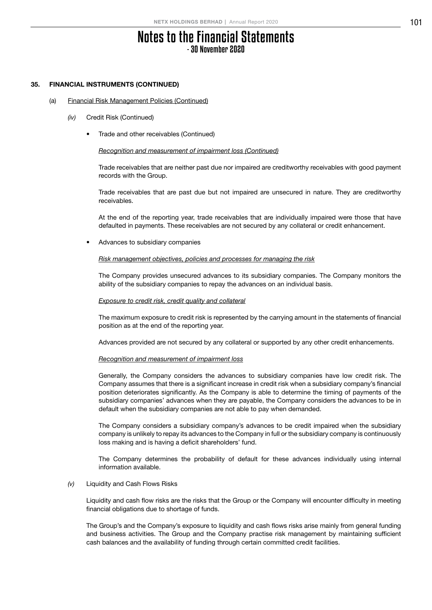### 35. FINANCIAL INSTRUMENTS (CONTINUED)

- (a) Financial Risk Management Policies (Continued)
	- *(iv)* Credit Risk (Continued)
		- Trade and other receivables (Continued)

### *Recognition and measurement of impairment loss (Continued)*

Trade receivables that are neither past due nor impaired are creditworthy receivables with good payment records with the Group.

Trade receivables that are past due but not impaired are unsecured in nature. They are creditworthy receivables.

At the end of the reporting year, trade receivables that are individually impaired were those that have defaulted in payments. These receivables are not secured by any collateral or credit enhancement.

Advances to subsidiary companies

## *Risk management objectives, policies and processes for managing the risk*

The Company provides unsecured advances to its subsidiary companies. The Company monitors the ability of the subsidiary companies to repay the advances on an individual basis.

### *Exposure to credit risk, credit quality and collateral*

The maximum exposure to credit risk is represented by the carrying amount in the statements of financial position as at the end of the reporting year.

Advances provided are not secured by any collateral or supported by any other credit enhancements.

#### *Recognition and measurement of impairment loss*

Generally, the Company considers the advances to subsidiary companies have low credit risk. The Company assumes that there is a significant increase in credit risk when a subsidiary company's financial position deteriorates significantly. As the Company is able to determine the timing of payments of the subsidiary companies' advances when they are payable, the Company considers the advances to be in default when the subsidiary companies are not able to pay when demanded.

The Company considers a subsidiary company's advances to be credit impaired when the subsidiary company is unlikely to repay its advances to the Company in full or the subsidiary company is continuously loss making and is having a deficit shareholders' fund.

The Company determines the probability of default for these advances individually using internal information available.

*(v)* Liquidity and Cash Flows Risks

Liquidity and cash flow risks are the risks that the Group or the Company will encounter difficulty in meeting financial obligations due to shortage of funds.

The Group's and the Company's exposure to liquidity and cash flows risks arise mainly from general funding and business activities. The Group and the Company practise risk management by maintaining sufficient cash balances and the availability of funding through certain committed credit facilities.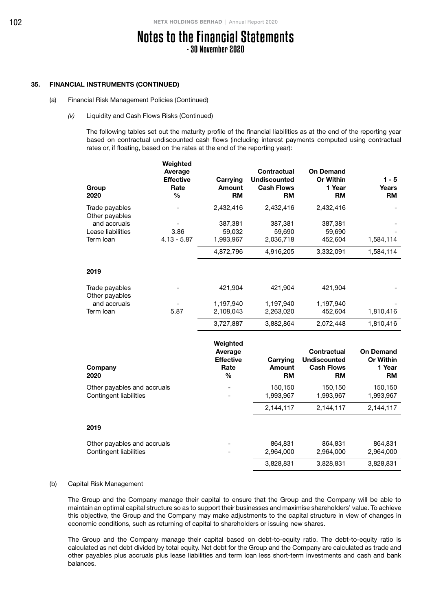## 35. FINANCIAL INSTRUMENTS (CONTINUED)

### (a) Financial Risk Management Policies (Continued)

*(v)* Liquidity and Cash Flows Risks (Continued)

The following tables set out the maturity profile of the financial liabilities as at the end of the reporting year based on contractual undiscounted cash flows (including interest payments computed using contractual rates or, if floating, based on the rates at the end of the reporting year):

| Group<br>2020                                                | Weighted<br>Average<br><b>Effective</b><br>Rate<br>$\frac{0}{0}$ | Carrying<br>Amount<br><b>RM</b>                 | <b>Contractual</b><br><b>Undiscounted</b><br><b>Cash Flows</b><br><b>RM</b> | <b>On Demand</b><br><b>Or Within</b><br>1 Year<br><b>RM</b>    | $1 - 5$<br>Years<br><b>RM</b>                  |
|--------------------------------------------------------------|------------------------------------------------------------------|-------------------------------------------------|-----------------------------------------------------------------------------|----------------------------------------------------------------|------------------------------------------------|
| Trade payables<br>Other payables                             |                                                                  | 2,432,416                                       | 2,432,416                                                                   | 2,432,416                                                      |                                                |
| and accruals                                                 |                                                                  | 387,381                                         | 387,381                                                                     | 387,381                                                        |                                                |
| Lease liabilities                                            | 3.86                                                             | 59,032                                          | 59,690                                                                      | 59,690                                                         |                                                |
| Term loan                                                    | $4.13 - 5.87$                                                    | 1,993,967                                       | 2,036,718                                                                   | 452,604                                                        | 1,584,114                                      |
|                                                              |                                                                  | 4,872,796                                       | 4,916,205                                                                   | 3,332,091                                                      | 1,584,114                                      |
| 2019                                                         |                                                                  |                                                 |                                                                             |                                                                |                                                |
| Trade payables<br>Other payables                             |                                                                  | 421,904                                         | 421,904                                                                     | 421,904                                                        |                                                |
| and accruals                                                 |                                                                  | 1,197,940                                       | 1,197,940                                                                   | 1,197,940                                                      |                                                |
| Term loan                                                    | 5.87                                                             | 2,108,043                                       | 2,263,020                                                                   | 452,604                                                        | 1,810,416                                      |
|                                                              |                                                                  | 3,727,887                                       | 3,882,864                                                                   | 2,072,448                                                      | 1,810,416                                      |
| Company                                                      |                                                                  | Weighted<br>Average<br><b>Effective</b><br>Rate | Carrying<br><b>Amount</b>                                                   | <b>Contractual</b><br><b>Undiscounted</b><br><b>Cash Flows</b> | <b>On Demand</b><br><b>Or Within</b><br>1 Year |
| 2020                                                         |                                                                  | $\frac{0}{0}$                                   | <b>RM</b>                                                                   | <b>RM</b>                                                      | <b>RM</b>                                      |
| Other payables and accruals<br><b>Contingent liabilities</b> |                                                                  |                                                 | 150,150<br>1,993,967                                                        | 150,150<br>1,993,967                                           | 150,150<br>1,993,967                           |
|                                                              |                                                                  |                                                 | 2,144,117                                                                   | 2,144,117                                                      | 2,144,117                                      |
|                                                              |                                                                  |                                                 |                                                                             |                                                                |                                                |
| 2019                                                         |                                                                  |                                                 |                                                                             |                                                                |                                                |
| Other payables and accruals                                  |                                                                  |                                                 | 864,831                                                                     | 864,831                                                        | 864,831                                        |
| <b>Contingent liabilities</b>                                |                                                                  |                                                 | 2,964,000                                                                   | 2,964,000                                                      | 2,964,000                                      |
|                                                              |                                                                  |                                                 | 3,828,831                                                                   | 3,828,831                                                      | 3,828,831                                      |

### (b) Capital Risk Management

The Group and the Company manage their capital to ensure that the Group and the Company will be able to maintain an optimal capital structure so as to support their businesses and maximise shareholders' value. To achieve this objective, the Group and the Company may make adjustments to the capital structure in view of changes in economic conditions, such as returning of capital to shareholders or issuing new shares.

The Group and the Company manage their capital based on debt-to-equity ratio. The debt-to-equity ratio is calculated as net debt divided by total equity. Net debt for the Group and the Company are calculated as trade and other payables plus accruals plus lease liabilities and term loan less short-term investments and cash and bank balances.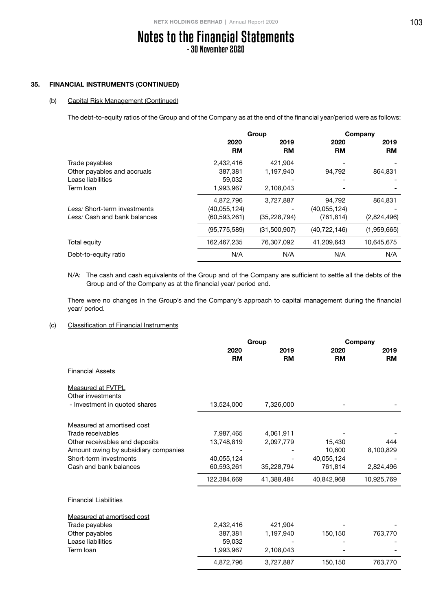## 35. FINANCIAL INSTRUMENTS (CONTINUED)

#### (b) Capital Risk Management (Continued)

The debt-to-equity ratios of the Group and of the Company as at the end of the financial year/period were as follows:

|                              | Group          |                | Company        |             |
|------------------------------|----------------|----------------|----------------|-------------|
|                              | 2020           | 2019           | 2020           | 2019        |
|                              | <b>RM</b>      | <b>RM</b>      | <b>RM</b>      | <b>RM</b>   |
| Trade payables               | 2,432,416      | 421.904        |                |             |
| Other payables and accruals  | 387,381        | 1,197,940      | 94,792         | 864,831     |
| Lease liabilities            | 59,032         |                |                |             |
| Term Ioan                    | 1,993,967      | 2,108,043      |                |             |
|                              | 4,872,796      | 3,727,887      | 94.792         | 864.831     |
| Less: Short-term investments | (40,055,124)   |                | (40,055,124)   |             |
| Less: Cash and bank balances | (60, 593, 261) | (35, 228, 794) | (761, 814)     | (2,824,496) |
|                              | (95, 775, 589) | (31,500,907)   | (40, 722, 146) | (1,959,665) |
| Total equity                 | 162,467,235    | 76,307,092     | 41,209,643     | 10,645,675  |
| Debt-to-equity ratio         | N/A            | N/A            | N/A            | N/A         |

## N/A: The cash and cash equivalents of the Group and of the Company are sufficient to settle all the debts of the Group and of the Company as at the financial year/ period end.

There were no changes in the Group's and the Company's approach to capital management during the financial year/ period.

## (c) Classification of Financial Instruments

|                                      |                   | Group             |                   | Company           |
|--------------------------------------|-------------------|-------------------|-------------------|-------------------|
|                                      | 2020<br><b>RM</b> | 2019<br><b>RM</b> | 2020<br><b>RM</b> | 2019<br><b>RM</b> |
| <b>Financial Assets</b>              |                   |                   |                   |                   |
| Measured at FVTPL                    |                   |                   |                   |                   |
| Other investments                    |                   |                   |                   |                   |
| - Investment in quoted shares        | 13,524,000        | 7,326,000         |                   |                   |
| Measured at amortised cost           |                   |                   |                   |                   |
| Trade receivables                    | 7,987,465         | 4,061,911         |                   |                   |
| Other receivables and deposits       | 13,748,819        | 2,097,779         | 15,430            | 444               |
| Amount owing by subsidiary companies |                   |                   | 10,600            | 8,100,829         |
| Short-term investments               | 40,055,124        |                   | 40,055,124        |                   |
| Cash and bank balances               | 60,593,261        | 35,228,794        | 761,814           | 2,824,496         |
|                                      | 122,384,669       | 41,388,484        | 40,842,968        | 10,925,769        |
| <b>Financial Liabilities</b>         |                   |                   |                   |                   |
| Measured at amortised cost           |                   |                   |                   |                   |
| Trade payables                       | 2,432,416         | 421,904           |                   |                   |
| Other payables                       | 387,381           | 1,197,940         | 150,150           | 763,770           |
| Lease liabilities                    | 59,032            |                   |                   |                   |
| Term Ioan                            | 1,993,967         | 2,108,043         |                   |                   |
|                                      | 4,872,796         | 3,727,887         | 150,150           | 763,770           |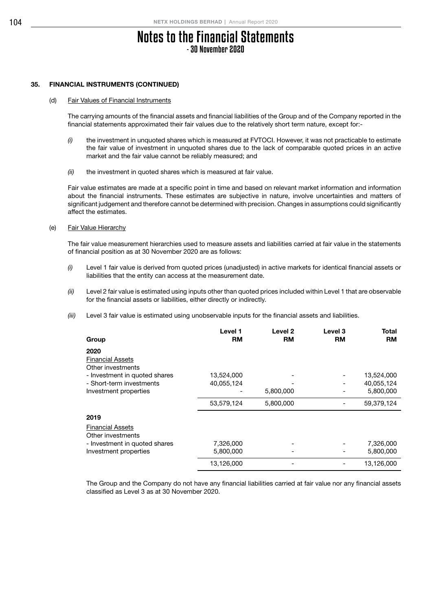## 35. FINANCIAL INSTRUMENTS (CONTINUED)

### (d) Fair Values of Financial Instruments

The carrying amounts of the financial assets and financial liabilities of the Group and of the Company reported in the financial statements approximated their fair values due to the relatively short term nature, except for:-

- *(i)* the investment in unquoted shares which is measured at FVTOCI. However, it was not practicable to estimate the fair value of investment in unquoted shares due to the lack of comparable quoted prices in an active market and the fair value cannot be reliably measured; and
- *(ii)* the investment in quoted shares which is measured at fair value.

Fair value estimates are made at a specific point in time and based on relevant market information and information about the financial instruments. These estimates are subjective in nature, involve uncertainties and matters of significant judgement and therefore cannot be determined with precision. Changes in assumptions could significantly affect the estimates.

(e) Fair Value Hierarchy

The fair value measurement hierarchies used to measure assets and liabilities carried at fair value in the statements of financial position as at 30 November 2020 are as follows:

- *(i)* Level 1 fair value is derived from quoted prices (unadjusted) in active markets for identical financial assets or liabilities that the entity can access at the measurement date.
- *(ii)* Level 2 fair value is estimated using inputs other than quoted prices included within Level 1 that are observable for the financial assets or liabilities, either directly or indirectly.
- *(iii)* Level 3 fair value is estimated using unobservable inputs for the financial assets and liabilities.

| Group                                                | Level 1<br><b>RM</b> | Level <sub>2</sub><br><b>RM</b> | Level 3<br>RM | Total<br><b>RM</b> |
|------------------------------------------------------|----------------------|---------------------------------|---------------|--------------------|
| 2020<br><b>Financial Assets</b><br>Other investments |                      |                                 |               |                    |
| - Investment in quoted shares                        | 13,524,000           |                                 |               | 13,524,000         |
| - Short-term investments                             | 40,055,124           |                                 |               | 40,055,124         |
| Investment properties                                |                      | 5,800,000                       |               | 5,800,000          |
|                                                      | 53,579,124           | 5,800,000                       |               | 59,379,124         |
| 2019                                                 |                      |                                 |               |                    |
| <b>Financial Assets</b><br>Other investments         |                      |                                 |               |                    |
| - Investment in quoted shares                        | 7,326,000            |                                 |               | 7,326,000          |
| Investment properties                                | 5,800,000            |                                 |               | 5,800,000          |
|                                                      | 13,126,000           |                                 |               | 13,126,000         |

The Group and the Company do not have any financial liabilities carried at fair value nor any financial assets classified as Level 3 as at 30 November 2020.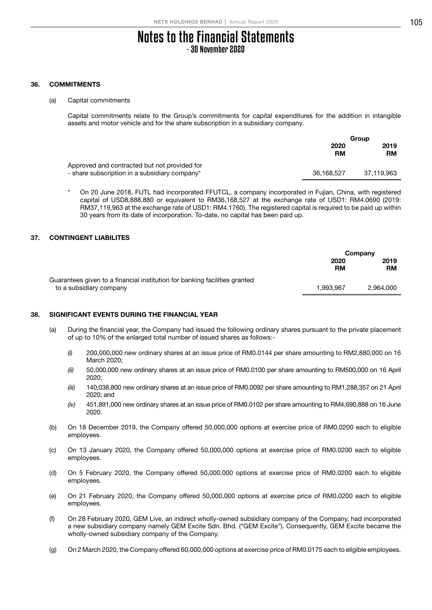#### 36. COMMITMENTS

(a) Capital commitments

Capital commitments relate to the Group's commitments for capital expenditures for the addition in intangible assets and motor vehicle and for the share subscription in a subsidiary company.

|                                                                                               | Group             |                   |
|-----------------------------------------------------------------------------------------------|-------------------|-------------------|
|                                                                                               | 2020<br><b>RM</b> | 2019<br><b>RM</b> |
| Approved and contracted but not provided for<br>- share subscription in a subsidiary company* | 36.168.527        | 37.119.963        |

On 20 June 2018, FUTL had incorporated FFUTCL, a company incorporated in Fujian, China, with registered capital of USD8,888,880 or equivalent to RM36,168,527 at the exchange rate of USD1: RM4.0690 (2019: RM37,119,963 at the exchange rate of USD1: RM4.1760). The registered capital is required to be paid up within 30 years from its date of incorporation. To-date, no capital has been paid up.

### 37. CONTINGENT LIABILITES

|                                                                            |           | Company   |  |
|----------------------------------------------------------------------------|-----------|-----------|--|
|                                                                            | 2020      | 2019      |  |
|                                                                            | RM        | <b>RM</b> |  |
| Guarantees given to a financial institution for banking facilities granted |           |           |  |
| to a subsidiary company                                                    | 1.993.967 | 2.964.000 |  |

### 38. SIGNIFICANT EVENTS DURING THE FINANCIAL YEAR

- (a) During the financial year, the Company had issued the following ordinary shares pursuant to the private placement of up to 10% of the enlarged total number of issued shares as follows:-
	- *(i)* 200,000,000 new ordinary shares at an issue price of RM0.0144 per share amounting to RM2,880,000 on 16 March 2020;
	- *(ii)* 50,000,000 new ordinary shares at an issue price of RM0.0100 per share amounting to RM500,000 on 16 April 2020;
	- *(iii)* 140,038,800 new ordinary shares at an issue price of RM0.0092 per share amounting to RM1,288,357 on 21 April 2020; and
	- *(iv)* 451,891,000 new ordinary shares at an issue price of RM0.0102 per share amounting to RM4,690,888 on 16 June 2020.
- (b) On 18 December 2019, the Company offered 50,000,000 options at exercise price of RM0.0200 each to eligible employees.
- (c) On 13 January 2020, the Company offered 50,000,000 options at exercise price of RM0.0200 each to eligible employees.
- (d) On 5 February 2020, the Company offered 50,000,000 options at exercise price of RM0.0200 each to eligible employees.
- (e) On 21 February 2020, the Company offered 50,000,000 options at exercise price of RM0.0200 each to eligible employees.
- (f) On 28 February 2020, GEM Live, an indirect wholly-owned subsidiary company of the Company, had incorporated a new subsidiary company namely GEM Excite Sdn. Bhd. ("GEM Excite"). Consequently, GEM Excite became the wholly-owned subsidiary company of the Company.
- (g) On 2 March 2020, the Company offered 60,000,000 options at exercise price of RM0.0175 each to eligible employees.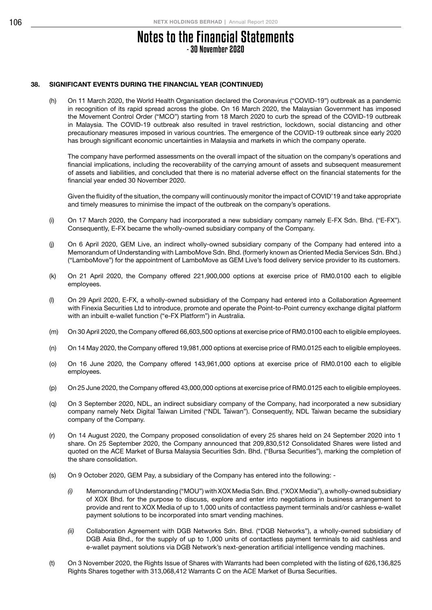## 38. SIGNIFICANT EVENTS DURING THE FINANCIAL YEAR (CONTINUED)

(h) On 11 March 2020, the World Health Organisation declared the Coronavirus ("COVID-19") outbreak as a pandemic in recognition of its rapid spread across the globe. On 16 March 2020, the Malaysian Government has imposed the Movement Control Order ("MCO") starting from 18 March 2020 to curb the spread of the COVID-19 outbreak in Malaysia. The COVID-19 outbreak also resulted in travel restriction, lockdown, social distancing and other precautionary measures imposed in various countries. The emergence of the COVID-19 outbreak since early 2020 has brough significant economic uncertainties in Malaysia and markets in which the company operate.

The company have performed assessments on the overall impact of the situation on the company's operations and financial implications, including the recoverability of the carrying amount of assets and subsequent measurement of assets and liabilities, and concluded that there is no material adverse effect on the financial statements for the financial year ended 30 November 2020.

Given the fluidity of the situation, the company will continuously monitor the impact of COVID'19 and take appropriate and timely measures to minimise the impact of the outbreak on the company's operations.

- (i) On 17 March 2020, the Company had incorporated a new subsidiary company namely E-FX Sdn. Bhd. ("E-FX"). Consequently, E-FX became the wholly-owned subsidiary company of the Company.
- (j) On 6 April 2020, GEM Live, an indirect wholly-owned subsidiary company of the Company had entered into a Memorandum of Understanding with LamboMove Sdn. Bhd. (formerly known as Oriented Media Services Sdn. Bhd.) ("LamboMove") for the appointment of LamboMove as GEM Live's food delivery service provider to its customers.
- (k) On 21 April 2020, the Company offered 221,900,000 options at exercise price of RM0.0100 each to eligible employees.
- (l) On 29 April 2020, E-FX, a wholly-owned subsidiary of the Company had entered into a Collaboration Agreement with Finexia Securities Ltd to introduce, promote and operate the Point-to-Point currency exchange digital platform with an inbuilt e-wallet function ("e-FX Platform") in Australia.
- (m) On 30 April 2020, the Company offered 66,603,500 options at exercise price of RM0.0100 each to eligible employees.
- (n) On 14 May 2020, the Company offered 19,981,000 options at exercise price of RM0.0125 each to eligible employees.
- (o) On 16 June 2020, the Company offered 143,961,000 options at exercise price of RM0.0100 each to eligible employees.
- (p) On 25 June 2020, the Company offered 43,000,000 options at exercise price of RM0.0125 each to eligible employees.
- (q) On 3 September 2020, NDL, an indirect subsidiary company of the Company, had incorporated a new subsidiary company namely Netx Digital Taiwan Limited ("NDL Taiwan"). Consequently, NDL Taiwan became the subsidiary company of the Company.
- (r) On 14 August 2020, the Company proposed consolidation of every 25 shares held on 24 September 2020 into 1 share. On 25 September 2020, the Company announced that 209,830,512 Consolidated Shares were listed and quoted on the ACE Market of Bursa Malaysia Securities Sdn. Bhd. ("Bursa Securities"), marking the completion of the share consolidation.
- (s) On 9 October 2020, GEM Pay, a subsidiary of the Company has entered into the following:
	- *(i)* Memorandum of Understanding ("MOU") with XOX Media Sdn. Bhd. ("XOX Media"), a wholly-owned subsidiary of XOX Bhd. for the purpose to discuss, explore and enter into negotiations in business arrangement to provide and rent to XOX Media of up to 1,000 units of contactless payment terminals and/or cashless e-wallet payment solutions to be incorporated into smart vending machines.
	- *(ii)* Collaboration Agreement with DGB Networks Sdn. Bhd. ("DGB Networks"), a wholly-owned subsidiary of DGB Asia Bhd., for the supply of up to 1,000 units of contactless payment terminals to aid cashless and e-wallet payment solutions via DGB Network's next-generation artificial intelligence vending machines.
- (t) On 3 November 2020, the Rights Issue of Shares with Warrants had been completed with the listing of 626,136,825 Rights Shares together with 313,068,412 Warrants C on the ACE Market of Bursa Securities.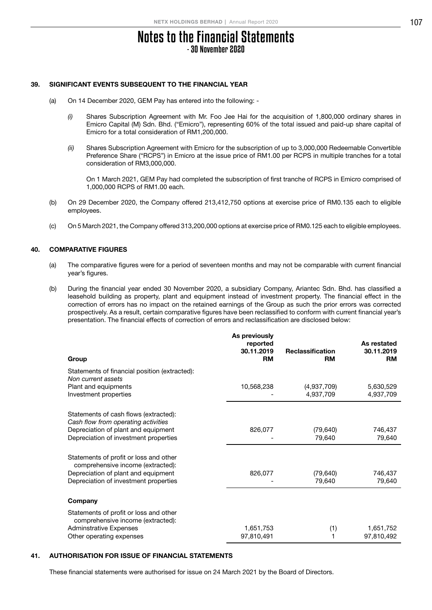### Notes to the Financial Statements - 30 November 2020

#### 39. SIGNIFICANT EVENTS SUBSEQUENT TO THE FINANCIAL YEAR

- (a) On 14 December 2020, GEM Pay has entered into the following:
	- *(i)* Shares Subscription Agreement with Mr. Foo Jee Hai for the acquisition of 1,800,000 ordinary shares in Emicro Capital (M) Sdn. Bhd. ("Emicro"), representing 60% of the total issued and paid-up share capital of Emicro for a total consideration of RM1,200,000.
	- *(ii)* Shares Subscription Agreement with Emicro for the subscription of up to 3,000,000 Redeemable Convertible Preference Share ("RCPS") in Emicro at the issue price of RM1.00 per RCPS in multiple tranches for a total consideration of RM3,000,000.

On 1 March 2021, GEM Pay had completed the subscription of first tranche of RCPS in Emicro comprised of 1,000,000 RCPS of RM1.00 each.

- (b) On 29 December 2020, the Company offered 213,412,750 options at exercise price of RM0.135 each to eligible employees.
- (c) On 5 March 2021, the Company offered 313,200,000 options at exercise price of RM0.125 each to eligible employees.

#### 40. COMPARATIVE FIGURES

- (a) The comparative figures were for a period of seventeen months and may not be comparable with current financial year's figures.
- (b) During the financial year ended 30 November 2020, a subsidiary Company, Ariantec Sdn. Bhd. has classified a leasehold building as property, plant and equipment instead of investment property. The financial effect in the correction of errors has no impact on the retained earnings of the Group as such the prior errors was corrected prospectively. As a result, certain comparative figures have been reclassified to conform with current financial year's presentation. The financial effects of correction of errors and reclassification are disclosed below:

| Group                                                                                                                                                        | As previously<br>reported<br>30.11.2019<br><b>RM</b> | <b>Reclassification</b><br><b>RM</b> | As restated<br>30.11.2019<br><b>RM</b> |
|--------------------------------------------------------------------------------------------------------------------------------------------------------------|------------------------------------------------------|--------------------------------------|----------------------------------------|
| Statements of financial position (extracted):<br>Non current assets<br>Plant and equipments<br>Investment properties                                         | 10,568,238                                           | (4,937,709)<br>4,937,709             | 5,630,529<br>4,937,709                 |
| Statements of cash flows (extracted):<br>Cash flow from operating activities<br>Depreciation of plant and equipment<br>Depreciation of investment properties | 826,077                                              | (79, 640)<br>79,640                  | 746,437<br>79,640                      |
| Statements of profit or loss and other<br>comprehensive income (extracted):<br>Depreciation of plant and equipment<br>Depreciation of investment properties  | 826,077                                              | (79, 640)<br>79,640                  | 746.437<br>79,640                      |
| Company                                                                                                                                                      |                                                      |                                      |                                        |
| Statements of profit or loss and other<br>comprehensive income (extracted):<br><b>Adminstrative Expenses</b><br>Other operating expenses                     | 1,651,753<br>97,810,491                              | (1)                                  | 1,651,752<br>97,810,492                |

#### 41. AUTHORISATION FOR ISSUE OF FINANCIAL STATEMENTS

These financial statements were authorised for issue on 24 March 2021 by the Board of Directors.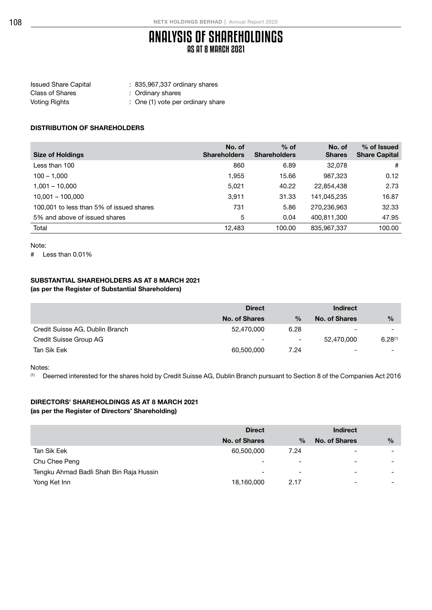### ANALYSIS OF SHAREHOLDINGS AS AT 8 MARCH 2021

| <b>Issued Share Capital</b> | $: 835,967,337$ ordinary shares              |
|-----------------------------|----------------------------------------------|
| Class of Shares             | : Ordinary shares                            |
| Voting Rights               | $\therefore$ One (1) vote per ordinary share |

#### DISTRIBUTION OF SHAREHOLDERS

| <b>Size of Holdings</b>                  | No. of<br><b>Shareholders</b> | $%$ of<br><b>Shareholders</b> | No. of<br><b>Shares</b> | % of Issued<br><b>Share Capital</b> |
|------------------------------------------|-------------------------------|-------------------------------|-------------------------|-------------------------------------|
| Less than 100                            | 860                           | 6.89                          | 32,078                  | #                                   |
| $100 - 1,000$                            | 1,955                         | 15.66                         | 987,323                 | 0.12                                |
| $1.001 - 10.000$                         | 5,021                         | 40.22                         | 22,854,438              | 2.73                                |
| $10,001 - 100,000$                       | 3.911                         | 31.33                         | 141,045,235             | 16.87                               |
| 100,001 to less than 5% of issued shares | 731                           | 5.86                          | 270,236,963             | 32.33                               |
| 5% and above of issued shares            | 5                             | 0.04                          | 400,811,300             | 47.95                               |
| Total                                    | 12.483                        | 100.00                        | 835.967.337             | 100.00                              |

Note:

# Less than 0.01%

#### SUBSTANTIAL SHAREHOLDERS AS AT 8 MARCH 2021 (as per the Register of Substantial Shareholders)

|                                 | <b>Direct</b>        |                          | <b>Indirect</b>          |                          |  |  |
|---------------------------------|----------------------|--------------------------|--------------------------|--------------------------|--|--|
|                                 | <b>No. of Shares</b> | $\frac{0}{2}$            | <b>No. of Shares</b>     | $\frac{9}{6}$            |  |  |
| Credit Suisse AG, Dublin Branch | 52,470,000           | 6.28                     | $\overline{\phantom{0}}$ | $\overline{\phantom{0}}$ |  |  |
| Credit Suisse Group AG          |                      | $\overline{\phantom{a}}$ | 52.470.000               | $6.28^{(1)}$             |  |  |
| Tan Sik Eek                     | 60,500,000           | 7.24                     | $\overline{\phantom{0}}$ | $\overline{\phantom{0}}$ |  |  |

Notes:

(1) Deemed interested for the shares hold by Credit Suisse AG, Dublin Branch pursuant to Section 8 of the Companies Act 2016

### DIRECTORS' SHAREHOLDINGS AS AT 8 MARCH 2021

(as per the Register of Directors' Shareholding)

|                                         | <b>Direct</b>            |                          | <b>Indirect</b>          |                          |
|-----------------------------------------|--------------------------|--------------------------|--------------------------|--------------------------|
|                                         | <b>No. of Shares</b>     | $\frac{0}{0}$            | <b>No. of Shares</b>     | $\frac{0}{0}$            |
| Tan Sik Eek                             | 60,500,000               | 7.24                     | $\overline{\phantom{0}}$ |                          |
| Chu Chee Peng                           |                          | ۰                        |                          | -                        |
| Tengku Ahmad Badli Shah Bin Raja Hussin | $\overline{\phantom{0}}$ | $\overline{\phantom{0}}$ | -                        | $\overline{\phantom{0}}$ |
| Yong Ket Inn                            | 18,160,000               | 2.17                     | -                        | -                        |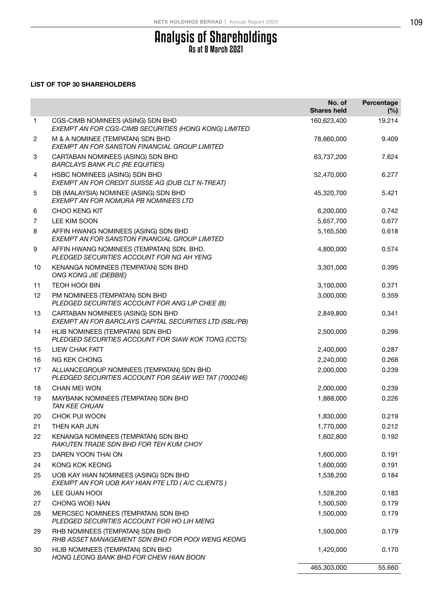### Analysis of Shareholdings As at 8 March 2021

#### LIST OF TOP 30 SHAREHOLDERS

|    |                                                                                                    | No. of<br><b>Shares held</b> | Percentage<br>$(\%)$ |
|----|----------------------------------------------------------------------------------------------------|------------------------------|----------------------|
| 1  | CGS-CIMB NOMINEES (ASING) SDN BHD<br>EXEMPT AN FOR CGS-CIMB SECURITIES (HONG KONG) LIMITED         | 160,623,400                  | 19.214               |
| 2  | M & A NOMINEE (TEMPATAN) SDN BHD<br>EXEMPT AN FOR SANSTON FINANCIAL GROUP LIMITED                  | 78,660,000                   | 9.409                |
| 3  | CARTABAN NOMINEES (ASING) SDN BHD<br><b>BARCLAYS BANK PLC (RE EQUITIES)</b>                        | 63,737,200                   | 7.624                |
| 4  | HSBC NOMINEES (ASING) SDN BHD<br>EXEMPT AN FOR CREDIT SUISSE AG (DUB CLT N-TREAT)                  | 52,470,000                   | 6.277                |
| 5  | DB (MALAYSIA) NOMINEE (ASING) SDN BHD<br>EXEMPT AN FOR NOMURA PB NOMINEES LTD                      | 45,320,700                   | 5.421                |
| 6  | <b>CHOO KENG KIT</b>                                                                               | 6,200,000                    | 0.742                |
| 7  | LEE KIM SOON                                                                                       | 5,657,700                    | 0.677                |
| 8  | AFFIN HWANG NOMINEES (ASING) SDN BHD<br>EXEMPT AN FOR SANSTON FINANCIAL GROUP LIMITED              | 5,165,500                    | 0.618                |
| 9  | AFFIN HWANG NOMINEES (TEMPATAN) SDN. BHD.<br>PLEDGED SECURITIES ACCOUNT FOR NG AH YENG             | 4,800,000                    | 0.574                |
| 10 | KENANGA NOMINEES (TEMPATAN) SDN BHD<br>ONG KONG JIE (DEBBIE)                                       | 3,301,000                    | 0.395                |
| 11 | <b>TEOH HOOI BIN</b>                                                                               | 3,100,000                    | 0.371                |
| 12 | PM NOMINEES (TEMPATAN) SDN BHD<br>PLEDGED SECURITIES ACCOUNT FOR ANG LIP CHEE (B)                  | 3,000,000                    | 0.359                |
| 13 | CARTABAN NOMINEES (ASING) SDN BHD<br>EXEMPT AN FOR BARCLAYS CAPITAL SECURITIES LTD (SBL/PB)        | 2,849,800                    | 0.341                |
| 14 | HLIB NOMINEES (TEMPATAN) SDN BHD<br>PLEDGED SECURITIES ACCOUNT FOR SIAW KOK TONG (CCTS)            | 2,500,000                    | 0.299                |
| 15 | <b>LIEW CHAK FATT</b>                                                                              | 2,400,000                    | 0.287                |
| 16 | <b>NG KEK CHONG</b>                                                                                | 2,240,000                    | 0.268                |
| 17 | ALLIANCEGROUP NOMINEES (TEMPATAN) SDN BHD<br>PLEDGED SECURITIES ACCOUNT FOR SEAW WEI TAT (7000246) | 2,000,000                    | 0.239                |
| 18 | <b>CHAN MEI WON</b>                                                                                | 2,000,000                    | 0.239                |
| 19 | MAYBANK NOMINEES (TEMPATAN) SDN BHD<br>TAN KEE CHUAN                                               | 1,888,000                    | 0.226                |
| 20 | CHOK PUI WOON                                                                                      | 1,830,000                    | 0.219                |
| 21 | THEN KAR JUN                                                                                       | 1,770,000                    | 0.212                |
| 22 | KENANGA NOMINEES (TEMPATAN) SDN BHD<br>RAKUTEN TRADE SDN BHD FOR TEH KUM CHOY                      | 1,602,800                    | 0.192                |
| 23 | DAREN YOON THAI ON                                                                                 | 1,600,000                    | 0.191                |
| 24 | KONG KOK KEONG                                                                                     | 1,600,000                    | 0.191                |
| 25 | UOB KAY HIAN NOMINEES (ASING) SDN BHD<br>EXEMPT AN FOR UOB KAY HIAN PTE LTD (A/C CLIENTS)          | 1,538,200                    | 0.184                |
| 26 | LEE GUAN HOOI                                                                                      | 1,528,200                    | 0.183                |
| 27 | CHONG WOEI NAN                                                                                     | 1,500,500                    | 0.179                |
| 28 | MERCSEC NOMINEES (TEMPATAN) SDN BHD<br>PLEDGED SECURITIES ACCOUNT FOR HO LIH MENG                  | 1,500,000                    | 0.179                |
| 29 | RHB NOMINEES (TEMPATAN) SDN BHD<br>RHB ASSET MANAGEMENT SDN BHD FOR POOI WENG KEONG                | 1,500,000                    | 0.179                |
| 30 | HLIB NOMINEES (TEMPATAN) SDN BHD<br>HONG LEONG BANK BHD FOR CHEW HIAN BOON                         | 1,420,000                    | 0.170                |
|    |                                                                                                    | 465,303,000                  | 55.660               |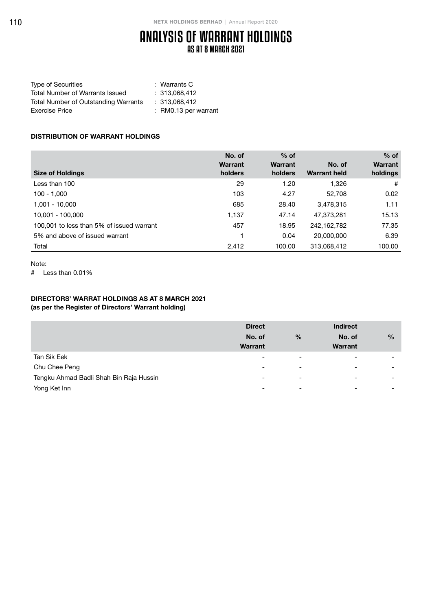### ANALYSIS OF WARRANT HOLDINGS AS AT 8 MARCH 2021

| <b>Type of Securities</b>                   | : Warrants C         |
|---------------------------------------------|----------------------|
| Total Number of Warrants Issued             | : 313.068.412        |
| <b>Total Number of Outstanding Warrants</b> | : 313.068.412        |
| <b>Exercise Price</b>                       | : RM0.13 per warrant |

#### DISTRIBUTION OF WARRANT HOLDINGS

| <b>Size of Holdings</b>                   | No. of<br><b>Warrant</b><br>holders | $%$ of<br><b>Warrant</b><br>holders | No. of<br><b>Warrant held</b> | $%$ of<br><b>Warrant</b><br>holdings |
|-------------------------------------------|-------------------------------------|-------------------------------------|-------------------------------|--------------------------------------|
| Less than 100                             | 29                                  | 1.20                                | 1,326                         | #                                    |
| $100 - 1,000$                             | 103                                 | 4.27                                | 52,708                        | 0.02                                 |
| $1,001 - 10,000$                          | 685                                 | 28.40                               | 3,478,315                     | 1.11                                 |
| 10.001 - 100.000                          | 1,137                               | 47.14                               | 47,373,281                    | 15.13                                |
| 100,001 to less than 5% of issued warrant | 457                                 | 18.95                               | 242,162,782                   | 77.35                                |
| 5% and above of issued warrant            |                                     | 0.04                                | 20,000,000                    | 6.39                                 |
| Total                                     | 2,412                               | 100.00                              | 313,068,412                   | 100.00                               |

Note:

# Less than 0.01%

#### DIRECTORS' WARRAT HOLDINGS AS AT 8 MARCH 2021 (as per the Register of Directors' Warrant holding)

|                                         | <b>Direct</b><br>No. of<br>Warrant | $\%$                     | <b>Indirect</b><br>No. of<br>Warrant | $\frac{9}{6}$            |
|-----------------------------------------|------------------------------------|--------------------------|--------------------------------------|--------------------------|
| Tan Sik Eek                             | -                                  | $\overline{\phantom{a}}$ |                                      | $\overline{\phantom{0}}$ |
| Chu Chee Peng                           | -                                  | $\overline{\phantom{0}}$ | -                                    | $\overline{\phantom{0}}$ |
| Tengku Ahmad Badli Shah Bin Raja Hussin | -                                  | -                        | -                                    | ۰                        |
| Yong Ket Inn                            | -                                  | $\overline{\phantom{a}}$ | $\overline{\phantom{0}}$             | $\overline{\phantom{0}}$ |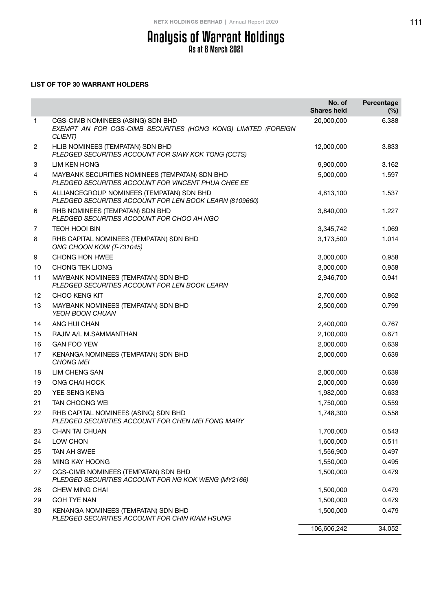### Analysis of Warrant Holdings As at 8 March 2021

#### LIST OF TOP 30 WARRANT HOLDERS

|              |                                                                                                                | No. of<br><b>Shares held</b> | Percentage<br>(%) |
|--------------|----------------------------------------------------------------------------------------------------------------|------------------------------|-------------------|
| $\mathbf{1}$ | CGS-CIMB NOMINEES (ASING) SDN BHD<br>EXEMPT AN FOR CGS-CIMB SECURITIES (HONG KONG) LIMITED (FOREIGN<br>CLIENT) | 20,000,000                   | 6.388             |
| 2            | HLIB NOMINEES (TEMPATAN) SDN BHD<br>PLEDGED SECURITIES ACCOUNT FOR SIAW KOK TONG (CCTS)                        | 12,000,000                   | 3.833             |
| 3            | <b>LIM KEN HONG</b>                                                                                            | 9,900,000                    | 3.162             |
| 4            | MAYBANK SECURITIES NOMINEES (TEMPATAN) SDN BHD<br>PLEDGED SECURITIES ACCOUNT FOR VINCENT PHUA CHEE EE          | 5,000,000                    | 1.597             |
| 5            | ALLIANCEGROUP NOMINEES (TEMPATAN) SDN BHD<br>PLEDGED SECURITIES ACCOUNT FOR LEN BOOK LEARN (8109660)           | 4,813,100                    | 1.537             |
| 6            | RHB NOMINEES (TEMPATAN) SDN BHD<br>PLEDGED SECURITIES ACCOUNT FOR CHOO AH NGO                                  | 3,840,000                    | 1.227             |
| 7            | <b>TEOH HOOI BIN</b>                                                                                           | 3,345,742                    | 1.069             |
| 8            | RHB CAPITAL NOMINEES (TEMPATAN) SDN BHD<br>ONG CHOON KOW (T-731045)                                            | 3,173,500                    | 1.014             |
| 9            | CHONG HON HWEE                                                                                                 | 3,000,000                    | 0.958             |
| 10           | <b>CHONG TEK LIONG</b>                                                                                         | 3,000,000                    | 0.958             |
| 11           | MAYBANK NOMINEES (TEMPATAN) SDN BHD<br>PLEDGED SECURITIES ACCOUNT FOR LEN BOOK LEARN                           | 2,946,700                    | 0.941             |
| 12           | CHOO KENG KIT                                                                                                  | 2,700,000                    | 0.862             |
| 13           | MAYBANK NOMINEES (TEMPATAN) SDN BHD<br>YEOH BOON CHUAN                                                         | 2,500,000                    | 0.799             |
| 14           | ANG HUI CHAN                                                                                                   | 2,400,000                    | 0.767             |
| 15           | RAJIV A/L M.SAMMANTHAN                                                                                         | 2,100,000                    | 0.671             |
| 16           | <b>GAN FOO YEW</b>                                                                                             | 2,000,000                    | 0.639             |
| 17           | KENANGA NOMINEES (TEMPATAN) SDN BHD<br><b>CHONG MEI</b>                                                        | 2,000,000                    | 0.639             |
| 18           | <b>LIM CHENG SAN</b>                                                                                           | 2,000,000                    | 0.639             |
| 19           | ONG CHAI HOCK                                                                                                  | 2,000,000                    | 0.639             |
| 20           | YEE SENG KENG                                                                                                  | 1,982,000                    | 0.633             |
| 21           | TAN CHOONG WEI                                                                                                 | 1,750,000                    | 0.559             |
| 22           | RHB CAPITAL NOMINEES (ASING) SDN BHD<br>PLEDGED SECURITIES ACCOUNT FOR CHEN MEI FONG MARY                      | 1,748,300                    | 0.558             |
| 23           | CHAN TAI CHUAN                                                                                                 | 1,700,000                    | 0.543             |
| 24           | LOW CHON                                                                                                       | 1,600,000                    | 0.511             |
| 25           | TAN AH SWEE                                                                                                    | 1,556,900                    | 0.497             |
| 26           | MING KAY HOONG                                                                                                 | 1,550,000                    | 0.495             |
| 27           | CGS-CIMB NOMINEES (TEMPATAN) SDN BHD<br>PLEDGED SECURITIES ACCOUNT FOR NG KOK WENG (MY2166)                    | 1,500,000                    | 0.479             |
| 28           | <b>CHEW MING CHAI</b>                                                                                          | 1,500,000                    | 0.479             |
| 29           | <b>GOH TYE NAN</b>                                                                                             | 1,500,000                    | 0.479             |
| 30           | KENANGA NOMINEES (TEMPATAN) SDN BHD<br>PLEDGED SECURITIES ACCOUNT FOR CHIN KIAM HSUNG                          | 1,500,000                    | 0.479             |
|              |                                                                                                                | 106,606,242                  | 34.052            |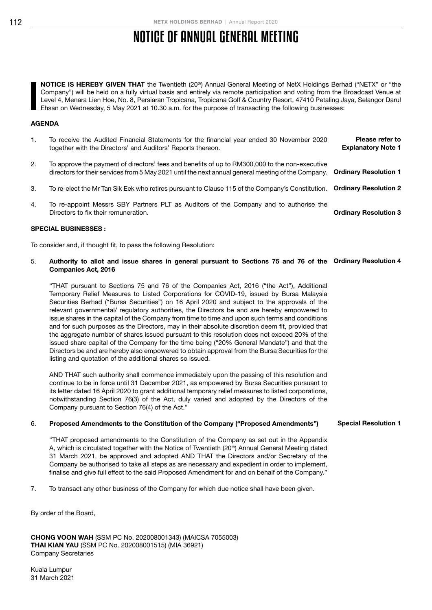# NOTICE OF ANNUAL GENERAL MEETING

NOTICE IS HEREBY GIVEN THAT the Twentieth (20<sup>th</sup>) Annual General Meeting of NetX Holdings Berhad ("NETX" or "the Company") will be held on a fully virtual basis and entirely via remote participation and voting from the Broadcast Venue at Level 4, Menara Lien Hoe, No. 8, Persiaran Tropicana, Tropicana Golf & Country Resort, 47410 Petaling Jaya, Selangor Darul Ehsan on Wednesday, 5 May 2021 at 10.30 a.m. for the purpose of transacting the following businesses:

#### AGENDA

| $\mathbf{1}$ . | To receive the Audited Financial Statements for the financial year ended 30 November 2020<br>together with the Directors' and Auditors' Reports thereon.                                             | Please refer to<br><b>Explanatory Note 1</b> |
|----------------|------------------------------------------------------------------------------------------------------------------------------------------------------------------------------------------------------|----------------------------------------------|
| 2.             | To approve the payment of directors' fees and benefits of up to RM300,000 to the non-executive<br>directors for their services from 5 May 2021 until the next annual general meeting of the Company. | <b>Ordinary Resolution 1</b>                 |
| 3.             | To re-elect the Mr Tan Sik Eek who retires pursuant to Clause 115 of the Company's Constitution. Ordinary Resolution 2                                                                               |                                              |
| 4.             | To re-appoint Messrs SBY Partners PLT as Auditors of the Company and to authorise the<br>Directors to fix their remuneration.                                                                        | <b>Ordinary Resolution 3</b>                 |

#### SPECIAL BUSINESSES :

To consider and, if thought fit, to pass the following Resolution:

5. Authority to allot and issue shares in general pursuant to Sections 75 and 76 of the Ordinary Resolution 4 Companies Act, 2016

"THAT pursuant to Sections 75 and 76 of the Companies Act, 2016 ("the Act"), Additional Temporary Relief Measures to Listed Corporations for COVID-19, issued by Bursa Malaysia Securities Berhad ("Bursa Securities") on 16 April 2020 and subject to the approvals of the relevant governmental/ regulatory authorities, the Directors be and are hereby empowered to issue shares in the capital of the Company from time to time and upon such terms and conditions and for such purposes as the Directors, may in their absolute discretion deem fit, provided that the aggregate number of shares issued pursuant to this resolution does not exceed 20% of the issued share capital of the Company for the time being ("20% General Mandate") and that the Directors be and are hereby also empowered to obtain approval from the Bursa Securities for the listing and quotation of the additional shares so issued.

AND THAT such authority shall commence immediately upon the passing of this resolution and continue to be in force until 31 December 2021, as empowered by Bursa Securities pursuant to its letter dated 16 April 2020 to grant additional temporary relief measures to listed corporations, notwithstanding Section 76(3) of the Act, duly varied and adopted by the Directors of the Company pursuant to Section 76(4) of the Act."

#### 6. Proposed Amendments to the Constitution of the Company ("Proposed Amendments")

"THAT proposed amendments to the Constitution of the Company as set out in the Appendix A, which is circulated together with the Notice of Twentieth (20<sup>th</sup>) Annual General Meeting dated 31 March 2021, be approved and adopted AND THAT the Directors and/or Secretary of the Company be authorised to take all steps as are necessary and expedient in order to implement, finalise and give full effect to the said Proposed Amendment for and on behalf of the Company."

7. To transact any other business of the Company for which due notice shall have been given.

By order of the Board,

CHONG VOON WAH (SSM PC No. 202008001343) (MAICSA 7055003) THAI KIAN YAU (SSM PC No. 202008001515) (MIA 36921) Company Secretaries

Kuala Lumpur 31 March 2021 Special Resolution 1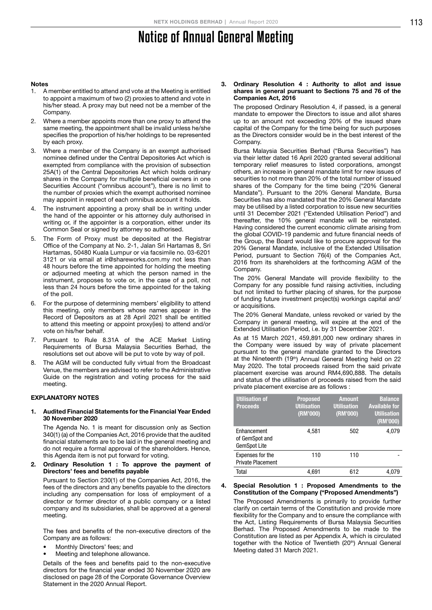# Notice of Annual General Meeting

#### **Notes**

- 1. A member entitled to attend and vote at the Meeting is entitled to appoint a maximum of two (2) proxies to attend and vote in his/her stead. A proxy may but need not be a member of the Company.
- 2. Where a member appoints more than one proxy to attend the same meeting, the appointment shall be invalid unless he/she specifies the proportion of his/her holdings to be represented by each proxy.
- 3. Where a member of the Company is an exempt authorised nominee defined under the Central Depositories Act which is exempted from compliance with the provision of subsection 25A(1) of the Central Depositories Act which holds ordinary shares in the Company for multiple beneficial owners in one Securities Account ("omnibus account"), there is no limit to the number of proxies which the exempt authorised nominee may appoint in respect of each omnibus account it holds.
- 4. The instrument appointing a proxy shall be in writing under the hand of the appointer or his attorney duly authorised in writing or, if the appointer is a corporation, either under its Common Seal or signed by attorney so authorised.
- 5. The Form of Proxy must be deposited at the Registrar Office of the Company at No. 2-1, Jalan Sri Hartamas 8, Sri Hartamas, 50480 Kuala Lumpur or via facsimile no. 03-6201 3121 or via email at ir@shareworks.com.my not less than 48 hours before the time appointed for holding the meeting or adjourned meeting at which the person named in the instrument, proposes to vote or, in the case of a poll, not less than 24 hours before the time appointed for the taking of the poll.
- 6. For the purpose of determining members' eligibility to attend this meeting, only members whose names appear in the Record of Depositors as at 28 April 2021 shall be entitled to attend this meeting or appoint proxy(ies) to attend and/or vote on his/her behalf.
- 7. Pursuant to Rule 8.31A of the ACE Market Listing Requirements of Bursa Malaysia Securities Berhad, the resolutions set out above will be put to vote by way of poll.
- 8. The AGM will be conducted fully virtual from the Broadcast Venue, the members are advised to refer to the Administrative Guide on the registration and voting process for the said meeting.

#### EXPLANATORY NOTES

1. Audited Financial Statements for the Financial Year Ended 30 November 2020

The Agenda No. 1 is meant for discussion only as Section 340(1) (a) of the Companies Act, 2016 provide that the audited financial statements are to be laid in the general meeting and do not require a formal approval of the shareholders. Hence, this Agenda item is not put forward for voting.

2. Ordinary Resolution 1 : To approve the payment of Directors' fees and benefits payable

Pursuant to Section 230(1) of the Companies Act, 2016, the fees of the directors and any benefits payable to the directors including any compensation for loss of employment of a director or former director of a public company or a listed company and its subsidiaries, shall be approved at a general meeting.

The fees and benefits of the non-executive directors of the Company are as follows:

- Monthly Directors' fees; and
- Meeting and telephone allowance.

Details of the fees and benefits paid to the non-executive directors for the financial year ended 30 November 2020 are disclosed on page 28 of the Corporate Governance Overview Statement in the 2020 Annual Report.

#### 3. Ordinary Resolution 4 : Authority to allot and issue shares in general pursuant to Sections 75 and 76 of the Companies Act, 2016

The proposed Ordinary Resolution 4, if passed, is a general mandate to empower the Directors to issue and allot shares up to an amount not exceeding 20% of the issued share capital of the Company for the time being for such purposes as the Directors consider would be in the best interest of the Company.

Bursa Malaysia Securities Berhad ("Bursa Securities") has via their letter dated 16 April 2020 granted several additional temporary relief measures to listed corporations, amongst others, an increase in general mandate limit for new issues of securities to not more than 20% of the total number of issued shares of the Company for the time being ("20% General Mandate"). Pursuant to the 20% General Mandate, Bursa Securities has also mandated that the 20% General Mandate may be utilised by a listed corporation to issue new securities until 31 December 2021 ("Extended Utilisation Period") and thereafter, the 10% general mandate will be reinstated. Having considered the current economic climate arising from the global COVID-19 pandemic and future financial needs of the Group, the Board would like to procure approval for the 20% General Mandate, inclusive of the Extended Utilisation Period, pursuant to Section 76(4) of the Companies Act, 2016 from its shareholders at the forthcoming AGM of the Company.

The 20% General Mandate will provide flexibility to the Company for any possible fund raising activities, including but not limited to further placing of shares, for the purpose of funding future investment project(s) workings capital and/ or acquisitions.

The 20% General Mandate, unless revoked or varied by the Company in general meeting, will expire at the end of the Extended Utilisation Period, i.e. by 31 December 2021.

As at 15 March 2021, 459,891,000 new ordinary shares in the Company were issued by way of private placement pursuant to the general mandate granted to the Directors at the Nineteenth (19<sup>th</sup>) Annual General Meeting held on 22 May 2020. The total proceeds raised from the said private placement exercise was around RM4,690,888. The details and status of the utilisation of proceeds raised from the said private placement exercise are as follows :

| <b>Utilisation of</b><br><b>Proceeds</b>             | <b>Proposed</b><br><b>Utilisation</b><br>(RM'000) | <b>Amount</b><br><b>Utilisation</b><br>(RM'000) | <b>Balance</b><br><b>Available for</b><br><b>Utilisation</b><br>$\overline{(RM'000)}$ |
|------------------------------------------------------|---------------------------------------------------|-------------------------------------------------|---------------------------------------------------------------------------------------|
| Enhancement<br>of GemSpot and<br><b>GemSpot Lite</b> | 4.581                                             | 502                                             | 4.079                                                                                 |
| Expenses for the<br><b>Private Placement</b>         | 110                                               | 110                                             |                                                                                       |
| Total                                                | 4.691                                             | 612                                             |                                                                                       |

4. Special Resolution 1 : Proposed Amendments to the Constitution of the Company ("Proposed Amendments")

The Proposed Amendments is primarily to provide further clarify on certain terms of the Constitution and provide more flexibility for the Company and to ensure the compliance with the Act, Listing Requirements of Bursa Malaysia Securities Berhad. The Proposed Amendments to be made to the Constitution are listed as per Appendix A, which is circulated together with the Notice of Twentieth (20<sup>th</sup>) Annual General Meeting dated 31 March 2021.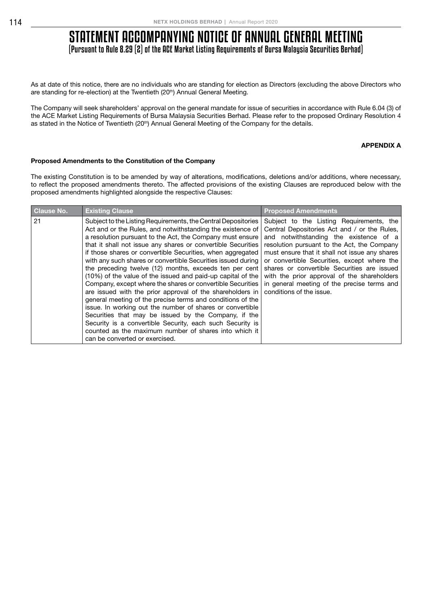### STATEMENT ACCOMPANYING NOTICE OF ANNUAL GENERAL MEETING (Pursuant to Rule 8.29 (2) of the ACE Market Listing Requirements of Bursa Malaysia Securities Berhad)

As at date of this notice, there are no individuals who are standing for election as Directors (excluding the above Directors who are standing for re-election) at the Twentieth (20<sup>th</sup>) Annual General Meeting.

The Company will seek shareholders' approval on the general mandate for issue of securities in accordance with Rule 6.04 (3) of the ACE Market Listing Requirements of Bursa Malaysia Securities Berhad. Please refer to the proposed Ordinary Resolution 4 as stated in the Notice of Twentieth (20<sup>th</sup>) Annual General Meeting of the Company for the details.

#### APPENDIX A

#### Proposed Amendments to the Constitution of the Company

The existing Constitution is to be amended by way of alterations, modifications, deletions and/or additions, where necessary, to reflect the proposed amendments thereto. The affected provisions of the existing Clauses are reproduced below with the proposed amendments highlighted alongside the respective Clauses:

| Clause No. | <b>Existing Clause</b>                                                                                                                                                                                                                                                                                                                                                                                                                                                                                                                                                                                                                                                                                                                                                                                                                                                                                                                                                                | <b>Proposed Amendments</b>                                                                                                                                                                                                                                                                                                                                                                                                                                  |
|------------|---------------------------------------------------------------------------------------------------------------------------------------------------------------------------------------------------------------------------------------------------------------------------------------------------------------------------------------------------------------------------------------------------------------------------------------------------------------------------------------------------------------------------------------------------------------------------------------------------------------------------------------------------------------------------------------------------------------------------------------------------------------------------------------------------------------------------------------------------------------------------------------------------------------------------------------------------------------------------------------|-------------------------------------------------------------------------------------------------------------------------------------------------------------------------------------------------------------------------------------------------------------------------------------------------------------------------------------------------------------------------------------------------------------------------------------------------------------|
| 21         | Subject to the Listing Requirements, the Central Depositories<br>Act and or the Rules, and notwithstanding the existence of<br>a resolution pursuant to the Act, the Company must ensure<br>that it shall not issue any shares or convertible Securities<br>if those shares or convertible Securities, when aggregated<br>with any such shares or convertible Securities issued during<br>the preceding twelve (12) months, exceeds ten per cent<br>(10%) of the value of the issued and paid-up capital of the<br>Company, except where the shares or convertible Securities<br>are issued with the prior approval of the shareholders in<br>general meeting of the precise terms and conditions of the<br>issue. In working out the number of shares or convertible<br>Securities that may be issued by the Company, if the<br>Security is a convertible Security, each such Security is<br>counted as the maximum number of shares into which it<br>can be converted or exercised. | Subject to the Listing Requirements, the<br>Central Depositories Act and / or the Rules,<br>and notwithstanding the existence of a<br>resolution pursuant to the Act, the Company<br>must ensure that it shall not issue any shares<br>or convertible Securities, except where the<br>shares or convertible Securities are issued<br>with the prior approval of the shareholders<br>in general meeting of the precise terms and<br>conditions of the issue. |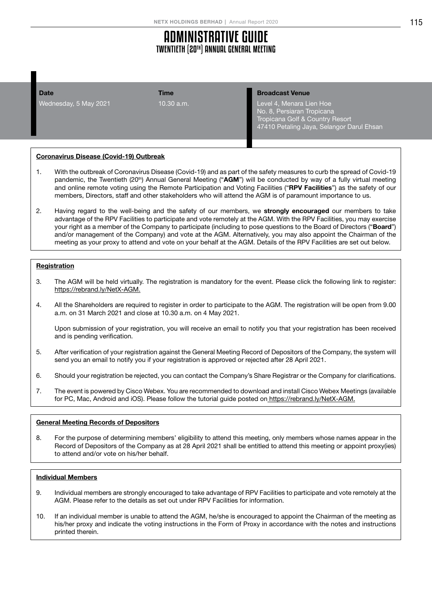### ADMINISTRATIVE GUIDE TWENTIETH (20TH) ANNUAL GENERAL MEETING

#### Date Time Broadcast Venue

Wednesday, 5 May 2021 10.30 a.m. Level 4, Menara Lien Hoe No. 8, Persiaran Tropicana Tropicana Golf & Country Resort 47410 Petaling Jaya, Selangor Darul Ehsan

#### Coronavirus Disease (Covid-19) Outbreak

- 1. With the outbreak of Coronavirus Disease (Covid-19) and as part of the safety measures to curb the spread of Covid-19 pandemic, the Twentieth (20<sup>th</sup>) Annual General Meeting ("AGM") will be conducted by way of a fully virtual meeting and online remote voting using the Remote Participation and Voting Facilities ("RPV Facilities") as the safety of our members, Directors, staff and other stakeholders who will attend the AGM is of paramount importance to us.
- 2. Having regard to the well-being and the safety of our members, we strongly encouraged our members to take advantage of the RPV Facilities to participate and vote remotely at the AGM. With the RPV Facilities, you may exercise your right as a member of the Company to participate (including to pose questions to the Board of Directors ("Board") and/or management of the Company) and vote at the AGM. Alternatively, you may also appoint the Chairman of the meeting as your proxy to attend and vote on your behalf at the AGM. Details of the RPV Facilities are set out below.

#### Registration

- 3. The AGM will be held virtually. The registration is mandatory for the event. Please click the following link to register: https://rebrand.ly/NetX-AGM.
- 4. All the Shareholders are required to register in order to participate to the AGM. The registration will be open from 9.00 a.m. on 31 March 2021 and close at 10.30 a.m. on 4 May 2021.

Upon submission of your registration, you will receive an email to notify you that your registration has been received and is pending verification.

- 5. After verification of your registration against the General Meeting Record of Depositors of the Company, the system will send you an email to notify you if your registration is approved or rejected after 28 April 2021.
- 6. Should your registration be rejected, you can contact the Company's Share Registrar or the Company for clarifications.
- 7. The event is powered by Cisco Webex. You are recommended to download and install Cisco Webex Meetings (available for PC, Mac, Android and iOS). Please follow the tutorial guide posted on https://rebrand.ly/NetX-AGM.

#### General Meeting Records of Depositors

8. For the purpose of determining members' eligibility to attend this meeting, only members whose names appear in the Record of Depositors of the Company as at 28 April 2021 shall be entitled to attend this meeting or appoint proxy(ies) to attend and/or vote on his/her behalf.

#### Individual Members

- 9. Individual members are strongly encouraged to take advantage of RPV Facilities to participate and vote remotely at the AGM. Please refer to the details as set out under RPV Facilities for information.
- 10. If an individual member is unable to attend the AGM, he/she is encouraged to appoint the Chairman of the meeting as his/her proxy and indicate the voting instructions in the Form of Proxy in accordance with the notes and instructions printed therein.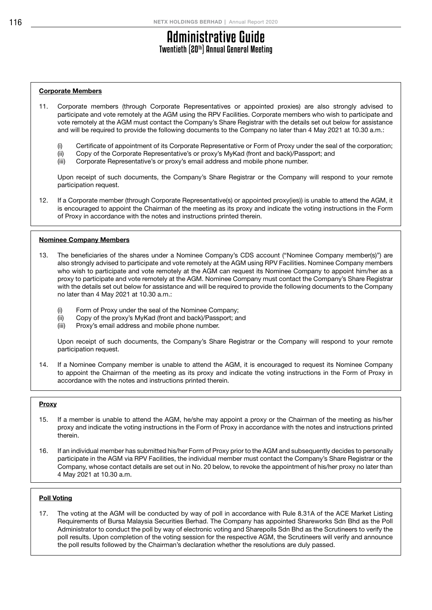### Administrative Guide Twentieth (20Th) Annual General Meeting

#### Corporate Members

- 11. Corporate members (through Corporate Representatives or appointed proxies) are also strongly advised to participate and vote remotely at the AGM using the RPV Facilities. Corporate members who wish to participate and vote remotely at the AGM must contact the Company's Share Registrar with the details set out below for assistance and will be required to provide the following documents to the Company no later than 4 May 2021 at 10.30 a.m.:
	- (i) Certificate of appointment of its Corporate Representative or Form of Proxy under the seal of the corporation;
	- (ii) Copy of the Corporate Representative's or proxy's MyKad (front and back)/Passport; and
	- (iii) Corporate Representative's or proxy's email address and mobile phone number.

Upon receipt of such documents, the Company's Share Registrar or the Company will respond to your remote participation request.

12. If a Corporate member (through Corporate Representative(s) or appointed proxy(ies)) is unable to attend the AGM, it is encouraged to appoint the Chairman of the meeting as its proxy and indicate the voting instructions in the Form of Proxy in accordance with the notes and instructions printed therein.

#### Nominee Company Members

- 13. The beneficiaries of the shares under a Nominee Company's CDS account ("Nominee Company member(s)") are also strongly advised to participate and vote remotely at the AGM using RPV Facilities. Nominee Company members who wish to participate and vote remotely at the AGM can request its Nominee Company to appoint him/her as a proxy to participate and vote remotely at the AGM. Nominee Company must contact the Company's Share Registrar with the details set out below for assistance and will be required to provide the following documents to the Company no later than 4 May 2021 at 10.30 a.m.:
	- (i) Form of Proxy under the seal of the Nominee Company;
	- (ii) Copy of the proxy's MyKad (front and back)/Passport; and
	- (iii) Proxy's email address and mobile phone number.

Upon receipt of such documents, the Company's Share Registrar or the Company will respond to your remote participation request.

14. If a Nominee Company member is unable to attend the AGM, it is encouraged to request its Nominee Company to appoint the Chairman of the meeting as its proxy and indicate the voting instructions in the Form of Proxy in accordance with the notes and instructions printed therein.

#### **Proxy**

- 15. If a member is unable to attend the AGM, he/she may appoint a proxy or the Chairman of the meeting as his/her proxy and indicate the voting instructions in the Form of Proxy in accordance with the notes and instructions printed therein.
- 16. If an individual member has submitted his/her Form of Proxy prior to the AGM and subsequently decides to personally participate in the AGM via RPV Facilities, the individual member must contact the Company's Share Registrar or the Company, whose contact details are set out in No. 20 below, to revoke the appointment of his/her proxy no later than 4 May 2021 at 10.30 a.m.

#### Poll Voting

17. The voting at the AGM will be conducted by way of poll in accordance with Rule 8.31A of the ACE Market Listing Requirements of Bursa Malaysia Securities Berhad. The Company has appointed Shareworks Sdn Bhd as the Poll Administrator to conduct the poll by way of electronic voting and Sharepolls Sdn Bhd as the Scrutineers to verify the poll results. Upon completion of the voting session for the respective AGM, the Scrutineers will verify and announce the poll results followed by the Chairman's declaration whether the resolutions are duly passed.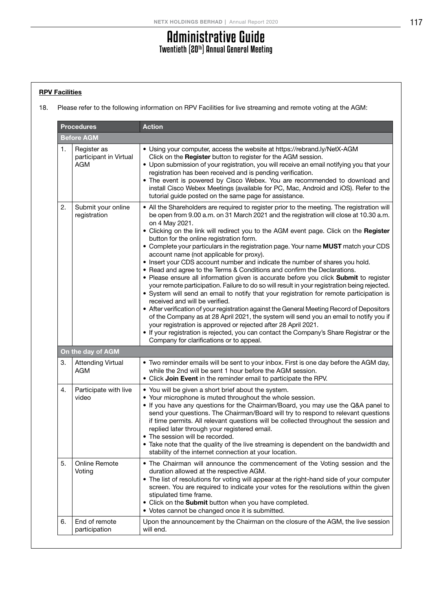### Administrative Guide Twentieth (20Th) Annual General Meeting

#### RPV Facilities

18. Please refer to the following information on RPV Facilities for live streaming and remote voting at the AGM:

| <b>Procedures</b> |                                              | <b>Action</b>                                                                                                                                                                                                                                                                                                                                                                                                                                                                                                                                                                                                                                                                                                                                                                                                                                                                                                                                                                                                                                                                                                                                                                                                                                                                                                                                                       |  |  |  |
|-------------------|----------------------------------------------|---------------------------------------------------------------------------------------------------------------------------------------------------------------------------------------------------------------------------------------------------------------------------------------------------------------------------------------------------------------------------------------------------------------------------------------------------------------------------------------------------------------------------------------------------------------------------------------------------------------------------------------------------------------------------------------------------------------------------------------------------------------------------------------------------------------------------------------------------------------------------------------------------------------------------------------------------------------------------------------------------------------------------------------------------------------------------------------------------------------------------------------------------------------------------------------------------------------------------------------------------------------------------------------------------------------------------------------------------------------------|--|--|--|
|                   | <b>Before AGM</b>                            |                                                                                                                                                                                                                                                                                                                                                                                                                                                                                                                                                                                                                                                                                                                                                                                                                                                                                                                                                                                                                                                                                                                                                                                                                                                                                                                                                                     |  |  |  |
| 1.                | Register as<br>participant in Virtual<br>AGM | • Using your computer, access the website at https://rebrand.ly/NetX-AGM<br>Click on the Register button to register for the AGM session.<br>• Upon submission of your registration, you will receive an email notifying you that your<br>registration has been received and is pending verification.<br>. The event is powered by Cisco Webex. You are recommended to download and<br>install Cisco Webex Meetings (available for PC, Mac, Android and iOS). Refer to the<br>tutorial guide posted on the same page for assistance.                                                                                                                                                                                                                                                                                                                                                                                                                                                                                                                                                                                                                                                                                                                                                                                                                                |  |  |  |
| 2.                | Submit your online<br>registration           | • All the Shareholders are required to register prior to the meeting. The registration will<br>be open from 9.00 a.m. on 31 March 2021 and the registration will close at 10.30 a.m.<br>on 4 May 2021.<br>• Clicking on the link will redirect you to the AGM event page. Click on the Register<br>button for the online registration form.<br>• Complete your particulars in the registration page. Your name MUST match your CDS<br>account name (not applicable for proxy).<br>• Insert your CDS account number and indicate the number of shares you hold.<br>• Read and agree to the Terms & Conditions and confirm the Declarations.<br>. Please ensure all information given is accurate before you click Submit to register<br>your remote participation. Failure to do so will result in your registration being rejected.<br>• System will send an email to notify that your registration for remote participation is<br>received and will be verified.<br>• After verification of your registration against the General Meeting Record of Depositors<br>of the Company as at 28 April 2021, the system will send you an email to notify you if<br>your registration is approved or rejected after 28 April 2021.<br>. If your registration is rejected, you can contact the Company's Share Registrar or the<br>Company for clarifications or to appeal. |  |  |  |
|                   | On the day of AGM                            |                                                                                                                                                                                                                                                                                                                                                                                                                                                                                                                                                                                                                                                                                                                                                                                                                                                                                                                                                                                                                                                                                                                                                                                                                                                                                                                                                                     |  |  |  |
| 3.                | <b>Attending Virtual</b><br><b>AGM</b>       | • Two reminder emails will be sent to your inbox. First is one day before the AGM day,<br>while the 2nd will be sent 1 hour before the AGM session.<br>• Click Join Event in the reminder email to participate the RPV.                                                                                                                                                                                                                                                                                                                                                                                                                                                                                                                                                                                                                                                                                                                                                                                                                                                                                                                                                                                                                                                                                                                                             |  |  |  |
| 4.                | Participate with live<br>video               | • You will be given a short brief about the system.<br>• Your microphone is muted throughout the whole session.<br>. If you have any questions for the Chairman/Board, you may use the Q&A panel to<br>send your questions. The Chairman/Board will try to respond to relevant questions<br>if time permits. All relevant questions will be collected throughout the session and<br>replied later through your registered email.<br>• The session will be recorded.<br>Take note that the quality of the live streaming is dependent on the bandwidth and<br>stability of the internet connection at your location.                                                                                                                                                                                                                                                                                                                                                                                                                                                                                                                                                                                                                                                                                                                                                 |  |  |  |
| 5.                | Online Remote<br>Voting                      | • The Chairman will announce the commencement of the Voting session and the<br>duration allowed at the respective AGM.<br>• The list of resolutions for voting will appear at the right-hand side of your computer<br>screen. You are required to indicate your votes for the resolutions within the given<br>stipulated time frame.<br>• Click on the Submit button when you have completed.<br>• Votes cannot be changed once it is submitted.                                                                                                                                                                                                                                                                                                                                                                                                                                                                                                                                                                                                                                                                                                                                                                                                                                                                                                                    |  |  |  |
| 6.                | End of remote<br>participation               | Upon the announcement by the Chairman on the closure of the AGM, the live session<br>will end.                                                                                                                                                                                                                                                                                                                                                                                                                                                                                                                                                                                                                                                                                                                                                                                                                                                                                                                                                                                                                                                                                                                                                                                                                                                                      |  |  |  |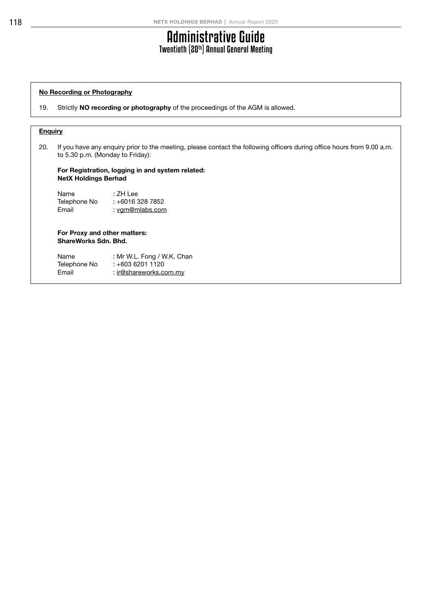### Administrative Guide Twentieth (20Th) Annual General Meeting

#### No Recording or Photography

19. Strictly NO recording or photography of the proceedings of the AGM is allowed.

#### **Enquiry**

20. If you have any enquiry prior to the meeting, please contact the following officers during office hours from 9.00 a.m. to 5.30 p.m. (Monday to Friday):

#### For Registration, logging in and system related: NetX Holdings Berhad

| Name         | : ZH Lee         |
|--------------|------------------|
| Telephone No | : +6016 328 7852 |
| Email        | : vgm@mlabs.com  |

#### For Proxy and other matters: ShareWorks Sdn. Bhd.

| Name         | : Mr W.L. Fong / W.K. Chan |
|--------------|----------------------------|
| Telephone No | : +603 6201 1120           |
| Email        | : ir@shareworks.com.my     |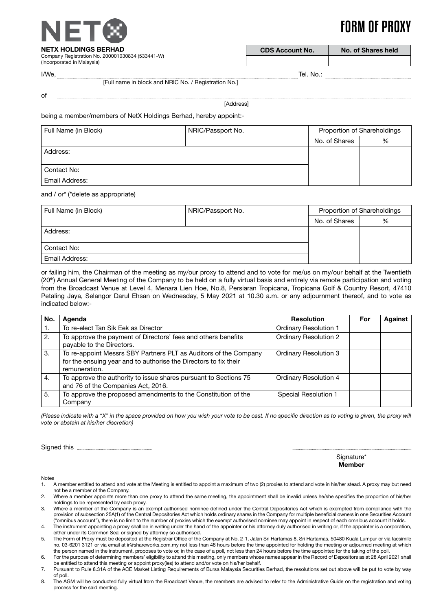#### NETX HOLDINGS BERHAD

Company Registration No. 200001030834 (533441-W) (Incorporated in Malaysia)

|  | IUIIW UI FIIUAI |  |  |
|--|-----------------|--|--|
|  |                 |  |  |
|  |                 |  |  |

**FORM OF DROYV** 

CDS Account No. No. of Shares held

#### I/We, Tel. No.: [Full name in block and NRIC No. / Registration No.]

of

[Address]

#### being a member/members of NetX Holdings Berhad, hereby appoint:-

| Full Name (in Block) | NRIC/Passport No. | Proportion of Shareholdings |      |
|----------------------|-------------------|-----------------------------|------|
|                      |                   | No. of Shares               | $\%$ |
| Address:             |                   |                             |      |
|                      |                   |                             |      |
| Contact No:          |                   |                             |      |
| Email Address:       |                   |                             |      |

#### and / or\* (\*delete as appropriate)

| Full Name (in Block) | NRIC/Passport No. | Proportion of Shareholdings |   |
|----------------------|-------------------|-----------------------------|---|
|                      |                   | No. of Shares               | % |
| Address:             |                   |                             |   |
| Contact No:          |                   |                             |   |
| Email Address:       |                   |                             |   |

or failing him, the Chairman of the meeting as my/our proxy to attend and to vote for me/us on my/our behalf at the Twentieth (20<sup>th</sup>) Annual General Meeting of the Company to be held on a fully virtual basis and entirely via remote participation and voting from the Broadcast Venue at Level 4, Menara Lien Hoe, No.8, Persiaran Tropicana, Tropicana Golf & Country Resort, 47410 Petaling Jaya, Selangor Darul Ehsan on Wednesday, 5 May 2021 at 10.30 a.m. or any adjournment thereof, and to vote as indicated below:-

| No. | Agenda                                                                                                                                                | <b>Resolution</b>            | For | <b>Against</b> |
|-----|-------------------------------------------------------------------------------------------------------------------------------------------------------|------------------------------|-----|----------------|
| п.  | To re-elect Tan Sik Eek as Director                                                                                                                   | <b>Ordinary Resolution 1</b> |     |                |
| 2.  | To approve the payment of Directors' fees and others benefits<br>payable to the Directors.                                                            | <b>Ordinary Resolution 2</b> |     |                |
| 3.  | To re-appoint Messrs SBY Partners PLT as Auditors of the Company<br>for the ensuing year and to authorise the Directors to fix their<br>remuneration. | Ordinary Resolution 3        |     |                |
| 4.  | To approve the authority to issue shares pursuant to Sections 75<br>and 76 of the Companies Act, 2016.                                                | Ordinary Resolution 4        |     |                |
| 5.  | To approve the proposed amendments to the Constitution of the<br>Company                                                                              | Special Resolution 1         |     |                |

*(Please indicate with a "X" in the space provided on how you wish your vote to be cast. If no specific direction as to voting is given, the proxy will vote or abstain at his/her discretion)*

Signed this **with the state of the Signed** this

Signature\* Member

Notes

- 1. A member entitled to attend and vote at the Meeting is entitled to appoint a maximum of two (2) proxies to attend and vote in his/her stead. A proxy may but need not be a member of the Company.
- 2. Where a member appoints more than one proxy to attend the same meeting, the appointment shall be invalid unless he/she specifies the proportion of his/her holdings to be represented by each proxy.
- 3. Where a member of the Company is an exempt authorised nominee defined under the Central Depositories Act which is exempted from compliance with the provision of subsection 25A(1) of the Central Depositories Act which holds ordinary shares in the Company for multiple beneficial owners in one Securities Account ("omnibus account"), there is no limit to the number of proxies which the exempt authorised nominee may appoint in respect of each omnibus account it holds.
- 4. The instrument appointing a proxy shall be in writing under the hand of the appointer or his attorney duly authorised in writing or, if the appointer is a corporation, either under its Common Seal or signed by attorney so authorised.
- 5. The Form of Proxy must be deposited at the Registrar Office of the Company at No. 2-1, Jalan Sri Hartamas 8, Sri Hartamas, 50480 Kuala Lumpur or via facsimile no. 03-6201 3121 or via email at ir@shareworks.com.my not less than 48 hours before the time appointed for holding the meeting or adjourned meeting at which the person named in the instrument, proposes to vote or, in the case of a poll, not less than 24 hours before the time appointed for the taking of the poll.
- 6. For the purpose of determining members' eligibility to attend this meeting, only members whose names appear in the Record of Depositors as at 28 April 2021 shall be entitled to attend this meeting or appoint proxy(ies) to attend and/or vote on his/her behalf.
- 7. Pursuant to Rule 8.31A of the ACE Market Listing Requirements of Bursa Malaysia Securities Berhad, the resolutions set out above will be put to vote by way of poll.
- 8. The AGM will be conducted fully virtual from the Broadcast Venue, the members are advised to refer to the Administrative Guide on the registration and voting process for the said meeting.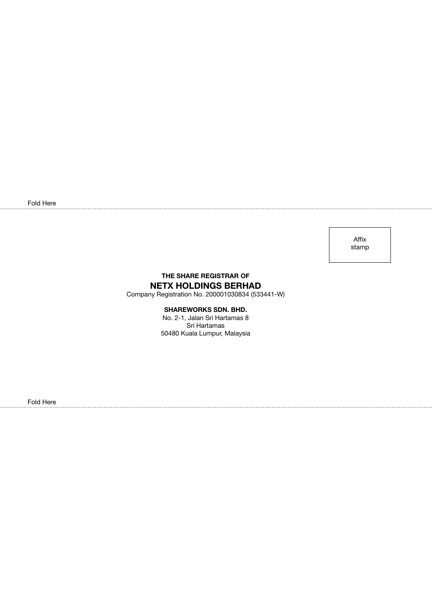Fold Here

Affix stamp

### THE SHARE REGISTRAR OF NETX HOLDINGS BERHAD

Company Registration No. 200001030834 (533441-W)

#### SHAREWORKS SDN. BHD.

No. 2-1, Jalan Sri Hartamas 8 Sri Hartamas 50480 Kuala Lumpur, Malaysia

Fold Here